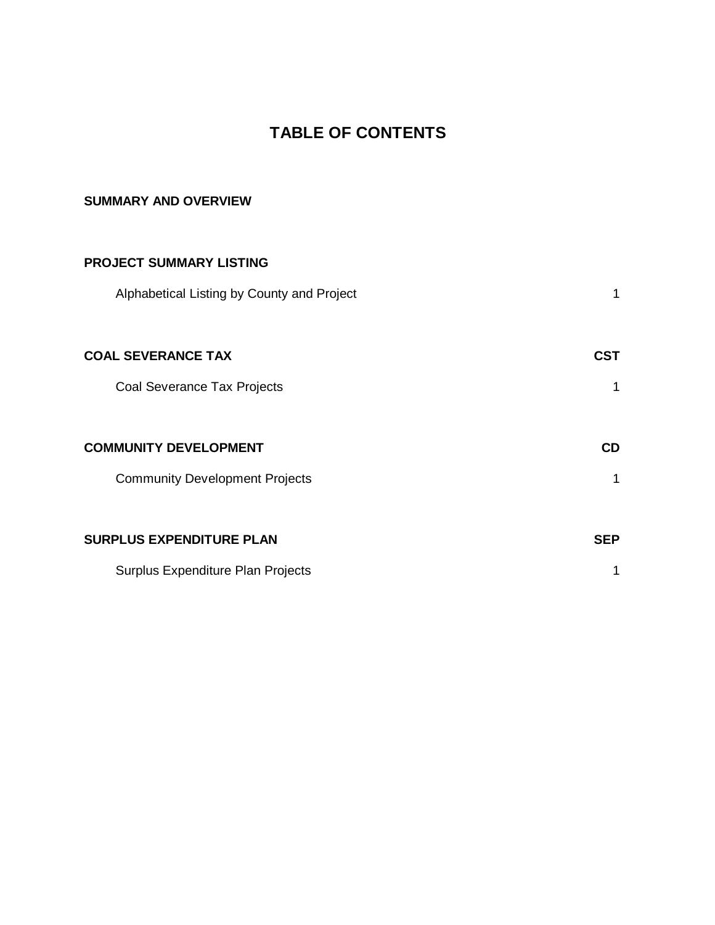# **TABLE OF CONTENTS**

# **SUMMARY AND OVERVIEW**

| <b>PROJECT SUMMARY LISTING</b>             |            |
|--------------------------------------------|------------|
| Alphabetical Listing by County and Project |            |
| <b>COAL SEVERANCE TAX</b>                  | CST        |
| Coal Severance Tax Projects                |            |
|                                            |            |
| <b>COMMUNITY DEVELOPMENT</b>               | <b>CD</b>  |
| <b>Community Development Projects</b>      |            |
|                                            |            |
| <b>SURPLUS EXPENDITURE PLAN</b>            | <b>SEP</b> |
| Surplus Expenditure Plan Projects          |            |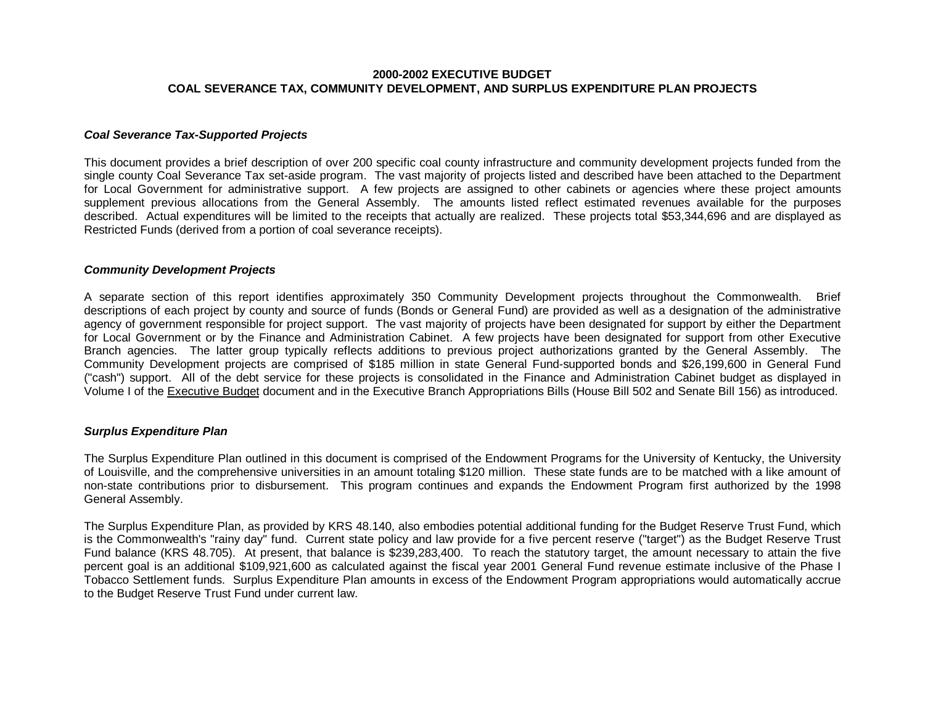#### **2000-2002 EXECUTIVE BUDGET COAL SEVERANCE TAX, COMMUNITY DEVELOPMENT, AND SURPLUS EXPENDITURE PLAN PROJECTS**

#### *Coal Severance Tax-Supported Projects*

This document provides a brief description of over 200 specific coal county infrastructure and community development projects funded from the single county Coal Severance Tax set-aside program. The vast majority of projects listed and described have been attached to the Department for Local Government for administrative support. A few projects are assigned to other cabinets or agencies where these project amounts supplement previous allocations from the General Assembly. The amounts listed reflect estimated revenues available for the purposes described. Actual expenditures will be limited to the receipts that actually are realized. These projects total \$53,344,696 and are displayed as Restricted Funds (derived from a portion of coal severance receipts).

#### *Community Development Projects*

A separate section of this report identifies approximately 350 Community Development projects throughout the Commonwealth. Brief descriptions of each project by county and source of funds (Bonds or General Fund) are provided as well as a designation of the administrative agency of government responsible for project support. The vast majority of projects have been designated for support by either the Department for Local Government or by the Finance and Administration Cabinet. A few projects have been designated for support from other Executive Branch agencies. The latter group typically reflects additions to previous project authorizations granted by the General Assembly. The Community Development projects are comprised of \$185 million in state General Fund-supported bonds and \$26,199,600 in General Fund ("cash") support. All of the debt service for these projects is consolidated in the Finance and Administration Cabinet budget as displayed in Volume I of the Executive Budget document and in the Executive Branch Appropriations Bills (House Bill 502 and Senate Bill 156) as introduced.

#### *Surplus Expenditure Plan*

The Surplus Expenditure Plan outlined in this document is comprised of the Endowment Programs for the University of Kentucky, the University of Louisville, and the comprehensive universities in an amount totaling \$120 million. These state funds are to be matched with a like amount of non-state contributions prior to disbursement. This program continues and expands the Endowment Program first authorized by the 1998 General Assembly.

The Surplus Expenditure Plan, as provided by KRS 48.140, also embodies potential additional funding for the Budget Reserve Trust Fund, which is the Commonwealth's "rainy day" fund. Current state policy and law provide for a five percent reserve ("target") as the Budget Reserve Trust Fund balance (KRS 48.705). At present, that balance is \$239,283,400. To reach the statutory target, the amount necessary to attain the five percent goal is an additional \$109,921,600 as calculated against the fiscal year 2001 General Fund revenue estimate inclusive of the Phase I Tobacco Settlement funds. Surplus Expenditure Plan amounts in excess of the Endowment Program appropriations would automatically accrue to the Budget Reserve Trust Fund under current law.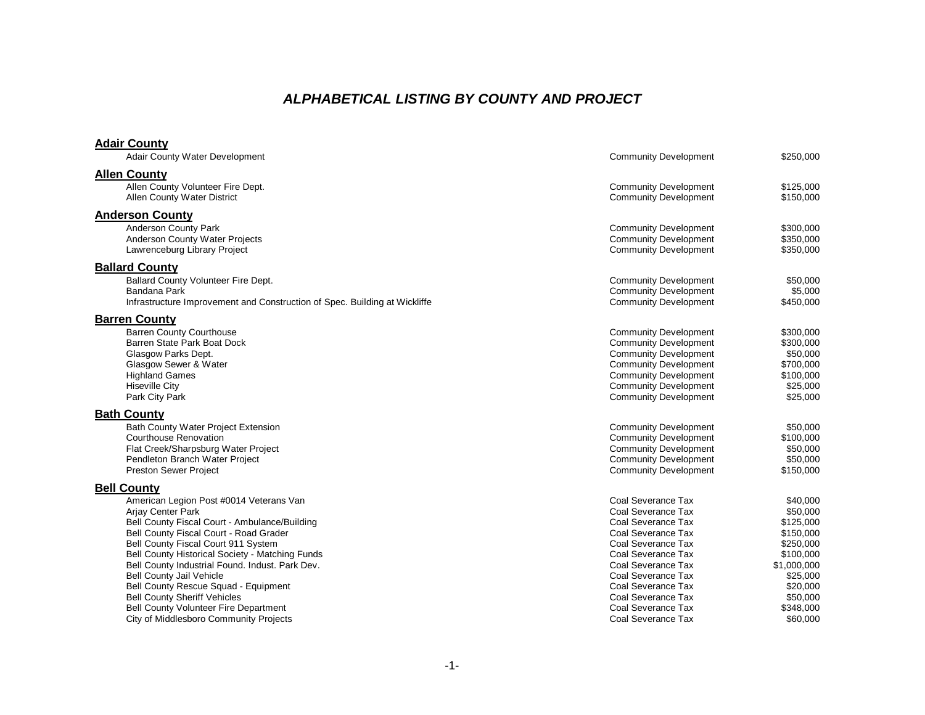# *ALPHABETICAL LISTING BY COUNTY AND PROJECT*

### **Adair County**

| <b>Adair County Water Development</b>        |                                                                            | <b>Community Development</b> | \$250,000   |
|----------------------------------------------|----------------------------------------------------------------------------|------------------------------|-------------|
| <b>Allen County</b>                          |                                                                            |                              |             |
| Allen County Volunteer Fire Dept.            |                                                                            | <b>Community Development</b> | \$125,000   |
| <b>Allen County Water District</b>           |                                                                            | <b>Community Development</b> | \$150,000   |
| <b>Anderson County</b>                       |                                                                            |                              |             |
| <b>Anderson County Park</b>                  |                                                                            | <b>Community Development</b> | \$300,000   |
| <b>Anderson County Water Projects</b>        |                                                                            | <b>Community Development</b> | \$350,000   |
| Lawrenceburg Library Project                 |                                                                            | <b>Community Development</b> | \$350,000   |
|                                              |                                                                            |                              |             |
| <b>Ballard County</b>                        |                                                                            |                              |             |
| Ballard County Volunteer Fire Dept.          |                                                                            | <b>Community Development</b> | \$50,000    |
| Bandana Park                                 |                                                                            | <b>Community Development</b> | \$5,000     |
|                                              | Infrastructure Improvement and Construction of Spec. Building at Wickliffe | <b>Community Development</b> | \$450,000   |
| <b>Barren County</b>                         |                                                                            |                              |             |
| <b>Barren County Courthouse</b>              |                                                                            | <b>Community Development</b> | \$300,000   |
| Barren State Park Boat Dock                  |                                                                            | <b>Community Development</b> | \$300,000   |
| Glasgow Parks Dept.                          |                                                                            | <b>Community Development</b> | \$50,000    |
| Glasgow Sewer & Water                        |                                                                            | <b>Community Development</b> | \$700,000   |
| <b>Highland Games</b>                        |                                                                            | <b>Community Development</b> | \$100,000   |
| <b>Hiseville City</b>                        |                                                                            | <b>Community Development</b> | \$25,000    |
| Park City Park                               |                                                                            | <b>Community Development</b> | \$25,000    |
| <b>Bath County</b>                           |                                                                            |                              |             |
| Bath County Water Project Extension          |                                                                            | <b>Community Development</b> | \$50,000    |
| <b>Courthouse Renovation</b>                 |                                                                            | <b>Community Development</b> | \$100,000   |
| Flat Creek/Sharpsburg Water Project          |                                                                            | <b>Community Development</b> | \$50,000    |
| Pendleton Branch Water Project               |                                                                            | <b>Community Development</b> | \$50,000    |
| <b>Preston Sewer Project</b>                 |                                                                            | <b>Community Development</b> | \$150,000   |
| <b>Bell County</b>                           |                                                                            |                              |             |
|                                              | American Legion Post #0014 Veterans Van                                    | Coal Severance Tax           | \$40,000    |
| <b>Arjay Center Park</b>                     |                                                                            | Coal Severance Tax           | \$50,000    |
|                                              | Bell County Fiscal Court - Ambulance/Building                              | Coal Severance Tax           | \$125,000   |
| Bell County Fiscal Court - Road Grader       |                                                                            | Coal Severance Tax           | \$150,000   |
| Bell County Fiscal Court 911 System          |                                                                            | Coal Severance Tax           | \$250,000   |
|                                              | Bell County Historical Society - Matching Funds                            | Coal Severance Tax           | \$100,000   |
|                                              | Bell County Industrial Found. Indust. Park Dev.                            | Coal Severance Tax           | \$1,000,000 |
| <b>Bell County Jail Vehicle</b>              |                                                                            | Coal Severance Tax           | \$25,000    |
| Bell County Rescue Squad - Equipment         |                                                                            | Coal Severance Tax           | \$20,000    |
| <b>Bell County Sheriff Vehicles</b>          |                                                                            | Coal Severance Tax           | \$50,000    |
| <b>Bell County Volunteer Fire Department</b> |                                                                            | Coal Severance Tax           | \$348,000   |
| City of Middlesboro Community Projects       |                                                                            | Coal Severance Tax           | \$60,000    |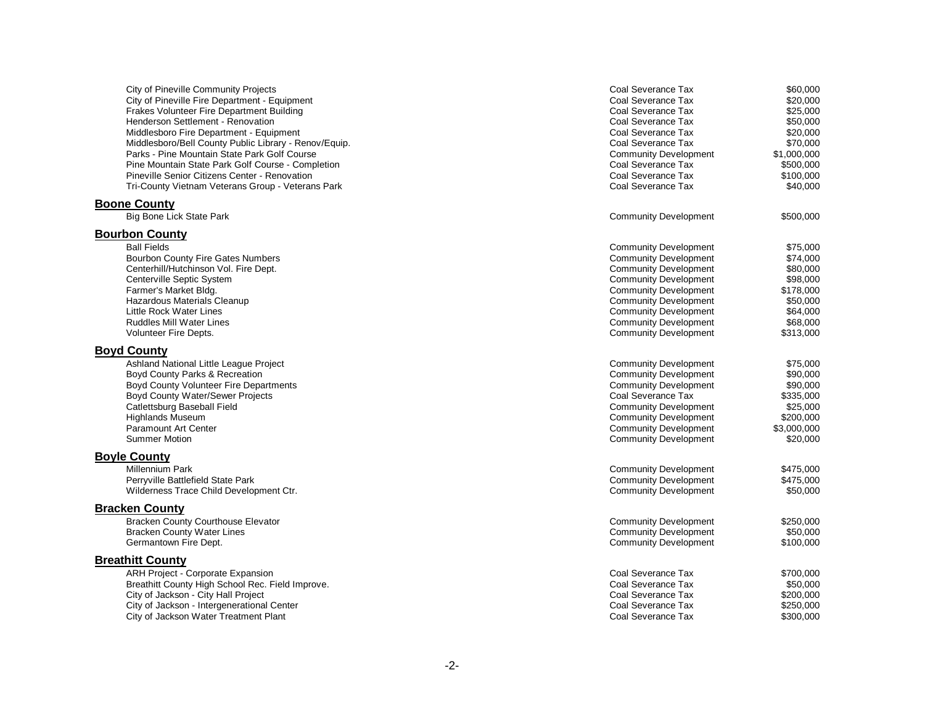| City of Pineville Community Projects<br>City of Pineville Fire Department - Equipment<br>Frakes Volunteer Fire Department Building<br>Henderson Settlement - Renovation<br>Middlesboro Fire Department - Equipment<br>Middlesboro/Bell County Public Library - Renov/Equip.<br>Parks - Pine Mountain State Park Golf Course<br>Pine Mountain State Park Golf Course - Completion<br>Pineville Senior Citizens Center - Renovation<br>Tri-County Vietnam Veterans Group - Veterans Park | Coal Severance Tax<br>Coal Severance Tax<br>Coal Severance Tax<br>Coal Severance Tax<br>Coal Severance Tax<br>Coal Severance Tax<br><b>Community Development</b><br>Coal Severance Tax<br>Coal Severance Tax<br>Coal Severance Tax                                                           | \$60,000<br>\$20,000<br>\$25,000<br>\$50,000<br>\$20,000<br>\$70,000<br>\$1,000,000<br>\$500,000<br>\$100,000<br>\$40,000 |
|----------------------------------------------------------------------------------------------------------------------------------------------------------------------------------------------------------------------------------------------------------------------------------------------------------------------------------------------------------------------------------------------------------------------------------------------------------------------------------------|----------------------------------------------------------------------------------------------------------------------------------------------------------------------------------------------------------------------------------------------------------------------------------------------|---------------------------------------------------------------------------------------------------------------------------|
| <b>Boone County</b>                                                                                                                                                                                                                                                                                                                                                                                                                                                                    |                                                                                                                                                                                                                                                                                              |                                                                                                                           |
| Big Bone Lick State Park                                                                                                                                                                                                                                                                                                                                                                                                                                                               | <b>Community Development</b>                                                                                                                                                                                                                                                                 | \$500,000                                                                                                                 |
| <b>Bourbon County</b>                                                                                                                                                                                                                                                                                                                                                                                                                                                                  |                                                                                                                                                                                                                                                                                              |                                                                                                                           |
| <b>Ball Fields</b><br><b>Bourbon County Fire Gates Numbers</b><br>Centerhill/Hutchinson Vol. Fire Dept.<br>Centerville Septic System<br>Farmer's Market Bldg.<br>Hazardous Materials Cleanup<br>Little Rock Water Lines<br>Ruddles Mill Water Lines<br>Volunteer Fire Depts.                                                                                                                                                                                                           | <b>Community Development</b><br><b>Community Development</b><br><b>Community Development</b><br><b>Community Development</b><br><b>Community Development</b><br><b>Community Development</b><br><b>Community Development</b><br><b>Community Development</b><br><b>Community Development</b> | \$75,000<br>\$74,000<br>\$80,000<br>\$98,000<br>\$178,000<br>\$50,000<br>\$64,000<br>\$68,000<br>\$313,000                |
| <b>Boyd County</b>                                                                                                                                                                                                                                                                                                                                                                                                                                                                     |                                                                                                                                                                                                                                                                                              |                                                                                                                           |
| Ashland National Little League Project<br>Boyd County Parks & Recreation<br>Boyd County Volunteer Fire Departments<br>Boyd County Water/Sewer Projects<br>Catlettsburg Baseball Field<br><b>Highlands Museum</b><br><b>Paramount Art Center</b><br><b>Summer Motion</b>                                                                                                                                                                                                                | <b>Community Development</b><br><b>Community Development</b><br><b>Community Development</b><br>Coal Severance Tax<br><b>Community Development</b><br><b>Community Development</b><br><b>Community Development</b><br><b>Community Development</b>                                           | \$75,000<br>\$90,000<br>\$90,000<br>\$335,000<br>\$25,000<br>\$200,000<br>\$3,000,000<br>\$20,000                         |
| <b>Boyle County</b>                                                                                                                                                                                                                                                                                                                                                                                                                                                                    |                                                                                                                                                                                                                                                                                              |                                                                                                                           |
| Millennium Park<br>Perryville Battlefield State Park<br>Wilderness Trace Child Development Ctr.                                                                                                                                                                                                                                                                                                                                                                                        | <b>Community Development</b><br><b>Community Development</b><br><b>Community Development</b>                                                                                                                                                                                                 | \$475,000<br>\$475,000<br>\$50,000                                                                                        |
| <b>Bracken County</b>                                                                                                                                                                                                                                                                                                                                                                                                                                                                  |                                                                                                                                                                                                                                                                                              |                                                                                                                           |
| <b>Bracken County Courthouse Elevator</b><br><b>Bracken County Water Lines</b><br>Germantown Fire Dept.                                                                                                                                                                                                                                                                                                                                                                                | <b>Community Development</b><br><b>Community Development</b><br><b>Community Development</b>                                                                                                                                                                                                 | \$250,000<br>\$50,000<br>\$100,000                                                                                        |
| <b>Breathitt County</b>                                                                                                                                                                                                                                                                                                                                                                                                                                                                |                                                                                                                                                                                                                                                                                              |                                                                                                                           |
| ARH Project - Corporate Expansion<br>Breathitt County High School Rec. Field Improve.<br>City of Jackson - City Hall Project<br>City of Jackson - Intergenerational Center<br>City of Jackson Water Treatment Plant                                                                                                                                                                                                                                                                    | Coal Severance Tax<br>Coal Severance Tax<br>Coal Severance Tax<br>Coal Severance Tax<br>Coal Severance Tax                                                                                                                                                                                   | \$700,000<br>\$50,000<br>\$200,000<br>\$250,000<br>\$300,000                                                              |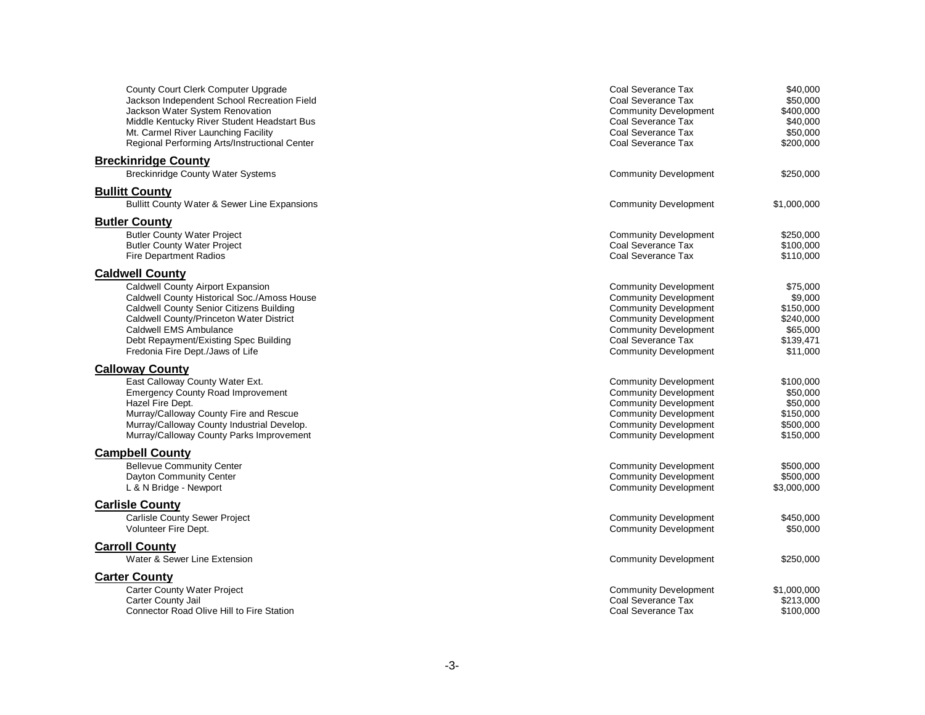| <b>County Court Clerk Computer Upgrade</b><br>Jackson Independent School Recreation Field<br>Jackson Water System Renovation<br>Middle Kentucky River Student Headstart Bus<br>Mt. Carmel River Launching Facility<br>Regional Performing Arts/Instructional Center                                              | Coal Severance Tax<br>Coal Severance Tax<br><b>Community Development</b><br>Coal Severance Tax<br>Coal Severance Tax<br>Coal Severance Tax                                                                         | \$40,000<br>\$50,000<br>\$400,000<br>\$40,000<br>\$50,000<br>\$200,000             |
|------------------------------------------------------------------------------------------------------------------------------------------------------------------------------------------------------------------------------------------------------------------------------------------------------------------|--------------------------------------------------------------------------------------------------------------------------------------------------------------------------------------------------------------------|------------------------------------------------------------------------------------|
| <b>Breckinridge County</b><br><b>Breckinridge County Water Systems</b>                                                                                                                                                                                                                                           | <b>Community Development</b>                                                                                                                                                                                       | \$250,000                                                                          |
| <b>Bullitt County</b><br>Bullitt County Water & Sewer Line Expansions                                                                                                                                                                                                                                            | <b>Community Development</b>                                                                                                                                                                                       | \$1,000,000                                                                        |
| <b>Butler County</b>                                                                                                                                                                                                                                                                                             |                                                                                                                                                                                                                    |                                                                                    |
| <b>Butler County Water Project</b><br><b>Butler County Water Project</b><br><b>Fire Department Radios</b>                                                                                                                                                                                                        | <b>Community Development</b><br>Coal Severance Tax<br>Coal Severance Tax                                                                                                                                           | \$250,000<br>\$100,000<br>\$110,000                                                |
| <b>Caldwell County</b><br>Caldwell County Airport Expansion<br>Caldwell County Historical Soc./Amoss House<br><b>Caldwell County Senior Citizens Building</b><br>Caldwell County/Princeton Water District<br>Caldwell EMS Ambulance<br>Debt Repayment/Existing Spec Building<br>Fredonia Fire Dept./Jaws of Life | <b>Community Development</b><br><b>Community Development</b><br><b>Community Development</b><br><b>Community Development</b><br><b>Community Development</b><br>Coal Severance Tax<br><b>Community Development</b> | \$75,000<br>\$9,000<br>\$150,000<br>\$240,000<br>\$65,000<br>\$139,471<br>\$11,000 |
| <b>Calloway County</b>                                                                                                                                                                                                                                                                                           |                                                                                                                                                                                                                    |                                                                                    |
| East Calloway County Water Ext.<br><b>Emergency County Road Improvement</b><br>Hazel Fire Dept.<br>Murray/Calloway County Fire and Rescue<br>Murray/Calloway County Industrial Develop.<br>Murray/Calloway County Parks Improvement                                                                              | <b>Community Development</b><br><b>Community Development</b><br><b>Community Development</b><br><b>Community Development</b><br><b>Community Development</b><br><b>Community Development</b>                       | \$100,000<br>\$50,000<br>\$50,000<br>\$150,000<br>\$500.000<br>\$150,000           |
| <b>Campbell County</b>                                                                                                                                                                                                                                                                                           |                                                                                                                                                                                                                    |                                                                                    |
| <b>Bellevue Community Center</b><br>Dayton Community Center<br>L & N Bridge - Newport                                                                                                                                                                                                                            | <b>Community Development</b><br><b>Community Development</b><br><b>Community Development</b>                                                                                                                       | \$500,000<br>\$500,000<br>\$3,000,000                                              |
| <b>Carlisle County</b>                                                                                                                                                                                                                                                                                           |                                                                                                                                                                                                                    |                                                                                    |
| Carlisle County Sewer Project<br>Volunteer Fire Dept.                                                                                                                                                                                                                                                            | <b>Community Development</b><br><b>Community Development</b>                                                                                                                                                       | \$450,000<br>\$50,000                                                              |
| <b>Carroll County</b>                                                                                                                                                                                                                                                                                            |                                                                                                                                                                                                                    |                                                                                    |
| Water & Sewer Line Extension                                                                                                                                                                                                                                                                                     | <b>Community Development</b>                                                                                                                                                                                       | \$250,000                                                                          |
| <b>Carter County</b>                                                                                                                                                                                                                                                                                             |                                                                                                                                                                                                                    |                                                                                    |
| Carter County Water Project<br>Carter County Jail<br>Connector Road Olive Hill to Fire Station                                                                                                                                                                                                                   | <b>Community Development</b><br>Coal Severance Tax<br>Coal Severance Tax                                                                                                                                           | \$1,000,000<br>\$213,000<br>\$100,000                                              |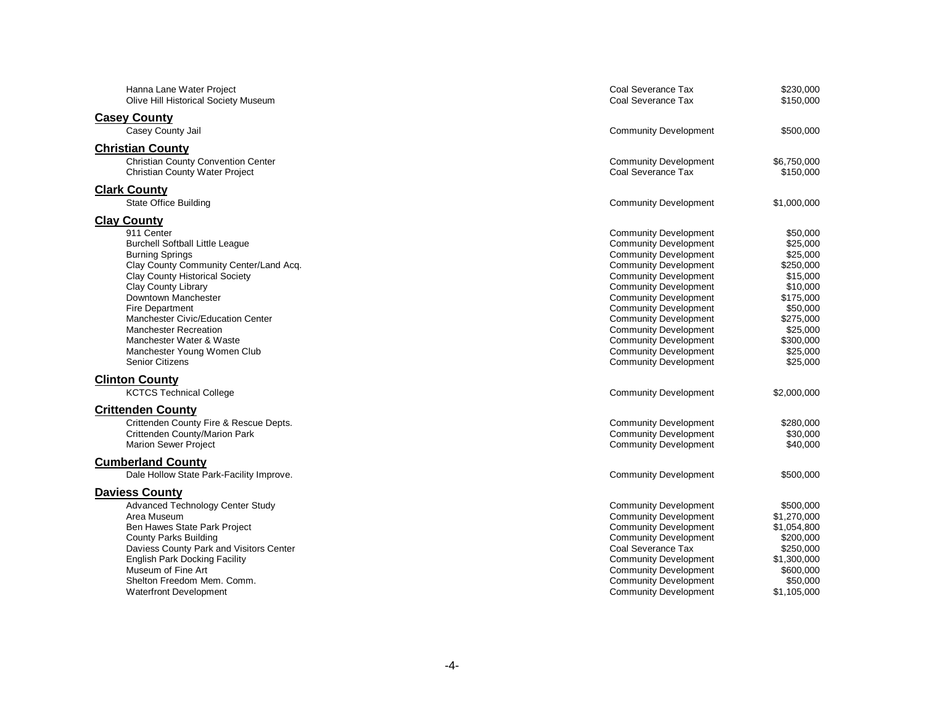| Hanna Lane Water Project<br>Olive Hill Historical Society Museum                                              | Coal Severance Tax<br>Coal Severance Tax                     | \$230,000<br>\$150,000   |
|---------------------------------------------------------------------------------------------------------------|--------------------------------------------------------------|--------------------------|
| <b>Casey County</b>                                                                                           |                                                              |                          |
| Casey County Jail                                                                                             | <b>Community Development</b>                                 | \$500,000                |
| <b>Christian County</b><br><b>Christian County Convention Center</b><br><b>Christian County Water Project</b> | <b>Community Development</b><br>Coal Severance Tax           | \$6,750,000<br>\$150,000 |
| <b>Clark County</b>                                                                                           |                                                              |                          |
| <b>State Office Building</b>                                                                                  | <b>Community Development</b>                                 | \$1,000,000              |
| <b>Clay County</b>                                                                                            |                                                              |                          |
| 911 Center                                                                                                    | <b>Community Development</b>                                 | \$50,000                 |
| <b>Burchell Softball Little League</b>                                                                        | <b>Community Development</b>                                 | \$25,000                 |
| <b>Burning Springs</b>                                                                                        | <b>Community Development</b>                                 | \$25,000                 |
| Clay County Community Center/Land Acq.<br>Clay County Historical Society                                      | <b>Community Development</b>                                 | \$250,000<br>\$15,000    |
| <b>Clay County Library</b>                                                                                    | <b>Community Development</b><br><b>Community Development</b> | \$10,000                 |
| Downtown Manchester                                                                                           | <b>Community Development</b>                                 | \$175,000                |
| <b>Fire Department</b>                                                                                        | <b>Community Development</b>                                 | \$50,000                 |
| Manchester Civic/Education Center                                                                             | <b>Community Development</b>                                 | \$275,000                |
| <b>Manchester Recreation</b>                                                                                  | <b>Community Development</b>                                 | \$25,000                 |
| Manchester Water & Waste                                                                                      | <b>Community Development</b>                                 | \$300,000                |
| Manchester Young Women Club                                                                                   | <b>Community Development</b>                                 | \$25,000                 |
| <b>Senior Citizens</b>                                                                                        | <b>Community Development</b>                                 | \$25,000                 |
| <b>Clinton County</b>                                                                                         |                                                              |                          |
| <b>KCTCS Technical College</b>                                                                                | <b>Community Development</b>                                 | \$2,000,000              |
| <b>Crittenden County</b>                                                                                      |                                                              |                          |
| Crittenden County Fire & Rescue Depts.                                                                        | <b>Community Development</b>                                 | \$280,000                |
| Crittenden County/Marion Park                                                                                 | <b>Community Development</b>                                 | \$30,000                 |
| <b>Marion Sewer Project</b>                                                                                   | <b>Community Development</b>                                 | \$40,000                 |
| <b>Cumberland County</b>                                                                                      |                                                              |                          |
| Dale Hollow State Park-Facility Improve.                                                                      | <b>Community Development</b>                                 | \$500,000                |
| Daviess County                                                                                                |                                                              |                          |
| Advanced Technology Center Study                                                                              | <b>Community Development</b>                                 | \$500,000                |
| Area Museum                                                                                                   | <b>Community Development</b>                                 | \$1,270,000              |
| Ben Hawes State Park Project                                                                                  | <b>Community Development</b>                                 | \$1,054,800              |
| <b>County Parks Building</b>                                                                                  | <b>Community Development</b>                                 | \$200,000                |
| Daviess County Park and Visitors Center                                                                       | Coal Severance Tax                                           | \$250,000                |
| <b>English Park Docking Facility</b>                                                                          | <b>Community Development</b>                                 | \$1,300,000              |
| Museum of Fine Art                                                                                            | <b>Community Development</b>                                 | \$600,000                |
| Shelton Freedom Mem. Comm.                                                                                    | <b>Community Development</b><br><b>Community Development</b> | \$50,000<br>\$1,105,000  |
| <b>Waterfront Development</b>                                                                                 |                                                              |                          |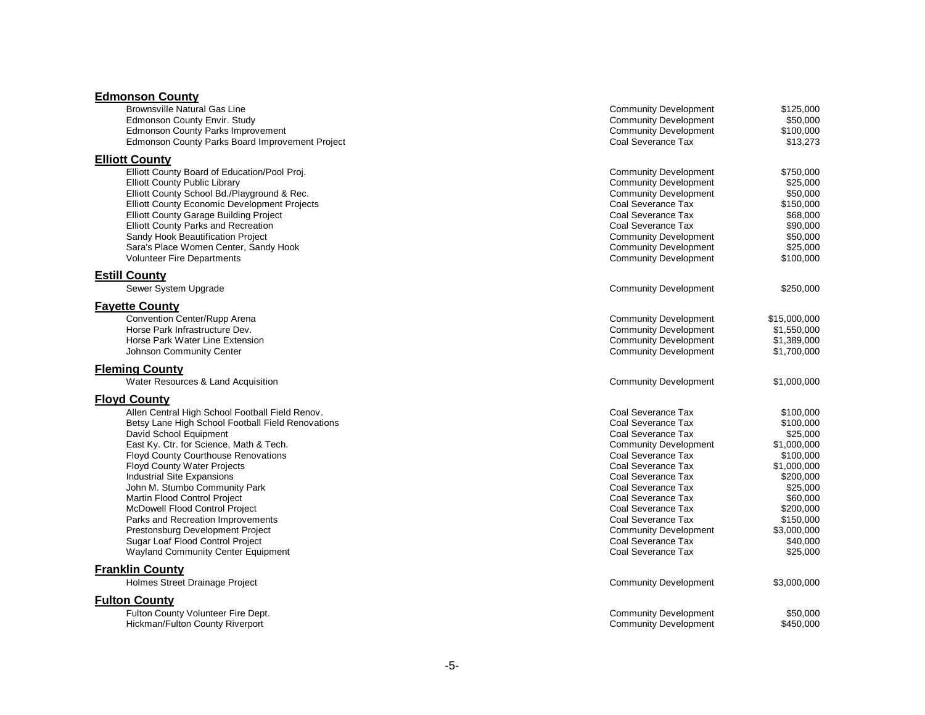#### **Edmonson County**

| <b>Community Development</b><br><b>Community Development</b><br><b>Community Development</b><br>Coal Severance Tax                                                                                                                                                                                                                   | \$125,000<br>\$50,000<br>\$100,000<br>\$13,273                                                                                                                                      |
|--------------------------------------------------------------------------------------------------------------------------------------------------------------------------------------------------------------------------------------------------------------------------------------------------------------------------------------|-------------------------------------------------------------------------------------------------------------------------------------------------------------------------------------|
| <b>Community Development</b><br><b>Community Development</b><br><b>Community Development</b><br>Coal Severance Tax<br>Coal Severance Tax<br>Coal Severance Tax<br><b>Community Development</b><br><b>Community Development</b><br><b>Community Development</b>                                                                       | \$750,000<br>\$25,000<br>\$50,000<br>\$150,000<br>\$68,000<br>\$90,000<br>\$50,000<br>\$25,000<br>\$100,000                                                                         |
|                                                                                                                                                                                                                                                                                                                                      |                                                                                                                                                                                     |
|                                                                                                                                                                                                                                                                                                                                      | \$250,000                                                                                                                                                                           |
| <b>Community Development</b><br><b>Community Development</b><br><b>Community Development</b><br><b>Community Development</b>                                                                                                                                                                                                         | \$15,000,000<br>\$1,550,000<br>\$1,389,000<br>\$1,700,000                                                                                                                           |
|                                                                                                                                                                                                                                                                                                                                      |                                                                                                                                                                                     |
| <b>Community Development</b>                                                                                                                                                                                                                                                                                                         | \$1,000,000                                                                                                                                                                         |
|                                                                                                                                                                                                                                                                                                                                      |                                                                                                                                                                                     |
| Coal Severance Tax<br>Coal Severance Tax<br>Coal Severance Tax<br><b>Community Development</b><br>Coal Severance Tax<br>Coal Severance Tax<br>Coal Severance Tax<br>Coal Severance Tax<br>Coal Severance Tax<br>Coal Severance Tax<br>Coal Severance Tax<br><b>Community Development</b><br>Coal Severance Tax<br>Coal Severance Tax | \$100,000<br>\$100,000<br>\$25,000<br>\$1,000,000<br>\$100,000<br>\$1,000,000<br>\$200,000<br>\$25,000<br>\$60,000<br>\$200,000<br>\$150,000<br>\$3,000,000<br>\$40,000<br>\$25,000 |
|                                                                                                                                                                                                                                                                                                                                      |                                                                                                                                                                                     |
|                                                                                                                                                                                                                                                                                                                                      | \$3,000,000                                                                                                                                                                         |
| <b>Community Development</b><br><b>Community Development</b>                                                                                                                                                                                                                                                                         | \$50,000<br>\$450,000                                                                                                                                                               |
|                                                                                                                                                                                                                                                                                                                                      | <b>Community Development</b><br><b>Community Development</b>                                                                                                                        |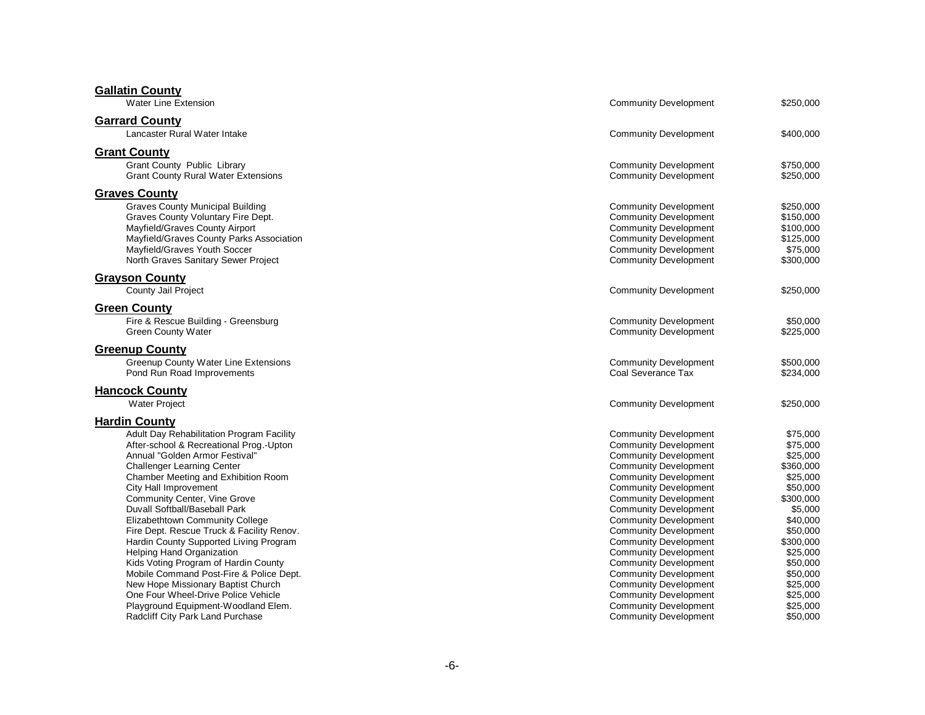| <b>Gallatin County</b><br><b>Water Line Extension</b>                                                                                                                                                                                                                                                                                                                                                                                                                                                                                                                                                                                                                                                                         | <b>Community Development</b>                                                                                                                                                                                                                                                                                                                                                                                                                                                                                                                                                                 | \$250,000                                                                                                                                                                                                              |
|-------------------------------------------------------------------------------------------------------------------------------------------------------------------------------------------------------------------------------------------------------------------------------------------------------------------------------------------------------------------------------------------------------------------------------------------------------------------------------------------------------------------------------------------------------------------------------------------------------------------------------------------------------------------------------------------------------------------------------|----------------------------------------------------------------------------------------------------------------------------------------------------------------------------------------------------------------------------------------------------------------------------------------------------------------------------------------------------------------------------------------------------------------------------------------------------------------------------------------------------------------------------------------------------------------------------------------------|------------------------------------------------------------------------------------------------------------------------------------------------------------------------------------------------------------------------|
| <b>Garrard County</b>                                                                                                                                                                                                                                                                                                                                                                                                                                                                                                                                                                                                                                                                                                         |                                                                                                                                                                                                                                                                                                                                                                                                                                                                                                                                                                                              |                                                                                                                                                                                                                        |
| Lancaster Rural Water Intake                                                                                                                                                                                                                                                                                                                                                                                                                                                                                                                                                                                                                                                                                                  | <b>Community Development</b>                                                                                                                                                                                                                                                                                                                                                                                                                                                                                                                                                                 | \$400,000                                                                                                                                                                                                              |
| <b>Grant County</b><br><b>Grant County Public Library</b><br><b>Grant County Rural Water Extensions</b>                                                                                                                                                                                                                                                                                                                                                                                                                                                                                                                                                                                                                       | <b>Community Development</b><br><b>Community Development</b>                                                                                                                                                                                                                                                                                                                                                                                                                                                                                                                                 | \$750,000<br>\$250,000                                                                                                                                                                                                 |
| <b>Graves County</b><br><b>Graves County Municipal Building</b><br>Graves County Voluntary Fire Dept.<br>Mayfield/Graves County Airport<br>Mayfield/Graves County Parks Association<br>Mayfield/Graves Youth Soccer<br>North Graves Sanitary Sewer Project                                                                                                                                                                                                                                                                                                                                                                                                                                                                    | <b>Community Development</b><br><b>Community Development</b><br><b>Community Development</b><br><b>Community Development</b><br><b>Community Development</b><br><b>Community Development</b>                                                                                                                                                                                                                                                                                                                                                                                                 | \$250,000<br>\$150,000<br>\$100,000<br>\$125,000<br>\$75,000<br>\$300,000                                                                                                                                              |
| <b>Grayson County</b><br>County Jail Project                                                                                                                                                                                                                                                                                                                                                                                                                                                                                                                                                                                                                                                                                  | <b>Community Development</b>                                                                                                                                                                                                                                                                                                                                                                                                                                                                                                                                                                 | \$250,000                                                                                                                                                                                                              |
| <b>Green County</b><br>Fire & Rescue Building - Greensburg<br><b>Green County Water</b>                                                                                                                                                                                                                                                                                                                                                                                                                                                                                                                                                                                                                                       | <b>Community Development</b><br><b>Community Development</b>                                                                                                                                                                                                                                                                                                                                                                                                                                                                                                                                 | \$50,000<br>\$225,000                                                                                                                                                                                                  |
| <b>Greenup County</b><br><b>Greenup County Water Line Extensions</b><br>Pond Run Road Improvements                                                                                                                                                                                                                                                                                                                                                                                                                                                                                                                                                                                                                            | <b>Community Development</b><br>Coal Severance Tax                                                                                                                                                                                                                                                                                                                                                                                                                                                                                                                                           | \$500,000<br>\$234,000                                                                                                                                                                                                 |
| <b>Hancock County</b><br><b>Water Project</b>                                                                                                                                                                                                                                                                                                                                                                                                                                                                                                                                                                                                                                                                                 | <b>Community Development</b>                                                                                                                                                                                                                                                                                                                                                                                                                                                                                                                                                                 | \$250,000                                                                                                                                                                                                              |
| <b>Hardin County</b><br>Adult Day Rehabilitation Program Facility<br>After-school & Recreational Prog.-Upton<br>Annual "Golden Armor Festival"<br><b>Challenger Learning Center</b><br>Chamber Meeting and Exhibition Room<br>City Hall Improvement<br>Community Center, Vine Grove<br>Duvall Softball/Baseball Park<br>Elizabethtown Community College<br>Fire Dept. Rescue Truck & Facility Renov.<br>Hardin County Supported Living Program<br><b>Helping Hand Organization</b><br>Kids Voting Program of Hardin County<br>Mobile Command Post-Fire & Police Dept.<br>New Hope Missionary Baptist Church<br>One Four Wheel-Drive Police Vehicle<br>Playground Equipment-Woodland Elem.<br>Radcliff City Park Land Purchase | <b>Community Development</b><br><b>Community Development</b><br><b>Community Development</b><br><b>Community Development</b><br><b>Community Development</b><br><b>Community Development</b><br><b>Community Development</b><br><b>Community Development</b><br><b>Community Development</b><br><b>Community Development</b><br><b>Community Development</b><br><b>Community Development</b><br><b>Community Development</b><br><b>Community Development</b><br><b>Community Development</b><br><b>Community Development</b><br><b>Community Development</b><br><b>Community Development</b> | \$75,000<br>\$75,000<br>\$25,000<br>\$360,000<br>\$25,000<br>\$50,000<br>\$300,000<br>\$5,000<br>\$40,000<br>\$50,000<br>\$300,000<br>\$25,000<br>\$50,000<br>\$50,000<br>\$25,000<br>\$25,000<br>\$25,000<br>\$50.000 |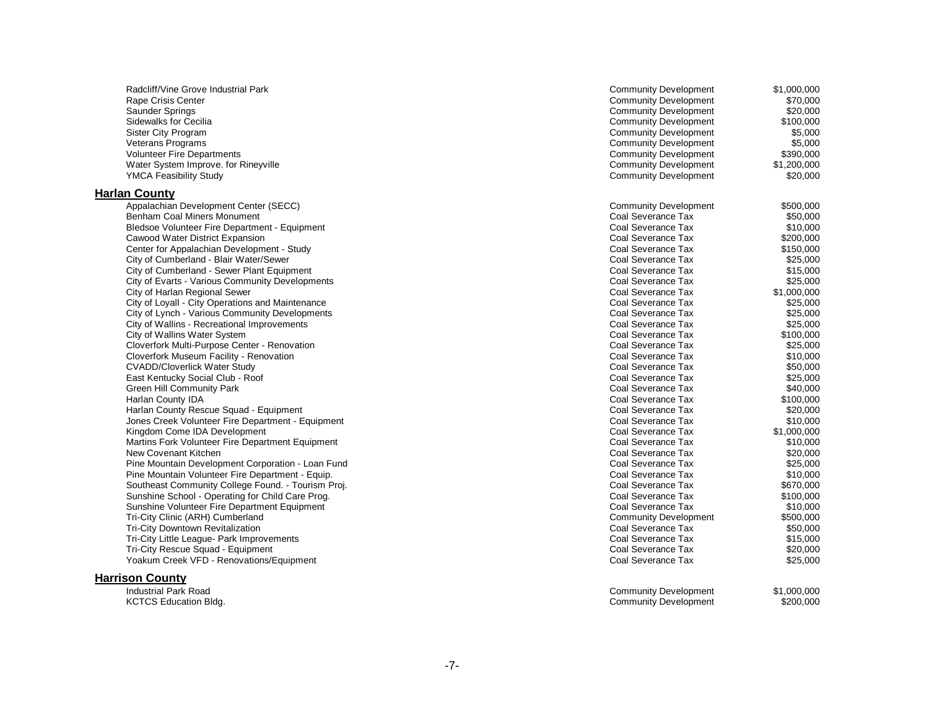| Radcliff/Vine Grove Industrial Park                                  | <b>Community Development</b>                       | \$1,000,000 |
|----------------------------------------------------------------------|----------------------------------------------------|-------------|
| Rape Crisis Center                                                   | <b>Community Development</b>                       | \$70,000    |
| Saunder Springs                                                      | <b>Community Development</b>                       | \$20,000    |
| Sidewalks for Cecilia                                                | <b>Community Development</b>                       | \$100,000   |
| Sister City Program                                                  | <b>Community Development</b>                       | \$5,000     |
| <b>Veterans Programs</b>                                             | <b>Community Development</b>                       | \$5,000     |
| <b>Volunteer Fire Departments</b>                                    | <b>Community Development</b>                       | \$390,000   |
| Water System Improve. for Rineyville                                 | <b>Community Development</b>                       | \$1,200,000 |
| <b>YMCA Feasibility Study</b>                                        | <b>Community Development</b>                       | \$20,000    |
| <b>Harlan County</b>                                                 |                                                    |             |
|                                                                      |                                                    | \$500.000   |
| Appalachian Development Center (SECC)<br>Benham Coal Miners Monument | <b>Community Development</b><br>Coal Severance Tax | \$50,000    |
|                                                                      |                                                    |             |
| Bledsoe Volunteer Fire Department - Equipment                        | Coal Severance Tax                                 | \$10,000    |
| Cawood Water District Expansion                                      | Coal Severance Tax                                 | \$200,000   |
| Center for Appalachian Development - Study                           | Coal Severance Tax                                 | \$150,000   |
| City of Cumberland - Blair Water/Sewer                               | Coal Severance Tax                                 | \$25,000    |
| City of Cumberland - Sewer Plant Equipment                           | Coal Severance Tax                                 | \$15,000    |
| City of Evarts - Various Community Developments                      | Coal Severance Tax                                 | \$25,000    |
| City of Harlan Regional Sewer                                        | Coal Severance Tax                                 | \$1,000,000 |
| City of Loyall - City Operations and Maintenance                     | Coal Severance Tax                                 | \$25,000    |
| City of Lynch - Various Community Developments                       | Coal Severance Tax                                 | \$25,000    |
| City of Wallins - Recreational Improvements                          | Coal Severance Tax                                 | \$25,000    |
| City of Wallins Water System                                         | Coal Severance Tax                                 | \$100,000   |
| Cloverfork Multi-Purpose Center - Renovation                         | Coal Severance Tax                                 | \$25,000    |
| Cloverfork Museum Facility - Renovation                              | Coal Severance Tax                                 | \$10,000    |
| <b>CVADD/Cloverlick Water Study</b>                                  | Coal Severance Tax                                 | \$50,000    |
| East Kentucky Social Club - Roof                                     | Coal Severance Tax                                 | \$25,000    |
| <b>Green Hill Community Park</b>                                     | Coal Severance Tax                                 | \$40,000    |
| Harlan County IDA                                                    | Coal Severance Tax                                 | \$100,000   |
| Harlan County Rescue Squad - Equipment                               | Coal Severance Tax                                 | \$20,000    |
| Jones Creek Volunteer Fire Department - Equipment                    | Coal Severance Tax                                 | \$10,000    |
| Kingdom Come IDA Development                                         | Coal Severance Tax                                 | \$1,000,000 |
| Martins Fork Volunteer Fire Department Equipment                     | Coal Severance Tax                                 | \$10,000    |
| New Covenant Kitchen                                                 | Coal Severance Tax                                 | \$20,000    |
| Pine Mountain Development Corporation - Loan Fund                    | Coal Severance Tax                                 | \$25,000    |
| Pine Mountain Volunteer Fire Department - Equip.                     | Coal Severance Tax                                 | \$10,000    |
| Southeast Community College Found. - Tourism Proj.                   | Coal Severance Tax                                 | \$670,000   |
| Sunshine School - Operating for Child Care Prog.                     | Coal Severance Tax                                 | \$100,000   |
| Sunshine Volunteer Fire Department Equipment                         | Coal Severance Tax                                 | \$10,000    |
| Tri-City Clinic (ARH) Cumberland                                     | <b>Community Development</b>                       | \$500,000   |
| <b>Tri-City Downtown Revitalization</b>                              | Coal Severance Tax                                 | \$50,000    |
| Tri-City Little League- Park Improvements                            | Coal Severance Tax                                 | \$15,000    |
| Tri-City Rescue Squad - Equipment                                    | Coal Severance Tax                                 | \$20,000    |
|                                                                      |                                                    | \$25,000    |
| Yoakum Creek VFD - Renovations/Equipment                             | Coal Severance Tax                                 |             |
| <b>Harrison County</b>                                               |                                                    |             |
| <b>Industrial Park Road</b>                                          | <b>Community Development</b>                       | \$1,000,000 |
| <b>KCTCS Education Bldg.</b>                                         | <b>Community Development</b>                       | \$200,000   |

#### - 7 -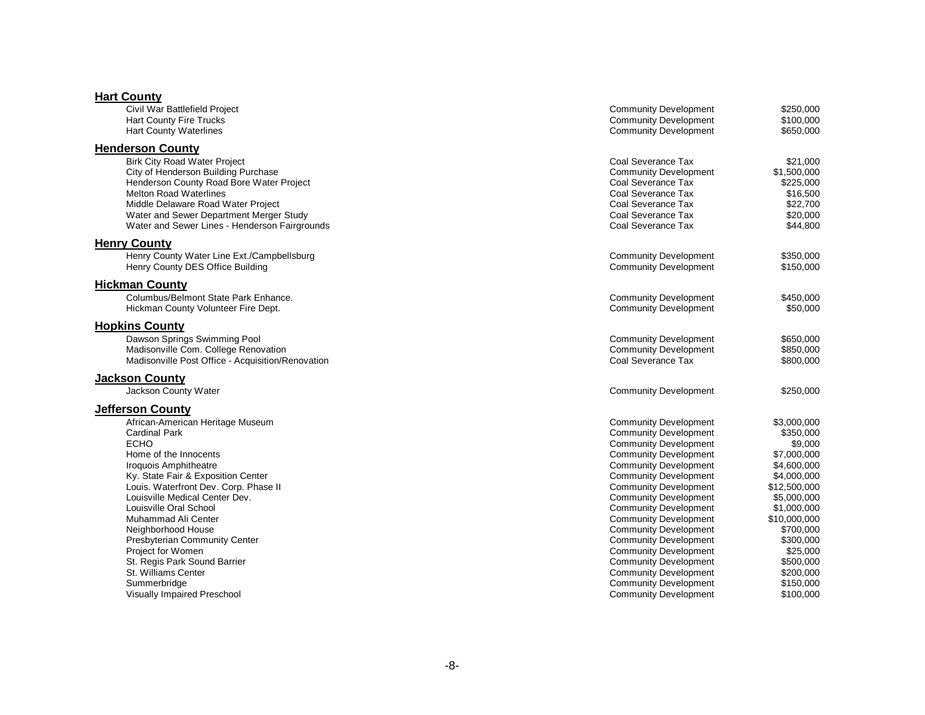| <b>Hart County</b>                                |                                                              |                        |
|---------------------------------------------------|--------------------------------------------------------------|------------------------|
| Civil War Battlefield Project                     | <b>Community Development</b>                                 | \$250,000              |
| <b>Hart County Fire Trucks</b>                    | <b>Community Development</b>                                 | \$100,000              |
| <b>Hart County Waterlines</b>                     | <b>Community Development</b>                                 | \$650,000              |
| <b>Henderson County</b>                           |                                                              |                        |
| <b>Birk City Road Water Project</b>               | Coal Severance Tax                                           | \$21,000               |
| City of Henderson Building Purchase               | <b>Community Development</b>                                 | \$1,500,000            |
| Henderson County Road Bore Water Project          | Coal Severance Tax                                           | \$225,000              |
| <b>Melton Road Waterlines</b>                     | Coal Severance Tax                                           | \$16,500               |
| Middle Delaware Road Water Project                | Coal Severance Tax                                           | \$22,700               |
| Water and Sewer Department Merger Study           | Coal Severance Tax                                           | \$20,000               |
| Water and Sewer Lines - Henderson Fairgrounds     | Coal Severance Tax                                           | \$44,800               |
| <b>Henry County</b>                               |                                                              |                        |
| Henry County Water Line Ext./Campbellsburg        | <b>Community Development</b>                                 | \$350,000              |
| Henry County DES Office Building                  | <b>Community Development</b>                                 | \$150,000              |
| <b>Hickman County</b>                             |                                                              |                        |
| Columbus/Belmont State Park Enhance.              | <b>Community Development</b>                                 | \$450,000              |
| Hickman County Volunteer Fire Dept.               | <b>Community Development</b>                                 | \$50,000               |
| <b>Hopkins County</b>                             |                                                              |                        |
| Dawson Springs Swimming Pool                      | <b>Community Development</b>                                 | \$650,000              |
| Madisonville Com. College Renovation              | <b>Community Development</b>                                 | \$850,000              |
| Madisonville Post Office - Acquisition/Renovation | Coal Severance Tax                                           | \$800,000              |
| <b>Jackson County</b>                             |                                                              |                        |
| Jackson County Water                              | <b>Community Development</b>                                 | \$250,000              |
| <b>Jefferson County</b>                           |                                                              |                        |
| African-American Heritage Museum                  | <b>Community Development</b>                                 | \$3,000,000            |
| <b>Cardinal Park</b>                              | <b>Community Development</b>                                 | \$350,000              |
| <b>ECHO</b>                                       | <b>Community Development</b>                                 | \$9,000                |
| Home of the Innocents                             | <b>Community Development</b>                                 | \$7,000,000            |
| Iroquois Amphitheatre                             | <b>Community Development</b>                                 | \$4,600,000            |
| Ky. State Fair & Exposition Center                | <b>Community Development</b>                                 | \$4,000,000            |
| Louis. Waterfront Dev. Corp. Phase II             | <b>Community Development</b>                                 | \$12,500,000           |
| Louisville Medical Center Dev.                    | <b>Community Development</b>                                 | \$5,000,000            |
| Louisville Oral School                            | <b>Community Development</b>                                 | \$1,000,000            |
| Muhammad Ali Center                               | <b>Community Development</b>                                 | \$10,000,000           |
| Neighborhood House                                | <b>Community Development</b>                                 | \$700,000              |
| <b>Presbyterian Community Center</b>              | <b>Community Development</b>                                 | \$300,000              |
| Project for Women                                 | <b>Community Development</b>                                 | \$25,000               |
| St. Regis Park Sound Barrier                      | <b>Community Development</b>                                 | \$500,000              |
| St. Williams Center                               | <b>Community Development</b>                                 | \$200,000              |
| Summerbridge<br>Visually Impaired Preschool       | <b>Community Development</b><br><b>Community Development</b> | \$150,000<br>\$100,000 |
|                                                   |                                                              |                        |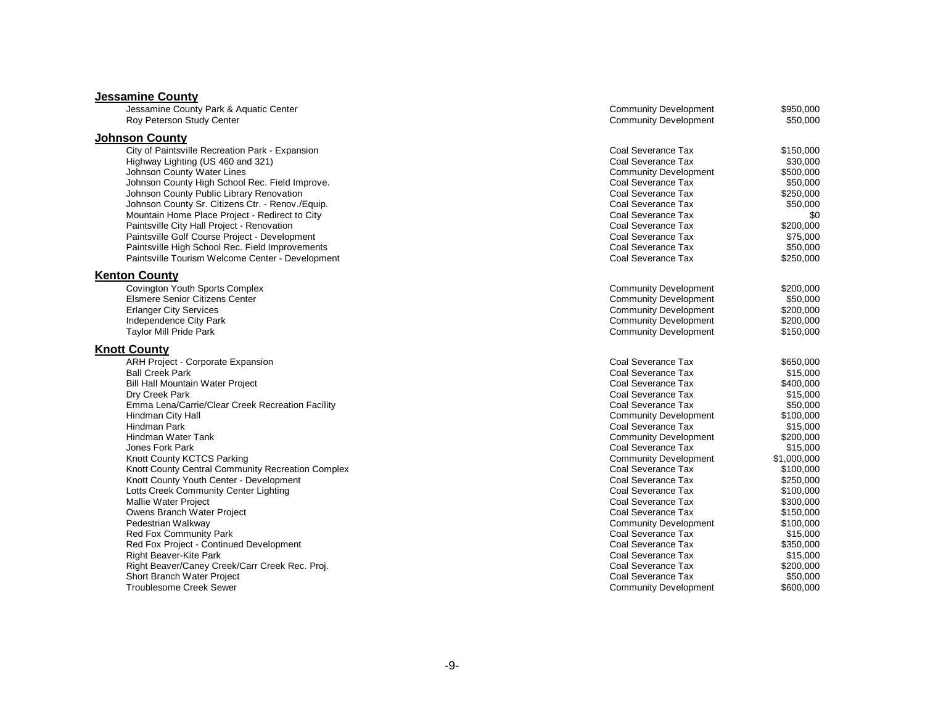### **Jessamine County**

| Jessamine County Park & Aquatic Center            | <b>Community Development</b> | \$950,000   |
|---------------------------------------------------|------------------------------|-------------|
| Roy Peterson Study Center                         | <b>Community Development</b> | \$50,000    |
| <b>Johnson County</b>                             |                              |             |
| City of Paintsville Recreation Park - Expansion   | Coal Severance Tax           | \$150,000   |
| Highway Lighting (US 460 and 321)                 | Coal Severance Tax           | \$30,000    |
| Johnson County Water Lines                        | <b>Community Development</b> | \$500,000   |
| Johnson County High School Rec. Field Improve.    | Coal Severance Tax           | \$50,000    |
| Johnson County Public Library Renovation          | Coal Severance Tax           | \$250,000   |
| Johnson County Sr. Citizens Ctr. - Renov./Equip.  | Coal Severance Tax           | \$50,000    |
| Mountain Home Place Project - Redirect to City    | Coal Severance Tax           | \$0         |
| Paintsville City Hall Project - Renovation        | Coal Severance Tax           | \$200,000   |
| Paintsville Golf Course Project - Development     | Coal Severance Tax           | \$75,000    |
| Paintsville High School Rec. Field Improvements   | Coal Severance Tax           | \$50,000    |
| Paintsville Tourism Welcome Center - Development  | Coal Severance Tax           | \$250,000   |
| <b>Kenton County</b>                              |                              |             |
| <b>Covington Youth Sports Complex</b>             | <b>Community Development</b> | \$200,000   |
| <b>Elsmere Senior Citizens Center</b>             | <b>Community Development</b> | \$50,000    |
| <b>Erlanger City Services</b>                     | <b>Community Development</b> | \$200,000   |
| Independence City Park                            | <b>Community Development</b> | \$200,000   |
| <b>Taylor Mill Pride Park</b>                     | <b>Community Development</b> | \$150,000   |
| <b>Knott County</b>                               |                              |             |
| ARH Project - Corporate Expansion                 | Coal Severance Tax           | \$650.000   |
| <b>Ball Creek Park</b>                            | Coal Severance Tax           | \$15,000    |
| <b>Bill Hall Mountain Water Project</b>           | Coal Severance Tax           | \$400,000   |
| Dry Creek Park                                    | Coal Severance Tax           | \$15,000    |
| Emma Lena/Carrie/Clear Creek Recreation Facility  | Coal Severance Tax           | \$50,000    |
| Hindman City Hall                                 | <b>Community Development</b> | \$100,000   |
| Hindman Park                                      | Coal Severance Tax           | \$15,000    |
| Hindman Water Tank                                | <b>Community Development</b> | \$200,000   |
| Jones Fork Park                                   | Coal Severance Tax           | \$15,000    |
| Knott County KCTCS Parking                        | <b>Community Development</b> | \$1,000,000 |
| Knott County Central Community Recreation Complex | Coal Severance Tax           | \$100,000   |
| Knott County Youth Center - Development           | Coal Severance Tax           | \$250,000   |
| Lotts Creek Community Center Lighting             | Coal Severance Tax           | \$100,000   |
| Mallie Water Project                              | Coal Severance Tax           | \$300,000   |
| Owens Branch Water Project                        | Coal Severance Tax           | \$150,000   |
| Pedestrian Walkway                                | <b>Community Development</b> | \$100,000   |
| <b>Red Fox Community Park</b>                     | Coal Severance Tax           | \$15,000    |
| Red Fox Project - Continued Development           | Coal Severance Tax           | \$350,000   |
| <b>Right Beaver-Kite Park</b>                     | Coal Severance Tax           | \$15,000    |
| Right Beaver/Caney Creek/Carr Creek Rec. Proj.    | Coal Severance Tax           | \$200,000   |
| Short Branch Water Project                        | Coal Severance Tax           | \$50,000    |
| <b>Troublesome Creek Sewer</b>                    | <b>Community Development</b> | \$600,000   |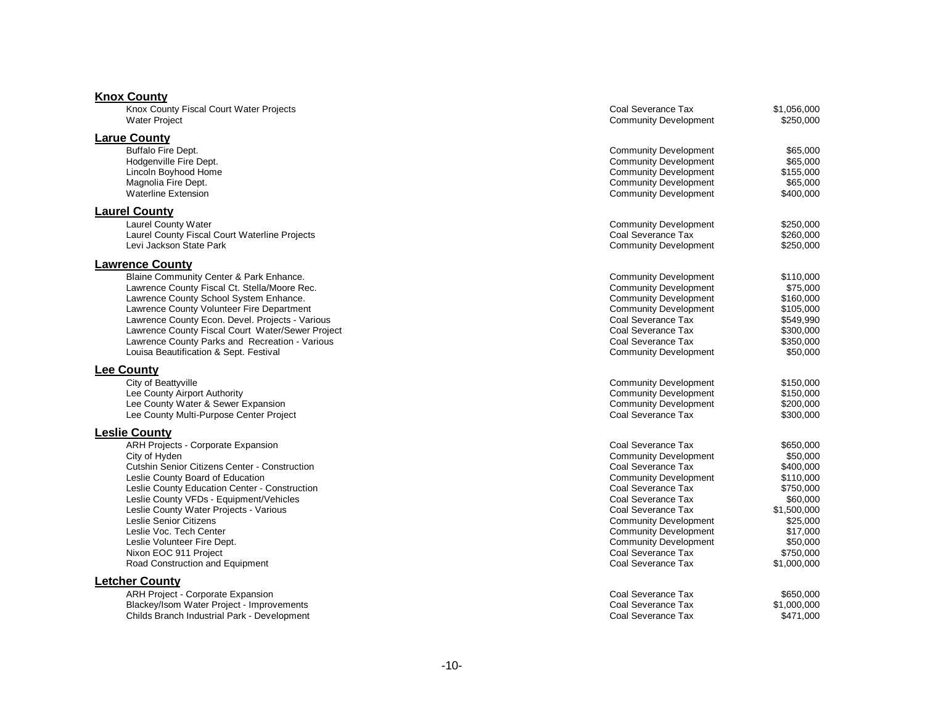| <b>Knox County</b>                                                                                                                                                                                                                                                                                                                                                                                                             |                                                                                                                                                                                                                                                                                                                        |                                                                                                                                                         |
|--------------------------------------------------------------------------------------------------------------------------------------------------------------------------------------------------------------------------------------------------------------------------------------------------------------------------------------------------------------------------------------------------------------------------------|------------------------------------------------------------------------------------------------------------------------------------------------------------------------------------------------------------------------------------------------------------------------------------------------------------------------|---------------------------------------------------------------------------------------------------------------------------------------------------------|
| Knox County Fiscal Court Water Projects<br><b>Water Project</b>                                                                                                                                                                                                                                                                                                                                                                | Coal Severance Tax<br><b>Community Development</b>                                                                                                                                                                                                                                                                     | \$1,056,000<br>\$250,000                                                                                                                                |
| <b>Larue County</b><br>Buffalo Fire Dept.<br>Hodgenville Fire Dept.<br>Lincoln Boyhood Home<br>Magnolia Fire Dept.<br><b>Waterline Extension</b>                                                                                                                                                                                                                                                                               | <b>Community Development</b><br><b>Community Development</b><br><b>Community Development</b><br><b>Community Development</b><br><b>Community Development</b>                                                                                                                                                           | \$65,000<br>\$65,000<br>\$155,000<br>\$65,000<br>\$400,000                                                                                              |
| <b>Laurel County</b>                                                                                                                                                                                                                                                                                                                                                                                                           |                                                                                                                                                                                                                                                                                                                        |                                                                                                                                                         |
| Laurel County Water<br>Laurel County Fiscal Court Waterline Projects<br>Levi Jackson State Park                                                                                                                                                                                                                                                                                                                                | <b>Community Development</b><br>Coal Severance Tax<br><b>Community Development</b>                                                                                                                                                                                                                                     | \$250,000<br>\$260,000<br>\$250,000                                                                                                                     |
| <b>Lawrence County</b><br>Blaine Community Center & Park Enhance.<br>Lawrence County Fiscal Ct. Stella/Moore Rec.<br>Lawrence County School System Enhance.<br>Lawrence County Volunteer Fire Department<br>Lawrence County Econ. Devel. Projects - Various<br>Lawrence County Fiscal Court Water/Sewer Project<br>Lawrence County Parks and Recreation - Various<br>Louisa Beautification & Sept. Festival                    | <b>Community Development</b><br><b>Community Development</b><br><b>Community Development</b><br><b>Community Development</b><br>Coal Severance Tax<br>Coal Severance Tax<br>Coal Severance Tax<br><b>Community Development</b>                                                                                         | \$110,000<br>\$75,000<br>\$160,000<br>\$105,000<br>\$549,990<br>\$300,000<br>\$350,000<br>\$50,000                                                      |
| <b>Lee County</b>                                                                                                                                                                                                                                                                                                                                                                                                              |                                                                                                                                                                                                                                                                                                                        |                                                                                                                                                         |
| City of Beattyville<br>Lee County Airport Authority<br>Lee County Water & Sewer Expansion<br>Lee County Multi-Purpose Center Project                                                                                                                                                                                                                                                                                           | <b>Community Development</b><br><b>Community Development</b><br><b>Community Development</b><br>Coal Severance Tax                                                                                                                                                                                                     | \$150,000<br>\$150,000<br>\$200,000<br>\$300,000                                                                                                        |
| <b>Leslie County</b>                                                                                                                                                                                                                                                                                                                                                                                                           |                                                                                                                                                                                                                                                                                                                        |                                                                                                                                                         |
| ARH Projects - Corporate Expansion<br>City of Hyden<br>Cutshin Senior Citizens Center - Construction<br>Leslie County Board of Education<br>Leslie County Education Center - Construction<br>Leslie County VFDs - Equipment/Vehicles<br>Leslie County Water Projects - Various<br>Leslie Senior Citizens<br>Leslie Voc. Tech Center<br>Leslie Volunteer Fire Dept.<br>Nixon EOC 911 Project<br>Road Construction and Equipment | Coal Severance Tax<br><b>Community Development</b><br>Coal Severance Tax<br><b>Community Development</b><br>Coal Severance Tax<br>Coal Severance Tax<br>Coal Severance Tax<br><b>Community Development</b><br><b>Community Development</b><br><b>Community Development</b><br>Coal Severance Tax<br>Coal Severance Tax | \$650,000<br>\$50,000<br>\$400,000<br>\$110,000<br>\$750,000<br>\$60,000<br>\$1,500,000<br>\$25,000<br>\$17,000<br>\$50,000<br>\$750,000<br>\$1,000,000 |
| <b>Letcher County</b><br>ARH Project - Corporate Expansion<br>Blackey/Isom Water Project - Improvements                                                                                                                                                                                                                                                                                                                        | Coal Severance Tax<br>Coal Severance Tax                                                                                                                                                                                                                                                                               | \$650,000<br>\$1,000,000                                                                                                                                |

Childs Branch Industrial Park - Development Coal Severance Tax \$471,000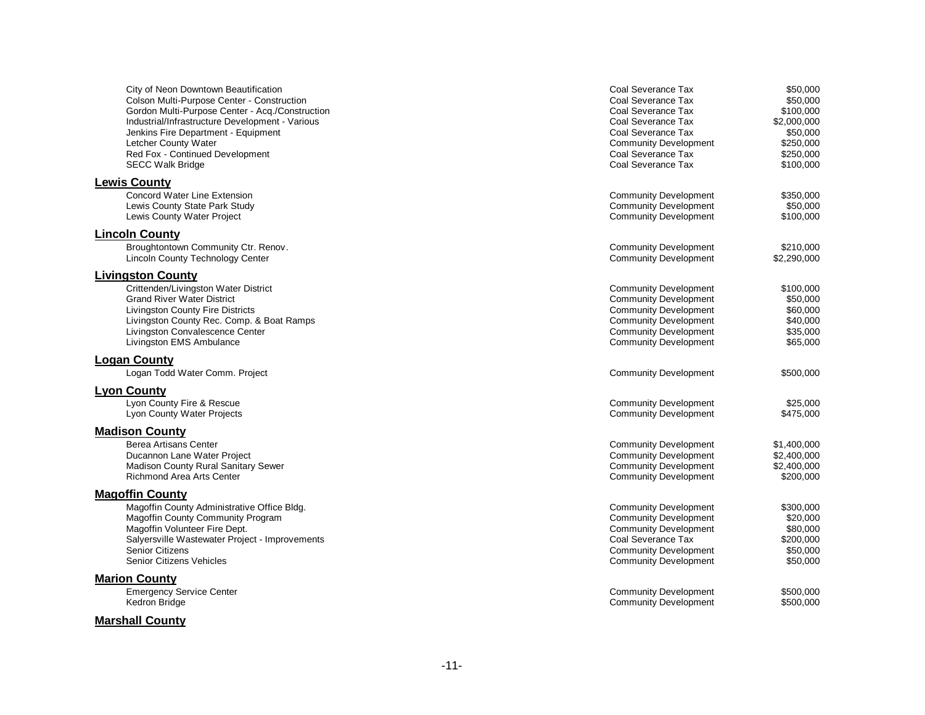| City of Neon Downtown Beautification<br>Colson Multi-Purpose Center - Construction<br>Gordon Multi-Purpose Center - Acq./Construction<br>Industrial/Infrastructure Development - Various<br>Jenkins Fire Department - Equipment<br>Letcher County Water<br>Red Fox - Continued Development<br><b>SECC Walk Bridge</b> | Coal Severance Tax<br>Coal Severance Tax<br>Coal Severance Tax<br>Coal Severance Tax<br>Coal Severance Tax<br><b>Community Development</b><br>Coal Severance Tax<br>Coal Severance Tax       | \$50,000<br>\$50.000<br>\$100.000<br>\$2,000,000<br>\$50,000<br>\$250,000<br>\$250,000<br>\$100,000 |
|-----------------------------------------------------------------------------------------------------------------------------------------------------------------------------------------------------------------------------------------------------------------------------------------------------------------------|----------------------------------------------------------------------------------------------------------------------------------------------------------------------------------------------|-----------------------------------------------------------------------------------------------------|
| <b>Lewis County</b><br><b>Concord Water Line Extension</b><br>Lewis County State Park Study<br>Lewis County Water Project                                                                                                                                                                                             | <b>Community Development</b><br><b>Community Development</b><br><b>Community Development</b>                                                                                                 | \$350,000<br>\$50,000<br>\$100,000                                                                  |
| <b>Lincoln County</b><br>Broughtontown Community Ctr. Renov.<br><b>Lincoln County Technology Center</b>                                                                                                                                                                                                               | <b>Community Development</b><br><b>Community Development</b>                                                                                                                                 | \$210,000<br>\$2,290,000                                                                            |
| <b>Livingston County</b><br>Crittenden/Livingston Water District<br><b>Grand River Water District</b><br>Livingston County Fire Districts<br>Livingston County Rec. Comp. & Boat Ramps<br>Livingston Convalescence Center<br>Livingston EMS Ambulance                                                                 | <b>Community Development</b><br><b>Community Development</b><br><b>Community Development</b><br><b>Community Development</b><br><b>Community Development</b><br><b>Community Development</b> | \$100,000<br>\$50,000<br>\$60,000<br>\$40,000<br>\$35,000<br>\$65,000                               |
| <b>Logan County</b><br>Logan Todd Water Comm. Project                                                                                                                                                                                                                                                                 | <b>Community Development</b>                                                                                                                                                                 | \$500,000                                                                                           |
| <b>Lyon County</b><br>Lyon County Fire & Rescue<br><b>Lyon County Water Projects</b>                                                                                                                                                                                                                                  | <b>Community Development</b><br><b>Community Development</b>                                                                                                                                 | \$25,000<br>\$475.000                                                                               |
| <b>Madison County</b><br>Berea Artisans Center<br>Ducannon Lane Water Project<br>Madison County Rural Sanitary Sewer<br><b>Richmond Area Arts Center</b>                                                                                                                                                              | <b>Community Development</b><br><b>Community Development</b><br><b>Community Development</b><br><b>Community Development</b>                                                                 | \$1,400,000<br>\$2,400,000<br>\$2,400,000<br>\$200,000                                              |
| <b>Magoffin County</b><br>Magoffin County Administrative Office Bldg.<br>Magoffin County Community Program<br>Magoffin Volunteer Fire Dept.<br>Salyersville Wastewater Project - Improvements<br><b>Senior Citizens</b><br><b>Senior Citizens Vehicles</b>                                                            | <b>Community Development</b><br><b>Community Development</b><br><b>Community Development</b><br>Coal Severance Tax<br><b>Community Development</b><br><b>Community Development</b>           | \$300,000<br>\$20.000<br>\$80,000<br>\$200,000<br>\$50,000<br>\$50,000                              |
| <b>Marion County</b><br><b>Emergency Service Center</b><br>Kedron Bridge                                                                                                                                                                                                                                              | <b>Community Development</b><br><b>Community Development</b>                                                                                                                                 | \$500,000<br>\$500,000                                                                              |
| <b>Marshall County</b>                                                                                                                                                                                                                                                                                                |                                                                                                                                                                                              |                                                                                                     |

#### -11 -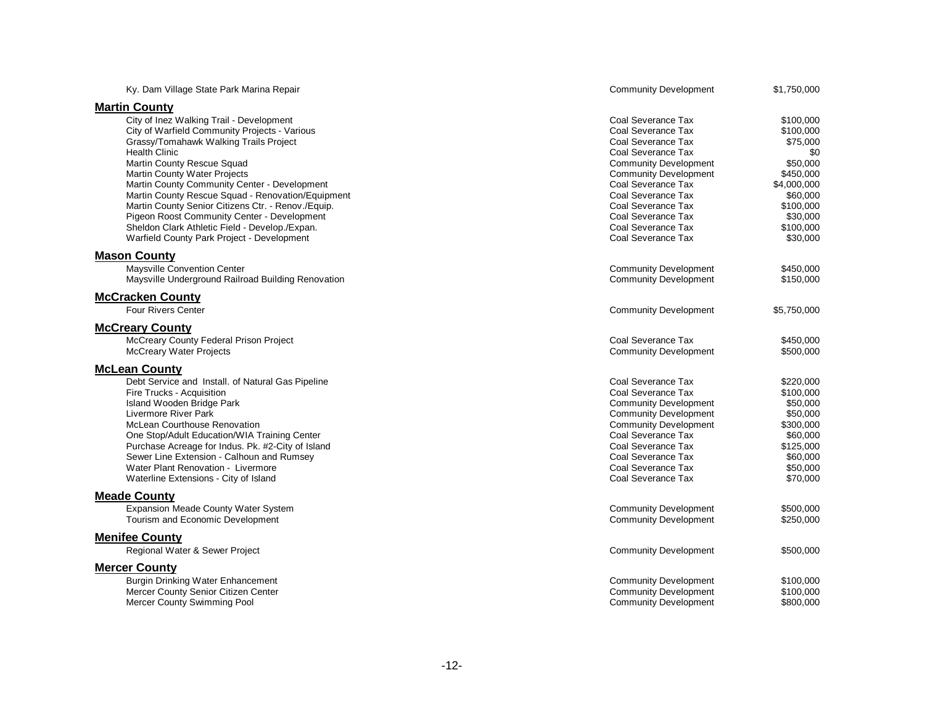| Ky. Dam Village State Park Marina Repair                                                                                                                                                                                                                                                                                                                                                                                                                                                                                                   | <b>Community Development</b>                                                                                                                                                                                                                                                             | \$1,750,000                                                                                                                                     |
|--------------------------------------------------------------------------------------------------------------------------------------------------------------------------------------------------------------------------------------------------------------------------------------------------------------------------------------------------------------------------------------------------------------------------------------------------------------------------------------------------------------------------------------------|------------------------------------------------------------------------------------------------------------------------------------------------------------------------------------------------------------------------------------------------------------------------------------------|-------------------------------------------------------------------------------------------------------------------------------------------------|
| <b>Martin County</b>                                                                                                                                                                                                                                                                                                                                                                                                                                                                                                                       |                                                                                                                                                                                                                                                                                          |                                                                                                                                                 |
| City of Inez Walking Trail - Development<br>City of Warfield Community Projects - Various<br>Grassy/Tomahawk Walking Trails Project<br><b>Health Clinic</b><br>Martin County Rescue Squad<br><b>Martin County Water Projects</b><br>Martin County Community Center - Development<br>Martin County Rescue Squad - Renovation/Equipment<br>Martin County Senior Citizens Ctr. - Renov./Equip.<br>Pigeon Roost Community Center - Development<br>Sheldon Clark Athletic Field - Develop./Expan.<br>Warfield County Park Project - Development | Coal Severance Tax<br>Coal Severance Tax<br>Coal Severance Tax<br>Coal Severance Tax<br><b>Community Development</b><br><b>Community Development</b><br>Coal Severance Tax<br>Coal Severance Tax<br>Coal Severance Tax<br>Coal Severance Tax<br>Coal Severance Tax<br>Coal Severance Tax | \$100,000<br>\$100,000<br>\$75,000<br>\$0<br>\$50,000<br>\$450,000<br>\$4,000,000<br>\$60,000<br>\$100,000<br>\$30,000<br>\$100,000<br>\$30,000 |
| <b>Mason County</b>                                                                                                                                                                                                                                                                                                                                                                                                                                                                                                                        |                                                                                                                                                                                                                                                                                          |                                                                                                                                                 |
| Maysville Convention Center<br>Maysville Underground Railroad Building Renovation                                                                                                                                                                                                                                                                                                                                                                                                                                                          | <b>Community Development</b><br><b>Community Development</b>                                                                                                                                                                                                                             | \$450,000<br>\$150,000                                                                                                                          |
| <b>McCracken County</b><br><b>Four Rivers Center</b>                                                                                                                                                                                                                                                                                                                                                                                                                                                                                       | <b>Community Development</b>                                                                                                                                                                                                                                                             | \$5,750,000                                                                                                                                     |
| <b>McCreary County</b>                                                                                                                                                                                                                                                                                                                                                                                                                                                                                                                     |                                                                                                                                                                                                                                                                                          |                                                                                                                                                 |
| McCreary County Federal Prison Project<br><b>McCreary Water Projects</b>                                                                                                                                                                                                                                                                                                                                                                                                                                                                   | Coal Severance Tax<br><b>Community Development</b>                                                                                                                                                                                                                                       | \$450,000<br>\$500,000                                                                                                                          |
| <b>McLean County</b>                                                                                                                                                                                                                                                                                                                                                                                                                                                                                                                       |                                                                                                                                                                                                                                                                                          |                                                                                                                                                 |
| Debt Service and Install. of Natural Gas Pipeline<br>Fire Trucks - Acquisition<br>Island Wooden Bridge Park<br>Livermore River Park<br><b>McLean Courthouse Renovation</b><br>One Stop/Adult Education/WIA Training Center<br>Purchase Acreage for Indus. Pk. #2-City of Island<br>Sewer Line Extension - Calhoun and Rumsey<br>Water Plant Renovation - Livermore<br>Waterline Extensions - City of Island                                                                                                                                | Coal Severance Tax<br>Coal Severance Tax<br><b>Community Development</b><br><b>Community Development</b><br><b>Community Development</b><br>Coal Severance Tax<br>Coal Severance Tax<br>Coal Severance Tax<br>Coal Severance Tax<br>Coal Severance Tax                                   | \$220,000<br>\$100,000<br>\$50,000<br>\$50,000<br>\$300,000<br>\$60,000<br>\$125,000<br>\$60,000<br>\$50,000<br>\$70,000                        |
| <b>Meade County</b>                                                                                                                                                                                                                                                                                                                                                                                                                                                                                                                        |                                                                                                                                                                                                                                                                                          |                                                                                                                                                 |
| Expansion Meade County Water System<br>Tourism and Economic Development                                                                                                                                                                                                                                                                                                                                                                                                                                                                    | <b>Community Development</b><br><b>Community Development</b>                                                                                                                                                                                                                             | \$500,000<br>\$250,000                                                                                                                          |
| <b>Menifee County</b><br>Regional Water & Sewer Project                                                                                                                                                                                                                                                                                                                                                                                                                                                                                    | <b>Community Development</b>                                                                                                                                                                                                                                                             | \$500,000                                                                                                                                       |
| <b>Mercer County</b>                                                                                                                                                                                                                                                                                                                                                                                                                                                                                                                       |                                                                                                                                                                                                                                                                                          |                                                                                                                                                 |
| <b>Burgin Drinking Water Enhancement</b><br>Mercer County Senior Citizen Center<br><b>Mercer County Swimming Pool</b>                                                                                                                                                                                                                                                                                                                                                                                                                      | <b>Community Development</b><br><b>Community Development</b><br><b>Community Development</b>                                                                                                                                                                                             | \$100,000<br>\$100,000<br>\$800,000                                                                                                             |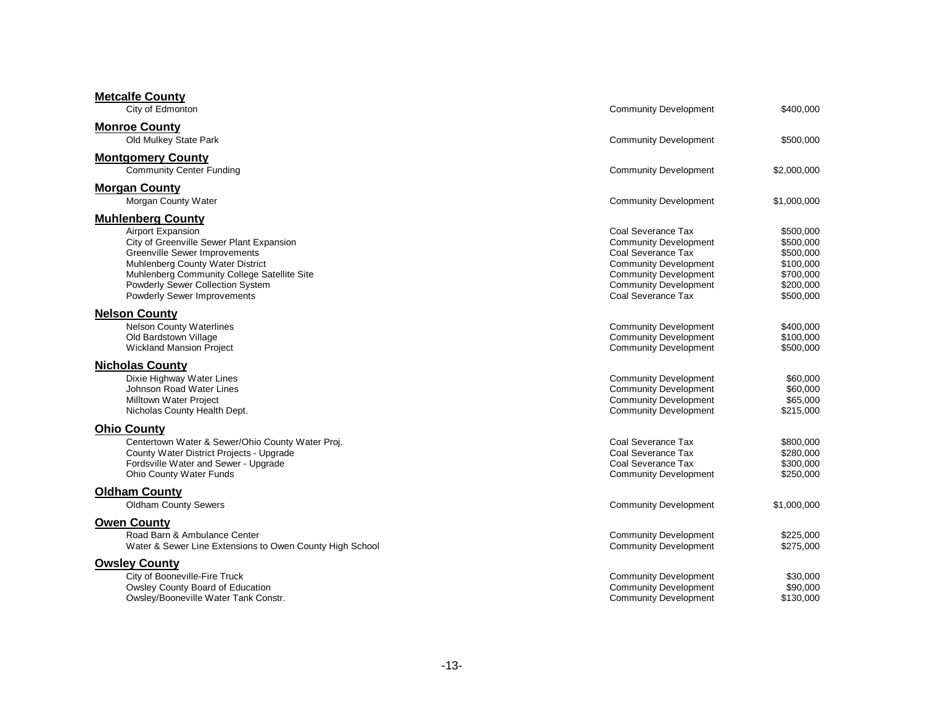| <b>Metcalfe County</b><br>City of Edmonton                                                                                                                                                                                                                                              | <b>Community Development</b>                                                                                                                                                                   | \$400,000                                                                               |
|-----------------------------------------------------------------------------------------------------------------------------------------------------------------------------------------------------------------------------------------------------------------------------------------|------------------------------------------------------------------------------------------------------------------------------------------------------------------------------------------------|-----------------------------------------------------------------------------------------|
| <b>Monroe County</b><br>Old Mulkey State Park                                                                                                                                                                                                                                           | <b>Community Development</b>                                                                                                                                                                   | \$500,000                                                                               |
| <b>Montgomery County</b><br><b>Community Center Funding</b>                                                                                                                                                                                                                             | <b>Community Development</b>                                                                                                                                                                   | \$2,000,000                                                                             |
| <b>Morgan County</b><br>Morgan County Water                                                                                                                                                                                                                                             | <b>Community Development</b>                                                                                                                                                                   | \$1,000,000                                                                             |
| <b>Muhlenberg County</b><br><b>Airport Expansion</b><br>City of Greenville Sewer Plant Expansion<br>Greenville Sewer Improvements<br>Muhlenberg County Water District<br>Muhlenberg Community College Satellite Site<br>Powderly Sewer Collection System<br>Powderly Sewer Improvements | Coal Severance Tax<br><b>Community Development</b><br>Coal Severance Tax<br><b>Community Development</b><br><b>Community Development</b><br><b>Community Development</b><br>Coal Severance Tax | \$500,000<br>\$500,000<br>\$500,000<br>\$100,000<br>\$700,000<br>\$200,000<br>\$500,000 |
| <b>Nelson County</b><br><b>Nelson County Waterlines</b><br>Old Bardstown Village<br><b>Wickland Mansion Project</b>                                                                                                                                                                     | <b>Community Development</b><br><b>Community Development</b><br><b>Community Development</b>                                                                                                   | \$400,000<br>\$100,000<br>\$500,000                                                     |
| <b>Nicholas County</b><br>Dixie Highway Water Lines<br>Johnson Road Water Lines<br><b>Milltown Water Project</b><br>Nicholas County Health Dept.                                                                                                                                        | <b>Community Development</b><br><b>Community Development</b><br><b>Community Development</b><br><b>Community Development</b>                                                                   | \$60,000<br>\$60,000<br>\$65,000<br>\$215,000                                           |
| <b>Ohio County</b><br>Centertown Water & Sewer/Ohio County Water Proj.<br>County Water District Projects - Upgrade<br>Fordsville Water and Sewer - Upgrade<br><b>Ohio County Water Funds</b>                                                                                            | Coal Severance Tax<br>Coal Severance Tax<br>Coal Severance Tax<br><b>Community Development</b>                                                                                                 | \$800,000<br>\$280,000<br>\$300,000<br>\$250,000                                        |
| <b>Oldham County</b><br><b>Oldham County Sewers</b>                                                                                                                                                                                                                                     | <b>Community Development</b>                                                                                                                                                                   | \$1,000,000                                                                             |
| <b>Owen County</b><br>Road Barn & Ambulance Center<br>Water & Sewer Line Extensions to Owen County High School                                                                                                                                                                          | <b>Community Development</b><br><b>Community Development</b>                                                                                                                                   | \$225,000<br>\$275,000                                                                  |
| <b>Owsley County</b><br>City of Booneville-Fire Truck<br>Owsley County Board of Education<br>Owsley/Booneville Water Tank Constr.                                                                                                                                                       | <b>Community Development</b><br><b>Community Development</b><br><b>Community Development</b>                                                                                                   | \$30,000<br>\$90,000<br>\$130,000                                                       |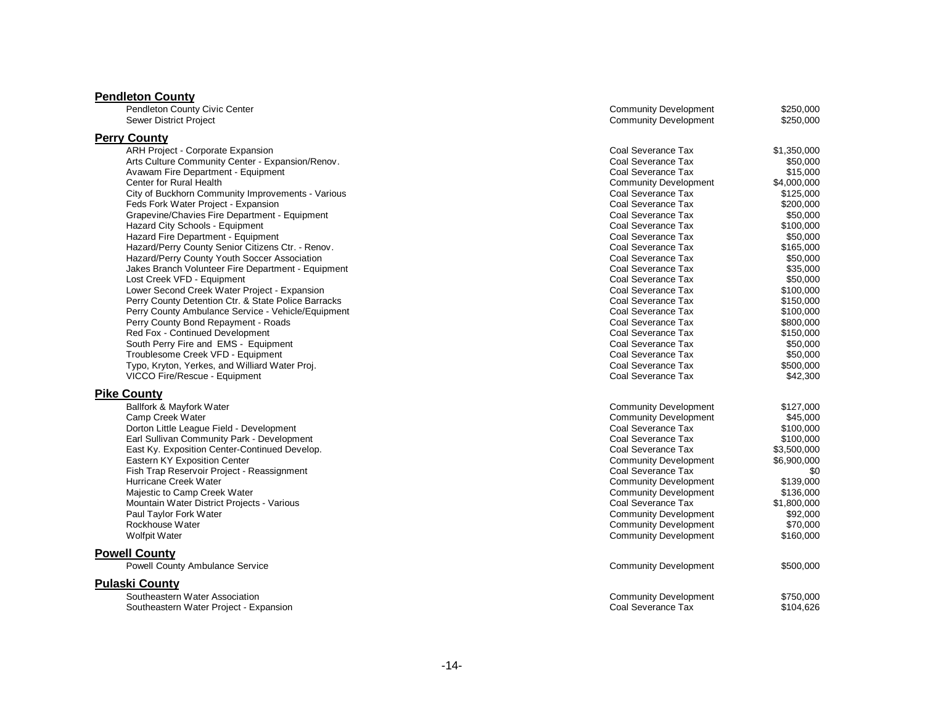| <b>Pendleton County</b>                                 |                              |             |
|---------------------------------------------------------|------------------------------|-------------|
| Pendleton County Civic Center                           | <b>Community Development</b> | \$250,000   |
| <b>Sewer District Project</b>                           | <b>Community Development</b> | \$250,000   |
| <b>Perry County</b>                                     |                              |             |
| ARH Project - Corporate Expansion                       | Coal Severance Tax           | \$1,350,000 |
| Arts Culture Community Center - Expansion/Renov.        | Coal Severance Tax           | \$50,000    |
| Avawam Fire Department - Equipment                      | Coal Severance Tax           | \$15,000    |
| Center for Rural Health                                 | <b>Community Development</b> | \$4,000,000 |
| City of Buckhorn Community Improvements - Various       | Coal Severance Tax           | \$125,000   |
| Feds Fork Water Project - Expansion                     | Coal Severance Tax           | \$200,000   |
| Grapevine/Chavies Fire Department - Equipment           | Coal Severance Tax           | \$50,000    |
| Hazard City Schools - Equipment                         | Coal Severance Tax           | \$100,000   |
| Hazard Fire Department - Equipment                      | Coal Severance Tax           | \$50,000    |
| Hazard/Perry County Senior Citizens Ctr. - Renov.       | Coal Severance Tax           | \$165,000   |
| Hazard/Perry County Youth Soccer Association            | Coal Severance Tax           | \$50,000    |
| Jakes Branch Volunteer Fire Department - Equipment      | Coal Severance Tax           | \$35,000    |
| Lost Creek VFD - Equipment                              | Coal Severance Tax           | \$50,000    |
| Lower Second Creek Water Project - Expansion            | Coal Severance Tax           | \$100,000   |
| Perry County Detention Ctr. & State Police Barracks     | Coal Severance Tax           | \$150,000   |
| Perry County Ambulance Service - Vehicle/Equipment      | Coal Severance Tax           | \$100,000   |
| Perry County Bond Repayment - Roads                     | Coal Severance Tax           | \$800,000   |
| <b>Red Fox - Continued Development</b>                  | Coal Severance Tax           | \$150,000   |
| South Perry Fire and EMS - Equipment                    | Coal Severance Tax           | \$50,000    |
| Troublesome Creek VFD - Equipment                       | Coal Severance Tax           | \$50,000    |
| Typo, Kryton, Yerkes, and Williard Water Proj.          | Coal Severance Tax           | \$500,000   |
| VICCO Fire/Rescue - Equipment                           | Coal Severance Tax           | \$42,300    |
| <b>Pike County</b>                                      |                              |             |
| Ballfork & Mayfork Water                                | <b>Community Development</b> | \$127,000   |
| Camp Creek Water                                        | <b>Community Development</b> | \$45,000    |
| Dorton Little League Field - Development                | Coal Severance Tax           | \$100,000   |
| Earl Sullivan Community Park - Development              | Coal Severance Tax           | \$100,000   |
| East Ky. Exposition Center-Continued Develop.           | Coal Severance Tax           | \$3,500,000 |
| Eastern KY Exposition Center                            | <b>Community Development</b> | \$6,900,000 |
| Fish Trap Reservoir Project - Reassignment              | Coal Severance Tax           | \$0         |
| Hurricane Creek Water                                   | <b>Community Development</b> | \$139,000   |
| Majestic to Camp Creek Water                            | <b>Community Development</b> | \$136,000   |
| Mountain Water District Projects - Various              | Coal Severance Tax           | \$1,800,000 |
| Paul Taylor Fork Water                                  | <b>Community Development</b> | \$92,000    |
| Rockhouse Water                                         | <b>Community Development</b> | \$70,000    |
| <b>Wolfpit Water</b>                                    | <b>Community Development</b> | \$160,000   |
| <b>Powell County</b>                                    |                              |             |
| <b>Powell County Ambulance Service</b>                  | <b>Community Development</b> | \$500,000   |
|                                                         |                              |             |
| <b>Pulaski County</b><br>Southeastern Water Association | <b>Community Development</b> | \$750,000   |
|                                                         | Coal Severance Tax           |             |
| Southeastern Water Project - Expansion                  |                              | \$104,626   |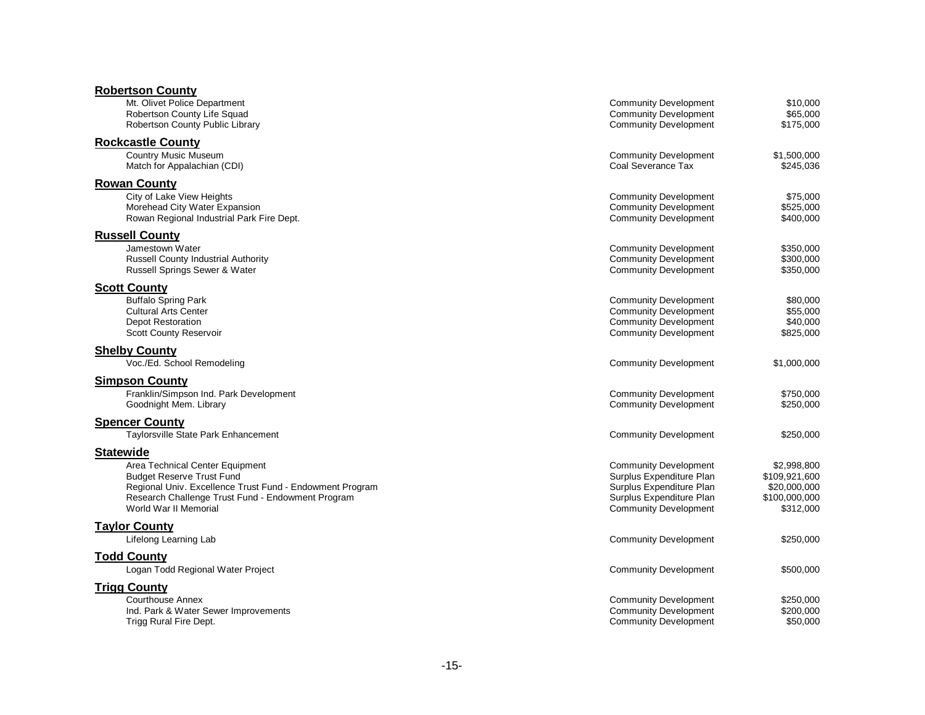| <b>Robertson County</b>                                          |                                                              |                        |
|------------------------------------------------------------------|--------------------------------------------------------------|------------------------|
| Mt. Olivet Police Department                                     | <b>Community Development</b>                                 | \$10,000               |
| Robertson County Life Squad                                      | <b>Community Development</b>                                 | \$65,000               |
| Robertson County Public Library                                  | <b>Community Development</b>                                 | \$175,000              |
| <b>Rockcastle County</b>                                         |                                                              |                        |
| <b>Country Music Museum</b>                                      | <b>Community Development</b>                                 | \$1,500,000            |
| Match for Appalachian (CDI)                                      | Coal Severance Tax                                           | \$245,036              |
| <b>Rowan County</b>                                              |                                                              |                        |
| City of Lake View Heights                                        | <b>Community Development</b>                                 | \$75,000               |
| Morehead City Water Expansion                                    | <b>Community Development</b>                                 | \$525.000              |
| Rowan Regional Industrial Park Fire Dept.                        | <b>Community Development</b>                                 | \$400,000              |
| <b>Russell County</b>                                            |                                                              |                        |
| Jamestown Water                                                  | <b>Community Development</b>                                 | \$350,000              |
| Russell County Industrial Authority                              | <b>Community Development</b>                                 | \$300,000              |
| Russell Springs Sewer & Water                                    | <b>Community Development</b>                                 | \$350,000              |
| <b>Scott County</b>                                              |                                                              |                        |
| <b>Buffalo Spring Park</b>                                       | <b>Community Development</b>                                 | \$80,000               |
| <b>Cultural Arts Center</b>                                      | <b>Community Development</b>                                 | \$55,000               |
| <b>Depot Restoration</b>                                         | <b>Community Development</b>                                 | \$40,000               |
| Scott County Reservoir                                           | <b>Community Development</b>                                 | \$825,000              |
| <b>Shelby County</b>                                             |                                                              |                        |
| Voc./Ed. School Remodeling                                       | <b>Community Development</b>                                 | \$1,000,000            |
|                                                                  |                                                              |                        |
| <b>Simpson County</b>                                            |                                                              |                        |
| Franklin/Simpson Ind. Park Development<br>Goodnight Mem. Library | <b>Community Development</b><br><b>Community Development</b> | \$750,000<br>\$250,000 |
|                                                                  |                                                              |                        |
| <b>Spencer County</b>                                            |                                                              |                        |
| Taylorsville State Park Enhancement                              | <b>Community Development</b>                                 | \$250,000              |
| <b>Statewide</b>                                                 |                                                              |                        |
| Area Technical Center Equipment                                  | <b>Community Development</b>                                 | \$2,998,800            |
| <b>Budget Reserve Trust Fund</b>                                 | Surplus Expenditure Plan                                     | \$109,921,600          |
| Regional Univ. Excellence Trust Fund - Endowment Program         | Surplus Expenditure Plan                                     | \$20,000,000           |
| Research Challenge Trust Fund - Endowment Program                | Surplus Expenditure Plan                                     | \$100,000,000          |
| World War II Memorial                                            | <b>Community Development</b>                                 | \$312,000              |
| <b>Taylor County</b>                                             |                                                              |                        |
| Lifelong Learning Lab                                            | <b>Community Development</b>                                 | \$250,000              |
| <b>Todd County</b>                                               |                                                              |                        |
| Logan Todd Regional Water Project                                |                                                              |                        |
|                                                                  | <b>Community Development</b>                                 | \$500,000              |
| <b>Trigg County</b>                                              |                                                              |                        |
| <b>Courthouse Annex</b>                                          | <b>Community Development</b>                                 | \$250,000              |
| Ind. Park & Water Sewer Improvements                             | <b>Community Development</b>                                 | \$200,000              |
| Trigg Rural Fire Dept.                                           | <b>Community Development</b>                                 | \$50,000               |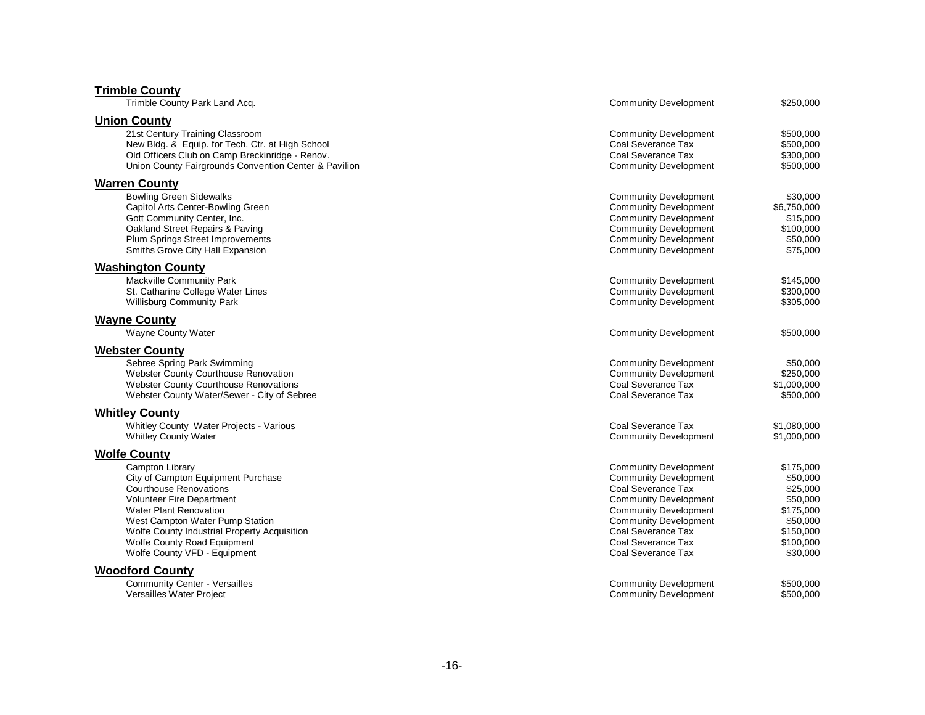| <b>Trimble County</b>                                                                                    |                                                    |                        |
|----------------------------------------------------------------------------------------------------------|----------------------------------------------------|------------------------|
| Trimble County Park Land Acq.                                                                            | <b>Community Development</b>                       | \$250,000              |
| <b>Union County</b>                                                                                      |                                                    |                        |
| 21st Century Training Classroom                                                                          | <b>Community Development</b>                       | \$500,000              |
| New Bldg. & Equip. for Tech. Ctr. at High School                                                         | Coal Severance Tax                                 | \$500,000              |
| Old Officers Club on Camp Breckinridge - Renov.<br>Union County Fairgrounds Convention Center & Pavilion | Coal Severance Tax<br><b>Community Development</b> | \$300,000<br>\$500,000 |
| <b>Warren County</b>                                                                                     |                                                    |                        |
| <b>Bowling Green Sidewalks</b>                                                                           | <b>Community Development</b>                       | \$30,000               |
| Capitol Arts Center-Bowling Green                                                                        | <b>Community Development</b>                       | \$6,750,000            |
| Gott Community Center, Inc.                                                                              | <b>Community Development</b>                       | \$15,000               |
| Oakland Street Repairs & Paving                                                                          | <b>Community Development</b>                       | \$100,000              |
| Plum Springs Street Improvements                                                                         | <b>Community Development</b>                       | \$50,000               |
| Smiths Grove City Hall Expansion                                                                         | <b>Community Development</b>                       | \$75,000               |
| <b>Washington County</b>                                                                                 |                                                    |                        |
| Mackville Community Park                                                                                 | <b>Community Development</b>                       | \$145,000              |
| St. Catharine College Water Lines                                                                        | <b>Community Development</b>                       | \$300,000              |
| <b>Willisburg Community Park</b>                                                                         | <b>Community Development</b>                       | \$305,000              |
| <b>Wayne County</b>                                                                                      |                                                    |                        |
| Wayne County Water                                                                                       | <b>Community Development</b>                       | \$500,000              |
| <b>Webster County</b>                                                                                    |                                                    |                        |
| Sebree Spring Park Swimming                                                                              | <b>Community Development</b>                       | \$50,000               |
| Webster County Courthouse Renovation                                                                     | <b>Community Development</b>                       | \$250,000              |
| <b>Webster County Courthouse Renovations</b>                                                             | Coal Severance Tax                                 | \$1,000,000            |
| Webster County Water/Sewer - City of Sebree                                                              | Coal Severance Tax                                 | \$500,000              |
| <b>Whitley County</b>                                                                                    |                                                    |                        |
| Whitley County Water Projects - Various                                                                  | Coal Severance Tax                                 | \$1,080,000            |
| <b>Whitley County Water</b>                                                                              | <b>Community Development</b>                       | \$1,000,000            |
| <b>Wolfe County</b>                                                                                      |                                                    |                        |
| <b>Campton Library</b>                                                                                   | <b>Community Development</b>                       | \$175,000              |
| City of Campton Equipment Purchase                                                                       | <b>Community Development</b>                       | \$50,000               |
| <b>Courthouse Renovations</b>                                                                            | Coal Severance Tax                                 | \$25,000               |
| <b>Volunteer Fire Department</b>                                                                         | <b>Community Development</b>                       | \$50,000               |
| <b>Water Plant Renovation</b>                                                                            | <b>Community Development</b>                       | \$175,000              |
| West Campton Water Pump Station<br>Wolfe County Industrial Property Acquisition                          | <b>Community Development</b><br>Coal Severance Tax | \$50,000<br>\$150,000  |
| <b>Wolfe County Road Equipment</b>                                                                       | Coal Severance Tax                                 | \$100,000              |
| Wolfe County VFD - Equipment                                                                             | Coal Severance Tax                                 | \$30,000               |
| <b>Woodford County</b>                                                                                   |                                                    |                        |
| <b>Community Center - Versailles</b>                                                                     | <b>Community Development</b>                       | \$500,000              |
| Versailles Water Project                                                                                 | <b>Community Development</b>                       | \$500,000              |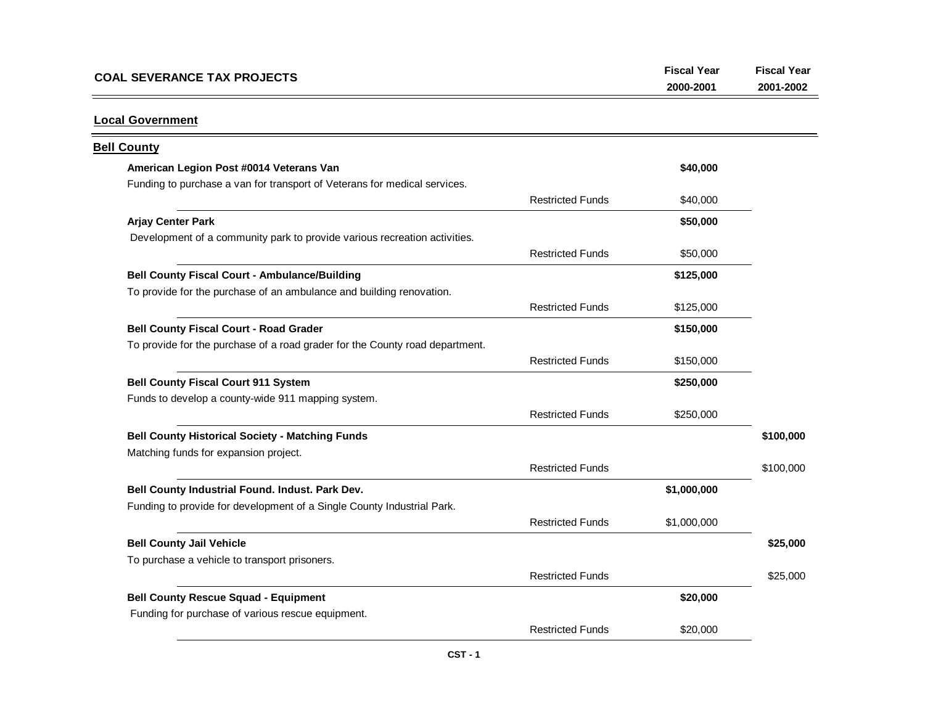| <b>COAL SEVERANCE TAX PROJECTS</b> | 2000-2001 | 2001-2002 |
|------------------------------------|-----------|-----------|
|                                    |           |           |

### **Local Government**

| <b>Bell County</b>                                                           |                         |             |           |
|------------------------------------------------------------------------------|-------------------------|-------------|-----------|
| American Legion Post #0014 Veterans Van                                      |                         | \$40,000    |           |
| Funding to purchase a van for transport of Veterans for medical services.    |                         |             |           |
|                                                                              | <b>Restricted Funds</b> | \$40,000    |           |
| <b>Arjay Center Park</b>                                                     |                         | \$50,000    |           |
| Development of a community park to provide various recreation activities.    |                         |             |           |
|                                                                              | <b>Restricted Funds</b> | \$50,000    |           |
| <b>Bell County Fiscal Court - Ambulance/Building</b>                         |                         | \$125,000   |           |
| To provide for the purchase of an ambulance and building renovation.         |                         |             |           |
|                                                                              | <b>Restricted Funds</b> | \$125,000   |           |
| <b>Bell County Fiscal Court - Road Grader</b>                                |                         | \$150,000   |           |
| To provide for the purchase of a road grader for the County road department. |                         |             |           |
|                                                                              | <b>Restricted Funds</b> | \$150,000   |           |
| <b>Bell County Fiscal Court 911 System</b>                                   |                         | \$250,000   |           |
| Funds to develop a county-wide 911 mapping system.                           |                         |             |           |
|                                                                              | <b>Restricted Funds</b> | \$250,000   |           |
| <b>Bell County Historical Society - Matching Funds</b>                       |                         |             | \$100,000 |
| Matching funds for expansion project.                                        |                         |             |           |
|                                                                              | <b>Restricted Funds</b> |             | \$100,000 |
| Bell County Industrial Found. Indust. Park Dev.                              |                         | \$1,000,000 |           |
| Funding to provide for development of a Single County Industrial Park.       |                         |             |           |
|                                                                              | <b>Restricted Funds</b> | \$1,000,000 |           |
| <b>Bell County Jail Vehicle</b>                                              |                         |             | \$25,000  |
| To purchase a vehicle to transport prisoners.                                |                         |             |           |
|                                                                              | <b>Restricted Funds</b> |             | \$25,000  |
| <b>Bell County Rescue Squad - Equipment</b>                                  |                         | \$20,000    |           |
| Funding for purchase of various rescue equipment.                            |                         |             |           |
|                                                                              | <b>Restricted Funds</b> | \$20,000    |           |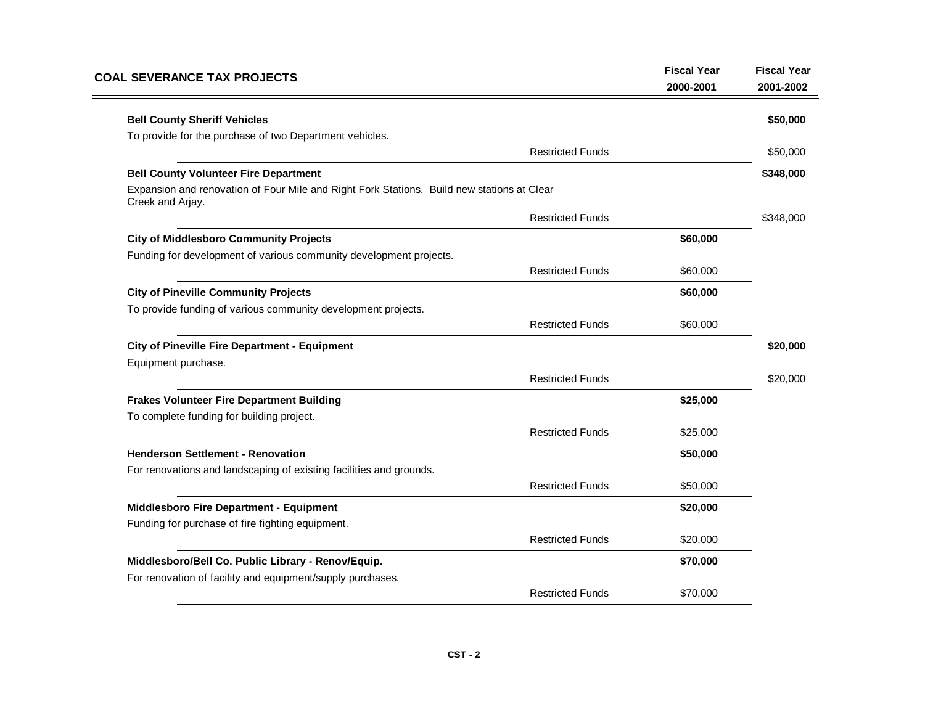| <b>COAL SEVERANCE TAX PROJECTS</b>                                                                             | <b>Fiscal Year</b><br>2000-2001 | <b>Fiscal Year</b><br>2001-2002 |
|----------------------------------------------------------------------------------------------------------------|---------------------------------|---------------------------------|
| <b>Bell County Sheriff Vehicles</b>                                                                            |                                 | \$50,000                        |
| To provide for the purchase of two Department vehicles.                                                        |                                 |                                 |
| <b>Restricted Funds</b>                                                                                        |                                 | \$50,000                        |
| <b>Bell County Volunteer Fire Department</b>                                                                   |                                 | \$348,000                       |
| Expansion and renovation of Four Mile and Right Fork Stations. Build new stations at Clear<br>Creek and Arjay. |                                 |                                 |
| <b>Restricted Funds</b>                                                                                        |                                 | \$348,000                       |
| <b>City of Middlesboro Community Projects</b>                                                                  | \$60,000                        |                                 |
| Funding for development of various community development projects.                                             |                                 |                                 |
| <b>Restricted Funds</b>                                                                                        | \$60,000                        |                                 |
| <b>City of Pineville Community Projects</b>                                                                    | \$60,000                        |                                 |
| To provide funding of various community development projects.                                                  |                                 |                                 |
| <b>Restricted Funds</b>                                                                                        | \$60,000                        |                                 |
| <b>City of Pineville Fire Department - Equipment</b>                                                           |                                 | \$20,000                        |
| Equipment purchase.                                                                                            |                                 |                                 |
| <b>Restricted Funds</b>                                                                                        |                                 | \$20,000                        |
| <b>Frakes Volunteer Fire Department Building</b>                                                               | \$25,000                        |                                 |
| To complete funding for building project.                                                                      |                                 |                                 |
| <b>Restricted Funds</b>                                                                                        | \$25,000                        |                                 |
| <b>Henderson Settlement - Renovation</b>                                                                       | \$50,000                        |                                 |
| For renovations and landscaping of existing facilities and grounds.                                            |                                 |                                 |
| <b>Restricted Funds</b>                                                                                        | \$50,000                        |                                 |
| Middlesboro Fire Department - Equipment                                                                        | \$20,000                        |                                 |
| Funding for purchase of fire fighting equipment.                                                               |                                 |                                 |
| <b>Restricted Funds</b>                                                                                        | \$20,000                        |                                 |
| Middlesboro/Bell Co. Public Library - Renov/Equip.                                                             | \$70,000                        |                                 |
| For renovation of facility and equipment/supply purchases.                                                     |                                 |                                 |
| <b>Restricted Funds</b>                                                                                        | \$70,000                        |                                 |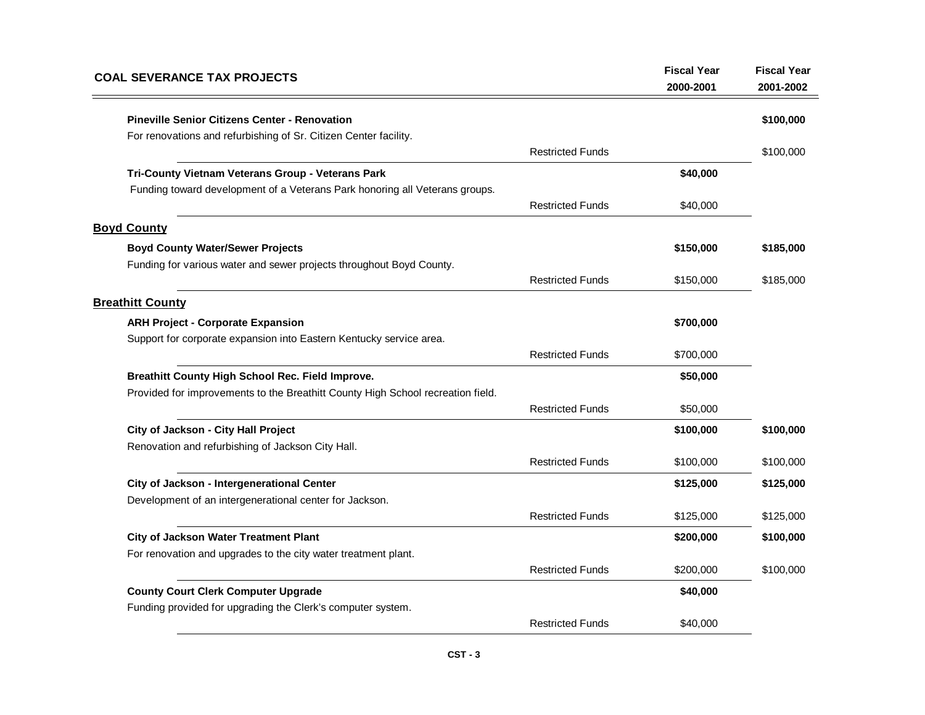| <b>COAL SEVERANCE TAX PROJECTS</b>                                              |                         | <b>Fiscal Year</b><br>2000-2001 | <b>Fiscal Year</b><br>2001-2002 |
|---------------------------------------------------------------------------------|-------------------------|---------------------------------|---------------------------------|
| <b>Pineville Senior Citizens Center - Renovation</b>                            |                         |                                 | \$100,000                       |
| For renovations and refurbishing of Sr. Citizen Center facility.                |                         |                                 |                                 |
|                                                                                 | <b>Restricted Funds</b> |                                 | \$100,000                       |
| Tri-County Vietnam Veterans Group - Veterans Park                               |                         | \$40,000                        |                                 |
| Funding toward development of a Veterans Park honoring all Veterans groups.     |                         |                                 |                                 |
|                                                                                 | <b>Restricted Funds</b> | \$40,000                        |                                 |
| <b>Boyd County</b>                                                              |                         |                                 |                                 |
| <b>Boyd County Water/Sewer Projects</b>                                         |                         | \$150,000                       | \$185,000                       |
| Funding for various water and sewer projects throughout Boyd County.            |                         |                                 |                                 |
|                                                                                 | <b>Restricted Funds</b> | \$150,000                       | \$185,000                       |
| <b>Breathitt County</b>                                                         |                         |                                 |                                 |
| <b>ARH Project - Corporate Expansion</b>                                        |                         | \$700,000                       |                                 |
| Support for corporate expansion into Eastern Kentucky service area.             |                         |                                 |                                 |
|                                                                                 | <b>Restricted Funds</b> | \$700,000                       |                                 |
| Breathitt County High School Rec. Field Improve.                                |                         | \$50,000                        |                                 |
| Provided for improvements to the Breathitt County High School recreation field. |                         |                                 |                                 |
|                                                                                 | <b>Restricted Funds</b> | \$50,000                        |                                 |
| City of Jackson - City Hall Project                                             |                         | \$100,000                       | \$100,000                       |
| Renovation and refurbishing of Jackson City Hall.                               |                         |                                 |                                 |
|                                                                                 | <b>Restricted Funds</b> | \$100,000                       | \$100,000                       |
| City of Jackson - Intergenerational Center                                      |                         | \$125,000                       | \$125,000                       |
| Development of an intergenerational center for Jackson.                         |                         |                                 |                                 |
|                                                                                 | <b>Restricted Funds</b> | \$125,000                       | \$125,000                       |
| <b>City of Jackson Water Treatment Plant</b>                                    |                         | \$200,000                       | \$100,000                       |
| For renovation and upgrades to the city water treatment plant.                  |                         |                                 |                                 |
|                                                                                 | <b>Restricted Funds</b> | \$200,000                       | \$100,000                       |
| <b>County Court Clerk Computer Upgrade</b>                                      |                         | \$40,000                        |                                 |
| Funding provided for upgrading the Clerk's computer system.                     |                         |                                 |                                 |
|                                                                                 | <b>Restricted Funds</b> | \$40,000                        |                                 |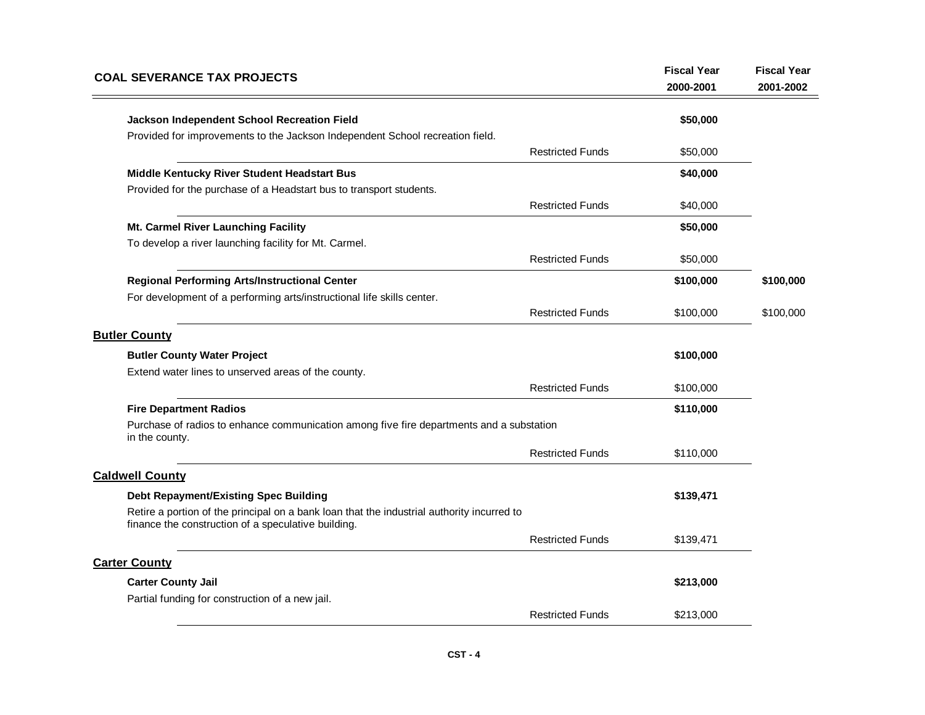| <b>COAL SEVERANCE TAX PROJECTS</b>                                                                                                                | <b>Fiscal Year</b><br>2000-2001 | <b>Fiscal Year</b><br>2001-2002 |
|---------------------------------------------------------------------------------------------------------------------------------------------------|---------------------------------|---------------------------------|
| Jackson Independent School Recreation Field                                                                                                       | \$50,000                        |                                 |
| Provided for improvements to the Jackson Independent School recreation field.                                                                     |                                 |                                 |
| <b>Restricted Funds</b>                                                                                                                           | \$50,000                        |                                 |
| Middle Kentucky River Student Headstart Bus                                                                                                       | \$40,000                        |                                 |
| Provided for the purchase of a Headstart bus to transport students.                                                                               |                                 |                                 |
| <b>Restricted Funds</b>                                                                                                                           | \$40,000                        |                                 |
| Mt. Carmel River Launching Facility                                                                                                               | \$50,000                        |                                 |
| To develop a river launching facility for Mt. Carmel.                                                                                             |                                 |                                 |
| <b>Restricted Funds</b>                                                                                                                           | \$50,000                        |                                 |
| Regional Performing Arts/Instructional Center                                                                                                     | \$100,000                       | \$100,000                       |
| For development of a performing arts/instructional life skills center.                                                                            |                                 |                                 |
| <b>Restricted Funds</b>                                                                                                                           | \$100,000                       | \$100,000                       |
| <b>Butler County</b>                                                                                                                              |                                 |                                 |
| <b>Butler County Water Project</b>                                                                                                                | \$100,000                       |                                 |
| Extend water lines to unserved areas of the county.                                                                                               |                                 |                                 |
| <b>Restricted Funds</b>                                                                                                                           | \$100,000                       |                                 |
| <b>Fire Department Radios</b>                                                                                                                     | \$110,000                       |                                 |
| Purchase of radios to enhance communication among five fire departments and a substation<br>in the county.                                        |                                 |                                 |
| <b>Restricted Funds</b>                                                                                                                           | \$110,000                       |                                 |
| <b>Caldwell County</b>                                                                                                                            |                                 |                                 |
| <b>Debt Repayment/Existing Spec Building</b>                                                                                                      | \$139,471                       |                                 |
| Retire a portion of the principal on a bank loan that the industrial authority incurred to<br>finance the construction of a speculative building. |                                 |                                 |
| <b>Restricted Funds</b>                                                                                                                           | \$139,471                       |                                 |
| <b>Carter County</b>                                                                                                                              |                                 |                                 |
| <b>Carter County Jail</b>                                                                                                                         | \$213,000                       |                                 |
| Partial funding for construction of a new jail.                                                                                                   |                                 |                                 |
| <b>Restricted Funds</b>                                                                                                                           | \$213,000                       |                                 |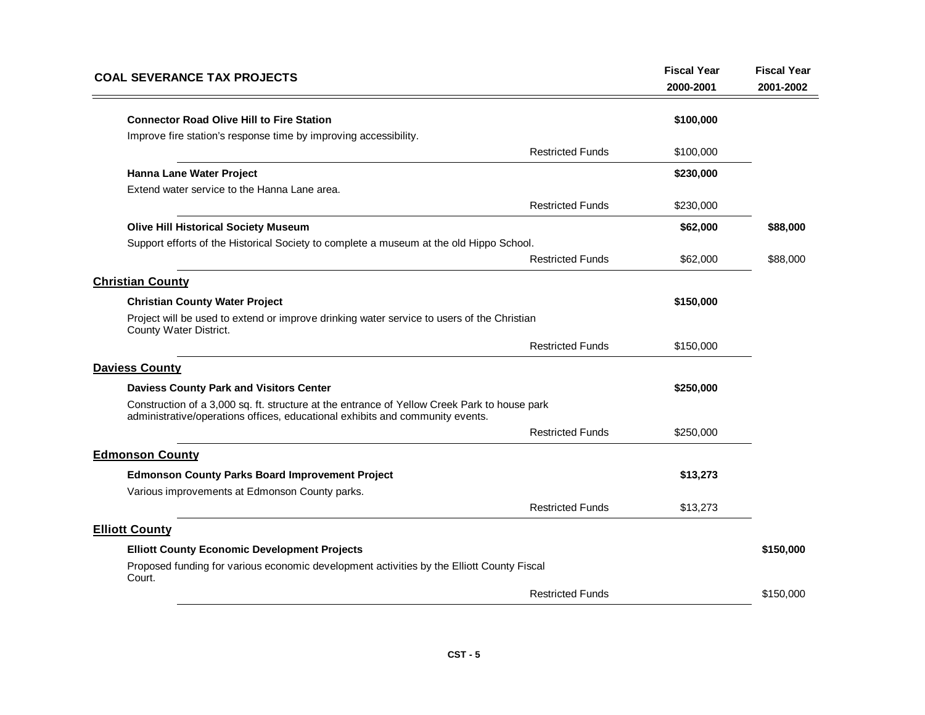| <b>COAL SEVERANCE TAX PROJECTS</b>                                                                                                                                            | <b>Fiscal Year</b><br>2000-2001 | <b>Fiscal Year</b><br>2001-2002 |
|-------------------------------------------------------------------------------------------------------------------------------------------------------------------------------|---------------------------------|---------------------------------|
| <b>Connector Road Olive Hill to Fire Station</b>                                                                                                                              | \$100,000                       |                                 |
| Improve fire station's response time by improving accessibility.<br><b>Restricted Funds</b>                                                                                   | \$100,000                       |                                 |
| Hanna Lane Water Project                                                                                                                                                      | \$230,000                       |                                 |
| Extend water service to the Hanna Lane area.                                                                                                                                  |                                 |                                 |
| <b>Restricted Funds</b>                                                                                                                                                       | \$230,000                       |                                 |
| <b>Olive Hill Historical Society Museum</b>                                                                                                                                   | \$62,000                        | \$88,000                        |
| Support efforts of the Historical Society to complete a museum at the old Hippo School.                                                                                       |                                 |                                 |
| <b>Restricted Funds</b>                                                                                                                                                       | \$62,000                        | \$88,000                        |
| <b>Christian County</b>                                                                                                                                                       |                                 |                                 |
| <b>Christian County Water Project</b>                                                                                                                                         | \$150,000                       |                                 |
| Project will be used to extend or improve drinking water service to users of the Christian<br>County Water District.                                                          |                                 |                                 |
| <b>Restricted Funds</b>                                                                                                                                                       | \$150,000                       |                                 |
| <b>Daviess County</b>                                                                                                                                                         |                                 |                                 |
| <b>Daviess County Park and Visitors Center</b>                                                                                                                                | \$250,000                       |                                 |
| Construction of a 3,000 sq. ft. structure at the entrance of Yellow Creek Park to house park<br>administrative/operations offices, educational exhibits and community events. |                                 |                                 |
| <b>Restricted Funds</b>                                                                                                                                                       | \$250,000                       |                                 |
| <b>Edmonson County</b>                                                                                                                                                        |                                 |                                 |
| <b>Edmonson County Parks Board Improvement Project</b>                                                                                                                        | \$13,273                        |                                 |
| Various improvements at Edmonson County parks.                                                                                                                                |                                 |                                 |
| <b>Restricted Funds</b>                                                                                                                                                       | \$13,273                        |                                 |
| <b>Elliott County</b>                                                                                                                                                         |                                 |                                 |
| <b>Elliott County Economic Development Projects</b>                                                                                                                           |                                 | \$150,000                       |
| Proposed funding for various economic development activities by the Elliott County Fiscal<br>Court.                                                                           |                                 |                                 |
| <b>Restricted Funds</b>                                                                                                                                                       |                                 | \$150,000                       |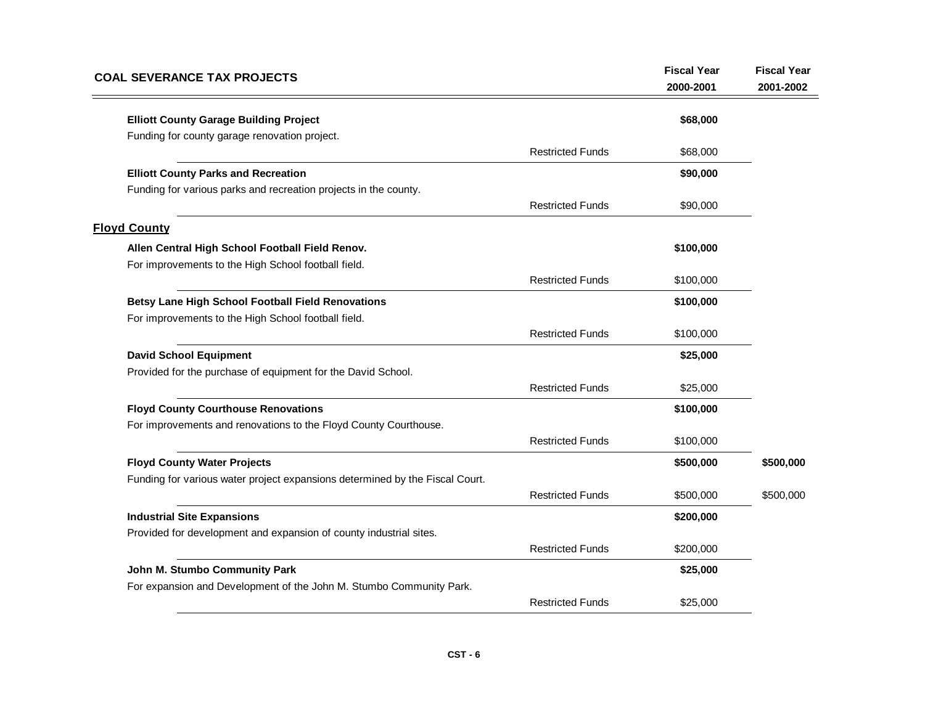| <b>COAL SEVERANCE TAX PROJECTS</b>                                           |                         | <b>Fiscal Year</b><br>2000-2001 | <b>Fiscal Year</b><br>2001-2002 |
|------------------------------------------------------------------------------|-------------------------|---------------------------------|---------------------------------|
| <b>Elliott County Garage Building Project</b>                                |                         | \$68,000                        |                                 |
| Funding for county garage renovation project.                                |                         |                                 |                                 |
|                                                                              | <b>Restricted Funds</b> | \$68,000                        |                                 |
| <b>Elliott County Parks and Recreation</b>                                   |                         | \$90,000                        |                                 |
| Funding for various parks and recreation projects in the county.             |                         |                                 |                                 |
|                                                                              | <b>Restricted Funds</b> | \$90,000                        |                                 |
| <b>Floyd County</b>                                                          |                         |                                 |                                 |
| Allen Central High School Football Field Renov.                              |                         | \$100,000                       |                                 |
| For improvements to the High School football field.                          |                         |                                 |                                 |
|                                                                              | <b>Restricted Funds</b> | \$100,000                       |                                 |
| <b>Betsy Lane High School Football Field Renovations</b>                     |                         | \$100,000                       |                                 |
| For improvements to the High School football field.                          |                         |                                 |                                 |
|                                                                              | <b>Restricted Funds</b> | \$100,000                       |                                 |
| <b>David School Equipment</b>                                                |                         | \$25,000                        |                                 |
| Provided for the purchase of equipment for the David School.                 |                         |                                 |                                 |
|                                                                              | <b>Restricted Funds</b> | \$25,000                        |                                 |
| <b>Floyd County Courthouse Renovations</b>                                   |                         | \$100,000                       |                                 |
| For improvements and renovations to the Floyd County Courthouse.             |                         |                                 |                                 |
|                                                                              | <b>Restricted Funds</b> | \$100,000                       |                                 |
| <b>Floyd County Water Projects</b>                                           |                         | \$500,000                       | \$500,000                       |
| Funding for various water project expansions determined by the Fiscal Court. |                         |                                 |                                 |
|                                                                              | <b>Restricted Funds</b> | \$500,000                       | \$500,000                       |
| <b>Industrial Site Expansions</b>                                            |                         | \$200,000                       |                                 |
| Provided for development and expansion of county industrial sites.           |                         |                                 |                                 |
|                                                                              | <b>Restricted Funds</b> | \$200,000                       |                                 |
| John M. Stumbo Community Park                                                |                         | \$25,000                        |                                 |
| For expansion and Development of the John M. Stumbo Community Park.          |                         |                                 |                                 |
|                                                                              | <b>Restricted Funds</b> | \$25,000                        |                                 |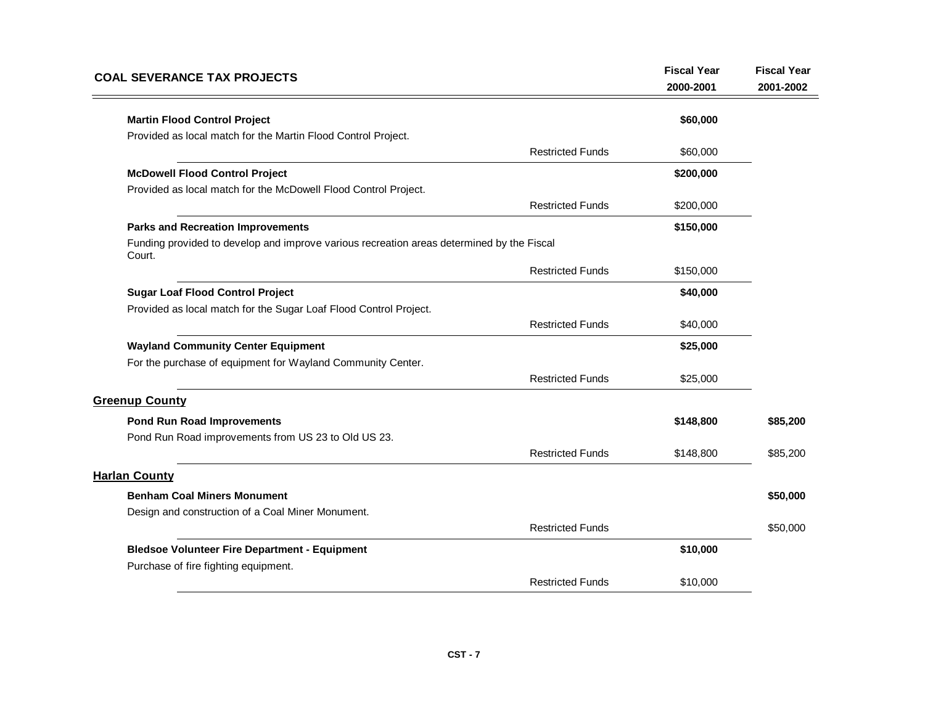| <b>COAL SEVERANCE TAX PROJECTS</b>                                                                  |                         | <b>Fiscal Year</b><br>2000-2001 | <b>Fiscal Year</b><br>2001-2002 |
|-----------------------------------------------------------------------------------------------------|-------------------------|---------------------------------|---------------------------------|
|                                                                                                     |                         |                                 |                                 |
| <b>Martin Flood Control Project</b>                                                                 |                         | \$60,000                        |                                 |
| Provided as local match for the Martin Flood Control Project.                                       |                         |                                 |                                 |
|                                                                                                     | <b>Restricted Funds</b> | \$60,000                        |                                 |
| <b>McDowell Flood Control Project</b>                                                               |                         | \$200,000                       |                                 |
| Provided as local match for the McDowell Flood Control Project.                                     |                         |                                 |                                 |
|                                                                                                     | <b>Restricted Funds</b> | \$200,000                       |                                 |
| <b>Parks and Recreation Improvements</b>                                                            |                         | \$150,000                       |                                 |
| Funding provided to develop and improve various recreation areas determined by the Fiscal<br>Court. |                         |                                 |                                 |
|                                                                                                     | <b>Restricted Funds</b> | \$150,000                       |                                 |
| <b>Sugar Loaf Flood Control Project</b>                                                             |                         | \$40,000                        |                                 |
| Provided as local match for the Sugar Loaf Flood Control Project.                                   |                         |                                 |                                 |
|                                                                                                     | <b>Restricted Funds</b> | \$40,000                        |                                 |
| <b>Wayland Community Center Equipment</b>                                                           |                         | \$25,000                        |                                 |
| For the purchase of equipment for Wayland Community Center.                                         |                         |                                 |                                 |
|                                                                                                     | <b>Restricted Funds</b> | \$25,000                        |                                 |
| <b>Greenup County</b>                                                                               |                         |                                 |                                 |
| <b>Pond Run Road Improvements</b>                                                                   |                         | \$148,800                       | \$85,200                        |
| Pond Run Road improvements from US 23 to Old US 23.                                                 |                         |                                 |                                 |
|                                                                                                     | <b>Restricted Funds</b> | \$148,800                       | \$85,200                        |
| <b>Harlan County</b>                                                                                |                         |                                 |                                 |
| <b>Benham Coal Miners Monument</b>                                                                  |                         |                                 | \$50,000                        |
| Design and construction of a Coal Miner Monument.                                                   |                         |                                 |                                 |
|                                                                                                     | <b>Restricted Funds</b> |                                 | \$50,000                        |
| <b>Bledsoe Volunteer Fire Department - Equipment</b>                                                |                         | \$10,000                        |                                 |
| Purchase of fire fighting equipment.                                                                |                         |                                 |                                 |
|                                                                                                     | <b>Restricted Funds</b> | \$10,000                        |                                 |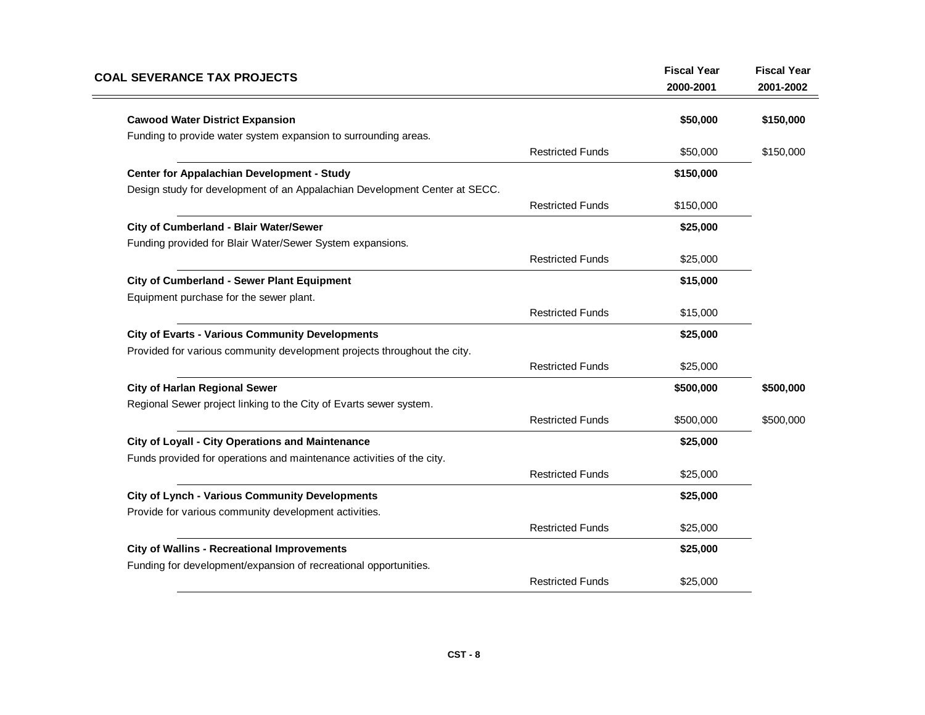| <b>COAL SEVERANCE TAX PROJECTS</b>                                                                                     |                         | <b>Fiscal Year</b><br>2000-2001 | <b>Fiscal Year</b><br>2001-2002 |
|------------------------------------------------------------------------------------------------------------------------|-------------------------|---------------------------------|---------------------------------|
| <b>Cawood Water District Expansion</b>                                                                                 |                         | \$50,000                        | \$150,000                       |
| Funding to provide water system expansion to surrounding areas.                                                        |                         |                                 |                                 |
|                                                                                                                        | <b>Restricted Funds</b> | \$50,000                        | \$150,000                       |
| Center for Appalachian Development - Study                                                                             |                         | \$150,000                       |                                 |
| Design study for development of an Appalachian Development Center at SECC.                                             |                         |                                 |                                 |
|                                                                                                                        | <b>Restricted Funds</b> | \$150,000                       |                                 |
| City of Cumberland - Blair Water/Sewer                                                                                 |                         | \$25,000                        |                                 |
| Funding provided for Blair Water/Sewer System expansions.                                                              |                         |                                 |                                 |
|                                                                                                                        | <b>Restricted Funds</b> | \$25,000                        |                                 |
| <b>City of Cumberland - Sewer Plant Equipment</b>                                                                      |                         | \$15,000                        |                                 |
| Equipment purchase for the sewer plant.                                                                                |                         |                                 |                                 |
|                                                                                                                        | <b>Restricted Funds</b> | \$15,000                        |                                 |
| <b>City of Evarts - Various Community Developments</b>                                                                 |                         | \$25,000                        |                                 |
| Provided for various community development projects throughout the city.                                               |                         |                                 |                                 |
|                                                                                                                        | <b>Restricted Funds</b> | \$25,000                        |                                 |
| <b>City of Harlan Regional Sewer</b>                                                                                   |                         | \$500,000                       | \$500,000                       |
| Regional Sewer project linking to the City of Evarts sewer system.                                                     |                         |                                 |                                 |
|                                                                                                                        | <b>Restricted Funds</b> | \$500,000                       | \$500,000                       |
| City of Loyall - City Operations and Maintenance                                                                       |                         | \$25,000                        |                                 |
| Funds provided for operations and maintenance activities of the city.                                                  |                         |                                 |                                 |
|                                                                                                                        | <b>Restricted Funds</b> | \$25,000                        |                                 |
| <b>City of Lynch - Various Community Developments</b>                                                                  |                         | \$25,000                        |                                 |
| Provide for various community development activities.                                                                  |                         |                                 |                                 |
|                                                                                                                        | <b>Restricted Funds</b> | \$25,000                        |                                 |
| <b>City of Wallins - Recreational Improvements</b><br>Funding for development/expansion of recreational opportunities. |                         | \$25,000                        |                                 |
|                                                                                                                        | <b>Restricted Funds</b> | \$25,000                        |                                 |
|                                                                                                                        |                         |                                 |                                 |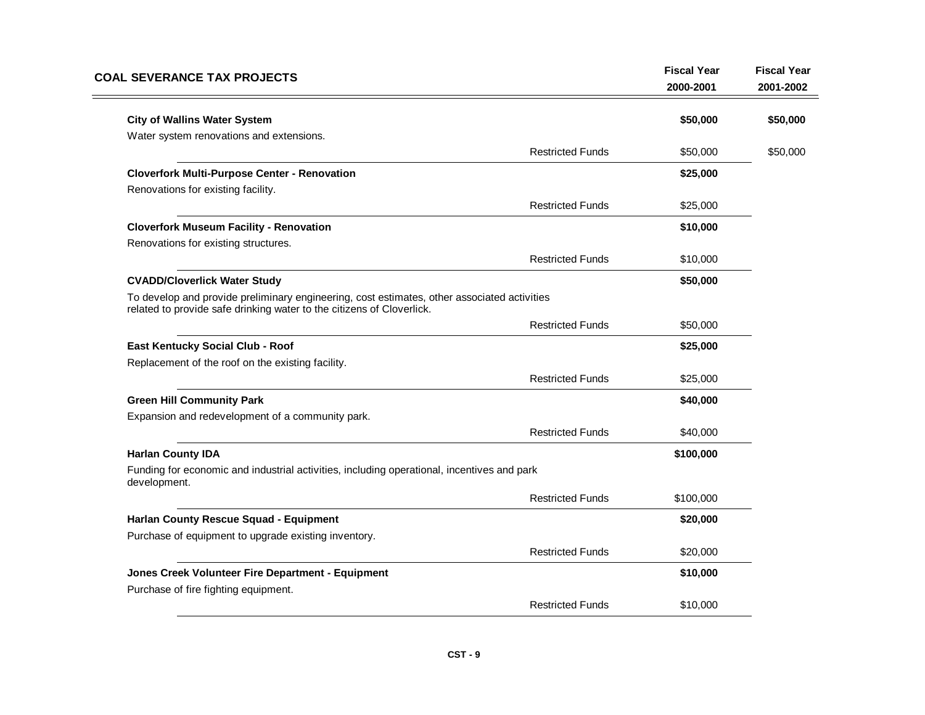| <b>COAL SEVERANCE TAX PROJECTS</b>                                                                                                                                   | <b>Fiscal Year</b><br>2000-2001 | <b>Fiscal Year</b><br>2001-2002 |
|----------------------------------------------------------------------------------------------------------------------------------------------------------------------|---------------------------------|---------------------------------|
| <b>City of Wallins Water System</b>                                                                                                                                  | \$50,000                        | \$50,000                        |
| Water system renovations and extensions.                                                                                                                             |                                 |                                 |
| <b>Restricted Funds</b>                                                                                                                                              | \$50,000                        | \$50,000                        |
| <b>Cloverfork Multi-Purpose Center - Renovation</b>                                                                                                                  | \$25,000                        |                                 |
| Renovations for existing facility.                                                                                                                                   |                                 |                                 |
| <b>Restricted Funds</b>                                                                                                                                              | \$25,000                        |                                 |
| <b>Cloverfork Museum Facility - Renovation</b>                                                                                                                       | \$10,000                        |                                 |
| Renovations for existing structures.                                                                                                                                 |                                 |                                 |
| <b>Restricted Funds</b>                                                                                                                                              | \$10,000                        |                                 |
| <b>CVADD/Cloverlick Water Study</b>                                                                                                                                  | \$50,000                        |                                 |
| To develop and provide preliminary engineering, cost estimates, other associated activities<br>related to provide safe drinking water to the citizens of Cloverlick. |                                 |                                 |
| <b>Restricted Funds</b>                                                                                                                                              | \$50,000                        |                                 |
| East Kentucky Social Club - Roof                                                                                                                                     | \$25,000                        |                                 |
| Replacement of the roof on the existing facility.                                                                                                                    |                                 |                                 |
| <b>Restricted Funds</b>                                                                                                                                              | \$25,000                        |                                 |
| <b>Green Hill Community Park</b>                                                                                                                                     | \$40,000                        |                                 |
| Expansion and redevelopment of a community park.                                                                                                                     |                                 |                                 |
| <b>Restricted Funds</b>                                                                                                                                              | \$40,000                        |                                 |
| <b>Harlan County IDA</b>                                                                                                                                             | \$100,000                       |                                 |
| Funding for economic and industrial activities, including operational, incentives and park<br>development.                                                           |                                 |                                 |
| <b>Restricted Funds</b>                                                                                                                                              | \$100,000                       |                                 |
| Harlan County Rescue Squad - Equipment                                                                                                                               | \$20,000                        |                                 |
| Purchase of equipment to upgrade existing inventory.                                                                                                                 |                                 |                                 |
| <b>Restricted Funds</b>                                                                                                                                              | \$20,000                        |                                 |
| Jones Creek Volunteer Fire Department - Equipment                                                                                                                    | \$10,000                        |                                 |
| Purchase of fire fighting equipment.<br><b>Restricted Funds</b>                                                                                                      | \$10,000                        |                                 |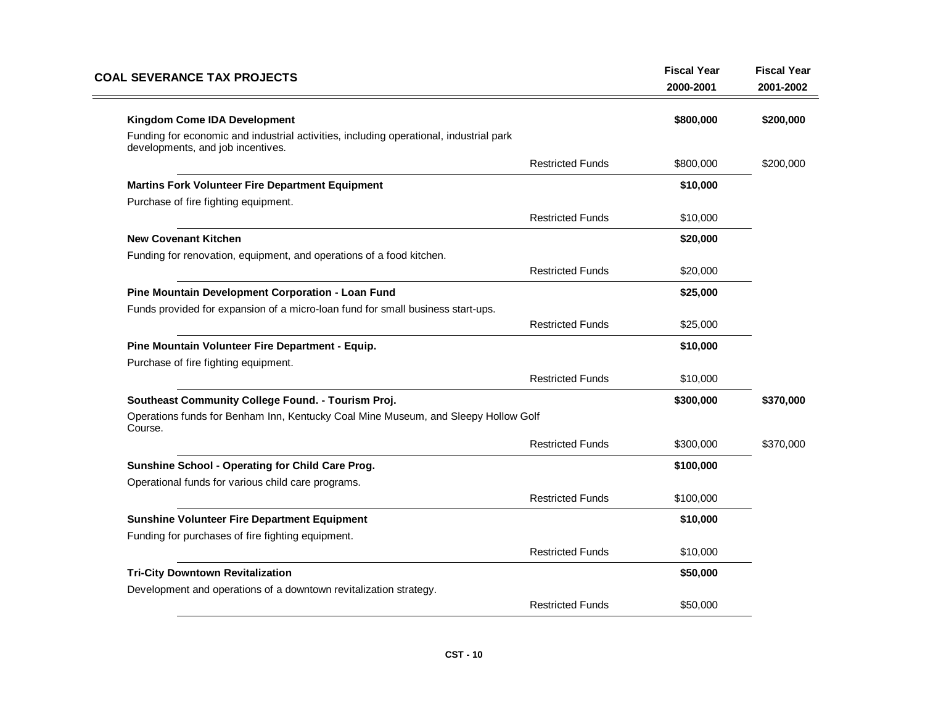| <b>COAL SEVERANCE TAX PROJECTS</b>                                                                                          |                         | <b>Fiscal Year</b><br>2000-2001 | <b>Fiscal Year</b><br>2001-2002 |
|-----------------------------------------------------------------------------------------------------------------------------|-------------------------|---------------------------------|---------------------------------|
| <b>Kingdom Come IDA Development</b>                                                                                         |                         | \$800,000                       | \$200,000                       |
| Funding for economic and industrial activities, including operational, industrial park<br>developments, and job incentives. |                         |                                 |                                 |
|                                                                                                                             | <b>Restricted Funds</b> | \$800,000                       | \$200,000                       |
| <b>Martins Fork Volunteer Fire Department Equipment</b>                                                                     |                         | \$10,000                        |                                 |
| Purchase of fire fighting equipment.                                                                                        |                         |                                 |                                 |
|                                                                                                                             | <b>Restricted Funds</b> | \$10,000                        |                                 |
| <b>New Covenant Kitchen</b>                                                                                                 |                         | \$20,000                        |                                 |
| Funding for renovation, equipment, and operations of a food kitchen.                                                        |                         |                                 |                                 |
|                                                                                                                             | <b>Restricted Funds</b> | \$20,000                        |                                 |
| Pine Mountain Development Corporation - Loan Fund                                                                           |                         | \$25,000                        |                                 |
| Funds provided for expansion of a micro-loan fund for small business start-ups.                                             |                         |                                 |                                 |
|                                                                                                                             | <b>Restricted Funds</b> | \$25,000                        |                                 |
| Pine Mountain Volunteer Fire Department - Equip.                                                                            |                         | \$10,000                        |                                 |
| Purchase of fire fighting equipment.                                                                                        |                         |                                 |                                 |
|                                                                                                                             | <b>Restricted Funds</b> | \$10,000                        |                                 |
| Southeast Community College Found. - Tourism Proj.                                                                          |                         | \$300,000                       | \$370,000                       |
| Operations funds for Benham Inn, Kentucky Coal Mine Museum, and Sleepy Hollow Golf<br>Course.                               |                         |                                 |                                 |
|                                                                                                                             | <b>Restricted Funds</b> | \$300,000                       | \$370,000                       |
| Sunshine School - Operating for Child Care Prog.                                                                            |                         | \$100,000                       |                                 |
| Operational funds for various child care programs.                                                                          |                         |                                 |                                 |
|                                                                                                                             | <b>Restricted Funds</b> | \$100,000                       |                                 |
| <b>Sunshine Volunteer Fire Department Equipment</b>                                                                         |                         | \$10,000                        |                                 |
| Funding for purchases of fire fighting equipment.                                                                           |                         |                                 |                                 |
|                                                                                                                             | <b>Restricted Funds</b> | \$10,000                        |                                 |
| <b>Tri-City Downtown Revitalization</b>                                                                                     |                         | \$50,000                        |                                 |
| Development and operations of a downtown revitalization strategy.                                                           |                         |                                 |                                 |
|                                                                                                                             | <b>Restricted Funds</b> | \$50,000                        |                                 |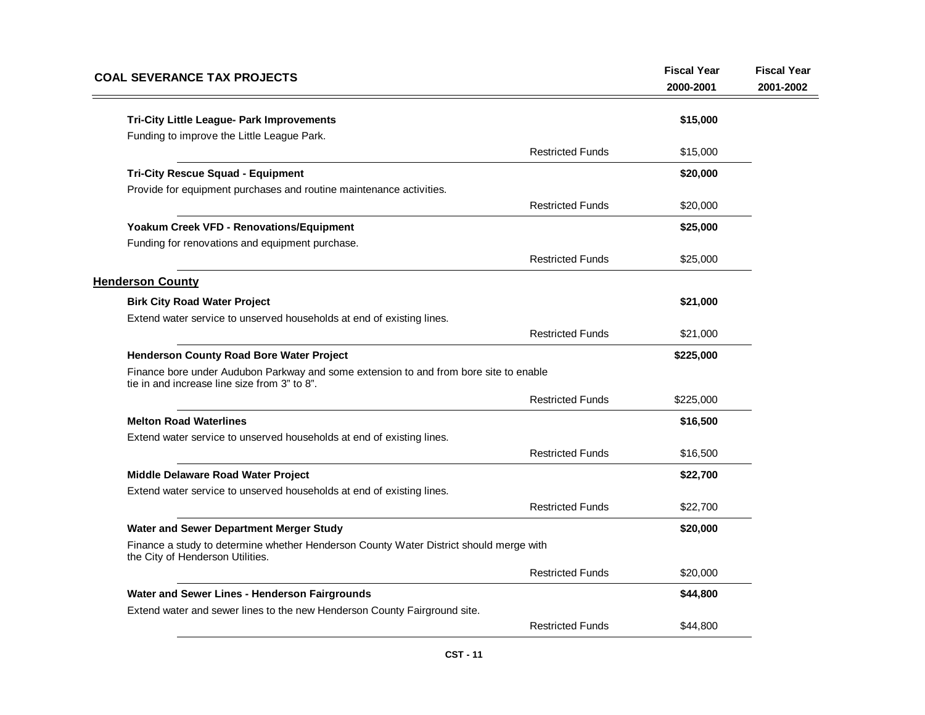| <b>COAL SEVERANCE TAX PROJECTS</b>                                                                                                    |                         | <b>Fiscal Year</b><br>2000-2001 | <b>Fiscal Year</b><br>2001-2002 |
|---------------------------------------------------------------------------------------------------------------------------------------|-------------------------|---------------------------------|---------------------------------|
| Tri-City Little League- Park Improvements                                                                                             |                         | \$15,000                        |                                 |
| Funding to improve the Little League Park.                                                                                            |                         |                                 |                                 |
|                                                                                                                                       | <b>Restricted Funds</b> | \$15,000                        |                                 |
| <b>Tri-City Rescue Squad - Equipment</b>                                                                                              |                         | \$20,000                        |                                 |
| Provide for equipment purchases and routine maintenance activities.                                                                   |                         |                                 |                                 |
|                                                                                                                                       | <b>Restricted Funds</b> | \$20,000                        |                                 |
| Yoakum Creek VFD - Renovations/Equipment                                                                                              |                         | \$25,000                        |                                 |
| Funding for renovations and equipment purchase.                                                                                       |                         |                                 |                                 |
|                                                                                                                                       | <b>Restricted Funds</b> | \$25,000                        |                                 |
| <b>Henderson County</b>                                                                                                               |                         |                                 |                                 |
| <b>Birk City Road Water Project</b>                                                                                                   |                         | \$21,000                        |                                 |
| Extend water service to unserved households at end of existing lines.                                                                 |                         |                                 |                                 |
|                                                                                                                                       | <b>Restricted Funds</b> | \$21,000                        |                                 |
| <b>Henderson County Road Bore Water Project</b>                                                                                       |                         | \$225,000                       |                                 |
| Finance bore under Audubon Parkway and some extension to and from bore site to enable<br>tie in and increase line size from 3" to 8". |                         |                                 |                                 |
|                                                                                                                                       | <b>Restricted Funds</b> | \$225,000                       |                                 |
| <b>Melton Road Waterlines</b>                                                                                                         |                         | \$16,500                        |                                 |
| Extend water service to unserved households at end of existing lines.                                                                 |                         |                                 |                                 |
|                                                                                                                                       | <b>Restricted Funds</b> | \$16,500                        |                                 |
| Middle Delaware Road Water Project                                                                                                    |                         | \$22,700                        |                                 |
| Extend water service to unserved households at end of existing lines.                                                                 |                         |                                 |                                 |
|                                                                                                                                       | <b>Restricted Funds</b> | \$22,700                        |                                 |
| Water and Sewer Department Merger Study                                                                                               |                         | \$20,000                        |                                 |
| Finance a study to determine whether Henderson County Water District should merge with<br>the City of Henderson Utilities.            |                         |                                 |                                 |
|                                                                                                                                       | <b>Restricted Funds</b> | \$20,000                        |                                 |
| Water and Sewer Lines - Henderson Fairgrounds                                                                                         |                         | \$44,800                        |                                 |
| Extend water and sewer lines to the new Henderson County Fairground site.                                                             |                         |                                 |                                 |
|                                                                                                                                       | <b>Restricted Funds</b> | \$44,800                        |                                 |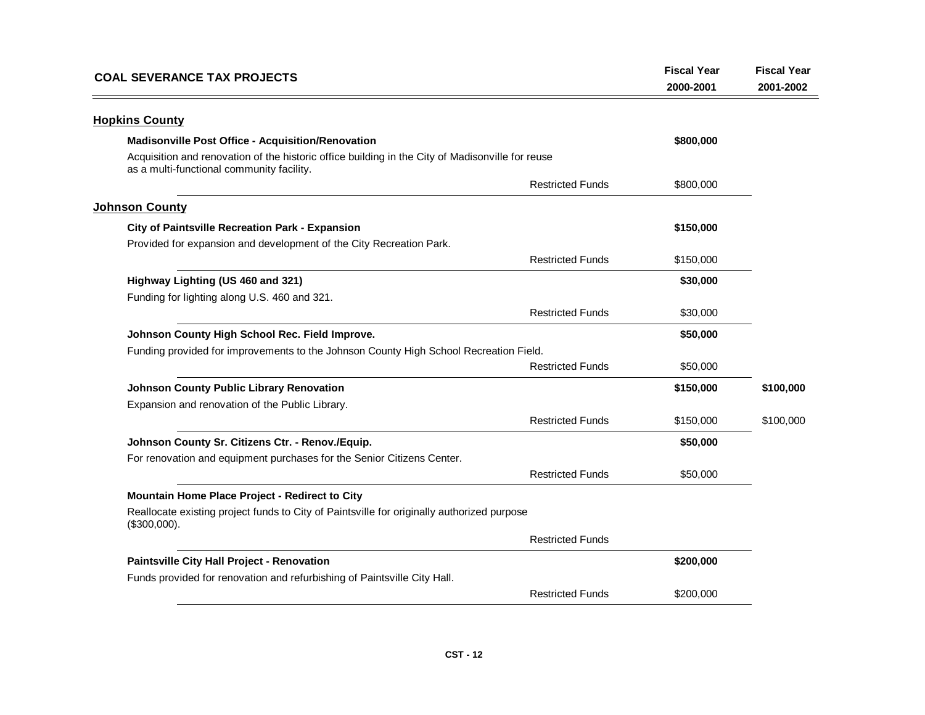| <b>COAL SEVERANCE TAX PROJECTS</b>                                                                                                            |                         | <b>Fiscal Year</b><br>2000-2001 | <b>Fiscal Year</b><br>2001-2002 |
|-----------------------------------------------------------------------------------------------------------------------------------------------|-------------------------|---------------------------------|---------------------------------|
| <b>Hopkins County</b>                                                                                                                         |                         |                                 |                                 |
| <b>Madisonville Post Office - Acquisition/Renovation</b>                                                                                      |                         | \$800,000                       |                                 |
| Acquisition and renovation of the historic office building in the City of Madisonville for reuse<br>as a multi-functional community facility. |                         |                                 |                                 |
|                                                                                                                                               | <b>Restricted Funds</b> | \$800,000                       |                                 |
| <b>Johnson County</b>                                                                                                                         |                         |                                 |                                 |
| City of Paintsville Recreation Park - Expansion                                                                                               |                         | \$150,000                       |                                 |
| Provided for expansion and development of the City Recreation Park.                                                                           |                         |                                 |                                 |
|                                                                                                                                               | <b>Restricted Funds</b> | \$150,000                       |                                 |
| Highway Lighting (US 460 and 321)                                                                                                             |                         | \$30,000                        |                                 |
| Funding for lighting along U.S. 460 and 321.                                                                                                  |                         |                                 |                                 |
|                                                                                                                                               | <b>Restricted Funds</b> | \$30,000                        |                                 |
| Johnson County High School Rec. Field Improve.                                                                                                |                         | \$50,000                        |                                 |
| Funding provided for improvements to the Johnson County High School Recreation Field.                                                         |                         |                                 |                                 |
|                                                                                                                                               | <b>Restricted Funds</b> | \$50,000                        |                                 |
| Johnson County Public Library Renovation                                                                                                      |                         | \$150,000                       | \$100,000                       |
| Expansion and renovation of the Public Library.                                                                                               |                         |                                 |                                 |
|                                                                                                                                               | <b>Restricted Funds</b> | \$150,000                       | \$100,000                       |
| Johnson County Sr. Citizens Ctr. - Renov./Equip.                                                                                              |                         | \$50,000                        |                                 |
| For renovation and equipment purchases for the Senior Citizens Center.                                                                        |                         |                                 |                                 |
|                                                                                                                                               | <b>Restricted Funds</b> | \$50,000                        |                                 |
| Mountain Home Place Project - Redirect to City                                                                                                |                         |                                 |                                 |
| Reallocate existing project funds to City of Paintsville for originally authorized purpose<br>$($300,000)$ .                                  |                         |                                 |                                 |
|                                                                                                                                               | <b>Restricted Funds</b> |                                 |                                 |
| Paintsville City Hall Project - Renovation                                                                                                    |                         | \$200,000                       |                                 |
| Funds provided for renovation and refurbishing of Paintsville City Hall.                                                                      |                         |                                 |                                 |
|                                                                                                                                               | <b>Restricted Funds</b> | \$200,000                       |                                 |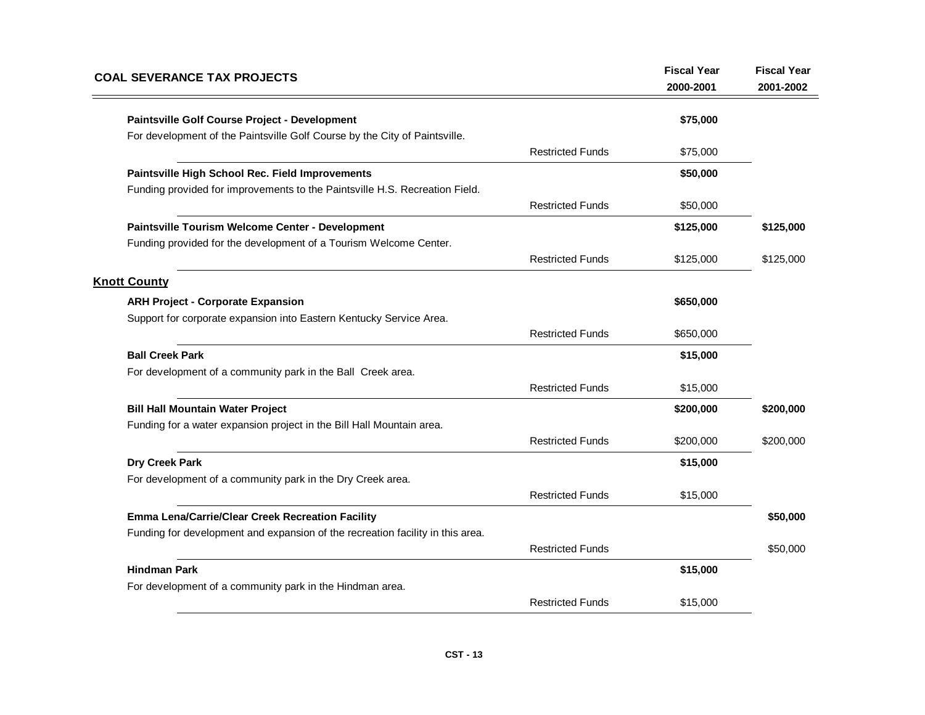| <b>COAL SEVERANCE TAX PROJECTS</b>                                             |                         | <b>Fiscal Year</b><br>2000-2001 | <b>Fiscal Year</b><br>2001-2002 |
|--------------------------------------------------------------------------------|-------------------------|---------------------------------|---------------------------------|
| Paintsville Golf Course Project - Development                                  |                         | \$75,000                        |                                 |
| For development of the Paintsville Golf Course by the City of Paintsville.     |                         |                                 |                                 |
|                                                                                | <b>Restricted Funds</b> | \$75,000                        |                                 |
| Paintsville High School Rec. Field Improvements                                |                         | \$50,000                        |                                 |
| Funding provided for improvements to the Paintsville H.S. Recreation Field.    |                         |                                 |                                 |
|                                                                                | <b>Restricted Funds</b> | \$50,000                        |                                 |
| Paintsville Tourism Welcome Center - Development                               |                         | \$125,000                       | \$125,000                       |
| Funding provided for the development of a Tourism Welcome Center.              |                         |                                 |                                 |
|                                                                                | <b>Restricted Funds</b> | \$125,000                       | \$125,000                       |
| <b>Knott County</b>                                                            |                         |                                 |                                 |
| <b>ARH Project - Corporate Expansion</b>                                       |                         | \$650,000                       |                                 |
| Support for corporate expansion into Eastern Kentucky Service Area.            |                         |                                 |                                 |
|                                                                                | <b>Restricted Funds</b> | \$650,000                       |                                 |
| <b>Ball Creek Park</b>                                                         |                         | \$15,000                        |                                 |
| For development of a community park in the Ball Creek area.                    |                         |                                 |                                 |
|                                                                                | <b>Restricted Funds</b> | \$15,000                        |                                 |
| <b>Bill Hall Mountain Water Project</b>                                        |                         | \$200,000                       | \$200,000                       |
| Funding for a water expansion project in the Bill Hall Mountain area.          |                         |                                 |                                 |
|                                                                                | <b>Restricted Funds</b> | \$200,000                       | \$200,000                       |
| <b>Dry Creek Park</b>                                                          |                         | \$15,000                        |                                 |
| For development of a community park in the Dry Creek area.                     |                         |                                 |                                 |
|                                                                                | <b>Restricted Funds</b> | \$15,000                        |                                 |
| Emma Lena/Carrie/Clear Creek Recreation Facility                               |                         |                                 | \$50,000                        |
| Funding for development and expansion of the recreation facility in this area. |                         |                                 |                                 |
|                                                                                | <b>Restricted Funds</b> |                                 | \$50,000                        |
| <b>Hindman Park</b>                                                            |                         | \$15,000                        |                                 |
| For development of a community park in the Hindman area.                       |                         |                                 |                                 |
|                                                                                | <b>Restricted Funds</b> | \$15,000                        |                                 |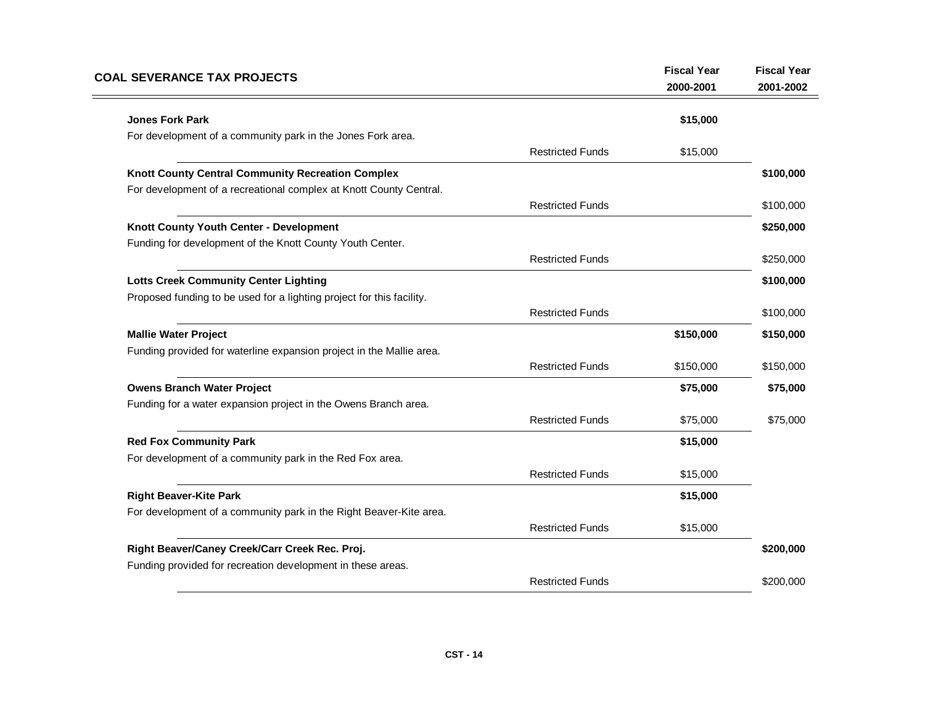| <b>COAL SEVERANCE TAX PROJECTS</b>                                    |                         | <b>Fiscal Year</b><br>2000-2001 | <b>Fiscal Year</b><br>2001-2002 |
|-----------------------------------------------------------------------|-------------------------|---------------------------------|---------------------------------|
| <b>Jones Fork Park</b>                                                |                         | \$15,000                        |                                 |
| For development of a community park in the Jones Fork area.           |                         |                                 |                                 |
|                                                                       | <b>Restricted Funds</b> | \$15,000                        |                                 |
| Knott County Central Community Recreation Complex                     |                         |                                 | \$100,000                       |
| For development of a recreational complex at Knott County Central.    |                         |                                 |                                 |
|                                                                       | <b>Restricted Funds</b> |                                 | \$100,000                       |
| Knott County Youth Center - Development                               |                         |                                 | \$250,000                       |
| Funding for development of the Knott County Youth Center.             |                         |                                 |                                 |
|                                                                       | <b>Restricted Funds</b> |                                 | \$250,000                       |
| <b>Lotts Creek Community Center Lighting</b>                          |                         |                                 | \$100,000                       |
| Proposed funding to be used for a lighting project for this facility. |                         |                                 |                                 |
|                                                                       | <b>Restricted Funds</b> |                                 | \$100,000                       |
| <b>Mallie Water Project</b>                                           |                         | \$150,000                       | \$150,000                       |
| Funding provided for waterline expansion project in the Mallie area.  |                         |                                 |                                 |
|                                                                       | <b>Restricted Funds</b> | \$150,000                       | \$150,000                       |
| <b>Owens Branch Water Project</b>                                     |                         | \$75,000                        | \$75,000                        |
| Funding for a water expansion project in the Owens Branch area.       |                         |                                 |                                 |
|                                                                       | <b>Restricted Funds</b> | \$75,000                        | \$75,000                        |
| <b>Red Fox Community Park</b>                                         |                         | \$15,000                        |                                 |
| For development of a community park in the Red Fox area.              |                         |                                 |                                 |
|                                                                       | <b>Restricted Funds</b> | \$15,000                        |                                 |
| <b>Right Beaver-Kite Park</b>                                         |                         | \$15,000                        |                                 |
| For development of a community park in the Right Beaver-Kite area.    |                         |                                 |                                 |
|                                                                       | <b>Restricted Funds</b> | \$15,000                        |                                 |
| Right Beaver/Caney Creek/Carr Creek Rec. Proj.                        |                         |                                 | \$200,000                       |
| Funding provided for recreation development in these areas.           |                         |                                 |                                 |
|                                                                       | <b>Restricted Funds</b> |                                 | \$200,000                       |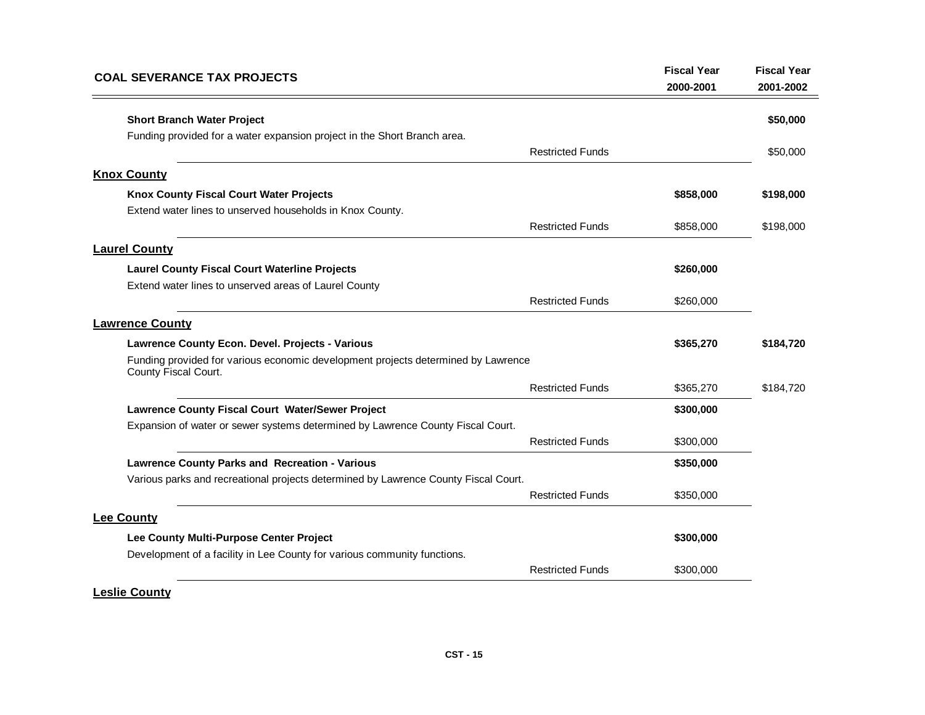| <b>COAL SEVERANCE TAX PROJECTS</b>                                                                        | <b>Fiscal Year</b><br>2000-2001 | <b>Fiscal Year</b><br>2001-2002 |
|-----------------------------------------------------------------------------------------------------------|---------------------------------|---------------------------------|
| <b>Short Branch Water Project</b>                                                                         |                                 | \$50,000                        |
| Funding provided for a water expansion project in the Short Branch area.                                  |                                 |                                 |
| <b>Restricted Funds</b>                                                                                   |                                 | \$50,000                        |
| <b>Knox County</b>                                                                                        |                                 |                                 |
| Knox County Fiscal Court Water Projects                                                                   | \$858,000                       | \$198,000                       |
| Extend water lines to unserved households in Knox County.                                                 |                                 |                                 |
| <b>Restricted Funds</b>                                                                                   | \$858,000                       | \$198,000                       |
| <b>Laurel County</b>                                                                                      |                                 |                                 |
| <b>Laurel County Fiscal Court Waterline Projects</b>                                                      | \$260,000                       |                                 |
| Extend water lines to unserved areas of Laurel County                                                     |                                 |                                 |
| <b>Restricted Funds</b>                                                                                   | \$260,000                       |                                 |
| <b>Lawrence County</b>                                                                                    |                                 |                                 |
| Lawrence County Econ. Devel. Projects - Various                                                           | \$365,270                       | \$184,720                       |
| Funding provided for various economic development projects determined by Lawrence<br>County Fiscal Court. |                                 |                                 |
| <b>Restricted Funds</b>                                                                                   | \$365,270                       | \$184,720                       |
| Lawrence County Fiscal Court Water/Sewer Project                                                          | \$300,000                       |                                 |
| Expansion of water or sewer systems determined by Lawrence County Fiscal Court.                           |                                 |                                 |
| <b>Restricted Funds</b>                                                                                   | \$300,000                       |                                 |
| <b>Lawrence County Parks and Recreation - Various</b>                                                     | \$350,000                       |                                 |
| Various parks and recreational projects determined by Lawrence County Fiscal Court.                       |                                 |                                 |
| <b>Restricted Funds</b>                                                                                   | \$350,000                       |                                 |
| <b>Lee County</b>                                                                                         |                                 |                                 |
| Lee County Multi-Purpose Center Project                                                                   | \$300,000                       |                                 |
| Development of a facility in Lee County for various community functions.                                  |                                 |                                 |
| <b>Restricted Funds</b>                                                                                   | \$300,000                       |                                 |

# **Leslie County**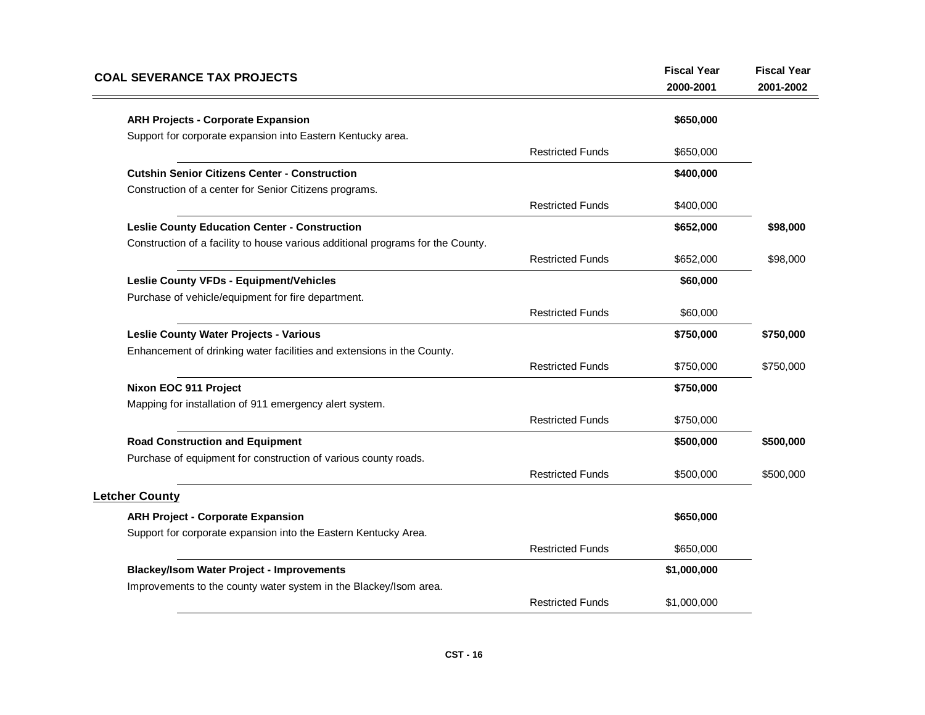| <b>ARH Projects - Corporate Expansion</b><br>Support for corporate expansion into Eastern Kentucky area. |                         | \$650,000   |           |
|----------------------------------------------------------------------------------------------------------|-------------------------|-------------|-----------|
|                                                                                                          |                         |             |           |
|                                                                                                          |                         |             |           |
|                                                                                                          | <b>Restricted Funds</b> | \$650,000   |           |
| <b>Cutshin Senior Citizens Center - Construction</b>                                                     |                         | \$400,000   |           |
| Construction of a center for Senior Citizens programs.                                                   |                         |             |           |
|                                                                                                          | <b>Restricted Funds</b> | \$400,000   |           |
| <b>Leslie County Education Center - Construction</b>                                                     |                         | \$652,000   | \$98,000  |
| Construction of a facility to house various additional programs for the County.                          |                         |             |           |
|                                                                                                          | <b>Restricted Funds</b> | \$652,000   | \$98,000  |
| <b>Leslie County VFDs - Equipment/Vehicles</b>                                                           |                         | \$60,000    |           |
| Purchase of vehicle/equipment for fire department.                                                       |                         |             |           |
|                                                                                                          | <b>Restricted Funds</b> | \$60,000    |           |
| <b>Leslie County Water Projects - Various</b>                                                            |                         | \$750,000   | \$750,000 |
| Enhancement of drinking water facilities and extensions in the County.                                   |                         |             |           |
|                                                                                                          | <b>Restricted Funds</b> | \$750,000   | \$750,000 |
| Nixon EOC 911 Project                                                                                    |                         | \$750,000   |           |
| Mapping for installation of 911 emergency alert system.                                                  |                         |             |           |
|                                                                                                          | <b>Restricted Funds</b> | \$750,000   |           |
| <b>Road Construction and Equipment</b>                                                                   |                         | \$500,000   | \$500,000 |
| Purchase of equipment for construction of various county roads.                                          |                         |             |           |
|                                                                                                          | <b>Restricted Funds</b> | \$500,000   | \$500,000 |
| <b>Letcher County</b>                                                                                    |                         |             |           |
| <b>ARH Project - Corporate Expansion</b>                                                                 |                         | \$650,000   |           |
| Support for corporate expansion into the Eastern Kentucky Area.                                          |                         |             |           |
|                                                                                                          | <b>Restricted Funds</b> | \$650,000   |           |
| <b>Blackey/Isom Water Project - Improvements</b>                                                         |                         | \$1,000,000 |           |
| Improvements to the county water system in the Blackey/Isom area.                                        |                         |             |           |
|                                                                                                          | <b>Restricted Funds</b> | \$1,000,000 |           |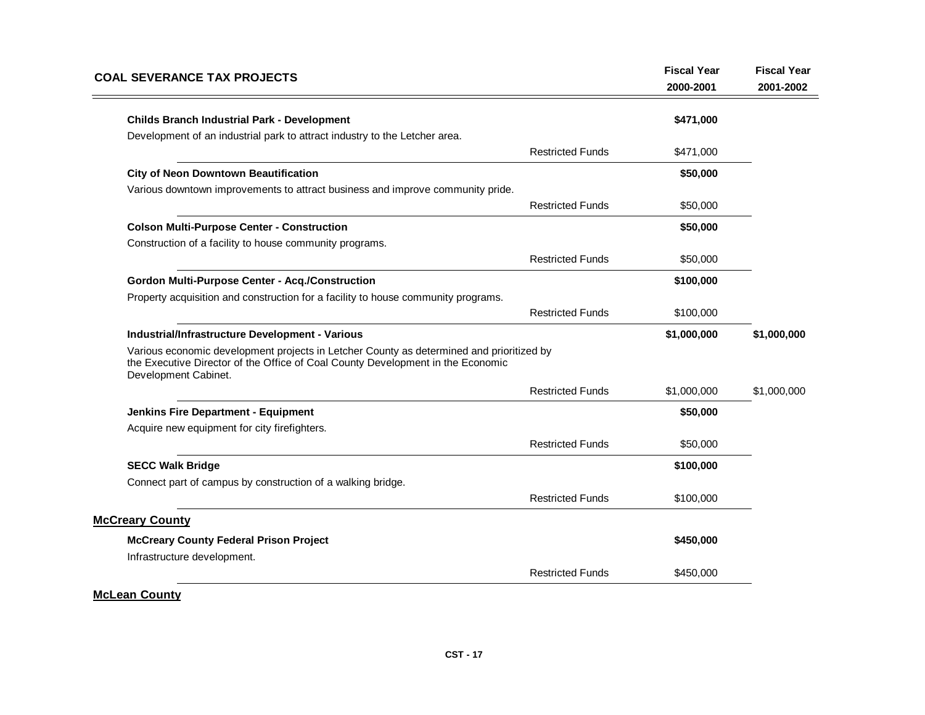| <b>COAL SEVERANCE TAX PROJECTS</b>                                                                                                                                                                  |                         | <b>Fiscal Year</b><br>2000-2001 | <b>Fiscal Year</b><br>2001-2002 |
|-----------------------------------------------------------------------------------------------------------------------------------------------------------------------------------------------------|-------------------------|---------------------------------|---------------------------------|
| <b>Childs Branch Industrial Park - Development</b>                                                                                                                                                  |                         | \$471,000                       |                                 |
| Development of an industrial park to attract industry to the Letcher area.                                                                                                                          |                         |                                 |                                 |
|                                                                                                                                                                                                     | <b>Restricted Funds</b> | \$471,000                       |                                 |
| <b>City of Neon Downtown Beautification</b>                                                                                                                                                         |                         | \$50,000                        |                                 |
| Various downtown improvements to attract business and improve community pride.                                                                                                                      |                         |                                 |                                 |
|                                                                                                                                                                                                     | <b>Restricted Funds</b> | \$50,000                        |                                 |
| <b>Colson Multi-Purpose Center - Construction</b>                                                                                                                                                   |                         | \$50,000                        |                                 |
| Construction of a facility to house community programs.                                                                                                                                             |                         |                                 |                                 |
|                                                                                                                                                                                                     | <b>Restricted Funds</b> | \$50,000                        |                                 |
| <b>Gordon Multi-Purpose Center - Acq./Construction</b>                                                                                                                                              |                         | \$100,000                       |                                 |
| Property acquisition and construction for a facility to house community programs.                                                                                                                   |                         |                                 |                                 |
|                                                                                                                                                                                                     | <b>Restricted Funds</b> | \$100,000                       |                                 |
| Industrial/Infrastructure Development - Various                                                                                                                                                     |                         | \$1,000,000                     | \$1,000,000                     |
| Various economic development projects in Letcher County as determined and prioritized by<br>the Executive Director of the Office of Coal County Development in the Economic<br>Development Cabinet. |                         |                                 |                                 |
|                                                                                                                                                                                                     | <b>Restricted Funds</b> | \$1,000,000                     | \$1,000,000                     |
| <b>Jenkins Fire Department - Equipment</b>                                                                                                                                                          |                         | \$50,000                        |                                 |
| Acquire new equipment for city firefighters.                                                                                                                                                        |                         |                                 |                                 |
|                                                                                                                                                                                                     | <b>Restricted Funds</b> | \$50,000                        |                                 |
| <b>SECC Walk Bridge</b>                                                                                                                                                                             |                         | \$100,000                       |                                 |
| Connect part of campus by construction of a walking bridge.                                                                                                                                         |                         |                                 |                                 |
|                                                                                                                                                                                                     | <b>Restricted Funds</b> | \$100,000                       |                                 |
| <b>McCreary County</b>                                                                                                                                                                              |                         |                                 |                                 |
| <b>McCreary County Federal Prison Project</b>                                                                                                                                                       |                         | \$450,000                       |                                 |
| Infrastructure development.                                                                                                                                                                         |                         |                                 |                                 |
|                                                                                                                                                                                                     | <b>Restricted Funds</b> | \$450,000                       |                                 |
| <b>McLean County</b>                                                                                                                                                                                |                         |                                 |                                 |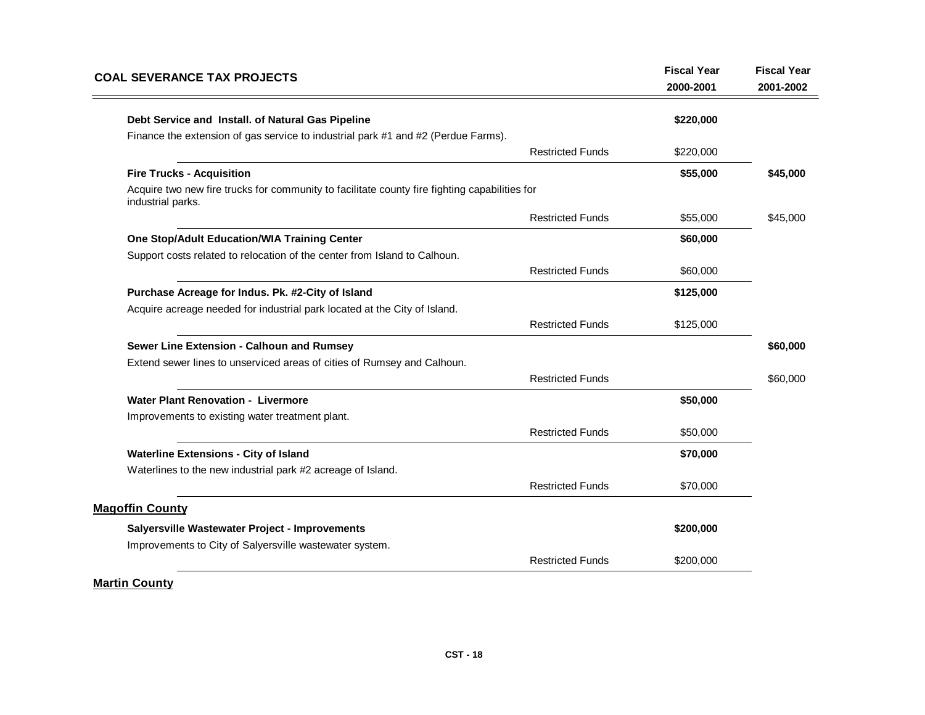| <b>COAL SEVERANCE TAX PROJECTS</b>                                                                                 |                         | <b>Fiscal Year</b><br>2000-2001 | <b>Fiscal Year</b><br>2001-2002 |
|--------------------------------------------------------------------------------------------------------------------|-------------------------|---------------------------------|---------------------------------|
| Debt Service and Install. of Natural Gas Pipeline                                                                  |                         | \$220,000                       |                                 |
| Finance the extension of gas service to industrial park #1 and #2 (Perdue Farms).                                  |                         |                                 |                                 |
|                                                                                                                    | <b>Restricted Funds</b> | \$220,000                       |                                 |
| <b>Fire Trucks - Acquisition</b>                                                                                   |                         | \$55,000                        | \$45,000                        |
| Acquire two new fire trucks for community to facilitate county fire fighting capabilities for<br>industrial parks. |                         |                                 |                                 |
|                                                                                                                    | <b>Restricted Funds</b> | \$55,000                        | \$45,000                        |
| One Stop/Adult Education/WIA Training Center                                                                       |                         | \$60,000                        |                                 |
| Support costs related to relocation of the center from Island to Calhoun.                                          |                         |                                 |                                 |
|                                                                                                                    | <b>Restricted Funds</b> | \$60,000                        |                                 |
| Purchase Acreage for Indus. Pk. #2-City of Island                                                                  |                         | \$125,000                       |                                 |
| Acquire acreage needed for industrial park located at the City of Island.                                          |                         |                                 |                                 |
|                                                                                                                    | <b>Restricted Funds</b> | \$125,000                       |                                 |
| Sewer Line Extension - Calhoun and Rumsey                                                                          |                         |                                 | \$60,000                        |
| Extend sewer lines to unserviced areas of cities of Rumsey and Calhoun.                                            |                         |                                 |                                 |
|                                                                                                                    | <b>Restricted Funds</b> |                                 | \$60,000                        |
| <b>Water Plant Renovation - Livermore</b>                                                                          |                         | \$50,000                        |                                 |
| Improvements to existing water treatment plant.                                                                    |                         |                                 |                                 |
|                                                                                                                    | <b>Restricted Funds</b> | \$50,000                        |                                 |
| <b>Waterline Extensions - City of Island</b>                                                                       |                         | \$70,000                        |                                 |
| Waterlines to the new industrial park #2 acreage of Island.                                                        |                         |                                 |                                 |
|                                                                                                                    | <b>Restricted Funds</b> | \$70,000                        |                                 |
| <b>Magoffin County</b>                                                                                             |                         |                                 |                                 |
| Salyersville Wastewater Project - Improvements                                                                     |                         | \$200,000                       |                                 |
| Improvements to City of Salyersville wastewater system.                                                            |                         |                                 |                                 |
|                                                                                                                    | <b>Restricted Funds</b> | \$200,000                       |                                 |

# **Martin County**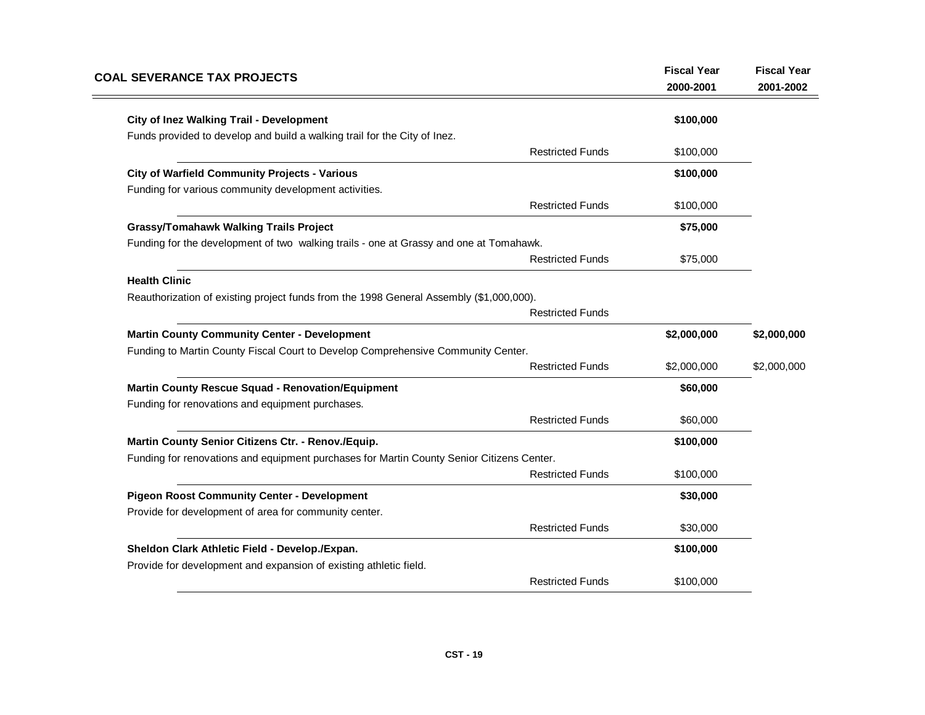| <b>COAL SEVERANCE TAX PROJECTS</b>                                                                                  |                         | <b>Fiscal Year</b><br>2000-2001 | <b>Fiscal Year</b><br>2001-2002 |
|---------------------------------------------------------------------------------------------------------------------|-------------------------|---------------------------------|---------------------------------|
| <b>City of Inez Walking Trail - Development</b>                                                                     |                         | \$100,000                       |                                 |
| Funds provided to develop and build a walking trail for the City of Inez.                                           |                         |                                 |                                 |
|                                                                                                                     | <b>Restricted Funds</b> | \$100,000                       |                                 |
| <b>City of Warfield Community Projects - Various</b>                                                                |                         | \$100,000                       |                                 |
| Funding for various community development activities.                                                               |                         |                                 |                                 |
|                                                                                                                     | <b>Restricted Funds</b> | \$100,000                       |                                 |
| <b>Grassy/Tomahawk Walking Trails Project</b>                                                                       |                         | \$75,000                        |                                 |
| Funding for the development of two walking trails - one at Grassy and one at Tomahawk.                              |                         |                                 |                                 |
|                                                                                                                     | <b>Restricted Funds</b> | \$75,000                        |                                 |
| <b>Health Clinic</b>                                                                                                |                         |                                 |                                 |
| Reauthorization of existing project funds from the 1998 General Assembly (\$1,000,000).                             |                         |                                 |                                 |
|                                                                                                                     | <b>Restricted Funds</b> |                                 |                                 |
| <b>Martin County Community Center - Development</b>                                                                 |                         | \$2,000,000                     | \$2,000,000                     |
| Funding to Martin County Fiscal Court to Develop Comprehensive Community Center.                                    |                         |                                 |                                 |
|                                                                                                                     | <b>Restricted Funds</b> | \$2,000,000                     | \$2,000,000                     |
| <b>Martin County Rescue Squad - Renovation/Equipment</b>                                                            |                         | \$60,000                        |                                 |
| Funding for renovations and equipment purchases.                                                                    |                         |                                 |                                 |
|                                                                                                                     | <b>Restricted Funds</b> | \$60,000                        |                                 |
| Martin County Senior Citizens Ctr. - Renov./Equip.                                                                  |                         | \$100,000                       |                                 |
| Funding for renovations and equipment purchases for Martin County Senior Citizens Center.                           |                         |                                 |                                 |
|                                                                                                                     | <b>Restricted Funds</b> | \$100,000                       |                                 |
| <b>Pigeon Roost Community Center - Development</b>                                                                  |                         | \$30,000                        |                                 |
| Provide for development of area for community center.                                                               |                         |                                 |                                 |
|                                                                                                                     | <b>Restricted Funds</b> | \$30,000                        |                                 |
| Sheldon Clark Athletic Field - Develop./Expan.<br>Provide for development and expansion of existing athletic field. |                         | \$100,000                       |                                 |
|                                                                                                                     | <b>Restricted Funds</b> | \$100,000                       |                                 |
|                                                                                                                     |                         |                                 |                                 |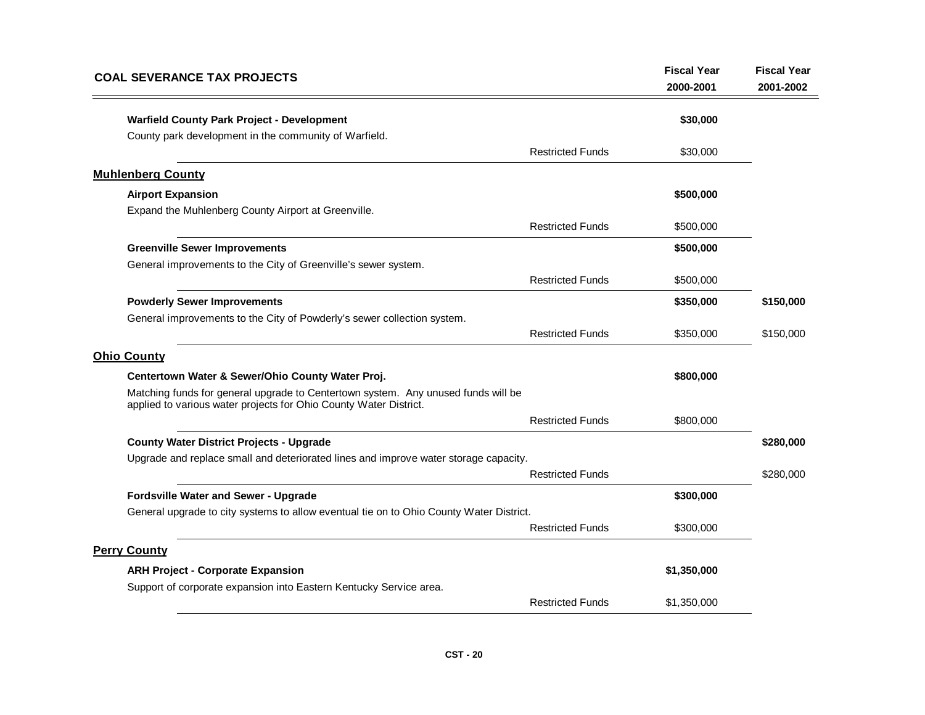| <b>COAL SEVERANCE TAX PROJECTS</b>                                                                                                                     | <b>Fiscal Year</b><br>2000-2001 | <b>Fiscal Year</b><br>2001-2002 |
|--------------------------------------------------------------------------------------------------------------------------------------------------------|---------------------------------|---------------------------------|
| <b>Warfield County Park Project - Development</b>                                                                                                      | \$30,000                        |                                 |
| County park development in the community of Warfield.                                                                                                  |                                 |                                 |
| <b>Restricted Funds</b>                                                                                                                                | \$30,000                        |                                 |
| <b>Muhlenberg County</b>                                                                                                                               |                                 |                                 |
| <b>Airport Expansion</b>                                                                                                                               | \$500,000                       |                                 |
| Expand the Muhlenberg County Airport at Greenville.                                                                                                    |                                 |                                 |
| <b>Restricted Funds</b>                                                                                                                                | \$500,000                       |                                 |
| <b>Greenville Sewer Improvements</b>                                                                                                                   | \$500,000                       |                                 |
| General improvements to the City of Greenville's sewer system.                                                                                         |                                 |                                 |
| <b>Restricted Funds</b>                                                                                                                                | \$500,000                       |                                 |
| <b>Powderly Sewer Improvements</b>                                                                                                                     | \$350,000                       | \$150,000                       |
| General improvements to the City of Powderly's sewer collection system.                                                                                |                                 |                                 |
| <b>Restricted Funds</b>                                                                                                                                | \$350,000                       | \$150,000                       |
| <b>Ohio County</b>                                                                                                                                     |                                 |                                 |
| Centertown Water & Sewer/Ohio County Water Proj.                                                                                                       | \$800,000                       |                                 |
| Matching funds for general upgrade to Centertown system. Any unused funds will be<br>applied to various water projects for Ohio County Water District. |                                 |                                 |
| <b>Restricted Funds</b>                                                                                                                                | \$800,000                       |                                 |
| <b>County Water District Projects - Upgrade</b>                                                                                                        |                                 | \$280,000                       |
| Upgrade and replace small and deteriorated lines and improve water storage capacity.                                                                   |                                 |                                 |
| <b>Restricted Funds</b>                                                                                                                                |                                 | \$280,000                       |
| Fordsville Water and Sewer - Upgrade                                                                                                                   | \$300,000                       |                                 |
| General upgrade to city systems to allow eventual tie on to Ohio County Water District.                                                                |                                 |                                 |
| <b>Restricted Funds</b>                                                                                                                                | \$300,000                       |                                 |
| <b>Perry County</b>                                                                                                                                    |                                 |                                 |
| <b>ARH Project - Corporate Expansion</b>                                                                                                               | \$1,350,000                     |                                 |
| Support of corporate expansion into Eastern Kentucky Service area.                                                                                     |                                 |                                 |
| <b>Restricted Funds</b>                                                                                                                                | \$1,350,000                     |                                 |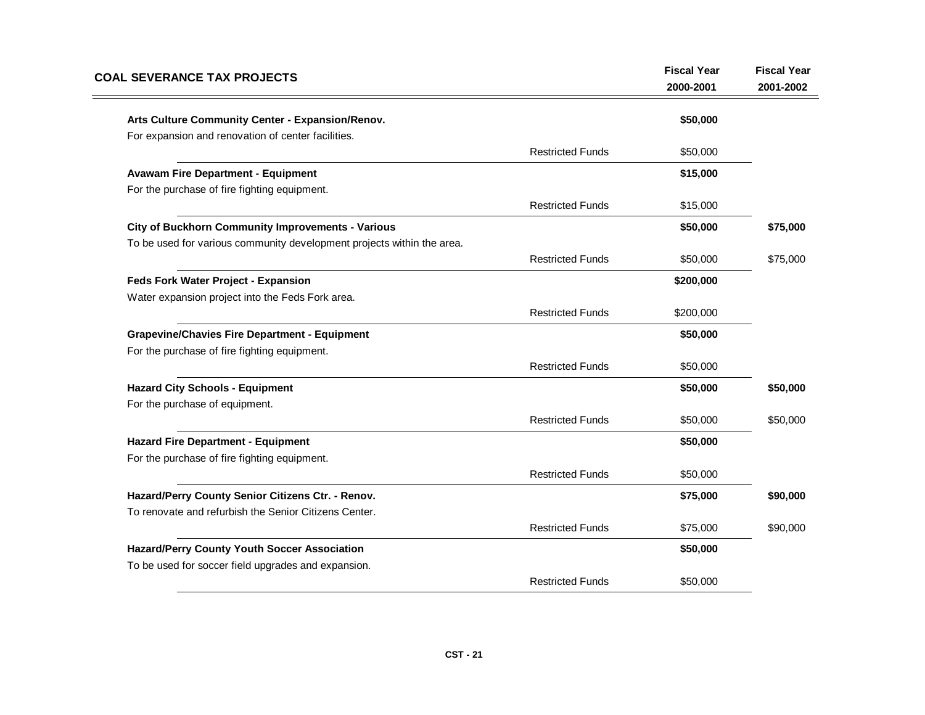| <b>COAL SEVERANCE TAX PROJECTS</b>                                     |                         | <b>Fiscal Year</b><br>2000-2001 | <b>Fiscal Year</b><br>2001-2002 |
|------------------------------------------------------------------------|-------------------------|---------------------------------|---------------------------------|
| Arts Culture Community Center - Expansion/Renov.                       |                         | \$50,000                        |                                 |
| For expansion and renovation of center facilities.                     |                         |                                 |                                 |
|                                                                        | <b>Restricted Funds</b> | \$50,000                        |                                 |
| <b>Avawam Fire Department - Equipment</b>                              |                         | \$15,000                        |                                 |
| For the purchase of fire fighting equipment.                           |                         |                                 |                                 |
|                                                                        | <b>Restricted Funds</b> | \$15,000                        |                                 |
| City of Buckhorn Community Improvements - Various                      |                         | \$50,000                        | \$75,000                        |
| To be used for various community development projects within the area. |                         |                                 |                                 |
|                                                                        | <b>Restricted Funds</b> | \$50,000                        | \$75,000                        |
| Feds Fork Water Project - Expansion                                    |                         | \$200,000                       |                                 |
| Water expansion project into the Feds Fork area.                       |                         |                                 |                                 |
|                                                                        | <b>Restricted Funds</b> | \$200,000                       |                                 |
| <b>Grapevine/Chavies Fire Department - Equipment</b>                   |                         | \$50,000                        |                                 |
| For the purchase of fire fighting equipment.                           |                         |                                 |                                 |
|                                                                        | <b>Restricted Funds</b> | \$50,000                        |                                 |
| <b>Hazard City Schools - Equipment</b>                                 |                         | \$50,000                        | \$50,000                        |
| For the purchase of equipment.                                         |                         |                                 |                                 |
|                                                                        | <b>Restricted Funds</b> | \$50,000                        | \$50,000                        |
| <b>Hazard Fire Department - Equipment</b>                              |                         | \$50,000                        |                                 |
| For the purchase of fire fighting equipment.                           |                         |                                 |                                 |
|                                                                        | <b>Restricted Funds</b> | \$50,000                        |                                 |
| Hazard/Perry County Senior Citizens Ctr. - Renov.                      |                         | \$75,000                        | \$90,000                        |
| To renovate and refurbish the Senior Citizens Center.                  |                         |                                 |                                 |
|                                                                        | <b>Restricted Funds</b> | \$75,000                        | \$90,000                        |
| <b>Hazard/Perry County Youth Soccer Association</b>                    |                         | \$50,000                        |                                 |
| To be used for soccer field upgrades and expansion.                    |                         |                                 |                                 |
|                                                                        | <b>Restricted Funds</b> | \$50,000                        |                                 |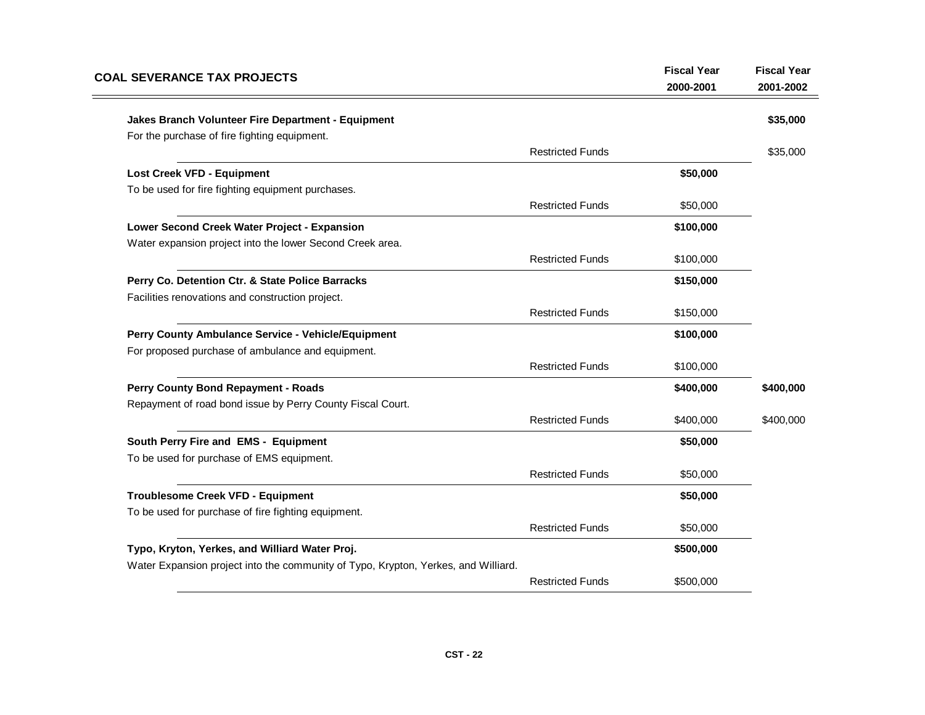| <b>COAL SEVERANCE TAX PROJECTS</b>                                                 |                         | <b>Fiscal Year</b><br>2000-2001 | <b>Fiscal Year</b><br>2001-2002 |
|------------------------------------------------------------------------------------|-------------------------|---------------------------------|---------------------------------|
| Jakes Branch Volunteer Fire Department - Equipment                                 |                         |                                 | \$35,000                        |
| For the purchase of fire fighting equipment.                                       |                         |                                 |                                 |
|                                                                                    | <b>Restricted Funds</b> |                                 | \$35,000                        |
| <b>Lost Creek VFD - Equipment</b>                                                  |                         | \$50,000                        |                                 |
| To be used for fire fighting equipment purchases.                                  |                         |                                 |                                 |
|                                                                                    | <b>Restricted Funds</b> | \$50,000                        |                                 |
| Lower Second Creek Water Project - Expansion                                       |                         | \$100,000                       |                                 |
| Water expansion project into the lower Second Creek area.                          |                         |                                 |                                 |
|                                                                                    | <b>Restricted Funds</b> | \$100,000                       |                                 |
| Perry Co. Detention Ctr. & State Police Barracks                                   |                         | \$150,000                       |                                 |
| Facilities renovations and construction project.                                   |                         |                                 |                                 |
|                                                                                    | <b>Restricted Funds</b> | \$150,000                       |                                 |
| Perry County Ambulance Service - Vehicle/Equipment                                 |                         | \$100,000                       |                                 |
| For proposed purchase of ambulance and equipment.                                  |                         |                                 |                                 |
|                                                                                    | <b>Restricted Funds</b> | \$100,000                       |                                 |
| <b>Perry County Bond Repayment - Roads</b>                                         |                         | \$400,000                       | \$400,000                       |
| Repayment of road bond issue by Perry County Fiscal Court.                         |                         |                                 |                                 |
|                                                                                    | <b>Restricted Funds</b> | \$400,000                       | \$400,000                       |
| South Perry Fire and EMS - Equipment                                               |                         | \$50,000                        |                                 |
| To be used for purchase of EMS equipment.                                          |                         |                                 |                                 |
|                                                                                    | <b>Restricted Funds</b> | \$50,000                        |                                 |
| <b>Troublesome Creek VFD - Equipment</b>                                           |                         | \$50,000                        |                                 |
| To be used for purchase of fire fighting equipment.                                |                         |                                 |                                 |
|                                                                                    | <b>Restricted Funds</b> | \$50,000                        |                                 |
| Typo, Kryton, Yerkes, and Williard Water Proj.                                     |                         | \$500,000                       |                                 |
| Water Expansion project into the community of Typo, Krypton, Yerkes, and Williard. |                         |                                 |                                 |
|                                                                                    | <b>Restricted Funds</b> | \$500,000                       |                                 |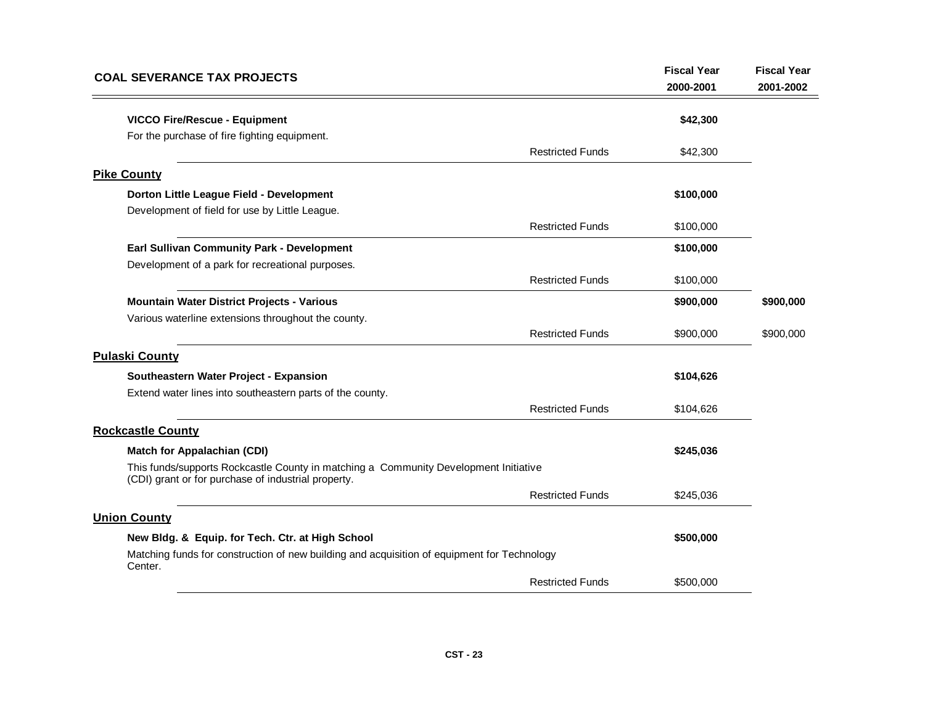| <b>COAL SEVERANCE TAX PROJECTS</b>                                                                                                          |                         | <b>Fiscal Year</b><br>2000-2001 | <b>Fiscal Year</b><br>2001-2002 |
|---------------------------------------------------------------------------------------------------------------------------------------------|-------------------------|---------------------------------|---------------------------------|
| <b>VICCO Fire/Rescue - Equipment</b>                                                                                                        |                         | \$42,300                        |                                 |
| For the purchase of fire fighting equipment.                                                                                                | <b>Restricted Funds</b> | \$42,300                        |                                 |
| <b>Pike County</b>                                                                                                                          |                         |                                 |                                 |
| Dorton Little League Field - Development                                                                                                    |                         | \$100,000                       |                                 |
| Development of field for use by Little League.                                                                                              |                         |                                 |                                 |
|                                                                                                                                             | <b>Restricted Funds</b> | \$100,000                       |                                 |
| Earl Sullivan Community Park - Development                                                                                                  |                         | \$100,000                       |                                 |
| Development of a park for recreational purposes.                                                                                            |                         |                                 |                                 |
|                                                                                                                                             | <b>Restricted Funds</b> | \$100,000                       |                                 |
| Mountain Water District Projects - Various                                                                                                  |                         | \$900,000                       | \$900,000                       |
| Various waterline extensions throughout the county.                                                                                         |                         |                                 |                                 |
|                                                                                                                                             | <b>Restricted Funds</b> | \$900,000                       | \$900,000                       |
| <b>Pulaski County</b>                                                                                                                       |                         |                                 |                                 |
| Southeastern Water Project - Expansion                                                                                                      |                         | \$104,626                       |                                 |
| Extend water lines into southeastern parts of the county.                                                                                   |                         |                                 |                                 |
|                                                                                                                                             | <b>Restricted Funds</b> | \$104,626                       |                                 |
| <b>Rockcastle County</b>                                                                                                                    |                         |                                 |                                 |
| <b>Match for Appalachian (CDI)</b>                                                                                                          |                         | \$245,036                       |                                 |
| This funds/supports Rockcastle County in matching a Community Development Initiative<br>(CDI) grant or for purchase of industrial property. |                         |                                 |                                 |
|                                                                                                                                             | <b>Restricted Funds</b> | \$245,036                       |                                 |
| <b>Union County</b>                                                                                                                         |                         |                                 |                                 |
| New Bldg. & Equip. for Tech. Ctr. at High School                                                                                            |                         | \$500,000                       |                                 |
| Matching funds for construction of new building and acquisition of equipment for Technology<br>Center.                                      |                         |                                 |                                 |
|                                                                                                                                             | <b>Restricted Funds</b> | \$500,000                       |                                 |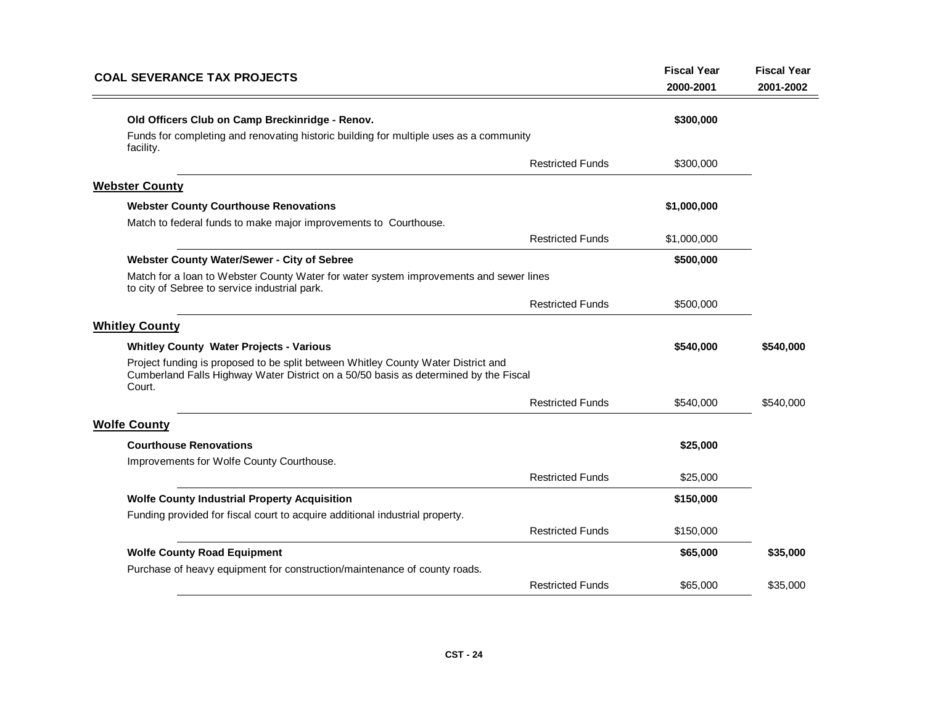| <b>COAL SEVERANCE TAX PROJECTS</b>                                                                                                                                                  |                         | <b>Fiscal Year</b><br>2000-2001 | <b>Fiscal Year</b><br>2001-2002 |
|-------------------------------------------------------------------------------------------------------------------------------------------------------------------------------------|-------------------------|---------------------------------|---------------------------------|
| Old Officers Club on Camp Breckinridge - Renov.<br>Funds for completing and renovating historic building for multiple uses as a community                                           |                         | \$300,000                       |                                 |
| facility.                                                                                                                                                                           | <b>Restricted Funds</b> | \$300,000                       |                                 |
| <b>Webster County</b>                                                                                                                                                               |                         |                                 |                                 |
| <b>Webster County Courthouse Renovations</b><br>Match to federal funds to make major improvements to Courthouse.                                                                    |                         | \$1,000,000                     |                                 |
|                                                                                                                                                                                     | <b>Restricted Funds</b> | \$1,000,000                     |                                 |
| Webster County Water/Sewer - City of Sebree                                                                                                                                         |                         | \$500,000                       |                                 |
| Match for a loan to Webster County Water for water system improvements and sewer lines<br>to city of Sebree to service industrial park.                                             |                         |                                 |                                 |
|                                                                                                                                                                                     | <b>Restricted Funds</b> | \$500,000                       |                                 |
| <b>Whitley County</b>                                                                                                                                                               |                         |                                 |                                 |
| <b>Whitley County Water Projects - Various</b>                                                                                                                                      |                         | \$540,000                       | \$540,000                       |
| Project funding is proposed to be split between Whitley County Water District and<br>Cumberland Falls Highway Water District on a 50/50 basis as determined by the Fiscal<br>Court. |                         |                                 |                                 |
|                                                                                                                                                                                     | <b>Restricted Funds</b> | \$540,000                       | \$540,000                       |
| <b>Wolfe County</b>                                                                                                                                                                 |                         |                                 |                                 |
| <b>Courthouse Renovations</b>                                                                                                                                                       |                         | \$25,000                        |                                 |
| Improvements for Wolfe County Courthouse.                                                                                                                                           |                         |                                 |                                 |
|                                                                                                                                                                                     | <b>Restricted Funds</b> | \$25,000                        |                                 |
| <b>Wolfe County Industrial Property Acquisition</b>                                                                                                                                 |                         | \$150,000                       |                                 |
| Funding provided for fiscal court to acquire additional industrial property.                                                                                                        |                         |                                 |                                 |
|                                                                                                                                                                                     | <b>Restricted Funds</b> | \$150,000                       |                                 |
| <b>Wolfe County Road Equipment</b>                                                                                                                                                  |                         | \$65,000                        | \$35,000                        |
| Purchase of heavy equipment for construction/maintenance of county roads.                                                                                                           |                         |                                 |                                 |
|                                                                                                                                                                                     | <b>Restricted Funds</b> | \$65,000                        | \$35,000                        |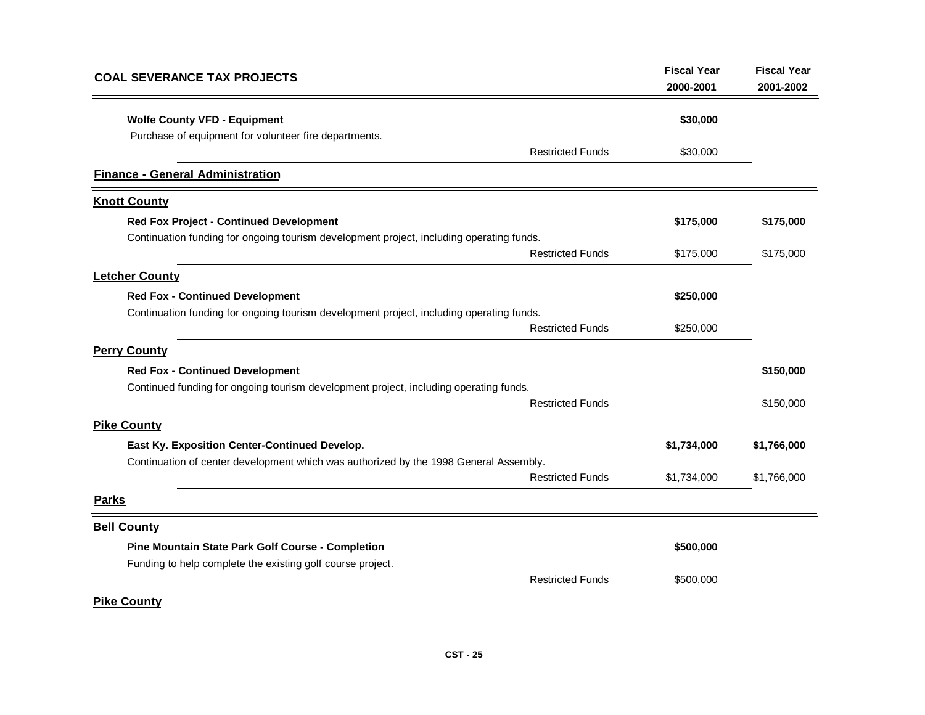| <b>COAL SEVERANCE TAX PROJECTS</b>                                                       | <b>Fiscal Year</b> | <b>Fiscal Year</b> |
|------------------------------------------------------------------------------------------|--------------------|--------------------|
|                                                                                          | 2000-2001          | 2001-2002          |
| <b>Wolfe County VFD - Equipment</b>                                                      | \$30,000           |                    |
| Purchase of equipment for volunteer fire departments.                                    |                    |                    |
| <b>Restricted Funds</b>                                                                  | \$30,000           |                    |
| <b>Finance - General Administration</b>                                                  |                    |                    |
| <b>Knott County</b>                                                                      |                    |                    |
| <b>Red Fox Project - Continued Development</b>                                           | \$175,000          | \$175,000          |
| Continuation funding for ongoing tourism development project, including operating funds. |                    |                    |
| <b>Restricted Funds</b>                                                                  | \$175,000          | \$175,000          |
| <b>Letcher County</b>                                                                    |                    |                    |
| <b>Red Fox - Continued Development</b>                                                   | \$250,000          |                    |
| Continuation funding for ongoing tourism development project, including operating funds. |                    |                    |
| <b>Restricted Funds</b>                                                                  | \$250,000          |                    |
| <b>Perry County</b>                                                                      |                    |                    |
| <b>Red Fox - Continued Development</b>                                                   |                    | \$150,000          |
| Continued funding for ongoing tourism development project, including operating funds.    |                    |                    |
| <b>Restricted Funds</b>                                                                  |                    | \$150,000          |
| <b>Pike County</b>                                                                       |                    |                    |
| East Ky. Exposition Center-Continued Develop.                                            | \$1,734,000        | \$1,766,000        |
| Continuation of center development which was authorized by the 1998 General Assembly.    |                    |                    |
| <b>Restricted Funds</b>                                                                  | \$1,734,000        | \$1,766,000        |
| <b>Parks</b>                                                                             |                    |                    |
| <b>Bell County</b>                                                                       |                    |                    |
| Pine Mountain State Park Golf Course - Completion                                        | \$500,000          |                    |
| Funding to help complete the existing golf course project.                               |                    |                    |
| <b>Restricted Funds</b>                                                                  | \$500,000          |                    |
| <b>Pike County</b>                                                                       |                    |                    |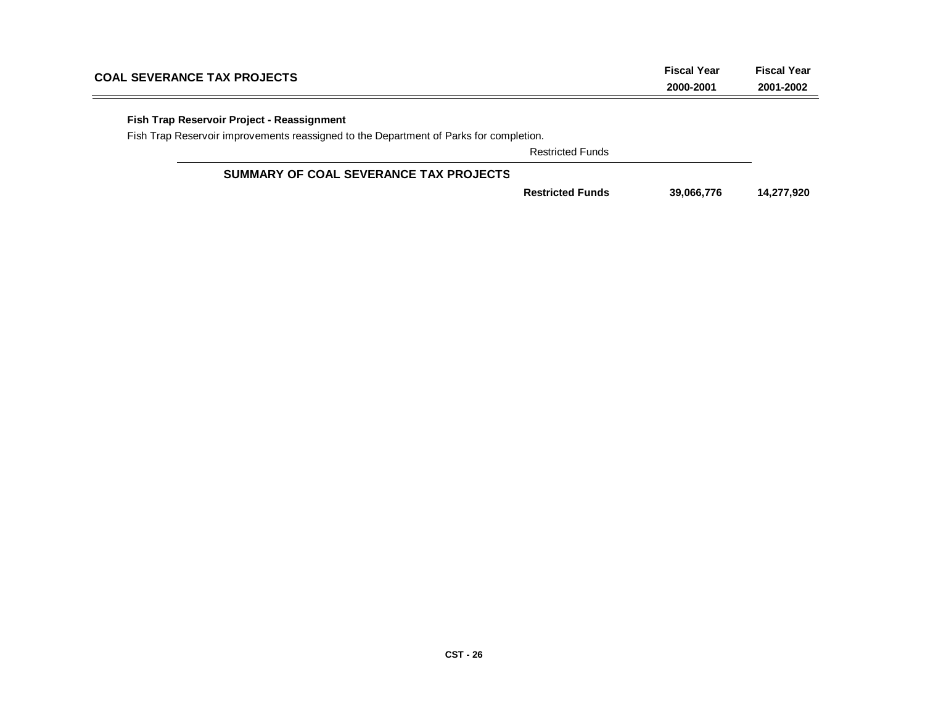| <b>COAL SEVERANCE TAX PROJECTS</b>                                                     | <b>Fiscal Year</b><br>2000-2001 | <b>Fiscal Year</b><br>2001-2002 |
|----------------------------------------------------------------------------------------|---------------------------------|---------------------------------|
| Fish Trap Reservoir Project - Reassignment                                             |                                 |                                 |
| Fish Trap Reservoir improvements reassigned to the Department of Parks for completion. |                                 |                                 |
| <b>Restricted Funds</b>                                                                |                                 |                                 |
| SUMMARY OF COAL SEVERANCE TAX PROJECTS                                                 |                                 |                                 |
| <b>Restricted Funds</b>                                                                | 39,066,776                      | 14,277,920                      |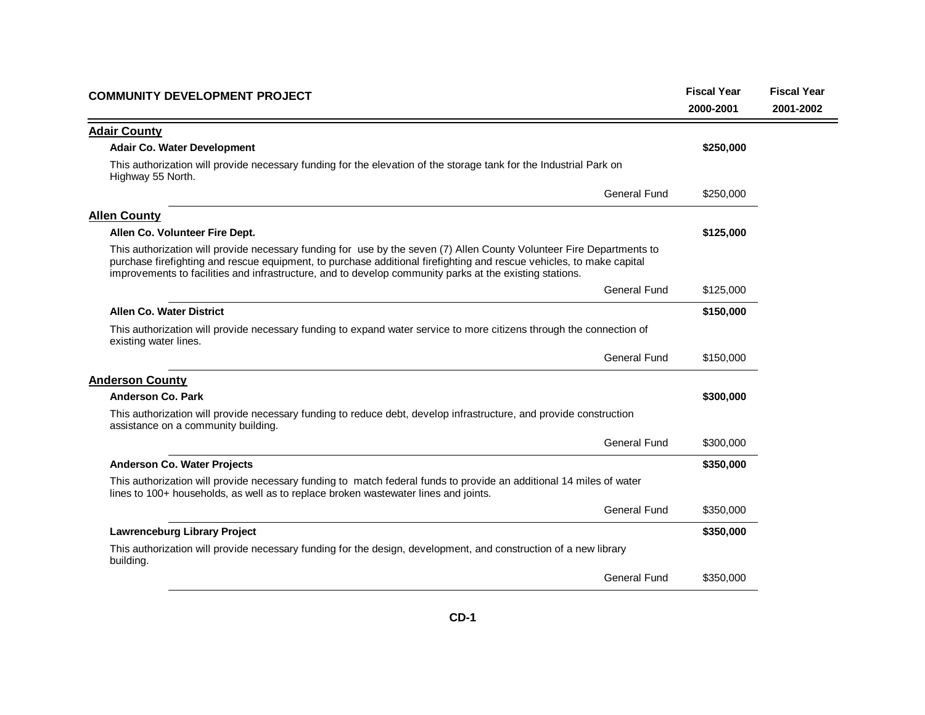| <b>COMMUNITY DEVELOPMENT PROJECT</b>                                                                                                                                                                                                                                                                                                                     | <b>Fiscal Year</b><br>2000-2001 | <b>Fiscal Year</b><br>2001-2002 |
|----------------------------------------------------------------------------------------------------------------------------------------------------------------------------------------------------------------------------------------------------------------------------------------------------------------------------------------------------------|---------------------------------|---------------------------------|
| <b>Adair County</b>                                                                                                                                                                                                                                                                                                                                      |                                 |                                 |
| <b>Adair Co. Water Development</b>                                                                                                                                                                                                                                                                                                                       | \$250,000                       |                                 |
| This authorization will provide necessary funding for the elevation of the storage tank for the Industrial Park on<br>Highway 55 North.                                                                                                                                                                                                                  |                                 |                                 |
| <b>General Fund</b>                                                                                                                                                                                                                                                                                                                                      | \$250,000                       |                                 |
| <b>Allen County</b>                                                                                                                                                                                                                                                                                                                                      |                                 |                                 |
| Allen Co. Volunteer Fire Dept.                                                                                                                                                                                                                                                                                                                           | \$125,000                       |                                 |
| This authorization will provide necessary funding for use by the seven (7) Allen County Volunteer Fire Departments to<br>purchase firefighting and rescue equipment, to purchase additional firefighting and rescue vehicles, to make capital<br>improvements to facilities and infrastructure, and to develop community parks at the existing stations. |                                 |                                 |
| <b>General Fund</b>                                                                                                                                                                                                                                                                                                                                      | \$125,000                       |                                 |
| <b>Allen Co. Water District</b>                                                                                                                                                                                                                                                                                                                          | \$150,000                       |                                 |
| This authorization will provide necessary funding to expand water service to more citizens through the connection of<br>existing water lines.                                                                                                                                                                                                            |                                 |                                 |
| <b>General Fund</b>                                                                                                                                                                                                                                                                                                                                      | \$150,000                       |                                 |
| <b>Anderson County</b>                                                                                                                                                                                                                                                                                                                                   |                                 |                                 |
| Anderson Co. Park                                                                                                                                                                                                                                                                                                                                        | \$300,000                       |                                 |
| This authorization will provide necessary funding to reduce debt, develop infrastructure, and provide construction<br>assistance on a community building.                                                                                                                                                                                                |                                 |                                 |
| <b>General Fund</b>                                                                                                                                                                                                                                                                                                                                      | \$300,000                       |                                 |
| <b>Anderson Co. Water Projects</b>                                                                                                                                                                                                                                                                                                                       | \$350,000                       |                                 |
| This authorization will provide necessary funding to match federal funds to provide an additional 14 miles of water<br>lines to 100+ households, as well as to replace broken wastewater lines and joints.                                                                                                                                               |                                 |                                 |
| <b>General Fund</b>                                                                                                                                                                                                                                                                                                                                      | \$350,000                       |                                 |
| <b>Lawrenceburg Library Project</b>                                                                                                                                                                                                                                                                                                                      | \$350,000                       |                                 |
| This authorization will provide necessary funding for the design, development, and construction of a new library<br>building.                                                                                                                                                                                                                            |                                 |                                 |
| <b>General Fund</b>                                                                                                                                                                                                                                                                                                                                      | \$350,000                       |                                 |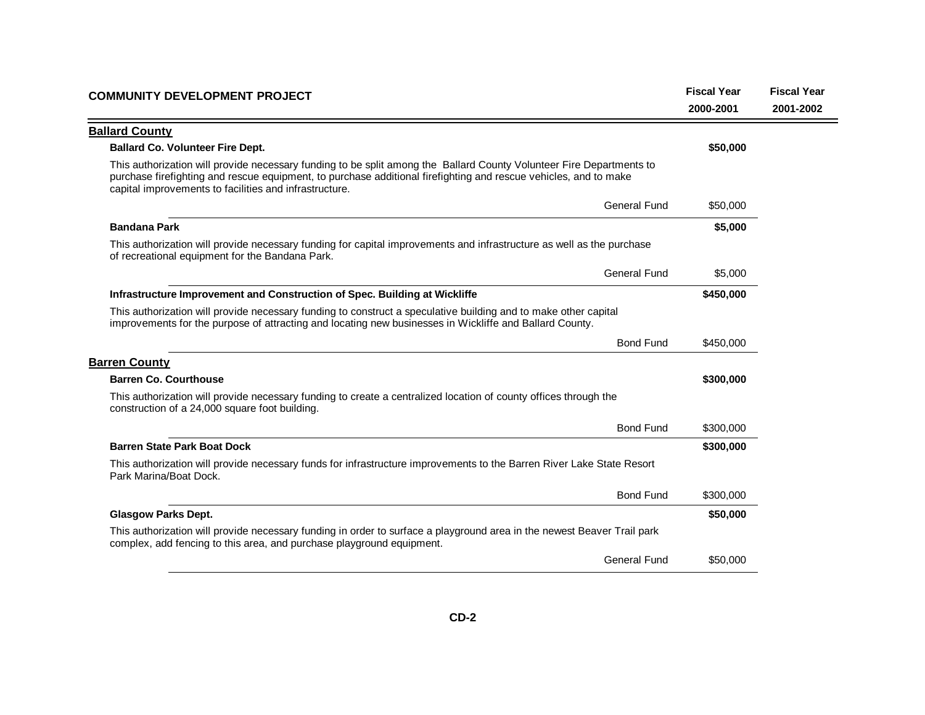| <b>COMMUNITY DEVELOPMENT PROJECT</b>                                                                                                                                                                                                                                                               | <b>Fiscal Year</b><br>2000-2001 | <b>Fiscal Year</b><br>2001-2002 |
|----------------------------------------------------------------------------------------------------------------------------------------------------------------------------------------------------------------------------------------------------------------------------------------------------|---------------------------------|---------------------------------|
| <b>Ballard County</b>                                                                                                                                                                                                                                                                              |                                 |                                 |
| <b>Ballard Co. Volunteer Fire Dept.</b>                                                                                                                                                                                                                                                            | \$50,000                        |                                 |
| This authorization will provide necessary funding to be split among the Ballard County Volunteer Fire Departments to<br>purchase firefighting and rescue equipment, to purchase additional firefighting and rescue vehicles, and to make<br>capital improvements to facilities and infrastructure. |                                 |                                 |
| <b>General Fund</b>                                                                                                                                                                                                                                                                                | \$50,000                        |                                 |
| <b>Bandana Park</b>                                                                                                                                                                                                                                                                                | \$5,000                         |                                 |
| This authorization will provide necessary funding for capital improvements and infrastructure as well as the purchase<br>of recreational equipment for the Bandana Park.                                                                                                                           |                                 |                                 |
| <b>General Fund</b>                                                                                                                                                                                                                                                                                | \$5,000                         |                                 |
| Infrastructure Improvement and Construction of Spec. Building at Wickliffe                                                                                                                                                                                                                         | \$450,000                       |                                 |
| This authorization will provide necessary funding to construct a speculative building and to make other capital<br>improvements for the purpose of attracting and locating new businesses in Wickliffe and Ballard County.                                                                         |                                 |                                 |
| <b>Bond Fund</b>                                                                                                                                                                                                                                                                                   | \$450,000                       |                                 |
| <b>Barren County</b>                                                                                                                                                                                                                                                                               |                                 |                                 |
| <b>Barren Co. Courthouse</b>                                                                                                                                                                                                                                                                       | \$300,000                       |                                 |
| This authorization will provide necessary funding to create a centralized location of county offices through the<br>construction of a 24,000 square foot building.                                                                                                                                 |                                 |                                 |
| <b>Bond Fund</b>                                                                                                                                                                                                                                                                                   | \$300,000                       |                                 |
| <b>Barren State Park Boat Dock</b>                                                                                                                                                                                                                                                                 | \$300,000                       |                                 |
| This authorization will provide necessary funds for infrastructure improvements to the Barren River Lake State Resort<br>Park Marina/Boat Dock.                                                                                                                                                    |                                 |                                 |
| <b>Bond Fund</b>                                                                                                                                                                                                                                                                                   | \$300,000                       |                                 |
| <b>Glasgow Parks Dept.</b>                                                                                                                                                                                                                                                                         | \$50,000                        |                                 |
| This authorization will provide necessary funding in order to surface a playground area in the newest Beaver Trail park<br>complex, add fencing to this area, and purchase playground equipment.                                                                                                   |                                 |                                 |
| <b>General Fund</b>                                                                                                                                                                                                                                                                                | \$50,000                        |                                 |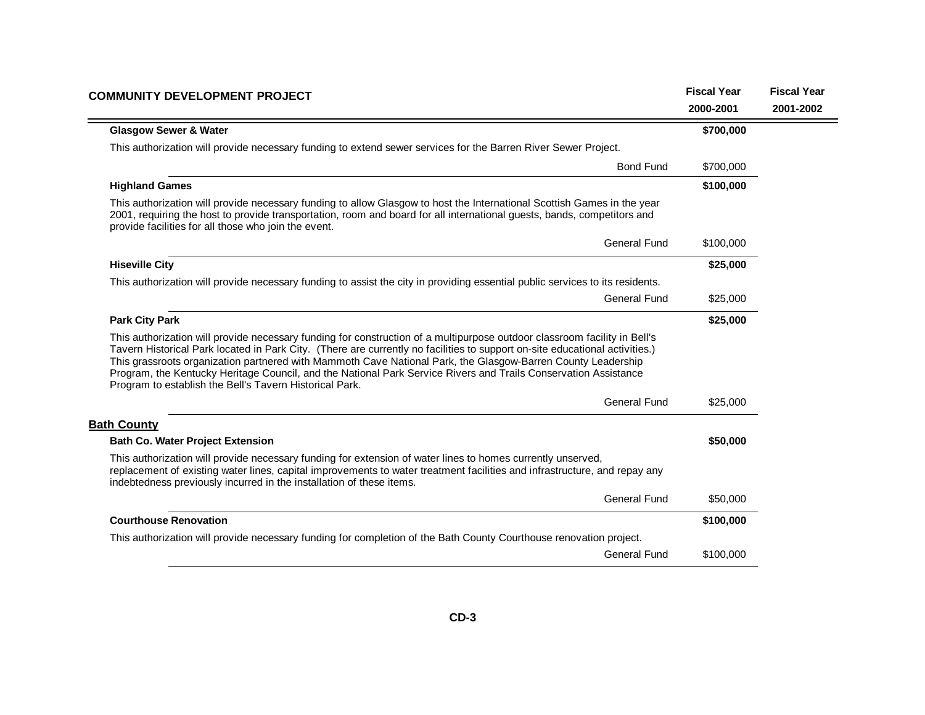| <b>COMMUNITY DEVELOPMENT PROJECT</b>                                                                                                                                                                                                                                                                                                                                                                                                                                                                                                                   | <b>Fiscal Year</b> | <b>Fiscal Year</b> |
|--------------------------------------------------------------------------------------------------------------------------------------------------------------------------------------------------------------------------------------------------------------------------------------------------------------------------------------------------------------------------------------------------------------------------------------------------------------------------------------------------------------------------------------------------------|--------------------|--------------------|
|                                                                                                                                                                                                                                                                                                                                                                                                                                                                                                                                                        | 2000-2001          | 2001-2002          |
| <b>Glasgow Sewer &amp; Water</b>                                                                                                                                                                                                                                                                                                                                                                                                                                                                                                                       | \$700,000          |                    |
| This authorization will provide necessary funding to extend sewer services for the Barren River Sewer Project.                                                                                                                                                                                                                                                                                                                                                                                                                                         |                    |                    |
| <b>Bond Fund</b>                                                                                                                                                                                                                                                                                                                                                                                                                                                                                                                                       | \$700,000          |                    |
| <b>Highland Games</b>                                                                                                                                                                                                                                                                                                                                                                                                                                                                                                                                  | \$100,000          |                    |
| This authorization will provide necessary funding to allow Glasgow to host the International Scottish Games in the year<br>2001, requiring the host to provide transportation, room and board for all international guests, bands, competitors and<br>provide facilities for all those who join the event.                                                                                                                                                                                                                                             |                    |                    |
| <b>General Fund</b>                                                                                                                                                                                                                                                                                                                                                                                                                                                                                                                                    | \$100,000          |                    |
| <b>Hiseville City</b>                                                                                                                                                                                                                                                                                                                                                                                                                                                                                                                                  | \$25,000           |                    |
| This authorization will provide necessary funding to assist the city in providing essential public services to its residents.                                                                                                                                                                                                                                                                                                                                                                                                                          |                    |                    |
| <b>General Fund</b>                                                                                                                                                                                                                                                                                                                                                                                                                                                                                                                                    | \$25,000           |                    |
| <b>Park City Park</b>                                                                                                                                                                                                                                                                                                                                                                                                                                                                                                                                  | \$25,000           |                    |
| This authorization will provide necessary funding for construction of a multipurpose outdoor classroom facility in Bell's<br>Tavern Historical Park located in Park City. (There are currently no facilities to support on-site educational activities.)<br>This grassroots organization partnered with Mammoth Cave National Park, the Glasgow-Barren County Leadership<br>Program, the Kentucky Heritage Council, and the National Park Service Rivers and Trails Conservation Assistance<br>Program to establish the Bell's Tavern Historical Park. |                    |                    |
| General Fund                                                                                                                                                                                                                                                                                                                                                                                                                                                                                                                                           | \$25,000           |                    |
| <b>Bath County</b>                                                                                                                                                                                                                                                                                                                                                                                                                                                                                                                                     |                    |                    |
| <b>Bath Co. Water Project Extension</b>                                                                                                                                                                                                                                                                                                                                                                                                                                                                                                                | \$50,000           |                    |
| This authorization will provide necessary funding for extension of water lines to homes currently unserved,<br>replacement of existing water lines, capital improvements to water treatment facilities and infrastructure, and repay any<br>indebtedness previously incurred in the installation of these items.                                                                                                                                                                                                                                       |                    |                    |
| <b>General Fund</b>                                                                                                                                                                                                                                                                                                                                                                                                                                                                                                                                    | \$50,000           |                    |
| <b>Courthouse Renovation</b>                                                                                                                                                                                                                                                                                                                                                                                                                                                                                                                           | \$100,000          |                    |
| This authorization will provide necessary funding for completion of the Bath County Courthouse renovation project.                                                                                                                                                                                                                                                                                                                                                                                                                                     |                    |                    |
| <b>General Fund</b>                                                                                                                                                                                                                                                                                                                                                                                                                                                                                                                                    | \$100,000          |                    |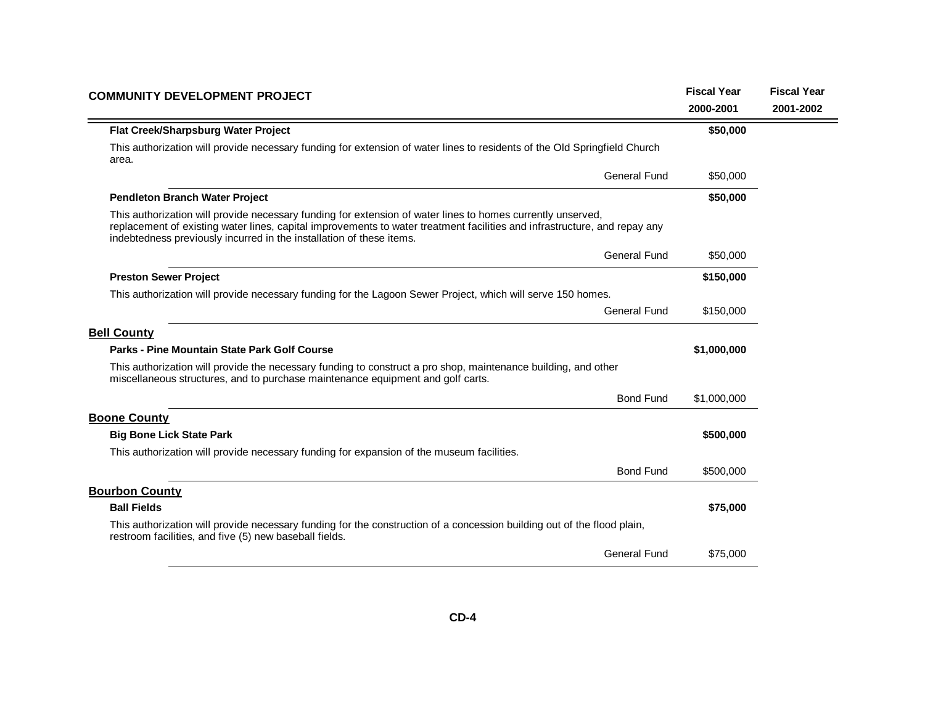| <b>COMMUNITY DEVELOPMENT PROJECT</b>                                                                                                                                                                                                                                                                             | <b>Fiscal Year</b> | <b>Fiscal Year</b> |
|------------------------------------------------------------------------------------------------------------------------------------------------------------------------------------------------------------------------------------------------------------------------------------------------------------------|--------------------|--------------------|
|                                                                                                                                                                                                                                                                                                                  | 2000-2001          | 2001-2002          |
| Flat Creek/Sharpsburg Water Project                                                                                                                                                                                                                                                                              | \$50,000           |                    |
| This authorization will provide necessary funding for extension of water lines to residents of the Old Springfield Church<br>area.                                                                                                                                                                               |                    |                    |
| <b>General Fund</b>                                                                                                                                                                                                                                                                                              | \$50,000           |                    |
| <b>Pendleton Branch Water Project</b>                                                                                                                                                                                                                                                                            | \$50,000           |                    |
| This authorization will provide necessary funding for extension of water lines to homes currently unserved,<br>replacement of existing water lines, capital improvements to water treatment facilities and infrastructure, and repay any<br>indebtedness previously incurred in the installation of these items. |                    |                    |
| <b>General Fund</b>                                                                                                                                                                                                                                                                                              | \$50,000           |                    |
| <b>Preston Sewer Project</b>                                                                                                                                                                                                                                                                                     | \$150,000          |                    |
| This authorization will provide necessary funding for the Lagoon Sewer Project, which will serve 150 homes.                                                                                                                                                                                                      |                    |                    |
| General Fund                                                                                                                                                                                                                                                                                                     | \$150,000          |                    |
| <b>Bell County</b>                                                                                                                                                                                                                                                                                               |                    |                    |
| Parks - Pine Mountain State Park Golf Course                                                                                                                                                                                                                                                                     | \$1,000,000        |                    |
| This authorization will provide the necessary funding to construct a pro shop, maintenance building, and other<br>miscellaneous structures, and to purchase maintenance equipment and golf carts.                                                                                                                |                    |                    |
| <b>Bond Fund</b>                                                                                                                                                                                                                                                                                                 | \$1,000,000        |                    |
| <b>Boone County</b>                                                                                                                                                                                                                                                                                              |                    |                    |
| <b>Big Bone Lick State Park</b>                                                                                                                                                                                                                                                                                  | \$500,000          |                    |
| This authorization will provide necessary funding for expansion of the museum facilities.                                                                                                                                                                                                                        |                    |                    |
| <b>Bond Fund</b>                                                                                                                                                                                                                                                                                                 | \$500,000          |                    |
| <b>Bourbon County</b>                                                                                                                                                                                                                                                                                            |                    |                    |
| <b>Ball Fields</b>                                                                                                                                                                                                                                                                                               | \$75,000           |                    |
| This authorization will provide necessary funding for the construction of a concession building out of the flood plain,<br>restroom facilities, and five (5) new baseball fields.                                                                                                                                |                    |                    |
| General Fund                                                                                                                                                                                                                                                                                                     | \$75,000           |                    |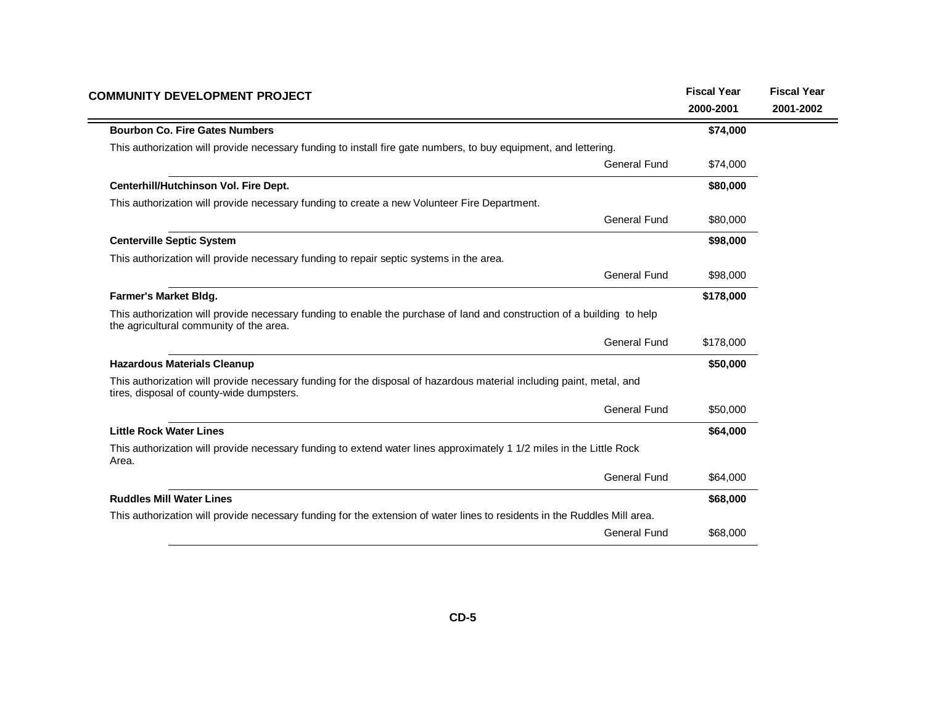| <b>COMMUNITY DEVELOPMENT PROJECT</b>                                                                                                                               | <b>Fiscal Year</b><br>2000-2001 | <b>Fiscal Year</b><br>2001-2002 |
|--------------------------------------------------------------------------------------------------------------------------------------------------------------------|---------------------------------|---------------------------------|
| <b>Bourbon Co. Fire Gates Numbers</b>                                                                                                                              | \$74,000                        |                                 |
| This authorization will provide necessary funding to install fire gate numbers, to buy equipment, and lettering.                                                   |                                 |                                 |
| <b>General Fund</b>                                                                                                                                                | \$74,000                        |                                 |
| Centerhill/Hutchinson Vol. Fire Dept.                                                                                                                              | \$80,000                        |                                 |
| This authorization will provide necessary funding to create a new Volunteer Fire Department.                                                                       |                                 |                                 |
| <b>General Fund</b>                                                                                                                                                | \$80,000                        |                                 |
| <b>Centerville Septic System</b>                                                                                                                                   | \$98,000                        |                                 |
| This authorization will provide necessary funding to repair septic systems in the area.                                                                            |                                 |                                 |
| <b>General Fund</b>                                                                                                                                                | \$98,000                        |                                 |
| <b>Farmer's Market Bldg.</b>                                                                                                                                       | \$178,000                       |                                 |
| This authorization will provide necessary funding to enable the purchase of land and construction of a building to help<br>the agricultural community of the area. |                                 |                                 |
| <b>General Fund</b>                                                                                                                                                | \$178,000                       |                                 |
| <b>Hazardous Materials Cleanup</b>                                                                                                                                 | \$50,000                        |                                 |
| This authorization will provide necessary funding for the disposal of hazardous material including paint, metal, and<br>tires, disposal of county-wide dumpsters.  |                                 |                                 |
| <b>General Fund</b>                                                                                                                                                | \$50,000                        |                                 |
| <b>Little Rock Water Lines</b>                                                                                                                                     | \$64,000                        |                                 |
| This authorization will provide necessary funding to extend water lines approximately 1 1/2 miles in the Little Rock<br>Area.                                      |                                 |                                 |
| <b>General Fund</b>                                                                                                                                                | \$64,000                        |                                 |
| <b>Ruddles Mill Water Lines</b>                                                                                                                                    | \$68,000                        |                                 |
| This authorization will provide necessary funding for the extension of water lines to residents in the Ruddles Mill area.                                          |                                 |                                 |
| General Fund                                                                                                                                                       | \$68,000                        |                                 |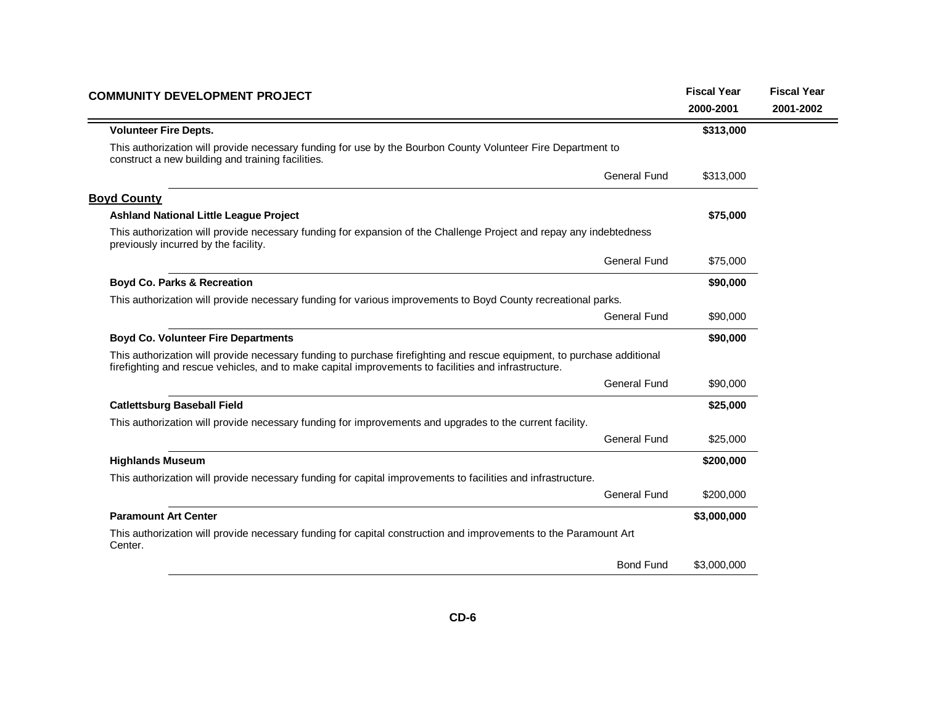| <b>COMMUNITY DEVELOPMENT PROJECT</b>                                                                                                                                                                                            | <b>Fiscal Year</b> | <b>Fiscal Year</b> |
|---------------------------------------------------------------------------------------------------------------------------------------------------------------------------------------------------------------------------------|--------------------|--------------------|
|                                                                                                                                                                                                                                 | 2000-2001          | 2001-2002          |
| <b>Volunteer Fire Depts.</b>                                                                                                                                                                                                    | \$313,000          |                    |
| This authorization will provide necessary funding for use by the Bourbon County Volunteer Fire Department to<br>construct a new building and training facilities.                                                               |                    |                    |
| General Fund                                                                                                                                                                                                                    | \$313,000          |                    |
| <b>Boyd County</b>                                                                                                                                                                                                              |                    |                    |
| <b>Ashland National Little League Project</b>                                                                                                                                                                                   | \$75,000           |                    |
| This authorization will provide necessary funding for expansion of the Challenge Project and repay any indebtedness<br>previously incurred by the facility.                                                                     |                    |                    |
| General Fund                                                                                                                                                                                                                    | \$75,000           |                    |
| <b>Boyd Co. Parks &amp; Recreation</b>                                                                                                                                                                                          | \$90,000           |                    |
| This authorization will provide necessary funding for various improvements to Boyd County recreational parks.                                                                                                                   |                    |                    |
| <b>General Fund</b>                                                                                                                                                                                                             | \$90,000           |                    |
| <b>Boyd Co. Volunteer Fire Departments</b>                                                                                                                                                                                      | \$90,000           |                    |
| This authorization will provide necessary funding to purchase firefighting and rescue equipment, to purchase additional<br>firefighting and rescue vehicles, and to make capital improvements to facilities and infrastructure. |                    |                    |
| <b>General Fund</b>                                                                                                                                                                                                             | \$90,000           |                    |
| <b>Catlettsburg Baseball Field</b>                                                                                                                                                                                              | \$25,000           |                    |
| This authorization will provide necessary funding for improvements and upgrades to the current facility.                                                                                                                        |                    |                    |
| General Fund                                                                                                                                                                                                                    | \$25,000           |                    |
| <b>Highlands Museum</b>                                                                                                                                                                                                         | \$200,000          |                    |
| This authorization will provide necessary funding for capital improvements to facilities and infrastructure.                                                                                                                    |                    |                    |
| <b>General Fund</b>                                                                                                                                                                                                             | \$200,000          |                    |
| <b>Paramount Art Center</b>                                                                                                                                                                                                     | \$3,000,000        |                    |
| This authorization will provide necessary funding for capital construction and improvements to the Paramount Art<br>Center.                                                                                                     |                    |                    |
| <b>Bond Fund</b>                                                                                                                                                                                                                | \$3,000,000        |                    |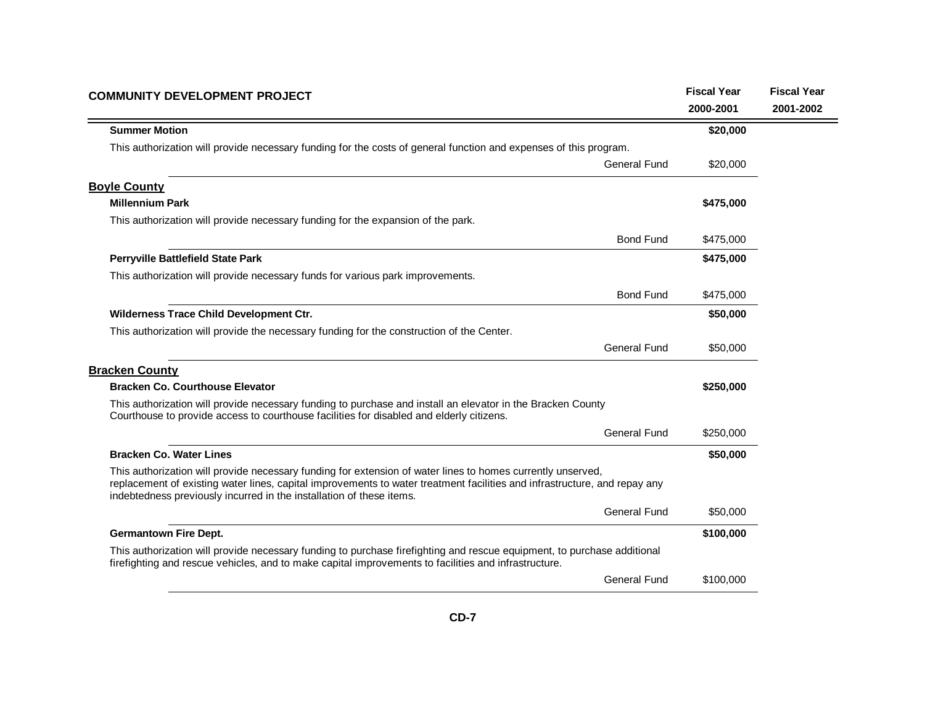| <b>COMMUNITY DEVELOPMENT PROJECT</b>                                                                                                                                                                                                                                                                             | <b>Fiscal Year</b> | <b>Fiscal Year</b> |
|------------------------------------------------------------------------------------------------------------------------------------------------------------------------------------------------------------------------------------------------------------------------------------------------------------------|--------------------|--------------------|
|                                                                                                                                                                                                                                                                                                                  | 2000-2001          | 2001-2002          |
| <b>Summer Motion</b>                                                                                                                                                                                                                                                                                             | \$20,000           |                    |
| This authorization will provide necessary funding for the costs of general function and expenses of this program.                                                                                                                                                                                                |                    |                    |
| <b>General Fund</b>                                                                                                                                                                                                                                                                                              | \$20,000           |                    |
| <b>Boyle County</b>                                                                                                                                                                                                                                                                                              |                    |                    |
| <b>Millennium Park</b>                                                                                                                                                                                                                                                                                           | \$475,000          |                    |
| This authorization will provide necessary funding for the expansion of the park.                                                                                                                                                                                                                                 |                    |                    |
| <b>Bond Fund</b>                                                                                                                                                                                                                                                                                                 | \$475,000          |                    |
| Perryville Battlefield State Park                                                                                                                                                                                                                                                                                | \$475,000          |                    |
| This authorization will provide necessary funds for various park improvements.                                                                                                                                                                                                                                   |                    |                    |
| <b>Bond Fund</b>                                                                                                                                                                                                                                                                                                 | \$475,000          |                    |
| Wilderness Trace Child Development Ctr.                                                                                                                                                                                                                                                                          | \$50,000           |                    |
| This authorization will provide the necessary funding for the construction of the Center.                                                                                                                                                                                                                        |                    |                    |
| General Fund                                                                                                                                                                                                                                                                                                     | \$50,000           |                    |
| <b>Bracken County</b>                                                                                                                                                                                                                                                                                            |                    |                    |
| <b>Bracken Co. Courthouse Elevator</b>                                                                                                                                                                                                                                                                           | \$250,000          |                    |
| This authorization will provide necessary funding to purchase and install an elevator in the Bracken County<br>Courthouse to provide access to courthouse facilities for disabled and elderly citizens.                                                                                                          |                    |                    |
| <b>General Fund</b>                                                                                                                                                                                                                                                                                              | \$250,000          |                    |
| <b>Bracken Co. Water Lines</b>                                                                                                                                                                                                                                                                                   | \$50,000           |                    |
| This authorization will provide necessary funding for extension of water lines to homes currently unserved,<br>replacement of existing water lines, capital improvements to water treatment facilities and infrastructure, and repay any<br>indebtedness previously incurred in the installation of these items. |                    |                    |
| <b>General Fund</b>                                                                                                                                                                                                                                                                                              | \$50,000           |                    |
| <b>Germantown Fire Dept.</b>                                                                                                                                                                                                                                                                                     | \$100,000          |                    |
| This authorization will provide necessary funding to purchase firefighting and rescue equipment, to purchase additional<br>firefighting and rescue vehicles, and to make capital improvements to facilities and infrastructure.                                                                                  |                    |                    |
| <b>General Fund</b>                                                                                                                                                                                                                                                                                              | \$100,000          |                    |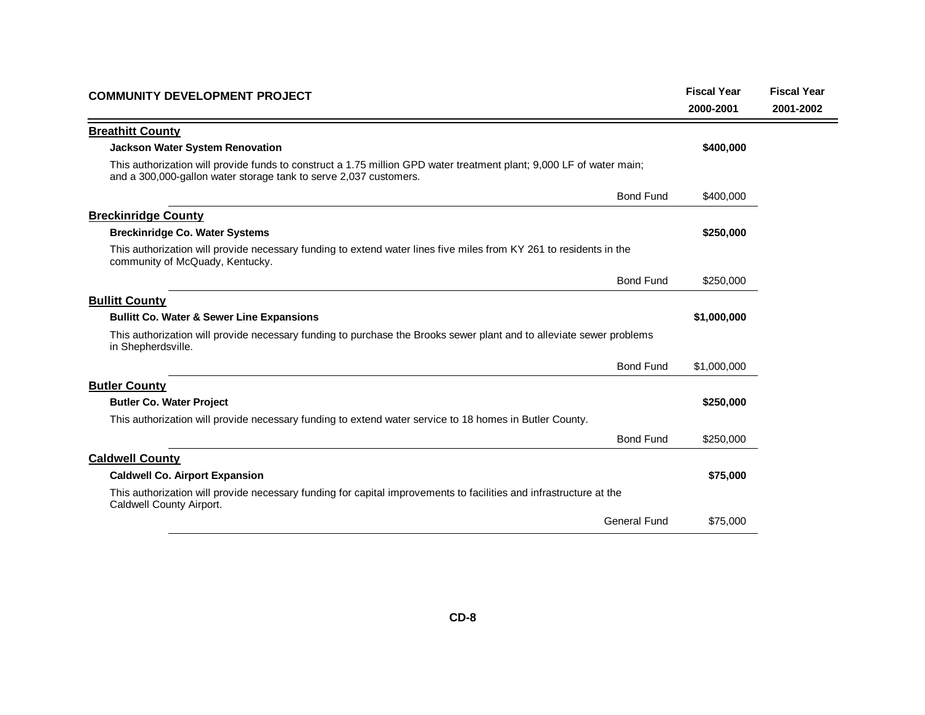| <b>Breathitt County</b><br><b>Jackson Water System Renovation</b>                                                                                                                         | 2000-2001<br>\$400,000 | 2001-2002 |
|-------------------------------------------------------------------------------------------------------------------------------------------------------------------------------------------|------------------------|-----------|
|                                                                                                                                                                                           |                        |           |
|                                                                                                                                                                                           |                        |           |
|                                                                                                                                                                                           |                        |           |
| This authorization will provide funds to construct a 1.75 million GPD water treatment plant; 9,000 LF of water main;<br>and a 300,000-gallon water storage tank to serve 2,037 customers. |                        |           |
| <b>Bond Fund</b>                                                                                                                                                                          | \$400,000              |           |
| <b>Breckinridge County</b>                                                                                                                                                                |                        |           |
| <b>Breckinridge Co. Water Systems</b>                                                                                                                                                     | \$250,000              |           |
| This authorization will provide necessary funding to extend water lines five miles from KY 261 to residents in the<br>community of McQuady, Kentucky.                                     |                        |           |
| <b>Bond Fund</b>                                                                                                                                                                          | \$250,000              |           |
| <b>Bullitt County</b>                                                                                                                                                                     |                        |           |
| <b>Bullitt Co. Water &amp; Sewer Line Expansions</b>                                                                                                                                      | \$1,000,000            |           |
| This authorization will provide necessary funding to purchase the Brooks sewer plant and to alleviate sewer problems<br>in Shepherdsville.                                                |                        |           |
| <b>Bond Fund</b>                                                                                                                                                                          | \$1,000,000            |           |
| <b>Butler County</b>                                                                                                                                                                      |                        |           |
| <b>Butler Co. Water Project</b>                                                                                                                                                           | \$250,000              |           |
| This authorization will provide necessary funding to extend water service to 18 homes in Butler County.                                                                                   |                        |           |
| <b>Bond Fund</b>                                                                                                                                                                          | \$250,000              |           |
| <b>Caldwell County</b>                                                                                                                                                                    |                        |           |
| <b>Caldwell Co. Airport Expansion</b>                                                                                                                                                     | \$75,000               |           |
| This authorization will provide necessary funding for capital improvements to facilities and infrastructure at the<br>Caldwell County Airport.                                            |                        |           |
| General Fund                                                                                                                                                                              | \$75,000               |           |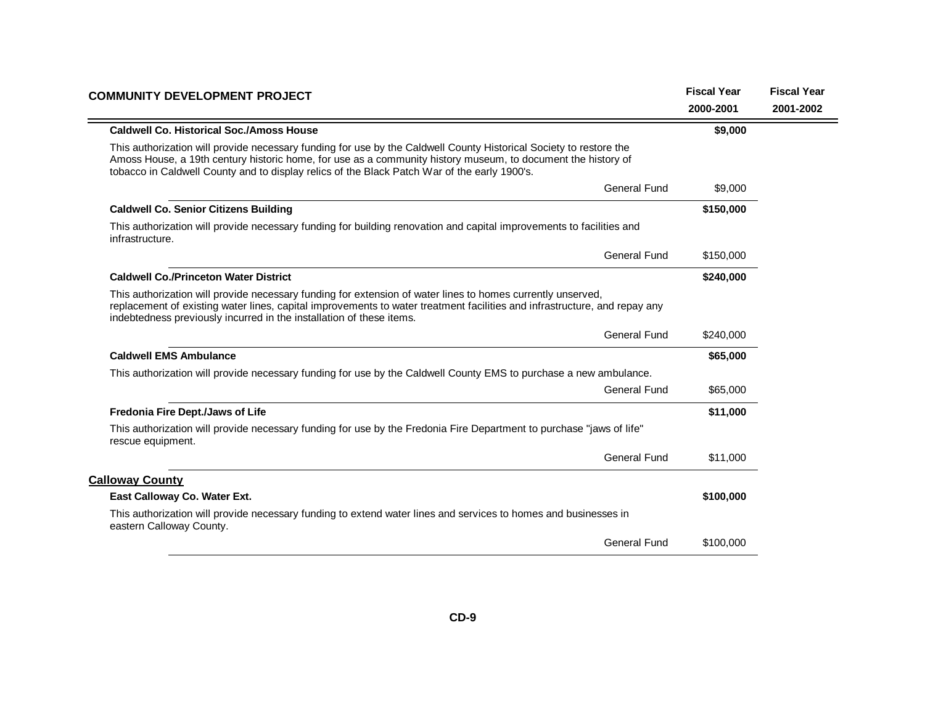| <b>COMMUNITY DEVELOPMENT PROJECT</b>                                                                                                                                                                                                                                                                                               | <b>Fiscal Year</b> | <b>Fiscal Year</b> |
|------------------------------------------------------------------------------------------------------------------------------------------------------------------------------------------------------------------------------------------------------------------------------------------------------------------------------------|--------------------|--------------------|
|                                                                                                                                                                                                                                                                                                                                    | 2000-2001          | 2001-2002          |
| <b>Caldwell Co. Historical Soc./Amoss House</b>                                                                                                                                                                                                                                                                                    | \$9,000            |                    |
| This authorization will provide necessary funding for use by the Caldwell County Historical Society to restore the<br>Amoss House, a 19th century historic home, for use as a community history museum, to document the history of<br>tobacco in Caldwell County and to display relics of the Black Patch War of the early 1900's. |                    |                    |
| General Fund                                                                                                                                                                                                                                                                                                                       | \$9,000            |                    |
| <b>Caldwell Co. Senior Citizens Building</b>                                                                                                                                                                                                                                                                                       | \$150,000          |                    |
| This authorization will provide necessary funding for building renovation and capital improvements to facilities and<br>infrastructure.                                                                                                                                                                                            |                    |                    |
| <b>General Fund</b>                                                                                                                                                                                                                                                                                                                | \$150,000          |                    |
| <b>Caldwell Co./Princeton Water District</b>                                                                                                                                                                                                                                                                                       | \$240,000          |                    |
| This authorization will provide necessary funding for extension of water lines to homes currently unserved,<br>replacement of existing water lines, capital improvements to water treatment facilities and infrastructure, and repay any<br>indebtedness previously incurred in the installation of these items.                   |                    |                    |
| <b>General Fund</b>                                                                                                                                                                                                                                                                                                                | \$240,000          |                    |
| <b>Caldwell EMS Ambulance</b>                                                                                                                                                                                                                                                                                                      | \$65,000           |                    |
| This authorization will provide necessary funding for use by the Caldwell County EMS to purchase a new ambulance.                                                                                                                                                                                                                  |                    |                    |
| <b>General Fund</b>                                                                                                                                                                                                                                                                                                                | \$65,000           |                    |
| Fredonia Fire Dept./Jaws of Life                                                                                                                                                                                                                                                                                                   | \$11,000           |                    |
| This authorization will provide necessary funding for use by the Fredonia Fire Department to purchase "jaws of life"<br>rescue equipment.                                                                                                                                                                                          |                    |                    |
| <b>General Fund</b>                                                                                                                                                                                                                                                                                                                | \$11,000           |                    |
| <b>Calloway County</b>                                                                                                                                                                                                                                                                                                             |                    |                    |
| East Calloway Co. Water Ext.                                                                                                                                                                                                                                                                                                       | \$100,000          |                    |
| This authorization will provide necessary funding to extend water lines and services to homes and businesses in<br>eastern Calloway County.                                                                                                                                                                                        |                    |                    |
| <b>General Fund</b>                                                                                                                                                                                                                                                                                                                | \$100,000          |                    |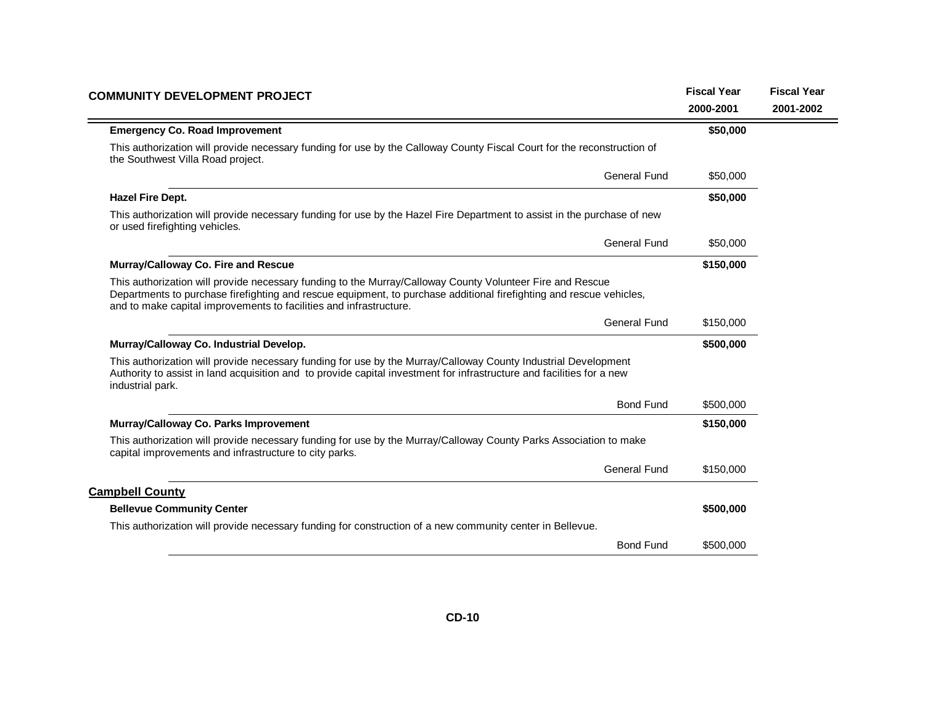| <b>COMMUNITY DEVELOPMENT PROJECT</b>                                                                                                                                                                                                                                                                   | <b>Fiscal Year</b> | <b>Fiscal Year</b> |
|--------------------------------------------------------------------------------------------------------------------------------------------------------------------------------------------------------------------------------------------------------------------------------------------------------|--------------------|--------------------|
|                                                                                                                                                                                                                                                                                                        | 2000-2001          | 2001-2002          |
| <b>Emergency Co. Road Improvement</b>                                                                                                                                                                                                                                                                  | \$50,000           |                    |
| This authorization will provide necessary funding for use by the Calloway County Fiscal Court for the reconstruction of<br>the Southwest Villa Road project.                                                                                                                                           |                    |                    |
| <b>General Fund</b>                                                                                                                                                                                                                                                                                    | \$50,000           |                    |
| <b>Hazel Fire Dept.</b>                                                                                                                                                                                                                                                                                | \$50,000           |                    |
| This authorization will provide necessary funding for use by the Hazel Fire Department to assist in the purchase of new<br>or used firefighting vehicles.                                                                                                                                              |                    |                    |
| <b>General Fund</b>                                                                                                                                                                                                                                                                                    | \$50,000           |                    |
| Murray/Calloway Co. Fire and Rescue                                                                                                                                                                                                                                                                    | \$150,000          |                    |
| This authorization will provide necessary funding to the Murray/Calloway County Volunteer Fire and Rescue<br>Departments to purchase firefighting and rescue equipment, to purchase additional firefighting and rescue vehicles,<br>and to make capital improvements to facilities and infrastructure. |                    |                    |
| <b>General Fund</b>                                                                                                                                                                                                                                                                                    | \$150,000          |                    |
| Murray/Calloway Co. Industrial Develop.                                                                                                                                                                                                                                                                | \$500,000          |                    |
| This authorization will provide necessary funding for use by the Murray/Calloway County Industrial Development<br>Authority to assist in land acquisition and to provide capital investment for infrastructure and facilities for a new<br>industrial park.                                            |                    |                    |
| <b>Bond Fund</b>                                                                                                                                                                                                                                                                                       | \$500,000          |                    |
| Murray/Calloway Co. Parks Improvement                                                                                                                                                                                                                                                                  | \$150,000          |                    |
| This authorization will provide necessary funding for use by the Murray/Calloway County Parks Association to make<br>capital improvements and infrastructure to city parks.                                                                                                                            |                    |                    |
| <b>General Fund</b>                                                                                                                                                                                                                                                                                    | \$150,000          |                    |
| <b>Campbell County</b>                                                                                                                                                                                                                                                                                 |                    |                    |
| <b>Bellevue Community Center</b>                                                                                                                                                                                                                                                                       | \$500,000          |                    |
| This authorization will provide necessary funding for construction of a new community center in Bellevue.                                                                                                                                                                                              |                    |                    |
| <b>Bond Fund</b>                                                                                                                                                                                                                                                                                       | \$500,000          |                    |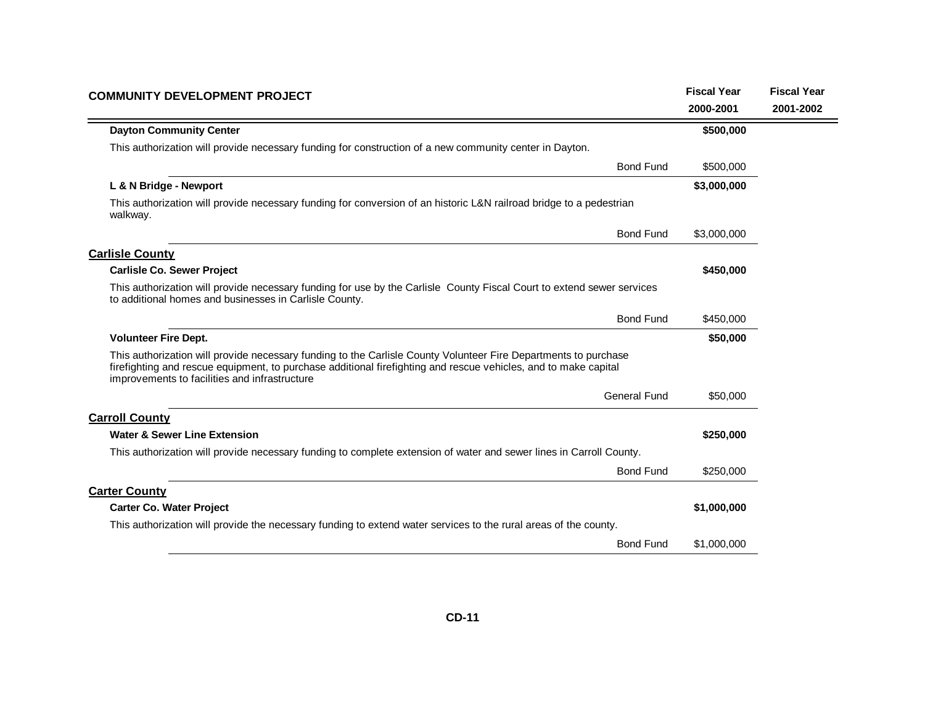| <b>COMMUNITY DEVELOPMENT PROJECT</b>                                                                                                                                                                                                                                                | <b>Fiscal Year</b><br>2000-2001 | <b>Fiscal Year</b><br>2001-2002 |
|-------------------------------------------------------------------------------------------------------------------------------------------------------------------------------------------------------------------------------------------------------------------------------------|---------------------------------|---------------------------------|
| <b>Dayton Community Center</b>                                                                                                                                                                                                                                                      | \$500,000                       |                                 |
| This authorization will provide necessary funding for construction of a new community center in Dayton.                                                                                                                                                                             |                                 |                                 |
| <b>Bond Fund</b>                                                                                                                                                                                                                                                                    | \$500,000                       |                                 |
| L & N Bridge - Newport                                                                                                                                                                                                                                                              | \$3,000,000                     |                                 |
| This authorization will provide necessary funding for conversion of an historic L&N railroad bridge to a pedestrian<br>walkway.                                                                                                                                                     |                                 |                                 |
| <b>Bond Fund</b>                                                                                                                                                                                                                                                                    | \$3,000,000                     |                                 |
| <b>Carlisle County</b>                                                                                                                                                                                                                                                              |                                 |                                 |
| <b>Carlisle Co. Sewer Project</b>                                                                                                                                                                                                                                                   | \$450,000                       |                                 |
| This authorization will provide necessary funding for use by the Carlisle County Fiscal Court to extend sewer services<br>to additional homes and businesses in Carlisle County.                                                                                                    |                                 |                                 |
| <b>Bond Fund</b>                                                                                                                                                                                                                                                                    | \$450,000                       |                                 |
| <b>Volunteer Fire Dept.</b>                                                                                                                                                                                                                                                         | \$50,000                        |                                 |
| This authorization will provide necessary funding to the Carlisle County Volunteer Fire Departments to purchase<br>firefighting and rescue equipment, to purchase additional firefighting and rescue vehicles, and to make capital<br>improvements to facilities and infrastructure |                                 |                                 |
| <b>General Fund</b>                                                                                                                                                                                                                                                                 | \$50,000                        |                                 |
| <b>Carroll County</b>                                                                                                                                                                                                                                                               |                                 |                                 |
| <b>Water &amp; Sewer Line Extension</b>                                                                                                                                                                                                                                             | \$250,000                       |                                 |
| This authorization will provide necessary funding to complete extension of water and sewer lines in Carroll County.                                                                                                                                                                 |                                 |                                 |
| <b>Bond Fund</b>                                                                                                                                                                                                                                                                    | \$250,000                       |                                 |
| <b>Carter County</b>                                                                                                                                                                                                                                                                |                                 |                                 |
| <b>Carter Co. Water Project</b>                                                                                                                                                                                                                                                     | \$1,000,000                     |                                 |
| This authorization will provide the necessary funding to extend water services to the rural areas of the county.                                                                                                                                                                    |                                 |                                 |
| <b>Bond Fund</b>                                                                                                                                                                                                                                                                    | \$1,000,000                     |                                 |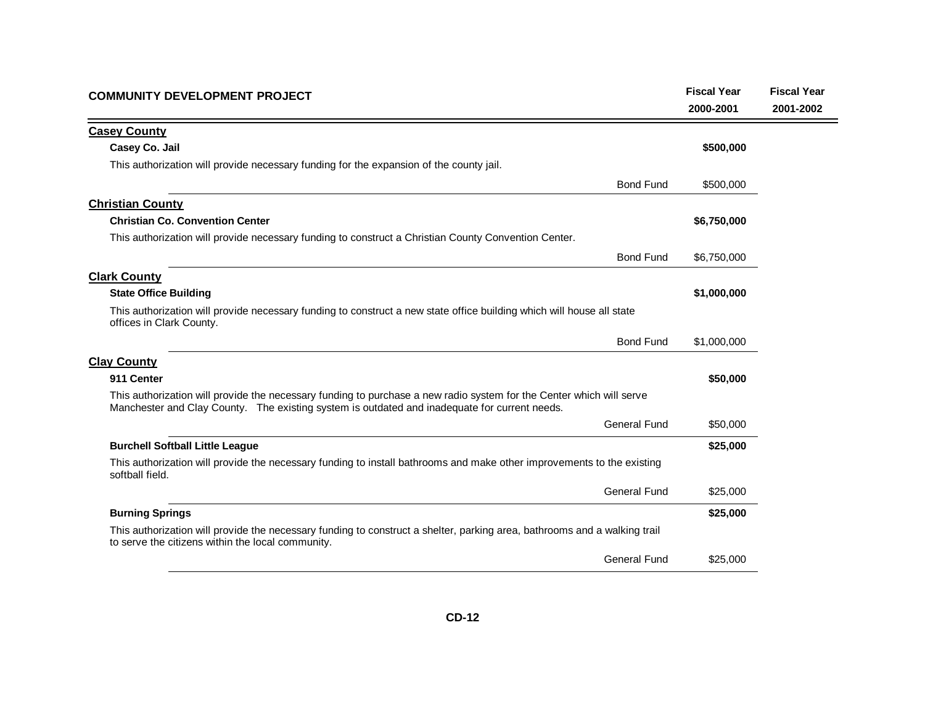| <b>COMMUNITY DEVELOPMENT PROJECT</b>                                                                                                                                                                                  |                     | <b>Fiscal Year</b> | <b>Fiscal Year</b> |
|-----------------------------------------------------------------------------------------------------------------------------------------------------------------------------------------------------------------------|---------------------|--------------------|--------------------|
|                                                                                                                                                                                                                       |                     | 2000-2001          | 2001-2002          |
| <b>Casey County</b>                                                                                                                                                                                                   |                     |                    |                    |
| Casey Co. Jail                                                                                                                                                                                                        |                     | \$500,000          |                    |
| This authorization will provide necessary funding for the expansion of the county jail.                                                                                                                               |                     |                    |                    |
|                                                                                                                                                                                                                       | <b>Bond Fund</b>    | \$500,000          |                    |
| <b>Christian County</b>                                                                                                                                                                                               |                     |                    |                    |
| <b>Christian Co. Convention Center</b>                                                                                                                                                                                |                     | \$6,750,000        |                    |
| This authorization will provide necessary funding to construct a Christian County Convention Center.                                                                                                                  |                     |                    |                    |
|                                                                                                                                                                                                                       | <b>Bond Fund</b>    | \$6,750,000        |                    |
| <b>Clark County</b>                                                                                                                                                                                                   |                     |                    |                    |
| <b>State Office Building</b>                                                                                                                                                                                          |                     | \$1,000,000        |                    |
| This authorization will provide necessary funding to construct a new state office building which will house all state<br>offices in Clark County.                                                                     |                     |                    |                    |
|                                                                                                                                                                                                                       | <b>Bond Fund</b>    | \$1,000,000        |                    |
| <b>Clay County</b>                                                                                                                                                                                                    |                     |                    |                    |
| 911 Center                                                                                                                                                                                                            |                     | \$50,000           |                    |
| This authorization will provide the necessary funding to purchase a new radio system for the Center which will serve<br>Manchester and Clay County. The existing system is outdated and inadequate for current needs. |                     |                    |                    |
|                                                                                                                                                                                                                       | <b>General Fund</b> | \$50,000           |                    |
| <b>Burchell Softball Little League</b>                                                                                                                                                                                |                     | \$25,000           |                    |
| This authorization will provide the necessary funding to install bathrooms and make other improvements to the existing<br>softball field.                                                                             |                     |                    |                    |
|                                                                                                                                                                                                                       | General Fund        | \$25,000           |                    |
| <b>Burning Springs</b>                                                                                                                                                                                                |                     | \$25,000           |                    |
| This authorization will provide the necessary funding to construct a shelter, parking area, bathrooms and a walking trail<br>to serve the citizens within the local community.                                        |                     |                    |                    |
|                                                                                                                                                                                                                       | <b>General Fund</b> | \$25,000           |                    |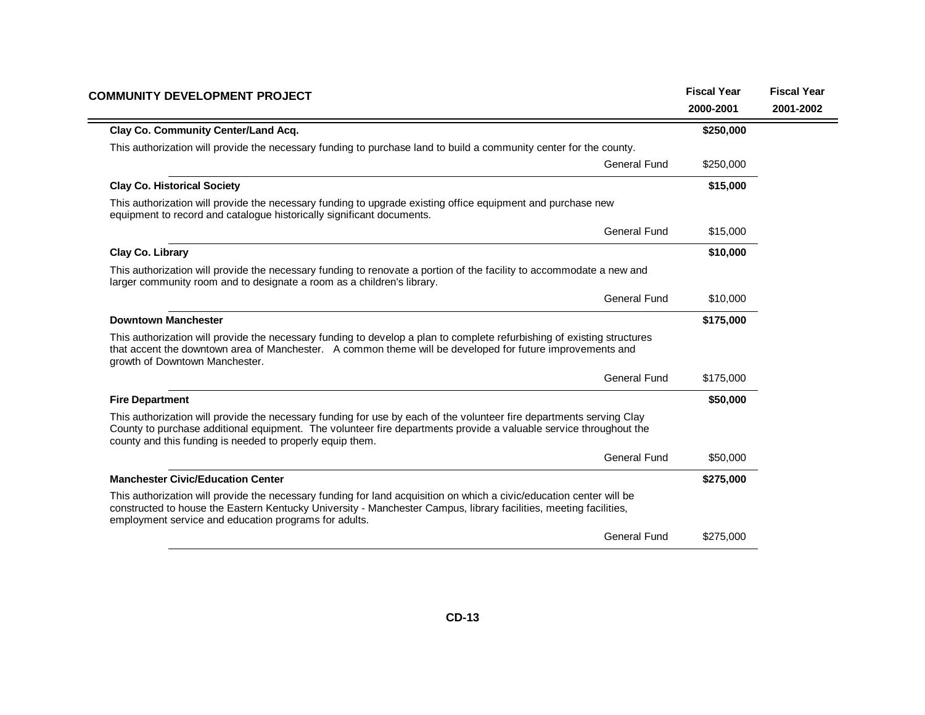| <b>COMMUNITY DEVELOPMENT PROJECT</b>                                                                                                                                                                                                                                                                   | <b>Fiscal Year</b> | <b>Fiscal Year</b> |
|--------------------------------------------------------------------------------------------------------------------------------------------------------------------------------------------------------------------------------------------------------------------------------------------------------|--------------------|--------------------|
|                                                                                                                                                                                                                                                                                                        | 2000-2001          | 2001-2002          |
| Clay Co. Community Center/Land Acq.                                                                                                                                                                                                                                                                    | \$250,000          |                    |
| This authorization will provide the necessary funding to purchase land to build a community center for the county.                                                                                                                                                                                     |                    |                    |
| General Fund                                                                                                                                                                                                                                                                                           | \$250,000          |                    |
| <b>Clay Co. Historical Society</b>                                                                                                                                                                                                                                                                     | \$15,000           |                    |
| This authorization will provide the necessary funding to upgrade existing office equipment and purchase new<br>equipment to record and catalogue historically significant documents.                                                                                                                   |                    |                    |
| <b>General Fund</b>                                                                                                                                                                                                                                                                                    | \$15,000           |                    |
| Clay Co. Library                                                                                                                                                                                                                                                                                       | \$10,000           |                    |
| This authorization will provide the necessary funding to renovate a portion of the facility to accommodate a new and<br>larger community room and to designate a room as a children's library.                                                                                                         |                    |                    |
| <b>General Fund</b>                                                                                                                                                                                                                                                                                    | \$10,000           |                    |
| <b>Downtown Manchester</b>                                                                                                                                                                                                                                                                             | \$175,000          |                    |
| This authorization will provide the necessary funding to develop a plan to complete refurbishing of existing structures<br>that accent the downtown area of Manchester. A common theme will be developed for future improvements and<br>growth of Downtown Manchester.                                 |                    |                    |
| <b>General Fund</b>                                                                                                                                                                                                                                                                                    | \$175,000          |                    |
| <b>Fire Department</b>                                                                                                                                                                                                                                                                                 | \$50,000           |                    |
| This authorization will provide the necessary funding for use by each of the volunteer fire departments serving Clay<br>County to purchase additional equipment. The volunteer fire departments provide a valuable service throughout the<br>county and this funding is needed to properly equip them. |                    |                    |
| <b>General Fund</b>                                                                                                                                                                                                                                                                                    | \$50,000           |                    |
| <b>Manchester Civic/Education Center</b>                                                                                                                                                                                                                                                               | \$275,000          |                    |
| This authorization will provide the necessary funding for land acquisition on which a civic/education center will be<br>constructed to house the Eastern Kentucky University - Manchester Campus, library facilities, meeting facilities,<br>employment service and education programs for adults.     |                    |                    |
| <b>General Fund</b>                                                                                                                                                                                                                                                                                    | \$275,000          |                    |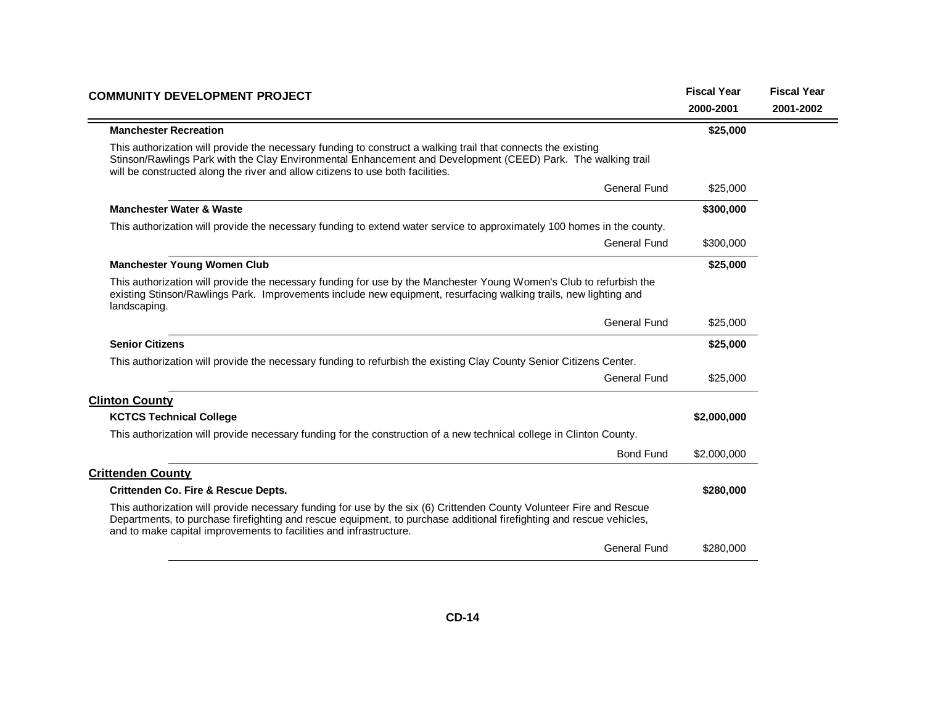| <b>COMMUNITY DEVELOPMENT PROJECT</b>                                                                                                                                                                                                                                                                               | <b>Fiscal Year</b> | <b>Fiscal Year</b> |
|--------------------------------------------------------------------------------------------------------------------------------------------------------------------------------------------------------------------------------------------------------------------------------------------------------------------|--------------------|--------------------|
|                                                                                                                                                                                                                                                                                                                    | 2000-2001          | 2001-2002          |
| <b>Manchester Recreation</b>                                                                                                                                                                                                                                                                                       | \$25,000           |                    |
| This authorization will provide the necessary funding to construct a walking trail that connects the existing<br>Stinson/Rawlings Park with the Clay Environmental Enhancement and Development (CEED) Park. The walking trail<br>will be constructed along the river and allow citizens to use both facilities.    |                    |                    |
| <b>General Fund</b>                                                                                                                                                                                                                                                                                                | \$25,000           |                    |
| <b>Manchester Water &amp; Waste</b>                                                                                                                                                                                                                                                                                | \$300,000          |                    |
| This authorization will provide the necessary funding to extend water service to approximately 100 homes in the county.                                                                                                                                                                                            |                    |                    |
| <b>General Fund</b>                                                                                                                                                                                                                                                                                                | \$300,000          |                    |
| <b>Manchester Young Women Club</b>                                                                                                                                                                                                                                                                                 | \$25,000           |                    |
| This authorization will provide the necessary funding for use by the Manchester Young Women's Club to refurbish the<br>existing Stinson/Rawlings Park. Improvements include new equipment, resurfacing walking trails, new lighting and<br>landscaping.                                                            |                    |                    |
| <b>General Fund</b>                                                                                                                                                                                                                                                                                                | \$25,000           |                    |
| <b>Senior Citizens</b>                                                                                                                                                                                                                                                                                             | \$25,000           |                    |
| This authorization will provide the necessary funding to refurbish the existing Clay County Senior Citizens Center.                                                                                                                                                                                                |                    |                    |
| General Fund                                                                                                                                                                                                                                                                                                       | \$25,000           |                    |
| <b>Clinton County</b>                                                                                                                                                                                                                                                                                              |                    |                    |
| <b>KCTCS Technical College</b>                                                                                                                                                                                                                                                                                     | \$2,000,000        |                    |
| This authorization will provide necessary funding for the construction of a new technical college in Clinton County.                                                                                                                                                                                               |                    |                    |
| <b>Bond Fund</b>                                                                                                                                                                                                                                                                                                   | \$2,000,000        |                    |
| <b>Crittenden County</b>                                                                                                                                                                                                                                                                                           |                    |                    |
| <b>Crittenden Co. Fire &amp; Rescue Depts.</b>                                                                                                                                                                                                                                                                     | \$280,000          |                    |
| This authorization will provide necessary funding for use by the six (6) Crittenden County Volunteer Fire and Rescue<br>Departments, to purchase firefighting and rescue equipment, to purchase additional firefighting and rescue vehicles,<br>and to make capital improvements to facilities and infrastructure. |                    |                    |
| <b>General Fund</b>                                                                                                                                                                                                                                                                                                | \$280,000          |                    |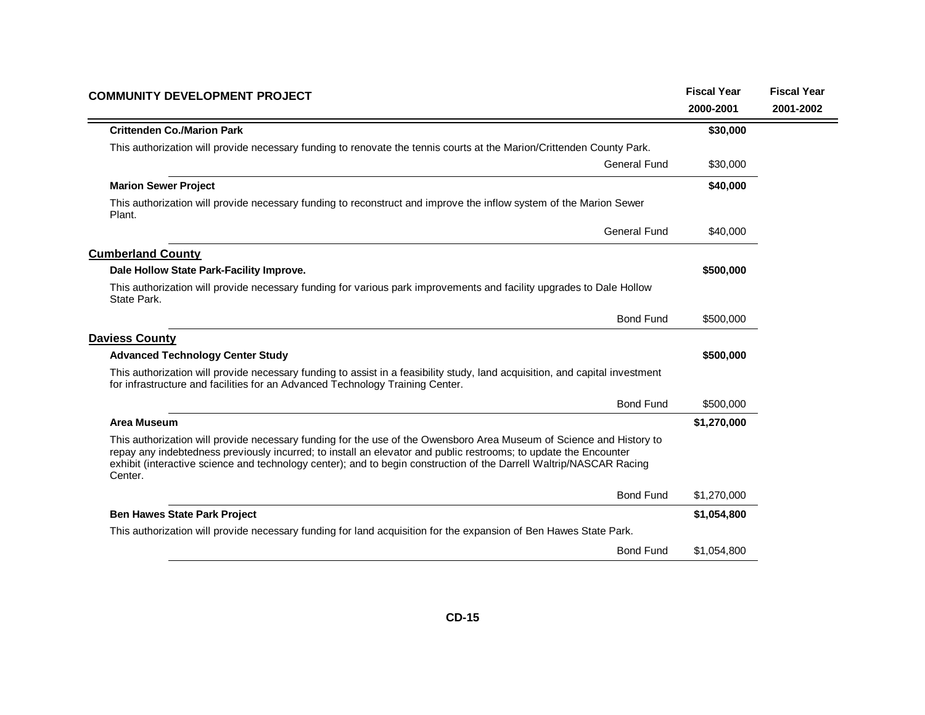| <b>COMMUNITY DEVELOPMENT PROJECT</b>                                                                                                                                                                                                                                                                                                                                       | <b>Fiscal Year</b> | <b>Fiscal Year</b> |
|----------------------------------------------------------------------------------------------------------------------------------------------------------------------------------------------------------------------------------------------------------------------------------------------------------------------------------------------------------------------------|--------------------|--------------------|
|                                                                                                                                                                                                                                                                                                                                                                            | 2000-2001          | 2001-2002          |
| <b>Crittenden Co./Marion Park</b>                                                                                                                                                                                                                                                                                                                                          | \$30,000           |                    |
| This authorization will provide necessary funding to renovate the tennis courts at the Marion/Crittenden County Park.                                                                                                                                                                                                                                                      |                    |                    |
| General Fund                                                                                                                                                                                                                                                                                                                                                               | \$30,000           |                    |
| <b>Marion Sewer Project</b>                                                                                                                                                                                                                                                                                                                                                | \$40,000           |                    |
| This authorization will provide necessary funding to reconstruct and improve the inflow system of the Marion Sewer<br>Plant.                                                                                                                                                                                                                                               |                    |                    |
| General Fund                                                                                                                                                                                                                                                                                                                                                               | \$40,000           |                    |
| <b>Cumberland County</b>                                                                                                                                                                                                                                                                                                                                                   |                    |                    |
| Dale Hollow State Park-Facility Improve.                                                                                                                                                                                                                                                                                                                                   | \$500,000          |                    |
| This authorization will provide necessary funding for various park improvements and facility upgrades to Dale Hollow<br>State Park.                                                                                                                                                                                                                                        |                    |                    |
| <b>Bond Fund</b>                                                                                                                                                                                                                                                                                                                                                           | \$500,000          |                    |
| <b>Daviess County</b>                                                                                                                                                                                                                                                                                                                                                      |                    |                    |
| <b>Advanced Technology Center Study</b>                                                                                                                                                                                                                                                                                                                                    | \$500,000          |                    |
| This authorization will provide necessary funding to assist in a feasibility study, land acquisition, and capital investment<br>for infrastructure and facilities for an Advanced Technology Training Center.                                                                                                                                                              |                    |                    |
| <b>Bond Fund</b>                                                                                                                                                                                                                                                                                                                                                           | \$500,000          |                    |
| <b>Area Museum</b>                                                                                                                                                                                                                                                                                                                                                         | \$1,270,000        |                    |
| This authorization will provide necessary funding for the use of the Owensboro Area Museum of Science and History to<br>repay any indebtedness previously incurred; to install an elevator and public restrooms; to update the Encounter<br>exhibit (interactive science and technology center); and to begin construction of the Darrell Waltrip/NASCAR Racing<br>Center. |                    |                    |
| <b>Bond Fund</b>                                                                                                                                                                                                                                                                                                                                                           | \$1,270,000        |                    |
| <b>Ben Hawes State Park Project</b>                                                                                                                                                                                                                                                                                                                                        | \$1,054,800        |                    |
| This authorization will provide necessary funding for land acquisition for the expansion of Ben Hawes State Park.                                                                                                                                                                                                                                                          |                    |                    |
| <b>Bond Fund</b>                                                                                                                                                                                                                                                                                                                                                           | \$1,054,800        |                    |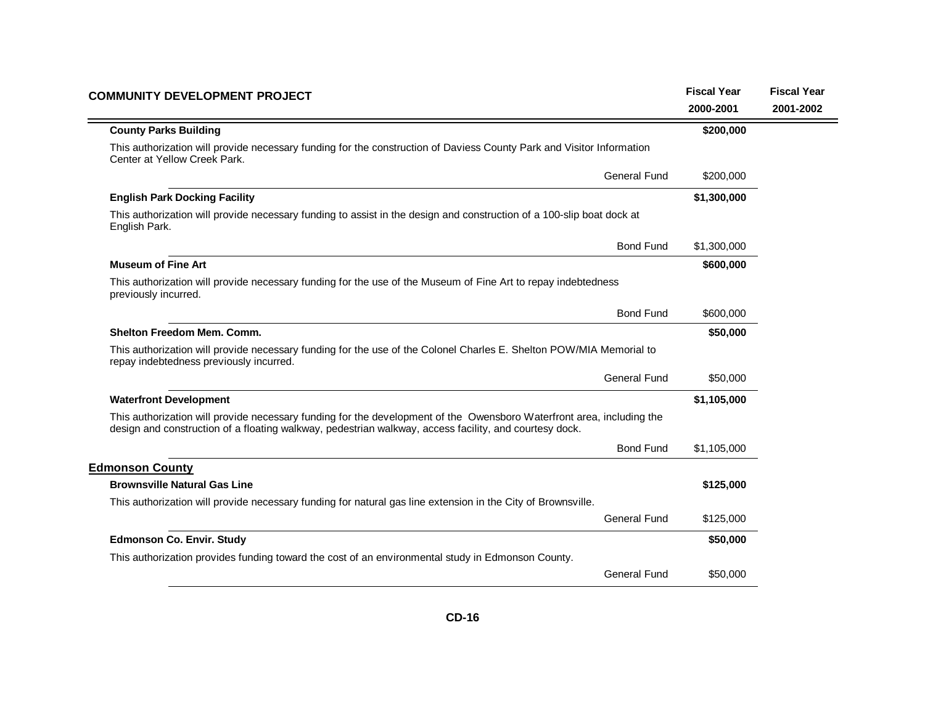| <b>COMMUNITY DEVELOPMENT PROJECT</b>                                                                                                                                                                                            | <b>Fiscal Year</b><br>2000-2001 | <b>Fiscal Year</b><br>2001-2002 |
|---------------------------------------------------------------------------------------------------------------------------------------------------------------------------------------------------------------------------------|---------------------------------|---------------------------------|
| <b>County Parks Building</b>                                                                                                                                                                                                    | \$200,000                       |                                 |
| This authorization will provide necessary funding for the construction of Daviess County Park and Visitor Information<br>Center at Yellow Creek Park.                                                                           |                                 |                                 |
| <b>General Fund</b>                                                                                                                                                                                                             | \$200,000                       |                                 |
| <b>English Park Docking Facility</b>                                                                                                                                                                                            | \$1,300,000                     |                                 |
| This authorization will provide necessary funding to assist in the design and construction of a 100-slip boat dock at<br>English Park.                                                                                          |                                 |                                 |
| <b>Bond Fund</b>                                                                                                                                                                                                                | \$1,300,000                     |                                 |
| <b>Museum of Fine Art</b>                                                                                                                                                                                                       | \$600,000                       |                                 |
| This authorization will provide necessary funding for the use of the Museum of Fine Art to repay indebtedness<br>previously incurred.                                                                                           |                                 |                                 |
| <b>Bond Fund</b>                                                                                                                                                                                                                | \$600,000                       |                                 |
| Shelton Freedom Mem. Comm.                                                                                                                                                                                                      | \$50,000                        |                                 |
| This authorization will provide necessary funding for the use of the Colonel Charles E. Shelton POW/MIA Memorial to<br>repay indebtedness previously incurred.                                                                  |                                 |                                 |
| <b>General Fund</b>                                                                                                                                                                                                             | \$50,000                        |                                 |
| <b>Waterfront Development</b>                                                                                                                                                                                                   | \$1,105,000                     |                                 |
| This authorization will provide necessary funding for the development of the Owensboro Waterfront area, including the<br>design and construction of a floating walkway, pedestrian walkway, access facility, and courtesy dock. |                                 |                                 |
| <b>Bond Fund</b>                                                                                                                                                                                                                | \$1,105,000                     |                                 |
| <b>Edmonson County</b>                                                                                                                                                                                                          |                                 |                                 |
| <b>Brownsville Natural Gas Line</b>                                                                                                                                                                                             | \$125,000                       |                                 |
| This authorization will provide necessary funding for natural gas line extension in the City of Brownsville.                                                                                                                    |                                 |                                 |
| General Fund                                                                                                                                                                                                                    | \$125,000                       |                                 |
| <b>Edmonson Co. Envir. Study</b>                                                                                                                                                                                                | \$50,000                        |                                 |
| This authorization provides funding toward the cost of an environmental study in Edmonson County.                                                                                                                               |                                 |                                 |
| General Fund                                                                                                                                                                                                                    | \$50,000                        |                                 |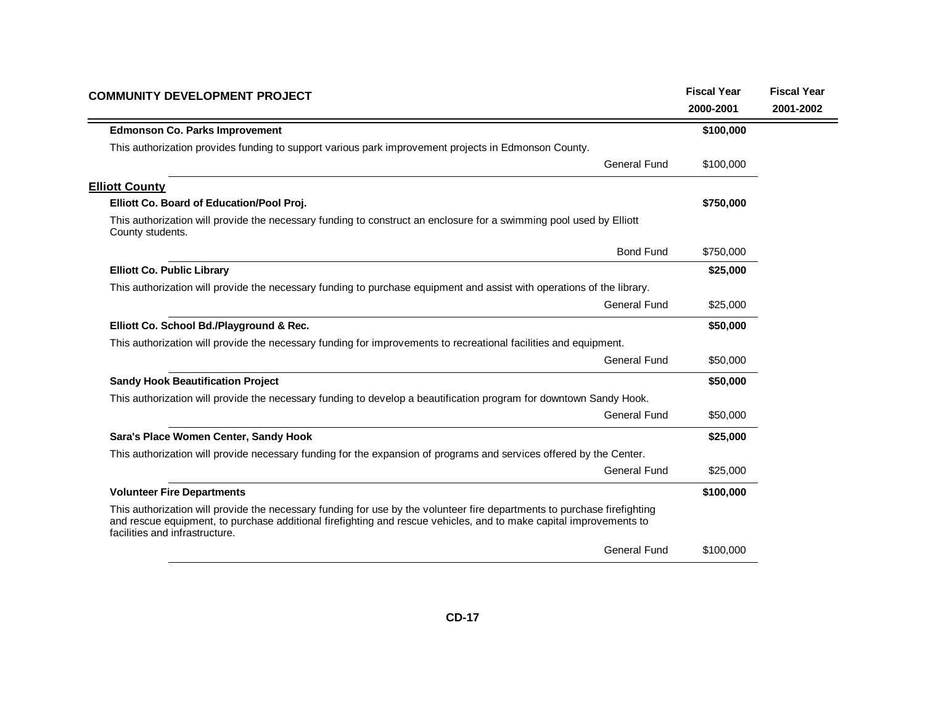| <b>COMMUNITY DEVELOPMENT PROJECT</b>                                                                                                                                                                                                                                             | <b>Fiscal Year</b><br>2000-2001 | <b>Fiscal Year</b><br>2001-2002 |
|----------------------------------------------------------------------------------------------------------------------------------------------------------------------------------------------------------------------------------------------------------------------------------|---------------------------------|---------------------------------|
| <b>Edmonson Co. Parks Improvement</b>                                                                                                                                                                                                                                            | \$100,000                       |                                 |
| This authorization provides funding to support various park improvement projects in Edmonson County.                                                                                                                                                                             |                                 |                                 |
| <b>General Fund</b>                                                                                                                                                                                                                                                              | \$100,000                       |                                 |
| <b>Elliott County</b>                                                                                                                                                                                                                                                            |                                 |                                 |
| Elliott Co. Board of Education/Pool Proj.                                                                                                                                                                                                                                        | \$750,000                       |                                 |
| This authorization will provide the necessary funding to construct an enclosure for a swimming pool used by Elliott<br>County students.                                                                                                                                          |                                 |                                 |
| <b>Bond Fund</b>                                                                                                                                                                                                                                                                 | \$750,000                       |                                 |
| <b>Elliott Co. Public Library</b>                                                                                                                                                                                                                                                | \$25,000                        |                                 |
| This authorization will provide the necessary funding to purchase equipment and assist with operations of the library.                                                                                                                                                           |                                 |                                 |
| <b>General Fund</b>                                                                                                                                                                                                                                                              | \$25,000                        |                                 |
| Elliott Co. School Bd./Playground & Rec.                                                                                                                                                                                                                                         | \$50,000                        |                                 |
| This authorization will provide the necessary funding for improvements to recreational facilities and equipment.                                                                                                                                                                 |                                 |                                 |
| <b>General Fund</b>                                                                                                                                                                                                                                                              | \$50,000                        |                                 |
| <b>Sandy Hook Beautification Project</b>                                                                                                                                                                                                                                         | \$50,000                        |                                 |
| This authorization will provide the necessary funding to develop a beautification program for downtown Sandy Hook.                                                                                                                                                               |                                 |                                 |
| General Fund                                                                                                                                                                                                                                                                     | \$50,000                        |                                 |
| Sara's Place Women Center, Sandy Hook                                                                                                                                                                                                                                            | \$25,000                        |                                 |
| This authorization will provide necessary funding for the expansion of programs and services offered by the Center.                                                                                                                                                              |                                 |                                 |
| <b>General Fund</b>                                                                                                                                                                                                                                                              | \$25,000                        |                                 |
| <b>Volunteer Fire Departments</b>                                                                                                                                                                                                                                                | \$100,000                       |                                 |
| This authorization will provide the necessary funding for use by the volunteer fire departments to purchase firefighting<br>and rescue equipment, to purchase additional firefighting and rescue vehicles, and to make capital improvements to<br>facilities and infrastructure. |                                 |                                 |
| <b>General Fund</b>                                                                                                                                                                                                                                                              | \$100,000                       |                                 |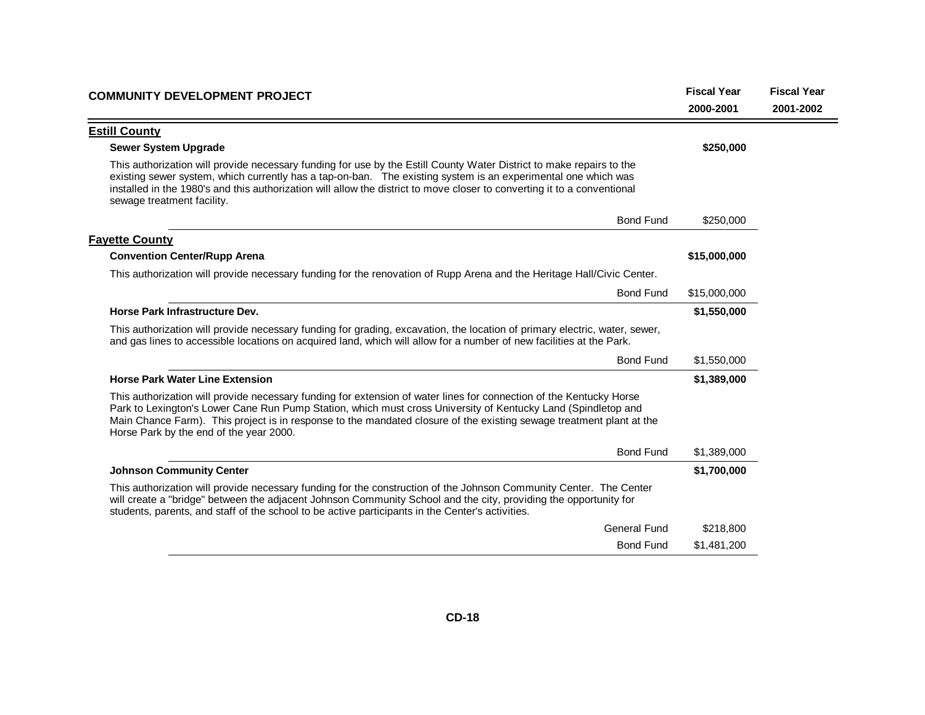| <b>COMMUNITY DEVELOPMENT PROJECT</b>                                                                                                                                                                                                                                                                                                                                                                    | <b>Fiscal Year</b> | <b>Fiscal Year</b> |
|---------------------------------------------------------------------------------------------------------------------------------------------------------------------------------------------------------------------------------------------------------------------------------------------------------------------------------------------------------------------------------------------------------|--------------------|--------------------|
|                                                                                                                                                                                                                                                                                                                                                                                                         | 2000-2001          | 2001-2002          |
| <b>Estill County</b>                                                                                                                                                                                                                                                                                                                                                                                    |                    |                    |
| <b>Sewer System Upgrade</b>                                                                                                                                                                                                                                                                                                                                                                             | \$250,000          |                    |
| This authorization will provide necessary funding for use by the Estill County Water District to make repairs to the<br>existing sewer system, which currently has a tap-on-ban. The existing system is an experimental one which was<br>installed in the 1980's and this authorization will allow the district to move closer to converting it to a conventional<br>sewage treatment facility.         |                    |                    |
| <b>Bond Fund</b>                                                                                                                                                                                                                                                                                                                                                                                        | \$250,000          |                    |
| <b>Fayette County</b>                                                                                                                                                                                                                                                                                                                                                                                   |                    |                    |
| <b>Convention Center/Rupp Arena</b>                                                                                                                                                                                                                                                                                                                                                                     | \$15,000,000       |                    |
| This authorization will provide necessary funding for the renovation of Rupp Arena and the Heritage Hall/Civic Center.                                                                                                                                                                                                                                                                                  |                    |                    |
| <b>Bond Fund</b>                                                                                                                                                                                                                                                                                                                                                                                        | \$15,000,000       |                    |
| Horse Park Infrastructure Dev.                                                                                                                                                                                                                                                                                                                                                                          | \$1,550,000        |                    |
| This authorization will provide necessary funding for grading, excavation, the location of primary electric, water, sewer,<br>and gas lines to accessible locations on acquired land, which will allow for a number of new facilities at the Park.                                                                                                                                                      |                    |                    |
| <b>Bond Fund</b>                                                                                                                                                                                                                                                                                                                                                                                        | \$1,550,000        |                    |
| <b>Horse Park Water Line Extension</b>                                                                                                                                                                                                                                                                                                                                                                  | \$1,389,000        |                    |
| This authorization will provide necessary funding for extension of water lines for connection of the Kentucky Horse<br>Park to Lexington's Lower Cane Run Pump Station, which must cross University of Kentucky Land (Spindletop and<br>Main Chance Farm). This project is in response to the mandated closure of the existing sewage treatment plant at the<br>Horse Park by the end of the year 2000. |                    |                    |
| <b>Bond Fund</b>                                                                                                                                                                                                                                                                                                                                                                                        | \$1,389,000        |                    |
| <b>Johnson Community Center</b>                                                                                                                                                                                                                                                                                                                                                                         | \$1,700,000        |                    |
| This authorization will provide necessary funding for the construction of the Johnson Community Center. The Center<br>will create a "bridge" between the adjacent Johnson Community School and the city, providing the opportunity for<br>students, parents, and staff of the school to be active participants in the Center's activities.                                                              |                    |                    |
| <b>General Fund</b>                                                                                                                                                                                                                                                                                                                                                                                     | \$218,800          |                    |
| <b>Bond Fund</b>                                                                                                                                                                                                                                                                                                                                                                                        | \$1,481,200        |                    |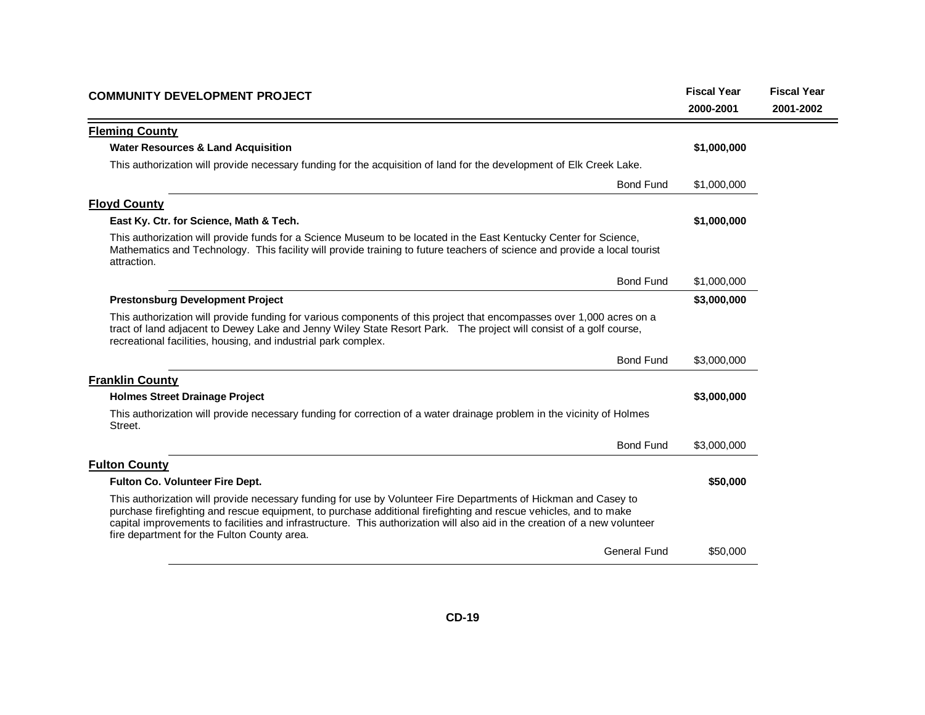| <b>COMMUNITY DEVELOPMENT PROJECT</b>                                                                                                                                                                                                                                                                                                                                                                             | <b>Fiscal Year</b> | <b>Fiscal Year</b> |
|------------------------------------------------------------------------------------------------------------------------------------------------------------------------------------------------------------------------------------------------------------------------------------------------------------------------------------------------------------------------------------------------------------------|--------------------|--------------------|
|                                                                                                                                                                                                                                                                                                                                                                                                                  | 2000-2001          | 2001-2002          |
| <b>Fleming County</b>                                                                                                                                                                                                                                                                                                                                                                                            |                    |                    |
| <b>Water Resources &amp; Land Acquisition</b>                                                                                                                                                                                                                                                                                                                                                                    | \$1,000,000        |                    |
| This authorization will provide necessary funding for the acquisition of land for the development of Elk Creek Lake.                                                                                                                                                                                                                                                                                             |                    |                    |
| <b>Bond Fund</b>                                                                                                                                                                                                                                                                                                                                                                                                 | \$1,000,000        |                    |
| <b>Floyd County</b>                                                                                                                                                                                                                                                                                                                                                                                              |                    |                    |
| East Ky. Ctr. for Science, Math & Tech.                                                                                                                                                                                                                                                                                                                                                                          | \$1,000,000        |                    |
| This authorization will provide funds for a Science Museum to be located in the East Kentucky Center for Science,<br>Mathematics and Technology. This facility will provide training to future teachers of science and provide a local tourist<br>attraction.                                                                                                                                                    |                    |                    |
| <b>Bond Fund</b>                                                                                                                                                                                                                                                                                                                                                                                                 | \$1,000,000        |                    |
| <b>Prestonsburg Development Project</b>                                                                                                                                                                                                                                                                                                                                                                          | \$3,000,000        |                    |
| This authorization will provide funding for various components of this project that encompasses over 1,000 acres on a<br>tract of land adjacent to Dewey Lake and Jenny Wiley State Resort Park. The project will consist of a golf course,<br>recreational facilities, housing, and industrial park complex.                                                                                                    |                    |                    |
| <b>Bond Fund</b>                                                                                                                                                                                                                                                                                                                                                                                                 | \$3,000,000        |                    |
| <b>Franklin County</b>                                                                                                                                                                                                                                                                                                                                                                                           |                    |                    |
| <b>Holmes Street Drainage Project</b>                                                                                                                                                                                                                                                                                                                                                                            | \$3,000,000        |                    |
| This authorization will provide necessary funding for correction of a water drainage problem in the vicinity of Holmes<br>Street.                                                                                                                                                                                                                                                                                |                    |                    |
| <b>Bond Fund</b>                                                                                                                                                                                                                                                                                                                                                                                                 | \$3,000,000        |                    |
| <b>Fulton County</b>                                                                                                                                                                                                                                                                                                                                                                                             |                    |                    |
| <b>Fulton Co. Volunteer Fire Dept.</b>                                                                                                                                                                                                                                                                                                                                                                           | \$50,000           |                    |
| This authorization will provide necessary funding for use by Volunteer Fire Departments of Hickman and Casey to<br>purchase firefighting and rescue equipment, to purchase additional firefighting and rescue vehicles, and to make<br>capital improvements to facilities and infrastructure. This authorization will also aid in the creation of a new volunteer<br>fire department for the Fulton County area. |                    |                    |
| <b>General Fund</b>                                                                                                                                                                                                                                                                                                                                                                                              | \$50,000           |                    |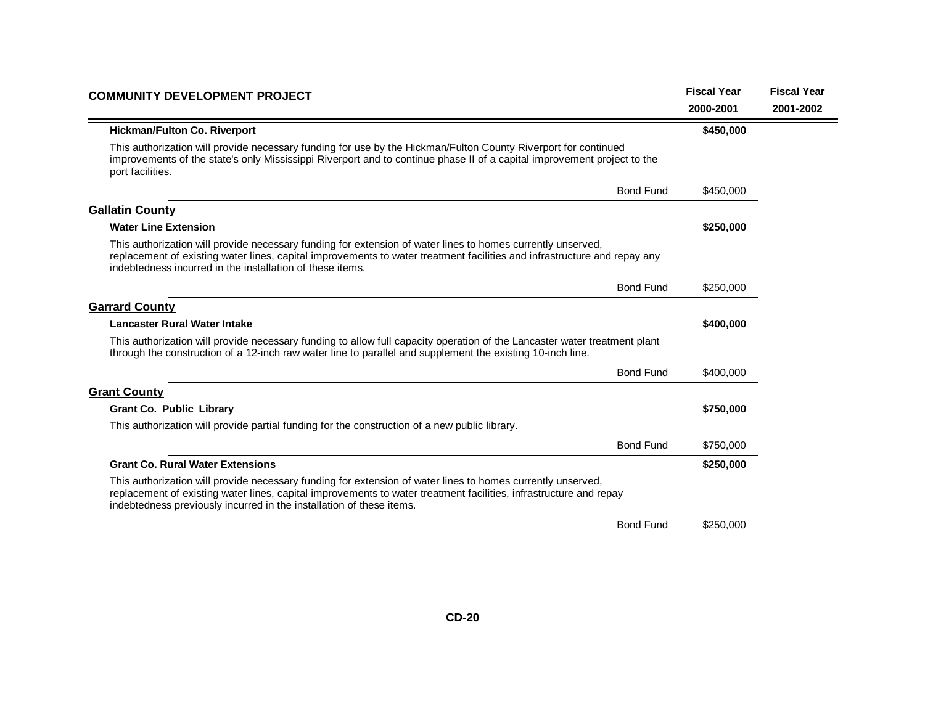| <b>COMMUNITY DEVELOPMENT PROJECT</b>                                                                                                                                                                                                                                                                     | <b>Fiscal Year</b> | <b>Fiscal Year</b> |
|----------------------------------------------------------------------------------------------------------------------------------------------------------------------------------------------------------------------------------------------------------------------------------------------------------|--------------------|--------------------|
|                                                                                                                                                                                                                                                                                                          | 2000-2001          | 2001-2002          |
| <b>Hickman/Fulton Co. Riverport</b>                                                                                                                                                                                                                                                                      | \$450,000          |                    |
| This authorization will provide necessary funding for use by the Hickman/Fulton County Riverport for continued<br>improvements of the state's only Mississippi Riverport and to continue phase II of a capital improvement project to the<br>port facilities.                                            |                    |                    |
| <b>Bond Fund</b>                                                                                                                                                                                                                                                                                         | \$450,000          |                    |
| <b>Gallatin County</b>                                                                                                                                                                                                                                                                                   |                    |                    |
| <b>Water Line Extension</b>                                                                                                                                                                                                                                                                              | \$250,000          |                    |
| This authorization will provide necessary funding for extension of water lines to homes currently unserved,<br>replacement of existing water lines, capital improvements to water treatment facilities and infrastructure and repay any<br>indebtedness incurred in the installation of these items.     |                    |                    |
| <b>Bond Fund</b>                                                                                                                                                                                                                                                                                         | \$250,000          |                    |
| <b>Garrard County</b>                                                                                                                                                                                                                                                                                    |                    |                    |
| <b>Lancaster Rural Water Intake</b>                                                                                                                                                                                                                                                                      | \$400,000          |                    |
| This authorization will provide necessary funding to allow full capacity operation of the Lancaster water treatment plant<br>through the construction of a 12-inch raw water line to parallel and supplement the existing 10-inch line.                                                                  |                    |                    |
| <b>Bond Fund</b>                                                                                                                                                                                                                                                                                         | \$400,000          |                    |
| <b>Grant County</b>                                                                                                                                                                                                                                                                                      |                    |                    |
| <b>Grant Co. Public Library</b>                                                                                                                                                                                                                                                                          | \$750,000          |                    |
| This authorization will provide partial funding for the construction of a new public library.                                                                                                                                                                                                            |                    |                    |
| <b>Bond Fund</b>                                                                                                                                                                                                                                                                                         | \$750,000          |                    |
| <b>Grant Co. Rural Water Extensions</b>                                                                                                                                                                                                                                                                  | \$250,000          |                    |
| This authorization will provide necessary funding for extension of water lines to homes currently unserved,<br>replacement of existing water lines, capital improvements to water treatment facilities, infrastructure and repay<br>indebtedness previously incurred in the installation of these items. |                    |                    |
| <b>Bond Fund</b>                                                                                                                                                                                                                                                                                         | \$250,000          |                    |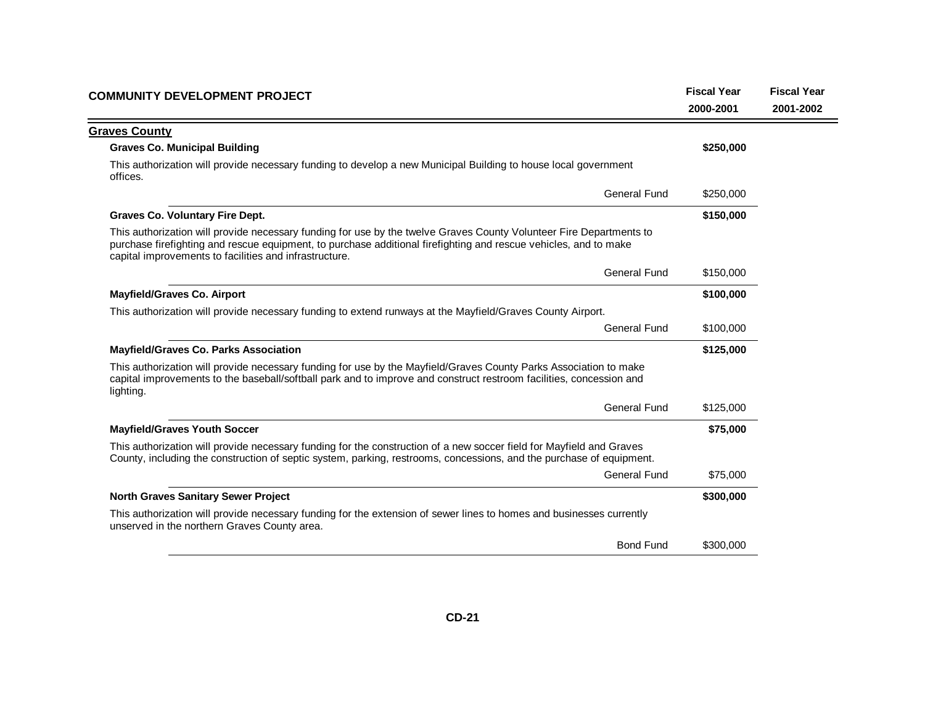| COMMUNITY DEVELOPMENT PROJECT                                                                                                                                                                                                                                                                     | <b>Fiscal Year</b> | <b>Fiscal Year</b> |
|---------------------------------------------------------------------------------------------------------------------------------------------------------------------------------------------------------------------------------------------------------------------------------------------------|--------------------|--------------------|
|                                                                                                                                                                                                                                                                                                   | 2000-2001          | 2001-2002          |
| <b>Graves County</b>                                                                                                                                                                                                                                                                              |                    |                    |
| <b>Graves Co. Municipal Building</b>                                                                                                                                                                                                                                                              | \$250,000          |                    |
| This authorization will provide necessary funding to develop a new Municipal Building to house local government<br>offices.                                                                                                                                                                       |                    |                    |
| <b>General Fund</b>                                                                                                                                                                                                                                                                               | \$250,000          |                    |
| <b>Graves Co. Voluntary Fire Dept.</b>                                                                                                                                                                                                                                                            | \$150,000          |                    |
| This authorization will provide necessary funding for use by the twelve Graves County Volunteer Fire Departments to<br>purchase firefighting and rescue equipment, to purchase additional firefighting and rescue vehicles, and to make<br>capital improvements to facilities and infrastructure. |                    |                    |
| <b>General Fund</b>                                                                                                                                                                                                                                                                               | \$150,000          |                    |
| <b>Mayfield/Graves Co. Airport</b>                                                                                                                                                                                                                                                                | \$100,000          |                    |
| This authorization will provide necessary funding to extend runways at the Mayfield/Graves County Airport.                                                                                                                                                                                        |                    |                    |
| <b>General Fund</b>                                                                                                                                                                                                                                                                               | \$100,000          |                    |
| <b>Mayfield/Graves Co. Parks Association</b>                                                                                                                                                                                                                                                      | \$125,000          |                    |
| This authorization will provide necessary funding for use by the Mayfield/Graves County Parks Association to make<br>capital improvements to the baseball/softball park and to improve and construct restroom facilities, concession and<br>lighting.                                             |                    |                    |
| <b>General Fund</b>                                                                                                                                                                                                                                                                               | \$125,000          |                    |
| <b>Mayfield/Graves Youth Soccer</b>                                                                                                                                                                                                                                                               | \$75,000           |                    |
| This authorization will provide necessary funding for the construction of a new soccer field for Mayfield and Graves<br>County, including the construction of septic system, parking, restrooms, concessions, and the purchase of equipment.                                                      |                    |                    |
| <b>General Fund</b>                                                                                                                                                                                                                                                                               | \$75,000           |                    |
| <b>North Graves Sanitary Sewer Project</b>                                                                                                                                                                                                                                                        | \$300,000          |                    |
| This authorization will provide necessary funding for the extension of sewer lines to homes and businesses currently<br>unserved in the northern Graves County area.                                                                                                                              |                    |                    |
| <b>Bond Fund</b>                                                                                                                                                                                                                                                                                  | \$300,000          |                    |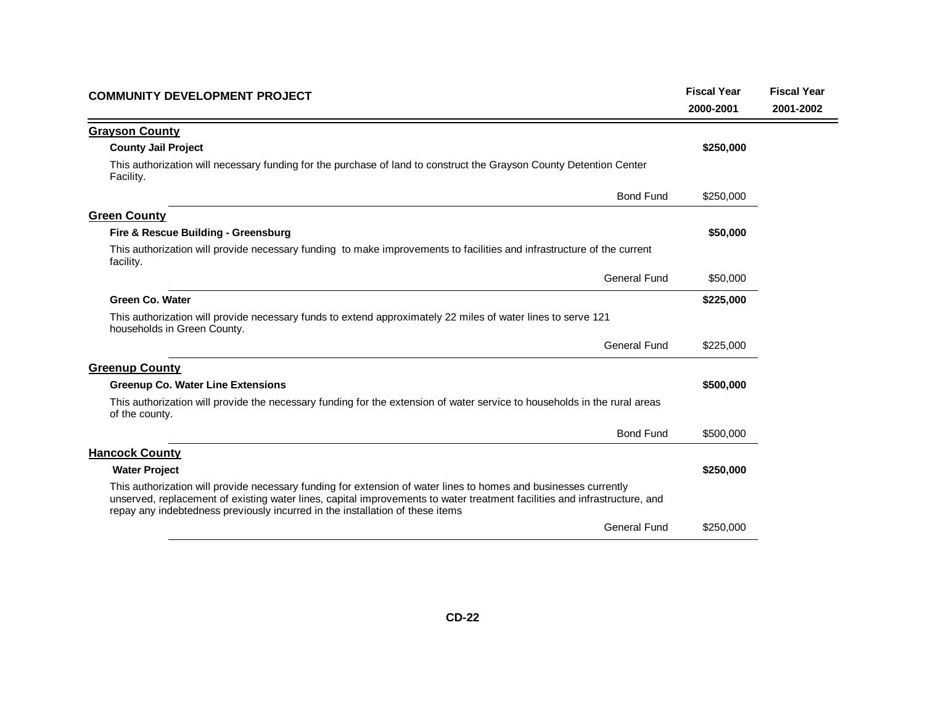| <b>COMMUNITY DEVELOPMENT PROJECT</b>                                                                                                                                                                                                                                                                                           |           | <b>Fiscal Year</b> |
|--------------------------------------------------------------------------------------------------------------------------------------------------------------------------------------------------------------------------------------------------------------------------------------------------------------------------------|-----------|--------------------|
|                                                                                                                                                                                                                                                                                                                                | 2000-2001 | 2001-2002          |
| <b>Grayson County</b>                                                                                                                                                                                                                                                                                                          |           |                    |
| <b>County Jail Project</b>                                                                                                                                                                                                                                                                                                     | \$250,000 |                    |
| This authorization will necessary funding for the purchase of land to construct the Grayson County Detention Center<br>Facility.                                                                                                                                                                                               |           |                    |
| <b>Bond Fund</b>                                                                                                                                                                                                                                                                                                               | \$250,000 |                    |
| <b>Green County</b>                                                                                                                                                                                                                                                                                                            |           |                    |
| Fire & Rescue Building - Greensburg                                                                                                                                                                                                                                                                                            | \$50,000  |                    |
| This authorization will provide necessary funding to make improvements to facilities and infrastructure of the current<br>facility.                                                                                                                                                                                            |           |                    |
| <b>General Fund</b>                                                                                                                                                                                                                                                                                                            | \$50,000  |                    |
| <b>Green Co. Water</b>                                                                                                                                                                                                                                                                                                         | \$225,000 |                    |
| This authorization will provide necessary funds to extend approximately 22 miles of water lines to serve 121<br>households in Green County.                                                                                                                                                                                    |           |                    |
| <b>General Fund</b>                                                                                                                                                                                                                                                                                                            | \$225,000 |                    |
| <b>Greenup County</b>                                                                                                                                                                                                                                                                                                          |           |                    |
| <b>Greenup Co. Water Line Extensions</b>                                                                                                                                                                                                                                                                                       | \$500,000 |                    |
| This authorization will provide the necessary funding for the extension of water service to households in the rural areas<br>of the county.                                                                                                                                                                                    |           |                    |
| <b>Bond Fund</b>                                                                                                                                                                                                                                                                                                               | \$500,000 |                    |
| <b>Hancock County</b>                                                                                                                                                                                                                                                                                                          |           |                    |
| <b>Water Project</b>                                                                                                                                                                                                                                                                                                           | \$250,000 |                    |
| This authorization will provide necessary funding for extension of water lines to homes and businesses currently<br>unserved, replacement of existing water lines, capital improvements to water treatment facilities and infrastructure, and<br>repay any indebtedness previously incurred in the installation of these items |           |                    |
| <b>General Fund</b>                                                                                                                                                                                                                                                                                                            | \$250,000 |                    |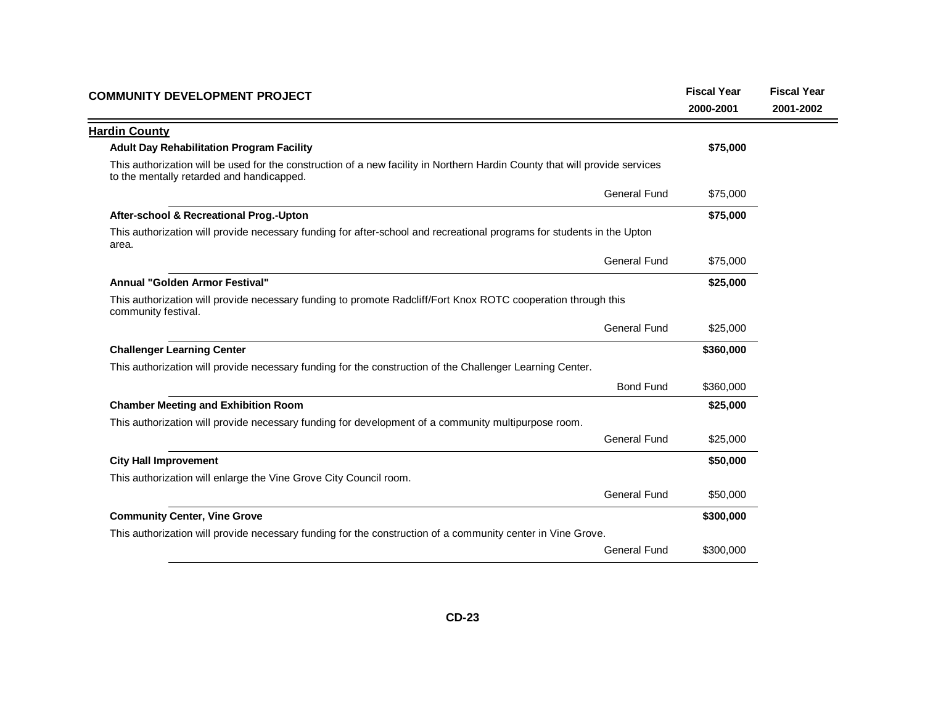| <b>Hardin County</b><br><b>Adult Day Rehabilitation Program Facility</b>                                                                                                 | \$75,000  |  |
|--------------------------------------------------------------------------------------------------------------------------------------------------------------------------|-----------|--|
|                                                                                                                                                                          |           |  |
|                                                                                                                                                                          |           |  |
| This authorization will be used for the construction of a new facility in Northern Hardin County that will provide services<br>to the mentally retarded and handicapped. |           |  |
| <b>General Fund</b>                                                                                                                                                      | \$75,000  |  |
| After-school & Recreational Prog.-Upton                                                                                                                                  | \$75,000  |  |
| This authorization will provide necessary funding for after-school and recreational programs for students in the Upton<br>area.                                          |           |  |
| <b>General Fund</b>                                                                                                                                                      | \$75,000  |  |
| Annual "Golden Armor Festival"                                                                                                                                           | \$25,000  |  |
| This authorization will provide necessary funding to promote Radcliff/Fort Knox ROTC cooperation through this<br>community festival.                                     |           |  |
| <b>General Fund</b>                                                                                                                                                      | \$25,000  |  |
| <b>Challenger Learning Center</b>                                                                                                                                        | \$360,000 |  |
| This authorization will provide necessary funding for the construction of the Challenger Learning Center.                                                                |           |  |
| <b>Bond Fund</b>                                                                                                                                                         | \$360,000 |  |
| <b>Chamber Meeting and Exhibition Room</b>                                                                                                                               | \$25,000  |  |
| This authorization will provide necessary funding for development of a community multipurpose room.                                                                      |           |  |
| <b>General Fund</b>                                                                                                                                                      | \$25,000  |  |
| <b>City Hall Improvement</b>                                                                                                                                             | \$50,000  |  |
| This authorization will enlarge the Vine Grove City Council room.                                                                                                        |           |  |
| General Fund                                                                                                                                                             | \$50,000  |  |
| <b>Community Center, Vine Grove</b>                                                                                                                                      | \$300,000 |  |
| This authorization will provide necessary funding for the construction of a community center in Vine Grove.                                                              |           |  |
| <b>General Fund</b>                                                                                                                                                      | \$300,000 |  |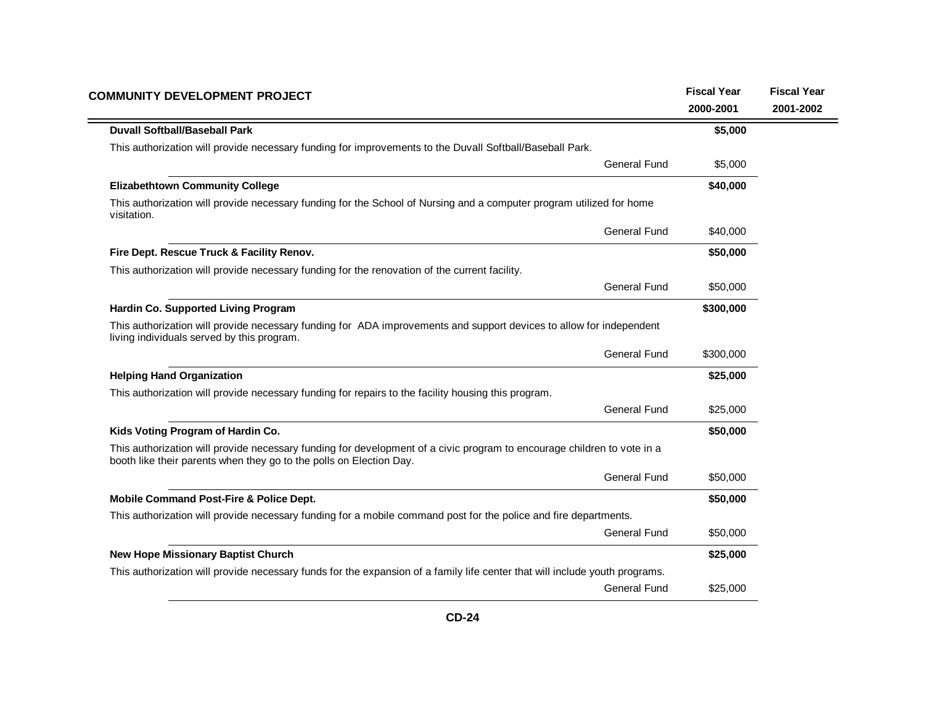| <b>COMMUNITY DEVELOPMENT PROJECT</b>                                                                                                                                                           | <b>Fiscal Year</b><br>2000-2001 | <b>Fiscal Year</b><br>2001-2002 |
|------------------------------------------------------------------------------------------------------------------------------------------------------------------------------------------------|---------------------------------|---------------------------------|
| <b>Duvall Softball/Baseball Park</b>                                                                                                                                                           | \$5,000                         |                                 |
| This authorization will provide necessary funding for improvements to the Duvall Softball/Baseball Park.                                                                                       |                                 |                                 |
| <b>General Fund</b>                                                                                                                                                                            | \$5,000                         |                                 |
| <b>Elizabethtown Community College</b>                                                                                                                                                         | \$40,000                        |                                 |
| This authorization will provide necessary funding for the School of Nursing and a computer program utilized for home<br>visitation.                                                            |                                 |                                 |
| <b>General Fund</b>                                                                                                                                                                            | \$40,000                        |                                 |
| Fire Dept. Rescue Truck & Facility Renov.                                                                                                                                                      | \$50,000                        |                                 |
| This authorization will provide necessary funding for the renovation of the current facility.                                                                                                  |                                 |                                 |
| <b>General Fund</b>                                                                                                                                                                            | \$50,000                        |                                 |
| Hardin Co. Supported Living Program                                                                                                                                                            | \$300,000                       |                                 |
| This authorization will provide necessary funding for ADA improvements and support devices to allow for independent<br>living individuals served by this program.                              |                                 |                                 |
| <b>General Fund</b>                                                                                                                                                                            | \$300,000                       |                                 |
| <b>Helping Hand Organization</b>                                                                                                                                                               | \$25,000                        |                                 |
| This authorization will provide necessary funding for repairs to the facility housing this program.                                                                                            |                                 |                                 |
| <b>General Fund</b>                                                                                                                                                                            | \$25,000                        |                                 |
| Kids Voting Program of Hardin Co.                                                                                                                                                              | \$50,000                        |                                 |
| This authorization will provide necessary funding for development of a civic program to encourage children to vote in a<br>booth like their parents when they go to the polls on Election Day. |                                 |                                 |
| <b>General Fund</b>                                                                                                                                                                            | \$50,000                        |                                 |
| Mobile Command Post-Fire & Police Dept.                                                                                                                                                        | \$50,000                        |                                 |
| This authorization will provide necessary funding for a mobile command post for the police and fire departments.                                                                               |                                 |                                 |
| <b>General Fund</b>                                                                                                                                                                            | \$50,000                        |                                 |
| <b>New Hope Missionary Baptist Church</b>                                                                                                                                                      | \$25,000                        |                                 |
| This authorization will provide necessary funds for the expansion of a family life center that will include youth programs.                                                                    |                                 |                                 |
| <b>General Fund</b>                                                                                                                                                                            | \$25,000                        |                                 |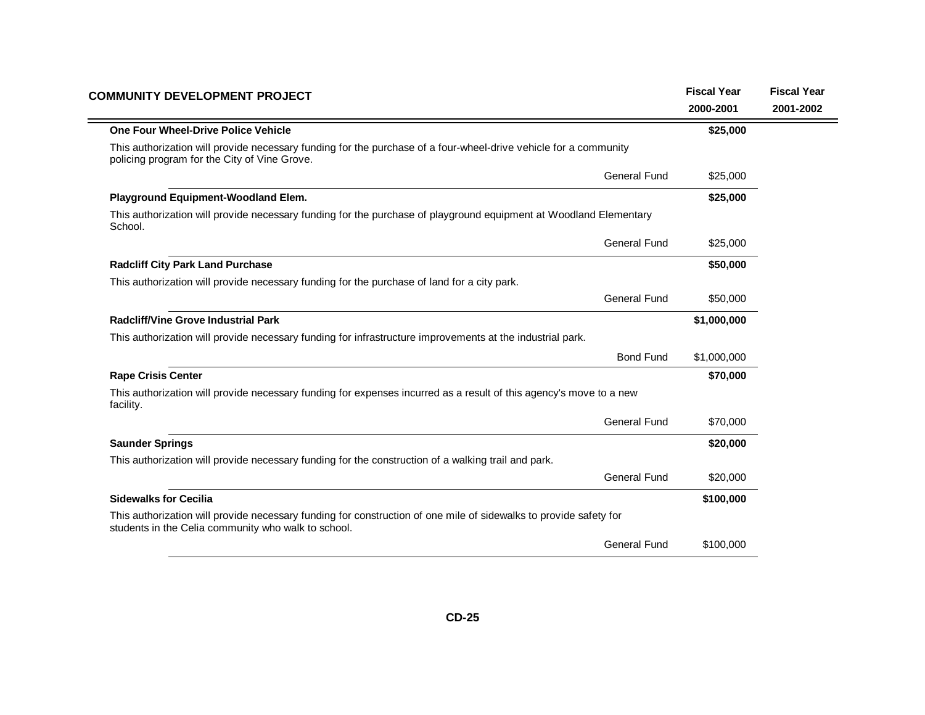| <b>COMMUNITY DEVELOPMENT PROJECT</b>                                                                                                                                     |                     | <b>Fiscal Year</b> | <b>Fiscal Year</b> |
|--------------------------------------------------------------------------------------------------------------------------------------------------------------------------|---------------------|--------------------|--------------------|
|                                                                                                                                                                          |                     | 2000-2001          | 2001-2002          |
| One Four Wheel-Drive Police Vehicle                                                                                                                                      |                     | \$25,000           |                    |
| This authorization will provide necessary funding for the purchase of a four-wheel-drive vehicle for a community<br>policing program for the City of Vine Grove.         |                     |                    |                    |
|                                                                                                                                                                          | <b>General Fund</b> | \$25,000           |                    |
| Playground Equipment-Woodland Elem.                                                                                                                                      |                     | \$25,000           |                    |
| This authorization will provide necessary funding for the purchase of playground equipment at Woodland Elementary<br>School.                                             |                     |                    |                    |
|                                                                                                                                                                          | <b>General Fund</b> | \$25,000           |                    |
| <b>Radcliff City Park Land Purchase</b>                                                                                                                                  |                     | \$50,000           |                    |
| This authorization will provide necessary funding for the purchase of land for a city park.                                                                              |                     |                    |                    |
|                                                                                                                                                                          | <b>General Fund</b> | \$50,000           |                    |
| <b>Radcliff/Vine Grove Industrial Park</b>                                                                                                                               |                     | \$1,000,000        |                    |
| This authorization will provide necessary funding for infrastructure improvements at the industrial park.                                                                |                     |                    |                    |
|                                                                                                                                                                          | <b>Bond Fund</b>    | \$1,000,000        |                    |
| <b>Rape Crisis Center</b>                                                                                                                                                |                     | \$70,000           |                    |
| This authorization will provide necessary funding for expenses incurred as a result of this agency's move to a new<br>facility.                                          |                     |                    |                    |
|                                                                                                                                                                          | <b>General Fund</b> | \$70,000           |                    |
| <b>Saunder Springs</b>                                                                                                                                                   |                     | \$20,000           |                    |
| This authorization will provide necessary funding for the construction of a walking trail and park.                                                                      |                     |                    |                    |
|                                                                                                                                                                          | <b>General Fund</b> | \$20,000           |                    |
| <b>Sidewalks for Cecilia</b>                                                                                                                                             |                     | \$100,000          |                    |
| This authorization will provide necessary funding for construction of one mile of sidewalks to provide safety for<br>students in the Celia community who walk to school. |                     |                    |                    |
|                                                                                                                                                                          | <b>General Fund</b> | \$100,000          |                    |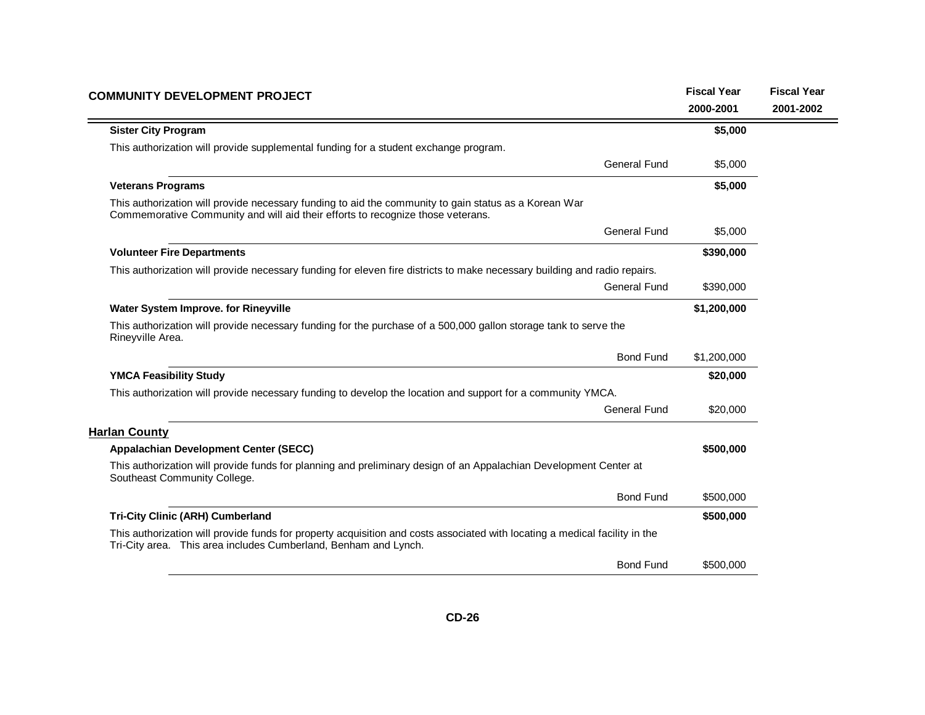| <b>COMMUNITY DEVELOPMENT PROJECT</b>                                                                                                                                                           |                     | <b>Fiscal Year</b> | <b>Fiscal Year</b> |
|------------------------------------------------------------------------------------------------------------------------------------------------------------------------------------------------|---------------------|--------------------|--------------------|
|                                                                                                                                                                                                |                     | 2000-2001          | 2001-2002          |
| <b>Sister City Program</b>                                                                                                                                                                     |                     | \$5,000            |                    |
| This authorization will provide supplemental funding for a student exchange program.                                                                                                           |                     |                    |                    |
|                                                                                                                                                                                                | General Fund        | \$5,000            |                    |
| <b>Veterans Programs</b>                                                                                                                                                                       |                     | \$5,000            |                    |
| This authorization will provide necessary funding to aid the community to gain status as a Korean War<br>Commemorative Community and will aid their efforts to recognize those veterans.       |                     |                    |                    |
|                                                                                                                                                                                                | <b>General Fund</b> | \$5,000            |                    |
| <b>Volunteer Fire Departments</b>                                                                                                                                                              |                     | \$390,000          |                    |
| This authorization will provide necessary funding for eleven fire districts to make necessary building and radio repairs.                                                                      |                     |                    |                    |
|                                                                                                                                                                                                | <b>General Fund</b> | \$390,000          |                    |
| Water System Improve. for Rineyville                                                                                                                                                           |                     | \$1,200,000        |                    |
| This authorization will provide necessary funding for the purchase of a 500,000 gallon storage tank to serve the<br>Rineyville Area.                                                           |                     |                    |                    |
|                                                                                                                                                                                                | <b>Bond Fund</b>    | \$1,200,000        |                    |
| <b>YMCA Feasibility Study</b>                                                                                                                                                                  |                     | \$20,000           |                    |
| This authorization will provide necessary funding to develop the location and support for a community YMCA.                                                                                    |                     |                    |                    |
|                                                                                                                                                                                                | <b>General Fund</b> | \$20,000           |                    |
| <b>Harlan County</b>                                                                                                                                                                           |                     |                    |                    |
| <b>Appalachian Development Center (SECC)</b>                                                                                                                                                   |                     | \$500,000          |                    |
| This authorization will provide funds for planning and preliminary design of an Appalachian Development Center at<br>Southeast Community College.                                              |                     |                    |                    |
|                                                                                                                                                                                                | <b>Bond Fund</b>    | \$500,000          |                    |
| <b>Tri-City Clinic (ARH) Cumberland</b>                                                                                                                                                        |                     | \$500,000          |                    |
| This authorization will provide funds for property acquisition and costs associated with locating a medical facility in the<br>Tri-City area. This area includes Cumberland, Benham and Lynch. |                     |                    |                    |
|                                                                                                                                                                                                | <b>Bond Fund</b>    | \$500,000          |                    |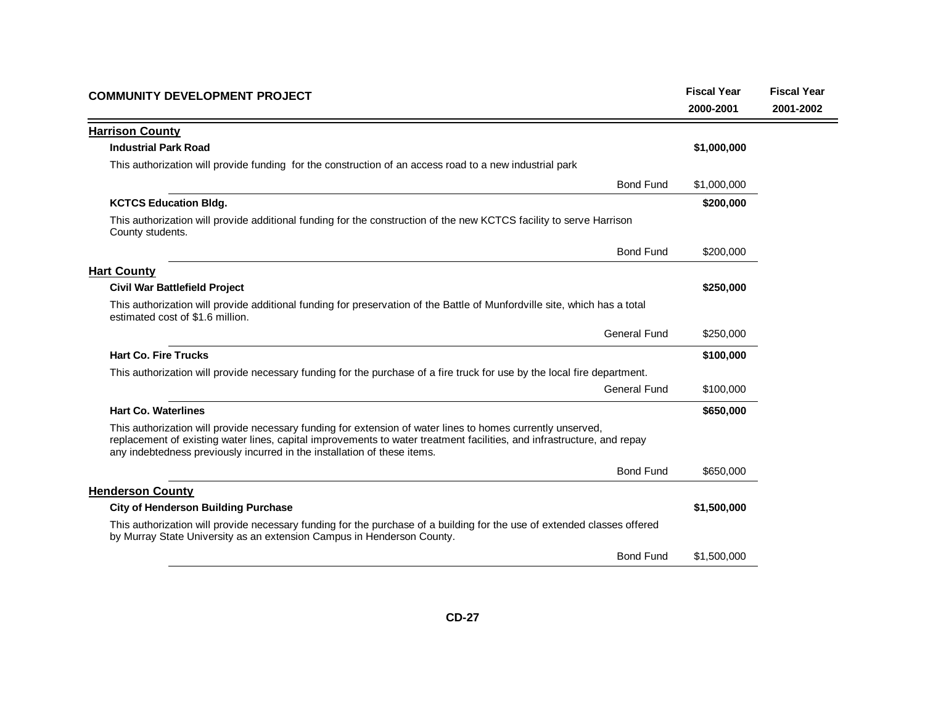| <b>COMMUNITY DEVELOPMENT PROJECT</b>                                                                                                                                                                                                                                                                              | <b>Fiscal Year</b><br>2000-2001 | <b>Fiscal Year</b><br>2001-2002 |
|-------------------------------------------------------------------------------------------------------------------------------------------------------------------------------------------------------------------------------------------------------------------------------------------------------------------|---------------------------------|---------------------------------|
| <b>Harrison County</b>                                                                                                                                                                                                                                                                                            |                                 |                                 |
| <b>Industrial Park Road</b>                                                                                                                                                                                                                                                                                       | \$1,000,000                     |                                 |
| This authorization will provide funding for the construction of an access road to a new industrial park                                                                                                                                                                                                           |                                 |                                 |
| <b>Bond Fund</b>                                                                                                                                                                                                                                                                                                  | \$1,000,000                     |                                 |
| <b>KCTCS Education Bldg.</b>                                                                                                                                                                                                                                                                                      | \$200,000                       |                                 |
| This authorization will provide additional funding for the construction of the new KCTCS facility to serve Harrison<br>County students.                                                                                                                                                                           |                                 |                                 |
| <b>Bond Fund</b>                                                                                                                                                                                                                                                                                                  | \$200,000                       |                                 |
| <b>Hart County</b>                                                                                                                                                                                                                                                                                                |                                 |                                 |
| <b>Civil War Battlefield Project</b>                                                                                                                                                                                                                                                                              | \$250,000                       |                                 |
| This authorization will provide additional funding for preservation of the Battle of Munfordville site, which has a total<br>estimated cost of \$1.6 million.                                                                                                                                                     |                                 |                                 |
| <b>General Fund</b>                                                                                                                                                                                                                                                                                               | \$250,000                       |                                 |
| <b>Hart Co. Fire Trucks</b>                                                                                                                                                                                                                                                                                       | \$100,000                       |                                 |
| This authorization will provide necessary funding for the purchase of a fire truck for use by the local fire department.                                                                                                                                                                                          |                                 |                                 |
| <b>General Fund</b>                                                                                                                                                                                                                                                                                               | \$100,000                       |                                 |
| <b>Hart Co. Waterlines</b>                                                                                                                                                                                                                                                                                        | \$650,000                       |                                 |
| This authorization will provide necessary funding for extension of water lines to homes currently unserved,<br>replacement of existing water lines, capital improvements to water treatment facilities, and infrastructure, and repay<br>any indebtedness previously incurred in the installation of these items. |                                 |                                 |
| <b>Bond Fund</b>                                                                                                                                                                                                                                                                                                  | \$650,000                       |                                 |
| <b>Henderson County</b>                                                                                                                                                                                                                                                                                           |                                 |                                 |
| <b>City of Henderson Building Purchase</b>                                                                                                                                                                                                                                                                        | \$1,500,000                     |                                 |
| This authorization will provide necessary funding for the purchase of a building for the use of extended classes offered<br>by Murray State University as an extension Campus in Henderson County.                                                                                                                |                                 |                                 |
| <b>Bond Fund</b>                                                                                                                                                                                                                                                                                                  | \$1,500,000                     |                                 |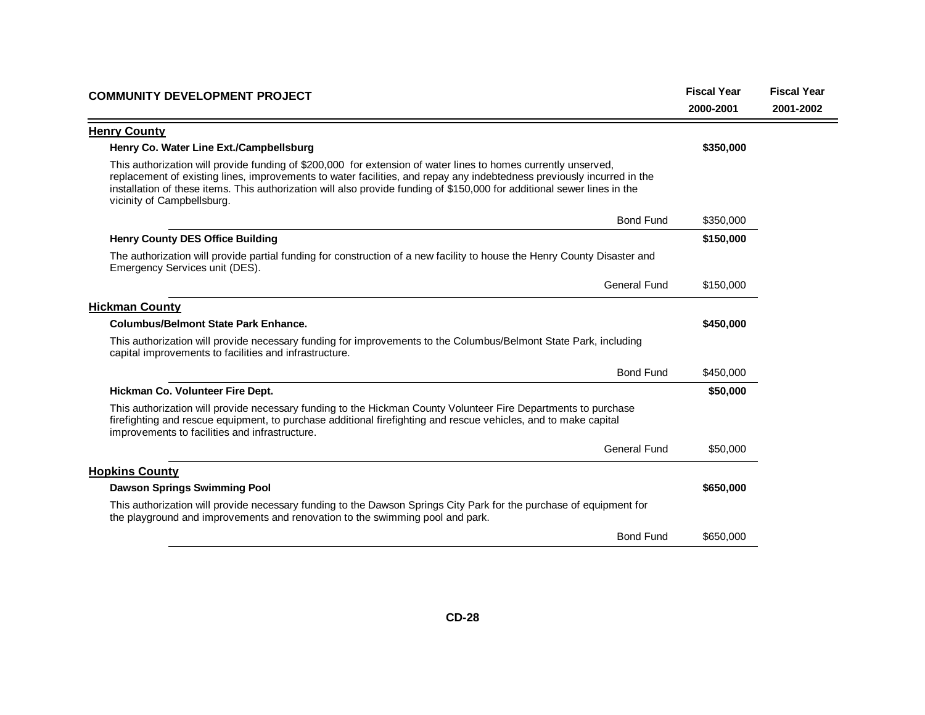| <b>COMMUNITY DEVELOPMENT PROJECT</b>                                                                                                                                                                                                                                                                                                                                                               | <b>Fiscal Year</b><br>2000-2001 | <b>Fiscal Year</b><br>2001-2002 |
|----------------------------------------------------------------------------------------------------------------------------------------------------------------------------------------------------------------------------------------------------------------------------------------------------------------------------------------------------------------------------------------------------|---------------------------------|---------------------------------|
| <b>Henry County</b>                                                                                                                                                                                                                                                                                                                                                                                |                                 |                                 |
| Henry Co. Water Line Ext./Campbellsburg                                                                                                                                                                                                                                                                                                                                                            | \$350,000                       |                                 |
| This authorization will provide funding of \$200,000 for extension of water lines to homes currently unserved,<br>replacement of existing lines, improvements to water facilities, and repay any indebtedness previously incurred in the<br>installation of these items. This authorization will also provide funding of \$150,000 for additional sewer lines in the<br>vicinity of Campbellsburg. |                                 |                                 |
| <b>Bond Fund</b>                                                                                                                                                                                                                                                                                                                                                                                   | \$350,000                       |                                 |
| <b>Henry County DES Office Building</b>                                                                                                                                                                                                                                                                                                                                                            | \$150,000                       |                                 |
| The authorization will provide partial funding for construction of a new facility to house the Henry County Disaster and<br>Emergency Services unit (DES).                                                                                                                                                                                                                                         |                                 |                                 |
| <b>General Fund</b>                                                                                                                                                                                                                                                                                                                                                                                | \$150,000                       |                                 |
| <b>Hickman County</b>                                                                                                                                                                                                                                                                                                                                                                              |                                 |                                 |
| <b>Columbus/Belmont State Park Enhance.</b>                                                                                                                                                                                                                                                                                                                                                        | \$450,000                       |                                 |
| This authorization will provide necessary funding for improvements to the Columbus/Belmont State Park, including<br>capital improvements to facilities and infrastructure.                                                                                                                                                                                                                         |                                 |                                 |
| <b>Bond Fund</b>                                                                                                                                                                                                                                                                                                                                                                                   | \$450,000                       |                                 |
| Hickman Co. Volunteer Fire Dept.                                                                                                                                                                                                                                                                                                                                                                   | \$50,000                        |                                 |
| This authorization will provide necessary funding to the Hickman County Volunteer Fire Departments to purchase<br>firefighting and rescue equipment, to purchase additional firefighting and rescue vehicles, and to make capital<br>improvements to facilities and infrastructure.                                                                                                                |                                 |                                 |
| <b>General Fund</b>                                                                                                                                                                                                                                                                                                                                                                                | \$50,000                        |                                 |
| <b>Hopkins County</b>                                                                                                                                                                                                                                                                                                                                                                              |                                 |                                 |
| <b>Dawson Springs Swimming Pool</b>                                                                                                                                                                                                                                                                                                                                                                | \$650,000                       |                                 |
| This authorization will provide necessary funding to the Dawson Springs City Park for the purchase of equipment for<br>the playground and improvements and renovation to the swimming pool and park.                                                                                                                                                                                               |                                 |                                 |
| <b>Bond Fund</b>                                                                                                                                                                                                                                                                                                                                                                                   | \$650,000                       |                                 |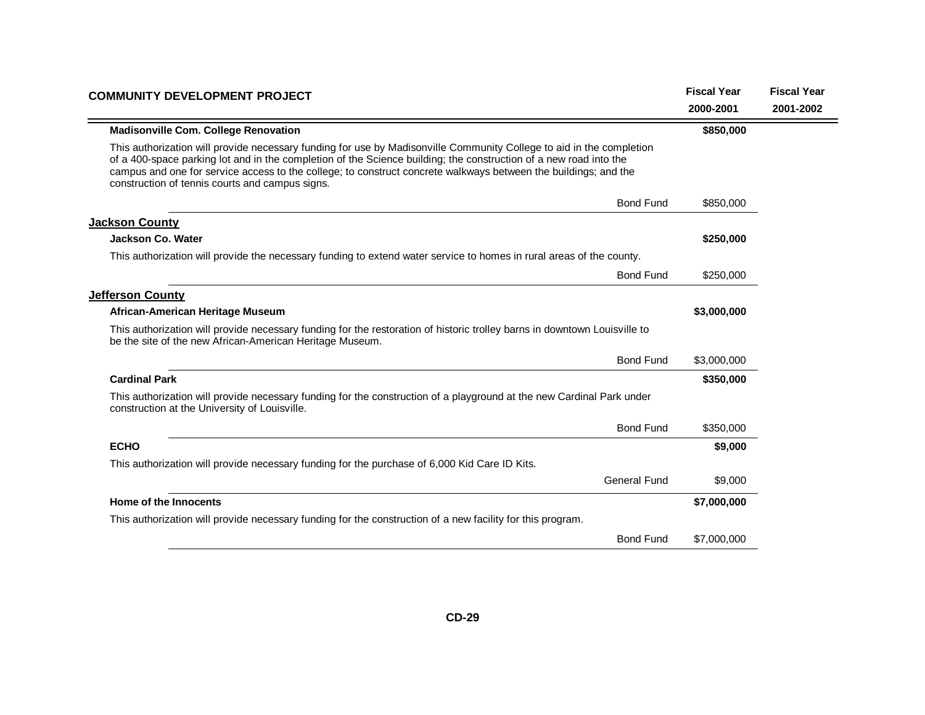| <b>COMMUNITY DEVELOPMENT PROJECT</b>                                                                                                                                                                                                                                                                                                                                                                            | <b>Fiscal Year</b> | <b>Fiscal Year</b> |
|-----------------------------------------------------------------------------------------------------------------------------------------------------------------------------------------------------------------------------------------------------------------------------------------------------------------------------------------------------------------------------------------------------------------|--------------------|--------------------|
|                                                                                                                                                                                                                                                                                                                                                                                                                 | 2000-2001          | 2001-2002          |
| <b>Madisonville Com. College Renovation</b>                                                                                                                                                                                                                                                                                                                                                                     | \$850,000          |                    |
| This authorization will provide necessary funding for use by Madisonville Community College to aid in the completion<br>of a 400-space parking lot and in the completion of the Science building; the construction of a new road into the<br>campus and one for service access to the college; to construct concrete walkways between the buildings; and the<br>construction of tennis courts and campus signs. |                    |                    |
| <b>Bond Fund</b>                                                                                                                                                                                                                                                                                                                                                                                                | \$850,000          |                    |
| <b>Jackson County</b>                                                                                                                                                                                                                                                                                                                                                                                           |                    |                    |
| <b>Jackson Co. Water</b>                                                                                                                                                                                                                                                                                                                                                                                        | \$250,000          |                    |
| This authorization will provide the necessary funding to extend water service to homes in rural areas of the county.                                                                                                                                                                                                                                                                                            |                    |                    |
| <b>Bond Fund</b>                                                                                                                                                                                                                                                                                                                                                                                                | \$250,000          |                    |
| Jefferson County                                                                                                                                                                                                                                                                                                                                                                                                |                    |                    |
| African-American Heritage Museum                                                                                                                                                                                                                                                                                                                                                                                | \$3,000,000        |                    |
| This authorization will provide necessary funding for the restoration of historic trolley barns in downtown Louisville to<br>be the site of the new African-American Heritage Museum.                                                                                                                                                                                                                           |                    |                    |
| <b>Bond Fund</b>                                                                                                                                                                                                                                                                                                                                                                                                | \$3,000,000        |                    |
| <b>Cardinal Park</b>                                                                                                                                                                                                                                                                                                                                                                                            | \$350,000          |                    |
| This authorization will provide necessary funding for the construction of a playground at the new Cardinal Park under<br>construction at the University of Louisville.                                                                                                                                                                                                                                          |                    |                    |
| <b>Bond Fund</b>                                                                                                                                                                                                                                                                                                                                                                                                | \$350,000          |                    |
| <b>ECHO</b>                                                                                                                                                                                                                                                                                                                                                                                                     | \$9,000            |                    |
| This authorization will provide necessary funding for the purchase of 6,000 Kid Care ID Kits.                                                                                                                                                                                                                                                                                                                   |                    |                    |
| <b>General Fund</b>                                                                                                                                                                                                                                                                                                                                                                                             | \$9,000            |                    |
| Home of the Innocents                                                                                                                                                                                                                                                                                                                                                                                           | \$7,000,000        |                    |
| This authorization will provide necessary funding for the construction of a new facility for this program.                                                                                                                                                                                                                                                                                                      |                    |                    |
| <b>Bond Fund</b>                                                                                                                                                                                                                                                                                                                                                                                                | \$7,000,000        |                    |
|                                                                                                                                                                                                                                                                                                                                                                                                                 |                    |                    |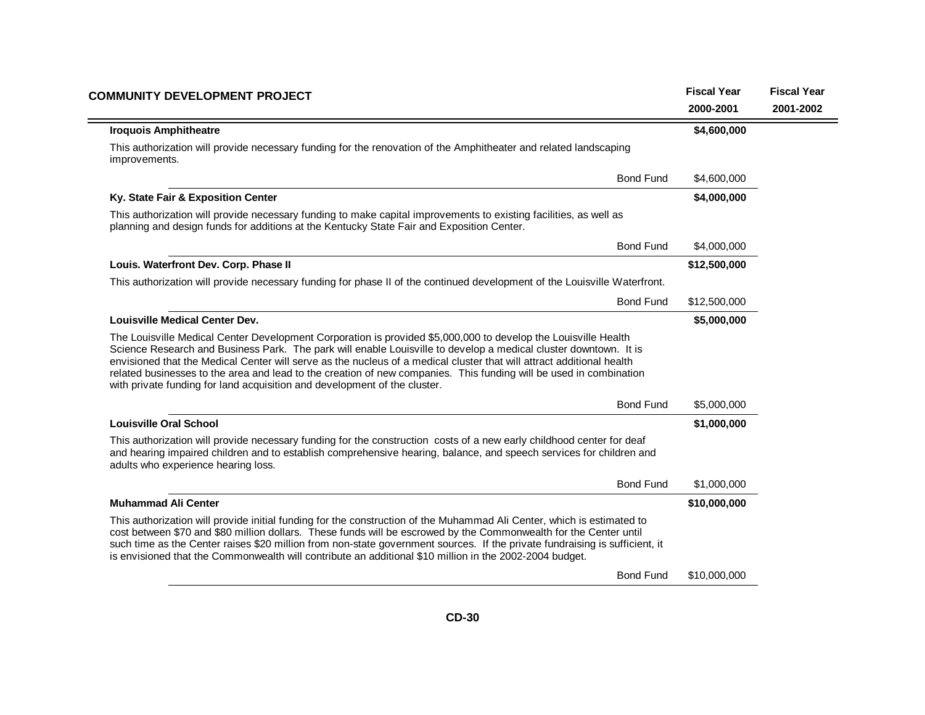| <b>COMMUNITY DEVELOPMENT PROJECT</b>                                                                                                                                                                                                                                                                                                                                                                                                                                                                                                                           | <b>Fiscal Year</b><br>2000-2001 | <b>Fiscal Year</b><br>2001-2002 |
|----------------------------------------------------------------------------------------------------------------------------------------------------------------------------------------------------------------------------------------------------------------------------------------------------------------------------------------------------------------------------------------------------------------------------------------------------------------------------------------------------------------------------------------------------------------|---------------------------------|---------------------------------|
| <b>Iroquois Amphitheatre</b>                                                                                                                                                                                                                                                                                                                                                                                                                                                                                                                                   | \$4,600,000                     |                                 |
| This authorization will provide necessary funding for the renovation of the Amphitheater and related landscaping<br>improvements.                                                                                                                                                                                                                                                                                                                                                                                                                              |                                 |                                 |
| <b>Bond Fund</b>                                                                                                                                                                                                                                                                                                                                                                                                                                                                                                                                               | \$4,600,000                     |                                 |
| Ky. State Fair & Exposition Center                                                                                                                                                                                                                                                                                                                                                                                                                                                                                                                             | \$4,000,000                     |                                 |
| This authorization will provide necessary funding to make capital improvements to existing facilities, as well as<br>planning and design funds for additions at the Kentucky State Fair and Exposition Center.                                                                                                                                                                                                                                                                                                                                                 |                                 |                                 |
| <b>Bond Fund</b>                                                                                                                                                                                                                                                                                                                                                                                                                                                                                                                                               | \$4,000,000                     |                                 |
| Louis. Waterfront Dev. Corp. Phase II                                                                                                                                                                                                                                                                                                                                                                                                                                                                                                                          | \$12,500,000                    |                                 |
| This authorization will provide necessary funding for phase II of the continued development of the Louisville Waterfront.                                                                                                                                                                                                                                                                                                                                                                                                                                      |                                 |                                 |
| <b>Bond Fund</b>                                                                                                                                                                                                                                                                                                                                                                                                                                                                                                                                               | \$12,500,000                    |                                 |
| <b>Louisville Medical Center Dev.</b>                                                                                                                                                                                                                                                                                                                                                                                                                                                                                                                          | \$5,000,000                     |                                 |
| The Louisville Medical Center Development Corporation is provided \$5,000,000 to develop the Louisville Health<br>Science Research and Business Park. The park will enable Louisville to develop a medical cluster downtown. It is<br>envisioned that the Medical Center will serve as the nucleus of a medical cluster that will attract additional health<br>related businesses to the area and lead to the creation of new companies. This funding will be used in combination<br>with private funding for land acquisition and development of the cluster. |                                 |                                 |
| <b>Bond Fund</b>                                                                                                                                                                                                                                                                                                                                                                                                                                                                                                                                               | \$5,000,000                     |                                 |
| <b>Louisville Oral School</b>                                                                                                                                                                                                                                                                                                                                                                                                                                                                                                                                  | \$1,000,000                     |                                 |
| This authorization will provide necessary funding for the construction costs of a new early childhood center for deaf<br>and hearing impaired children and to establish comprehensive hearing, balance, and speech services for children and<br>adults who experience hearing loss.                                                                                                                                                                                                                                                                            |                                 |                                 |
| <b>Bond Fund</b>                                                                                                                                                                                                                                                                                                                                                                                                                                                                                                                                               | \$1,000,000                     |                                 |
| <b>Muhammad Ali Center</b>                                                                                                                                                                                                                                                                                                                                                                                                                                                                                                                                     | \$10,000,000                    |                                 |
| This authorization will provide initial funding for the construction of the Muhammad Ali Center, which is estimated to<br>cost between \$70 and \$80 million dollars. These funds will be escrowed by the Commonwealth for the Center until<br>such time as the Center raises \$20 million from non-state government sources. If the private fundraising is sufficient, it<br>is envisioned that the Commonwealth will contribute an additional \$10 million in the 2002-2004 budget.                                                                          |                                 |                                 |
| <b>Bond Fund</b>                                                                                                                                                                                                                                                                                                                                                                                                                                                                                                                                               | \$10,000,000                    |                                 |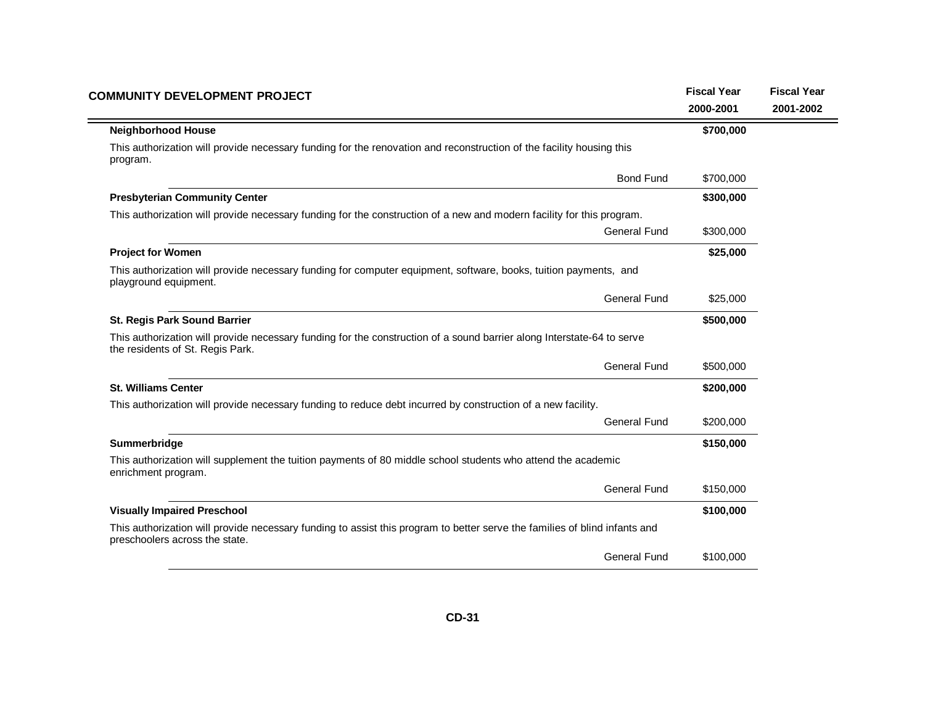| <b>COMMUNITY DEVELOPMENT PROJECT</b>                                                                                                                         | <b>Fiscal Year</b> | <b>Fiscal Year</b> |
|--------------------------------------------------------------------------------------------------------------------------------------------------------------|--------------------|--------------------|
|                                                                                                                                                              | 2000-2001          | 2001-2002          |
| <b>Neighborhood House</b>                                                                                                                                    | \$700,000          |                    |
| This authorization will provide necessary funding for the renovation and reconstruction of the facility housing this<br>program.                             |                    |                    |
| <b>Bond Fund</b>                                                                                                                                             | \$700,000          |                    |
| <b>Presbyterian Community Center</b>                                                                                                                         | \$300,000          |                    |
| This authorization will provide necessary funding for the construction of a new and modern facility for this program.                                        |                    |                    |
| <b>General Fund</b>                                                                                                                                          | \$300,000          |                    |
| <b>Project for Women</b>                                                                                                                                     | \$25,000           |                    |
| This authorization will provide necessary funding for computer equipment, software, books, tuition payments, and<br>playground equipment.                    |                    |                    |
| <b>General Fund</b>                                                                                                                                          | \$25,000           |                    |
| <b>St. Regis Park Sound Barrier</b>                                                                                                                          | \$500,000          |                    |
| This authorization will provide necessary funding for the construction of a sound barrier along Interstate-64 to serve<br>the residents of St. Regis Park.   |                    |                    |
| <b>General Fund</b>                                                                                                                                          | \$500,000          |                    |
| <b>St. Williams Center</b>                                                                                                                                   | \$200,000          |                    |
| This authorization will provide necessary funding to reduce debt incurred by construction of a new facility.                                                 |                    |                    |
| <b>General Fund</b>                                                                                                                                          | \$200,000          |                    |
| Summerbridge                                                                                                                                                 | \$150,000          |                    |
| This authorization will supplement the tuition payments of 80 middle school students who attend the academic<br>enrichment program.                          |                    |                    |
| <b>General Fund</b>                                                                                                                                          | \$150,000          |                    |
| <b>Visually Impaired Preschool</b>                                                                                                                           | \$100,000          |                    |
| This authorization will provide necessary funding to assist this program to better serve the families of blind infants and<br>preschoolers across the state. |                    |                    |
| <b>General Fund</b>                                                                                                                                          | \$100,000          |                    |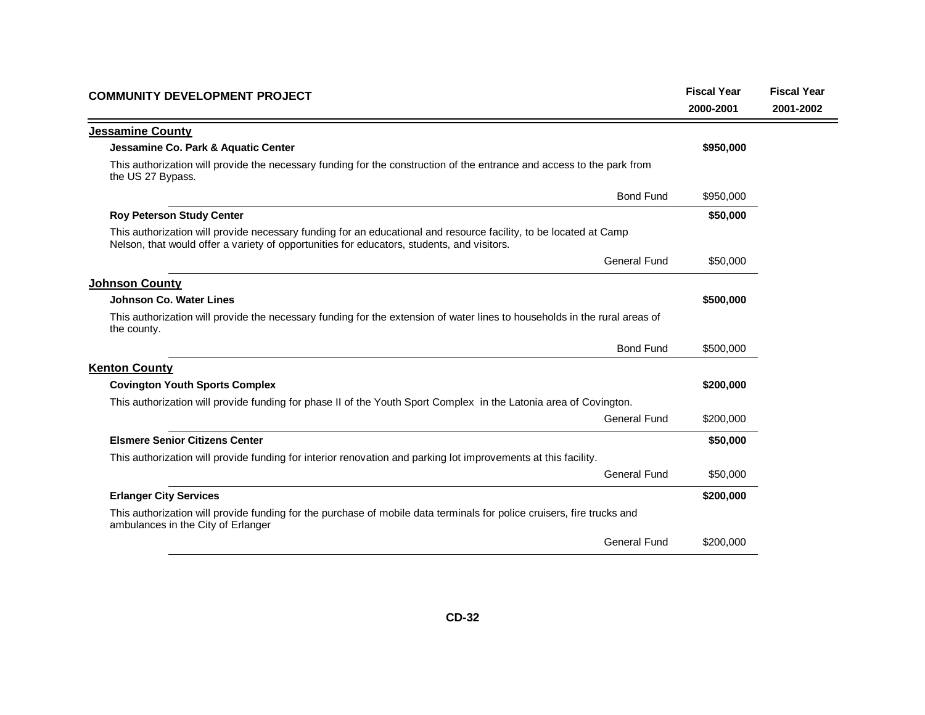| <b>COMMUNITY DEVELOPMENT PROJECT</b>                                                                                                                                                                            | <b>Fiscal Year</b><br>2000-2001 | <b>Fiscal Year</b><br>2001-2002 |
|-----------------------------------------------------------------------------------------------------------------------------------------------------------------------------------------------------------------|---------------------------------|---------------------------------|
| <b>Jessamine County</b>                                                                                                                                                                                         |                                 |                                 |
| Jessamine Co. Park & Aquatic Center                                                                                                                                                                             | \$950,000                       |                                 |
| This authorization will provide the necessary funding for the construction of the entrance and access to the park from<br>the US 27 Bypass.                                                                     |                                 |                                 |
| <b>Bond Fund</b>                                                                                                                                                                                                | \$950,000                       |                                 |
| <b>Roy Peterson Study Center</b>                                                                                                                                                                                | \$50,000                        |                                 |
| This authorization will provide necessary funding for an educational and resource facility, to be located at Camp<br>Nelson, that would offer a variety of opportunities for educators, students, and visitors. |                                 |                                 |
| <b>General Fund</b>                                                                                                                                                                                             | \$50,000                        |                                 |
| <b>Johnson County</b>                                                                                                                                                                                           |                                 |                                 |
| Johnson Co. Water Lines                                                                                                                                                                                         | \$500,000                       |                                 |
| This authorization will provide the necessary funding for the extension of water lines to households in the rural areas of<br>the county.                                                                       |                                 |                                 |
| <b>Bond Fund</b>                                                                                                                                                                                                | \$500,000                       |                                 |
| <b>Kenton County</b>                                                                                                                                                                                            |                                 |                                 |
| <b>Covington Youth Sports Complex</b>                                                                                                                                                                           | \$200,000                       |                                 |
| This authorization will provide funding for phase II of the Youth Sport Complex in the Latonia area of Covington.                                                                                               |                                 |                                 |
| <b>General Fund</b>                                                                                                                                                                                             | \$200,000                       |                                 |
| <b>Elsmere Senior Citizens Center</b>                                                                                                                                                                           | \$50,000                        |                                 |
| This authorization will provide funding for interior renovation and parking lot improvements at this facility.                                                                                                  |                                 |                                 |
| General Fund                                                                                                                                                                                                    | \$50,000                        |                                 |
| <b>Erlanger City Services</b>                                                                                                                                                                                   | \$200,000                       |                                 |
| This authorization will provide funding for the purchase of mobile data terminals for police cruisers, fire trucks and<br>ambulances in the City of Erlanger                                                    |                                 |                                 |
| <b>General Fund</b>                                                                                                                                                                                             | \$200,000                       |                                 |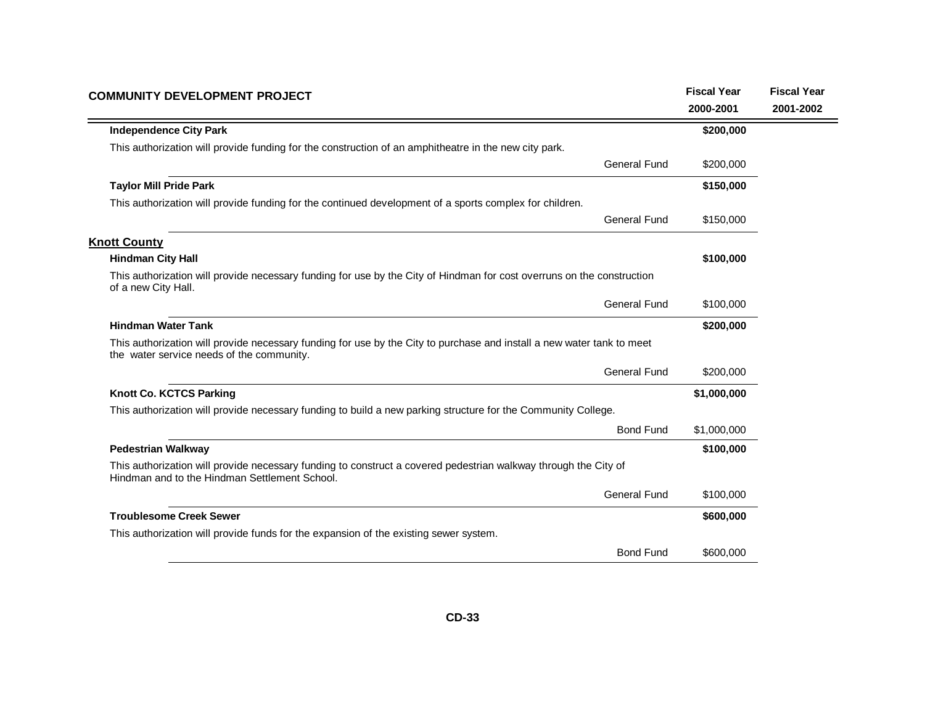| <b>COMMUNITY DEVELOPMENT PROJECT</b>                                                                                                                                |                  | <b>Fiscal Year</b> | <b>Fiscal Year</b> |
|---------------------------------------------------------------------------------------------------------------------------------------------------------------------|------------------|--------------------|--------------------|
|                                                                                                                                                                     |                  | 2000-2001          | 2001-2002          |
| <b>Independence City Park</b>                                                                                                                                       |                  | \$200,000          |                    |
| This authorization will provide funding for the construction of an amphitheatre in the new city park.                                                               |                  |                    |                    |
| <b>General Fund</b>                                                                                                                                                 |                  | \$200,000          |                    |
| <b>Taylor Mill Pride Park</b>                                                                                                                                       |                  | \$150,000          |                    |
| This authorization will provide funding for the continued development of a sports complex for children.                                                             |                  |                    |                    |
| <b>General Fund</b>                                                                                                                                                 |                  | \$150,000          |                    |
| <b>Knott County</b>                                                                                                                                                 |                  |                    |                    |
| <b>Hindman City Hall</b>                                                                                                                                            |                  | \$100,000          |                    |
| This authorization will provide necessary funding for use by the City of Hindman for cost overruns on the construction<br>of a new City Hall.                       |                  |                    |                    |
| <b>General Fund</b>                                                                                                                                                 |                  | \$100,000          |                    |
| <b>Hindman Water Tank</b>                                                                                                                                           |                  | \$200,000          |                    |
| This authorization will provide necessary funding for use by the City to purchase and install a new water tank to meet<br>the water service needs of the community. |                  |                    |                    |
| <b>General Fund</b>                                                                                                                                                 |                  | \$200,000          |                    |
| Knott Co. KCTCS Parking                                                                                                                                             |                  | \$1,000,000        |                    |
| This authorization will provide necessary funding to build a new parking structure for the Community College.                                                       |                  |                    |                    |
|                                                                                                                                                                     | <b>Bond Fund</b> | \$1,000,000        |                    |
| <b>Pedestrian Walkway</b>                                                                                                                                           |                  | \$100,000          |                    |
| This authorization will provide necessary funding to construct a covered pedestrian walkway through the City of<br>Hindman and to the Hindman Settlement School.    |                  |                    |                    |
| <b>General Fund</b>                                                                                                                                                 |                  | \$100,000          |                    |
| <b>Troublesome Creek Sewer</b>                                                                                                                                      |                  | \$600,000          |                    |
| This authorization will provide funds for the expansion of the existing sewer system.                                                                               |                  |                    |                    |
|                                                                                                                                                                     | <b>Bond Fund</b> | \$600,000          |                    |
|                                                                                                                                                                     |                  |                    |                    |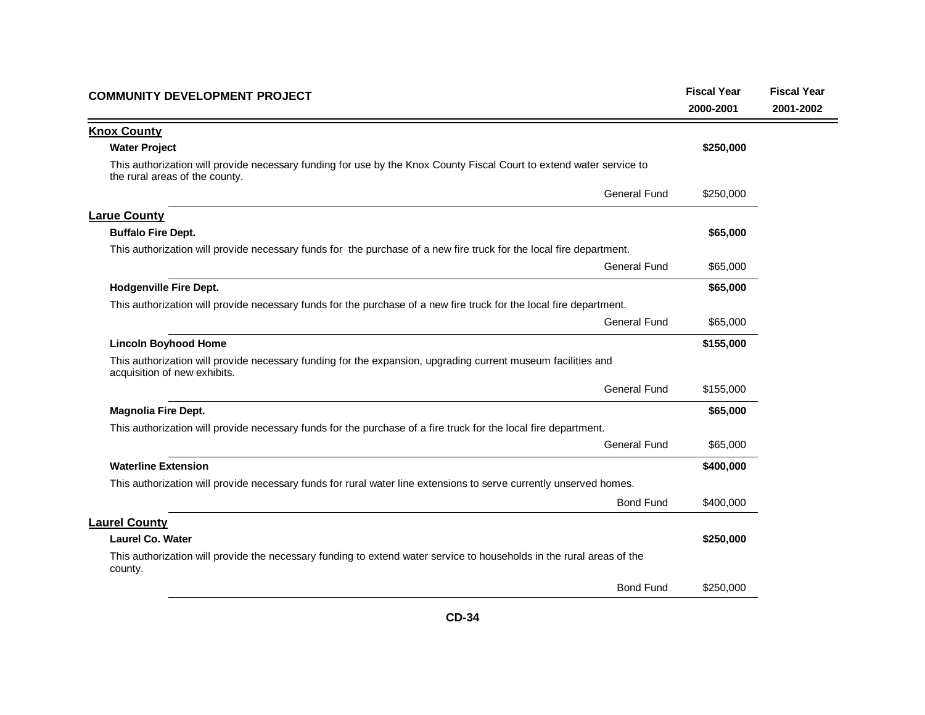| <b>COMMUNITY DEVELOPMENT PROJECT</b>                                                                                                                   | <b>Fiscal Year</b><br>2000-2001 | <b>Fiscal Year</b><br>2001-2002 |
|--------------------------------------------------------------------------------------------------------------------------------------------------------|---------------------------------|---------------------------------|
| <b>Knox County</b>                                                                                                                                     |                                 |                                 |
| <b>Water Project</b>                                                                                                                                   | \$250,000                       |                                 |
| This authorization will provide necessary funding for use by the Knox County Fiscal Court to extend water service to<br>the rural areas of the county. |                                 |                                 |
| <b>General Fund</b>                                                                                                                                    | \$250,000                       |                                 |
| <b>Larue County</b>                                                                                                                                    |                                 |                                 |
| <b>Buffalo Fire Dept.</b>                                                                                                                              | \$65,000                        |                                 |
| This authorization will provide necessary funds for the purchase of a new fire truck for the local fire department.                                    |                                 |                                 |
| <b>General Fund</b>                                                                                                                                    | \$65,000                        |                                 |
| <b>Hodgenville Fire Dept.</b>                                                                                                                          | \$65,000                        |                                 |
| This authorization will provide necessary funds for the purchase of a new fire truck for the local fire department.                                    |                                 |                                 |
| <b>General Fund</b>                                                                                                                                    | \$65,000                        |                                 |
| <b>Lincoln Boyhood Home</b>                                                                                                                            | \$155,000                       |                                 |
| This authorization will provide necessary funding for the expansion, upgrading current museum facilities and<br>acquisition of new exhibits.           |                                 |                                 |
| General Fund                                                                                                                                           | \$155,000                       |                                 |
| <b>Magnolia Fire Dept.</b>                                                                                                                             | \$65,000                        |                                 |
| This authorization will provide necessary funds for the purchase of a fire truck for the local fire department.                                        |                                 |                                 |
| <b>General Fund</b>                                                                                                                                    | \$65,000                        |                                 |
| <b>Waterline Extension</b>                                                                                                                             | \$400,000                       |                                 |
| This authorization will provide necessary funds for rural water line extensions to serve currently unserved homes.                                     |                                 |                                 |
| <b>Bond Fund</b>                                                                                                                                       | \$400,000                       |                                 |
| <b>Laurel County</b>                                                                                                                                   |                                 |                                 |
| <b>Laurel Co. Water</b>                                                                                                                                | \$250,000                       |                                 |
| This authorization will provide the necessary funding to extend water service to households in the rural areas of the<br>county.                       |                                 |                                 |
| <b>Bond Fund</b>                                                                                                                                       | \$250,000                       |                                 |
|                                                                                                                                                        |                                 |                                 |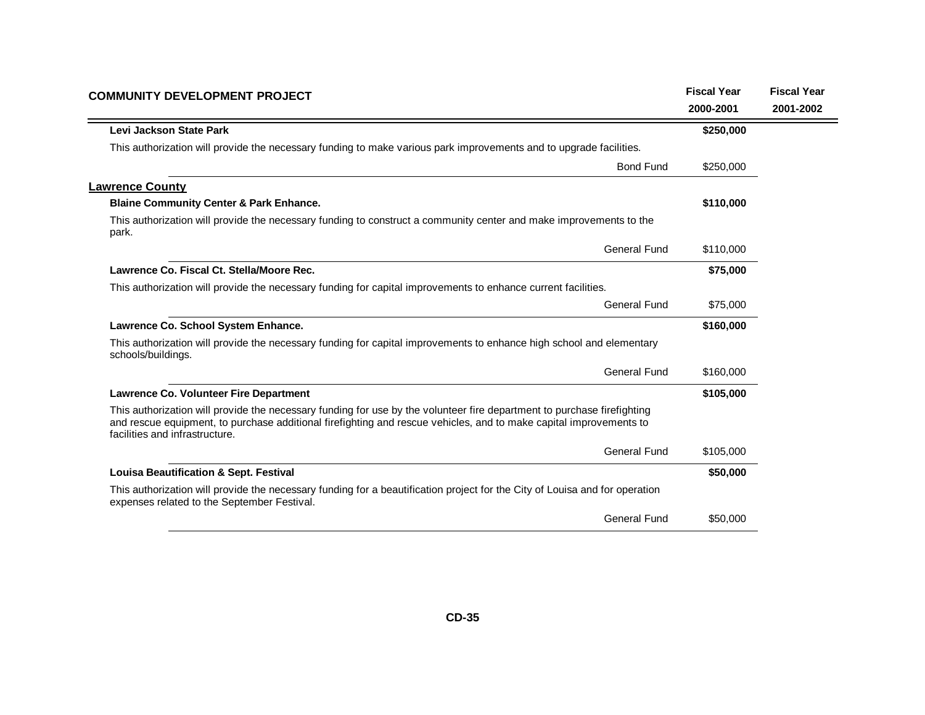| 2000-2001<br>Levi Jackson State Park<br>\$250,000<br>This authorization will provide the necessary funding to make various park improvements and to upgrade facilities.<br><b>Bond Fund</b><br>\$250,000<br><b>Blaine Community Center &amp; Park Enhance.</b><br>\$110,000<br>This authorization will provide the necessary funding to construct a community center and make improvements to the<br>park.<br>General Fund<br>\$110,000<br>Lawrence Co. Fiscal Ct. Stella/Moore Rec.<br>\$75,000<br>This authorization will provide the necessary funding for capital improvements to enhance current facilities.<br>General Fund<br>\$75,000<br>Lawrence Co. School System Enhance.<br>\$160,000<br>This authorization will provide the necessary funding for capital improvements to enhance high school and elementary<br>schools/buildings.<br><b>General Fund</b><br>\$160,000<br>Lawrence Co. Volunteer Fire Department<br>\$105,000<br>This authorization will provide the necessary funding for use by the volunteer fire department to purchase firefighting<br>and rescue equipment, to purchase additional firefighting and rescue vehicles, and to make capital improvements to<br>facilities and infrastructure.<br><b>General Fund</b><br>\$105,000<br><b>Louisa Beautification &amp; Sept. Festival</b><br>\$50,000<br>This authorization will provide the necessary funding for a beautification project for the City of Louisa and for operation<br>expenses related to the September Festival.<br><b>General Fund</b><br>\$50,000 | <b>COMMUNITY DEVELOPMENT PROJECT</b> | <b>Fiscal Year</b> | <b>Fiscal Year</b> |
|-----------------------------------------------------------------------------------------------------------------------------------------------------------------------------------------------------------------------------------------------------------------------------------------------------------------------------------------------------------------------------------------------------------------------------------------------------------------------------------------------------------------------------------------------------------------------------------------------------------------------------------------------------------------------------------------------------------------------------------------------------------------------------------------------------------------------------------------------------------------------------------------------------------------------------------------------------------------------------------------------------------------------------------------------------------------------------------------------------------------------------------------------------------------------------------------------------------------------------------------------------------------------------------------------------------------------------------------------------------------------------------------------------------------------------------------------------------------------------------------------------------------------------------------------------|--------------------------------------|--------------------|--------------------|
|                                                                                                                                                                                                                                                                                                                                                                                                                                                                                                                                                                                                                                                                                                                                                                                                                                                                                                                                                                                                                                                                                                                                                                                                                                                                                                                                                                                                                                                                                                                                                     |                                      |                    | 2001-2002          |
|                                                                                                                                                                                                                                                                                                                                                                                                                                                                                                                                                                                                                                                                                                                                                                                                                                                                                                                                                                                                                                                                                                                                                                                                                                                                                                                                                                                                                                                                                                                                                     |                                      |                    |                    |
|                                                                                                                                                                                                                                                                                                                                                                                                                                                                                                                                                                                                                                                                                                                                                                                                                                                                                                                                                                                                                                                                                                                                                                                                                                                                                                                                                                                                                                                                                                                                                     |                                      |                    |                    |
|                                                                                                                                                                                                                                                                                                                                                                                                                                                                                                                                                                                                                                                                                                                                                                                                                                                                                                                                                                                                                                                                                                                                                                                                                                                                                                                                                                                                                                                                                                                                                     |                                      |                    |                    |
|                                                                                                                                                                                                                                                                                                                                                                                                                                                                                                                                                                                                                                                                                                                                                                                                                                                                                                                                                                                                                                                                                                                                                                                                                                                                                                                                                                                                                                                                                                                                                     | <b>Lawrence County</b>               |                    |                    |
|                                                                                                                                                                                                                                                                                                                                                                                                                                                                                                                                                                                                                                                                                                                                                                                                                                                                                                                                                                                                                                                                                                                                                                                                                                                                                                                                                                                                                                                                                                                                                     |                                      |                    |                    |
|                                                                                                                                                                                                                                                                                                                                                                                                                                                                                                                                                                                                                                                                                                                                                                                                                                                                                                                                                                                                                                                                                                                                                                                                                                                                                                                                                                                                                                                                                                                                                     |                                      |                    |                    |
|                                                                                                                                                                                                                                                                                                                                                                                                                                                                                                                                                                                                                                                                                                                                                                                                                                                                                                                                                                                                                                                                                                                                                                                                                                                                                                                                                                                                                                                                                                                                                     |                                      |                    |                    |
|                                                                                                                                                                                                                                                                                                                                                                                                                                                                                                                                                                                                                                                                                                                                                                                                                                                                                                                                                                                                                                                                                                                                                                                                                                                                                                                                                                                                                                                                                                                                                     |                                      |                    |                    |
|                                                                                                                                                                                                                                                                                                                                                                                                                                                                                                                                                                                                                                                                                                                                                                                                                                                                                                                                                                                                                                                                                                                                                                                                                                                                                                                                                                                                                                                                                                                                                     |                                      |                    |                    |
|                                                                                                                                                                                                                                                                                                                                                                                                                                                                                                                                                                                                                                                                                                                                                                                                                                                                                                                                                                                                                                                                                                                                                                                                                                                                                                                                                                                                                                                                                                                                                     |                                      |                    |                    |
|                                                                                                                                                                                                                                                                                                                                                                                                                                                                                                                                                                                                                                                                                                                                                                                                                                                                                                                                                                                                                                                                                                                                                                                                                                                                                                                                                                                                                                                                                                                                                     |                                      |                    |                    |
|                                                                                                                                                                                                                                                                                                                                                                                                                                                                                                                                                                                                                                                                                                                                                                                                                                                                                                                                                                                                                                                                                                                                                                                                                                                                                                                                                                                                                                                                                                                                                     |                                      |                    |                    |
|                                                                                                                                                                                                                                                                                                                                                                                                                                                                                                                                                                                                                                                                                                                                                                                                                                                                                                                                                                                                                                                                                                                                                                                                                                                                                                                                                                                                                                                                                                                                                     |                                      |                    |                    |
|                                                                                                                                                                                                                                                                                                                                                                                                                                                                                                                                                                                                                                                                                                                                                                                                                                                                                                                                                                                                                                                                                                                                                                                                                                                                                                                                                                                                                                                                                                                                                     |                                      |                    |                    |
|                                                                                                                                                                                                                                                                                                                                                                                                                                                                                                                                                                                                                                                                                                                                                                                                                                                                                                                                                                                                                                                                                                                                                                                                                                                                                                                                                                                                                                                                                                                                                     |                                      |                    |                    |
|                                                                                                                                                                                                                                                                                                                                                                                                                                                                                                                                                                                                                                                                                                                                                                                                                                                                                                                                                                                                                                                                                                                                                                                                                                                                                                                                                                                                                                                                                                                                                     |                                      |                    |                    |
|                                                                                                                                                                                                                                                                                                                                                                                                                                                                                                                                                                                                                                                                                                                                                                                                                                                                                                                                                                                                                                                                                                                                                                                                                                                                                                                                                                                                                                                                                                                                                     |                                      |                    |                    |
|                                                                                                                                                                                                                                                                                                                                                                                                                                                                                                                                                                                                                                                                                                                                                                                                                                                                                                                                                                                                                                                                                                                                                                                                                                                                                                                                                                                                                                                                                                                                                     |                                      |                    |                    |
|                                                                                                                                                                                                                                                                                                                                                                                                                                                                                                                                                                                                                                                                                                                                                                                                                                                                                                                                                                                                                                                                                                                                                                                                                                                                                                                                                                                                                                                                                                                                                     |                                      |                    |                    |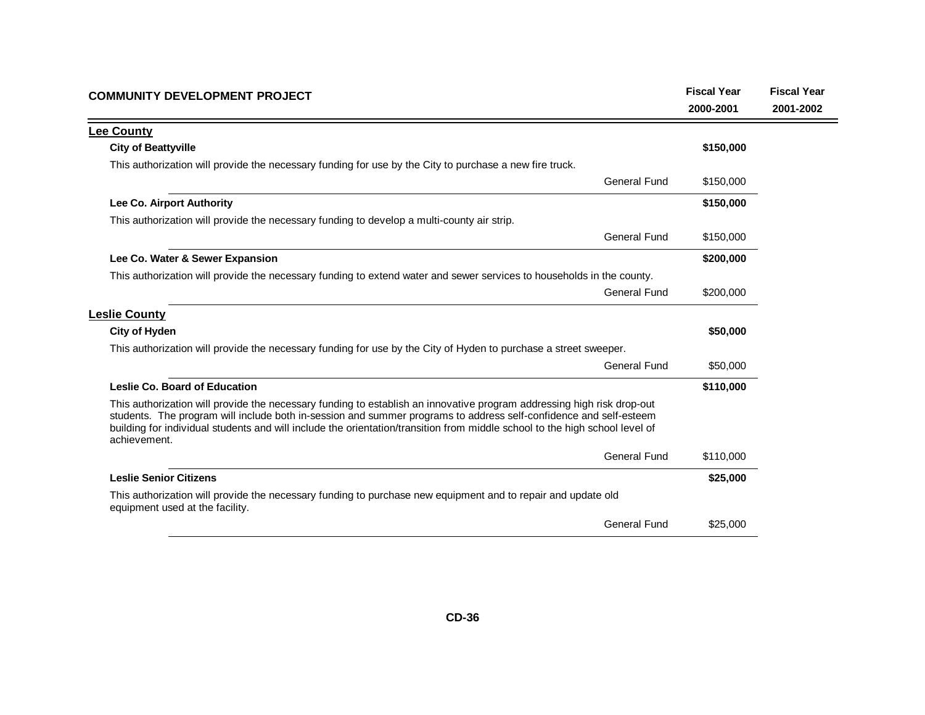| <b>COMMUNITY DEVELOPMENT PROJECT</b>                                                                                                                                                                                                                                                                                                                                                       | <b>Fiscal Year</b><br>2000-2001 | <b>Fiscal Year</b><br>2001-2002 |
|--------------------------------------------------------------------------------------------------------------------------------------------------------------------------------------------------------------------------------------------------------------------------------------------------------------------------------------------------------------------------------------------|---------------------------------|---------------------------------|
| <b>Lee County</b>                                                                                                                                                                                                                                                                                                                                                                          |                                 |                                 |
| <b>City of Beattyville</b>                                                                                                                                                                                                                                                                                                                                                                 | \$150,000                       |                                 |
| This authorization will provide the necessary funding for use by the City to purchase a new fire truck.                                                                                                                                                                                                                                                                                    |                                 |                                 |
| General Fund                                                                                                                                                                                                                                                                                                                                                                               | \$150,000                       |                                 |
| Lee Co. Airport Authority                                                                                                                                                                                                                                                                                                                                                                  | \$150,000                       |                                 |
| This authorization will provide the necessary funding to develop a multi-county air strip.                                                                                                                                                                                                                                                                                                 |                                 |                                 |
| <b>General Fund</b>                                                                                                                                                                                                                                                                                                                                                                        | \$150,000                       |                                 |
| Lee Co. Water & Sewer Expansion                                                                                                                                                                                                                                                                                                                                                            | \$200,000                       |                                 |
| This authorization will provide the necessary funding to extend water and sewer services to households in the county.                                                                                                                                                                                                                                                                      |                                 |                                 |
| <b>General Fund</b>                                                                                                                                                                                                                                                                                                                                                                        | \$200,000                       |                                 |
| <b>Leslie County</b>                                                                                                                                                                                                                                                                                                                                                                       |                                 |                                 |
| <b>City of Hyden</b>                                                                                                                                                                                                                                                                                                                                                                       | \$50,000                        |                                 |
| This authorization will provide the necessary funding for use by the City of Hyden to purchase a street sweeper.                                                                                                                                                                                                                                                                           |                                 |                                 |
| <b>General Fund</b>                                                                                                                                                                                                                                                                                                                                                                        | \$50,000                        |                                 |
| Leslie Co. Board of Education                                                                                                                                                                                                                                                                                                                                                              | \$110,000                       |                                 |
| This authorization will provide the necessary funding to establish an innovative program addressing high risk drop-out<br>students. The program will include both in-session and summer programs to address self-confidence and self-esteem<br>building for individual students and will include the orientation/transition from middle school to the high school level of<br>achievement. |                                 |                                 |
| <b>General Fund</b>                                                                                                                                                                                                                                                                                                                                                                        | \$110,000                       |                                 |
| <b>Leslie Senior Citizens</b>                                                                                                                                                                                                                                                                                                                                                              | \$25,000                        |                                 |
| This authorization will provide the necessary funding to purchase new equipment and to repair and update old<br>equipment used at the facility.                                                                                                                                                                                                                                            |                                 |                                 |
| <b>General Fund</b>                                                                                                                                                                                                                                                                                                                                                                        | \$25,000                        |                                 |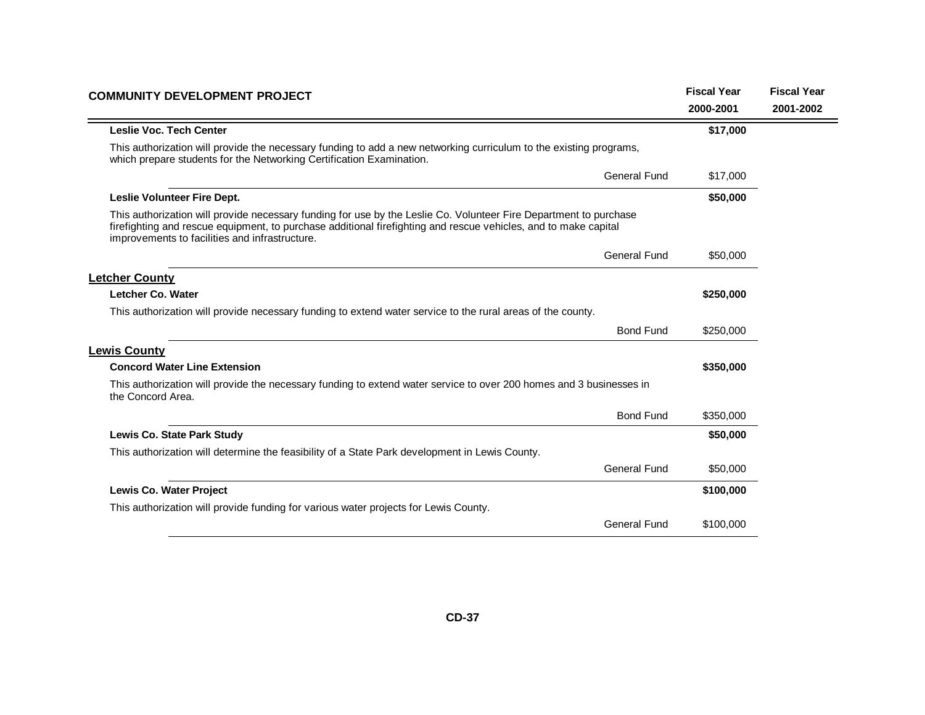| <b>COMMUNITY DEVELOPMENT PROJECT</b>                                                                                                                                                                                                                                                   | <b>Fiscal Year</b> | <b>Fiscal Year</b> |
|----------------------------------------------------------------------------------------------------------------------------------------------------------------------------------------------------------------------------------------------------------------------------------------|--------------------|--------------------|
|                                                                                                                                                                                                                                                                                        | 2000-2001          | 2001-2002          |
| <b>Leslie Voc. Tech Center</b>                                                                                                                                                                                                                                                         | \$17,000           |                    |
| This authorization will provide the necessary funding to add a new networking curriculum to the existing programs,<br>which prepare students for the Networking Certification Examination.                                                                                             |                    |                    |
| General Fund                                                                                                                                                                                                                                                                           | \$17,000           |                    |
| Leslie Volunteer Fire Dept.                                                                                                                                                                                                                                                            | \$50,000           |                    |
| This authorization will provide necessary funding for use by the Leslie Co. Volunteer Fire Department to purchase<br>firefighting and rescue equipment, to purchase additional firefighting and rescue vehicles, and to make capital<br>improvements to facilities and infrastructure. |                    |                    |
| <b>General Fund</b>                                                                                                                                                                                                                                                                    | \$50,000           |                    |
| <b>Letcher County</b>                                                                                                                                                                                                                                                                  |                    |                    |
| Letcher Co. Water                                                                                                                                                                                                                                                                      | \$250,000          |                    |
| This authorization will provide necessary funding to extend water service to the rural areas of the county.                                                                                                                                                                            |                    |                    |
| <b>Bond Fund</b>                                                                                                                                                                                                                                                                       | \$250,000          |                    |
| <b>Lewis County</b>                                                                                                                                                                                                                                                                    |                    |                    |
| <b>Concord Water Line Extension</b>                                                                                                                                                                                                                                                    | \$350,000          |                    |
| This authorization will provide the necessary funding to extend water service to over 200 homes and 3 businesses in<br>the Concord Area.                                                                                                                                               |                    |                    |
| <b>Bond Fund</b>                                                                                                                                                                                                                                                                       | \$350,000          |                    |
| Lewis Co. State Park Study                                                                                                                                                                                                                                                             | \$50,000           |                    |
| This authorization will determine the feasibility of a State Park development in Lewis County.                                                                                                                                                                                         |                    |                    |
| <b>General Fund</b>                                                                                                                                                                                                                                                                    | \$50,000           |                    |
| Lewis Co. Water Project                                                                                                                                                                                                                                                                | \$100,000          |                    |
| This authorization will provide funding for various water projects for Lewis County.                                                                                                                                                                                                   |                    |                    |
| <b>General Fund</b>                                                                                                                                                                                                                                                                    | \$100,000          |                    |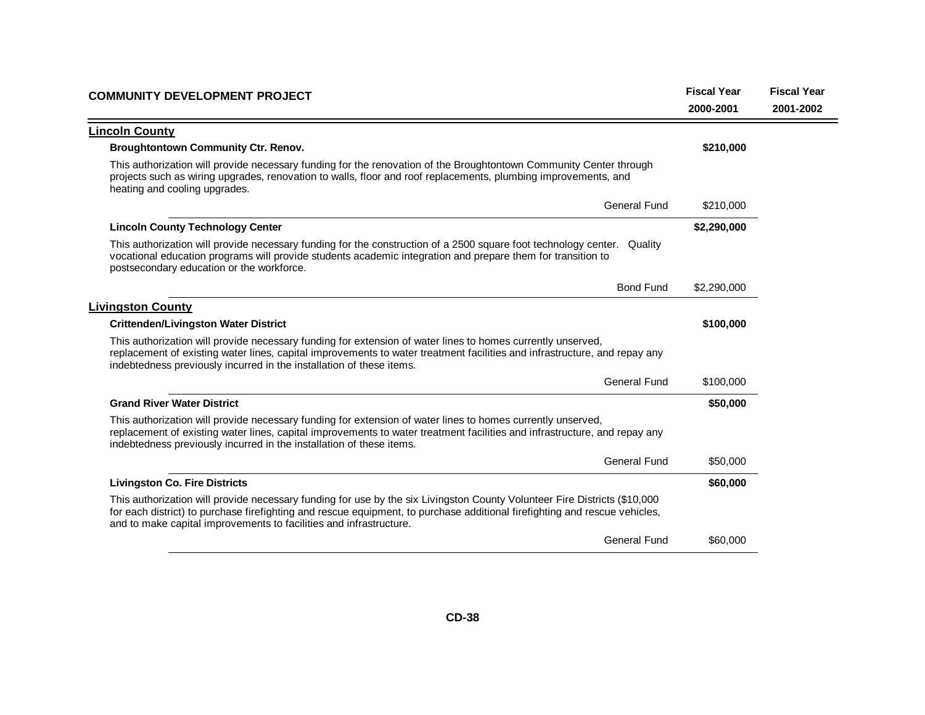| <b>COMMUNITY DEVELOPMENT PROJECT</b>                                                                                                                                                                                                                                                                                          | <b>Fiscal Year</b><br>2000-2001 | <b>Fiscal Year</b><br>2001-2002 |
|-------------------------------------------------------------------------------------------------------------------------------------------------------------------------------------------------------------------------------------------------------------------------------------------------------------------------------|---------------------------------|---------------------------------|
| <b>Lincoln County</b>                                                                                                                                                                                                                                                                                                         |                                 |                                 |
| <b>Broughtontown Community Ctr. Renov.</b>                                                                                                                                                                                                                                                                                    | \$210,000                       |                                 |
| This authorization will provide necessary funding for the renovation of the Broughtontown Community Center through<br>projects such as wiring upgrades, renovation to walls, floor and roof replacements, plumbing improvements, and<br>heating and cooling upgrades.                                                         |                                 |                                 |
| <b>General Fund</b>                                                                                                                                                                                                                                                                                                           | \$210,000                       |                                 |
| <b>Lincoln County Technology Center</b>                                                                                                                                                                                                                                                                                       | \$2,290,000                     |                                 |
| This authorization will provide necessary funding for the construction of a 2500 square foot technology center. Quality<br>vocational education programs will provide students academic integration and prepare them for transition to<br>postsecondary education or the workforce.                                           |                                 |                                 |
| <b>Bond Fund</b>                                                                                                                                                                                                                                                                                                              | \$2,290,000                     |                                 |
| <b>Livingston County</b>                                                                                                                                                                                                                                                                                                      |                                 |                                 |
| <b>Crittenden/Livingston Water District</b>                                                                                                                                                                                                                                                                                   | \$100,000                       |                                 |
| This authorization will provide necessary funding for extension of water lines to homes currently unserved,<br>replacement of existing water lines, capital improvements to water treatment facilities and infrastructure, and repay any<br>indebtedness previously incurred in the installation of these items.              |                                 |                                 |
| <b>General Fund</b>                                                                                                                                                                                                                                                                                                           | \$100,000                       |                                 |
| <b>Grand River Water District</b>                                                                                                                                                                                                                                                                                             | \$50,000                        |                                 |
| This authorization will provide necessary funding for extension of water lines to homes currently unserved,<br>replacement of existing water lines, capital improvements to water treatment facilities and infrastructure, and repay any<br>indebtedness previously incurred in the installation of these items.              |                                 |                                 |
| <b>General Fund</b>                                                                                                                                                                                                                                                                                                           | \$50,000                        |                                 |
| <b>Livingston Co. Fire Districts</b>                                                                                                                                                                                                                                                                                          | \$60,000                        |                                 |
| This authorization will provide necessary funding for use by the six Livingston County Volunteer Fire Districts (\$10,000<br>for each district) to purchase firefighting and rescue equipment, to purchase additional firefighting and rescue vehicles,<br>and to make capital improvements to facilities and infrastructure. |                                 |                                 |
| <b>General Fund</b>                                                                                                                                                                                                                                                                                                           | \$60,000                        |                                 |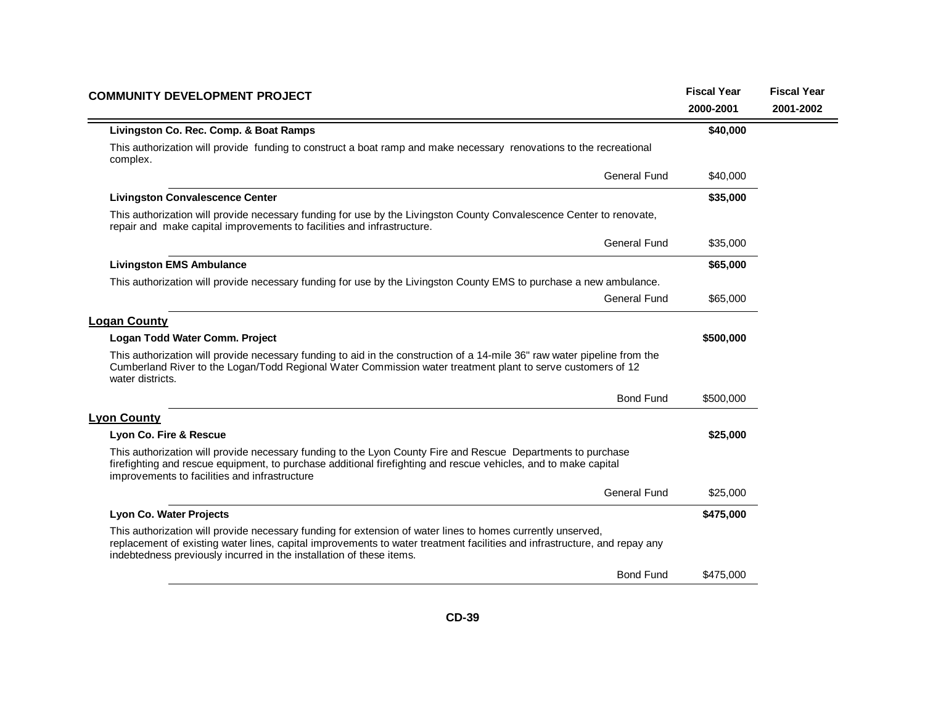| <b>COMMUNITY DEVELOPMENT PROJECT</b>                                                                                                                                                                                                                                                                             | <b>Fiscal Year</b> | <b>Fiscal Year</b> |
|------------------------------------------------------------------------------------------------------------------------------------------------------------------------------------------------------------------------------------------------------------------------------------------------------------------|--------------------|--------------------|
|                                                                                                                                                                                                                                                                                                                  | 2000-2001          | 2001-2002          |
| Livingston Co. Rec. Comp. & Boat Ramps                                                                                                                                                                                                                                                                           | \$40,000           |                    |
| This authorization will provide funding to construct a boat ramp and make necessary renovations to the recreational<br>complex.                                                                                                                                                                                  |                    |                    |
| <b>General Fund</b>                                                                                                                                                                                                                                                                                              | \$40,000           |                    |
| <b>Livingston Convalescence Center</b>                                                                                                                                                                                                                                                                           | \$35,000           |                    |
| This authorization will provide necessary funding for use by the Livingston County Convalescence Center to renovate,<br>repair and make capital improvements to facilities and infrastructure.                                                                                                                   |                    |                    |
| <b>General Fund</b>                                                                                                                                                                                                                                                                                              | \$35,000           |                    |
| <b>Livingston EMS Ambulance</b>                                                                                                                                                                                                                                                                                  | \$65,000           |                    |
| This authorization will provide necessary funding for use by the Livingston County EMS to purchase a new ambulance.                                                                                                                                                                                              |                    |                    |
| General Fund                                                                                                                                                                                                                                                                                                     | \$65,000           |                    |
| <b>Logan County</b>                                                                                                                                                                                                                                                                                              |                    |                    |
| Logan Todd Water Comm. Project                                                                                                                                                                                                                                                                                   | \$500,000          |                    |
| This authorization will provide necessary funding to aid in the construction of a 14-mile 36" raw water pipeline from the<br>Cumberland River to the Logan/Todd Regional Water Commission water treatment plant to serve customers of 12<br>water districts.                                                     |                    |                    |
| <b>Bond Fund</b>                                                                                                                                                                                                                                                                                                 | \$500,000          |                    |
| <b>Lyon County</b>                                                                                                                                                                                                                                                                                               |                    |                    |
| Lyon Co. Fire & Rescue                                                                                                                                                                                                                                                                                           | \$25,000           |                    |
| This authorization will provide necessary funding to the Lyon County Fire and Rescue Departments to purchase<br>firefighting and rescue equipment, to purchase additional firefighting and rescue vehicles, and to make capital<br>improvements to facilities and infrastructure                                 |                    |                    |
| <b>General Fund</b>                                                                                                                                                                                                                                                                                              | \$25,000           |                    |
| Lyon Co. Water Projects                                                                                                                                                                                                                                                                                          | \$475,000          |                    |
| This authorization will provide necessary funding for extension of water lines to homes currently unserved,<br>replacement of existing water lines, capital improvements to water treatment facilities and infrastructure, and repay any<br>indebtedness previously incurred in the installation of these items. |                    |                    |
| <b>Bond Fund</b>                                                                                                                                                                                                                                                                                                 | \$475,000          |                    |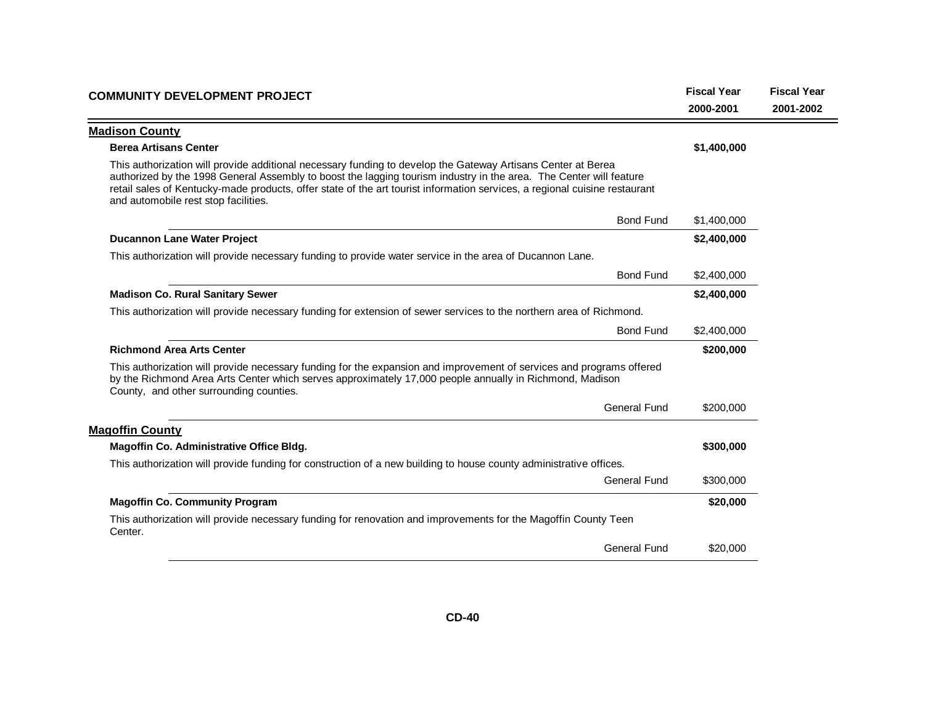| <b>COMMUNITY DEVELOPMENT PROJECT</b>                                                                                                                                                                                                                                                                                                                                                                     | <b>Fiscal Year</b><br>2000-2001 | <b>Fiscal Year</b><br>2001-2002 |
|----------------------------------------------------------------------------------------------------------------------------------------------------------------------------------------------------------------------------------------------------------------------------------------------------------------------------------------------------------------------------------------------------------|---------------------------------|---------------------------------|
| <b>Madison County</b>                                                                                                                                                                                                                                                                                                                                                                                    |                                 |                                 |
| <b>Berea Artisans Center</b>                                                                                                                                                                                                                                                                                                                                                                             | \$1,400,000                     |                                 |
| This authorization will provide additional necessary funding to develop the Gateway Artisans Center at Berea<br>authorized by the 1998 General Assembly to boost the lagging tourism industry in the area. The Center will feature<br>retail sales of Kentucky-made products, offer state of the art tourist information services, a regional cuisine restaurant<br>and automobile rest stop facilities. |                                 |                                 |
| <b>Bond Fund</b>                                                                                                                                                                                                                                                                                                                                                                                         | \$1,400,000                     |                                 |
| <b>Ducannon Lane Water Project</b>                                                                                                                                                                                                                                                                                                                                                                       | \$2,400,000                     |                                 |
| This authorization will provide necessary funding to provide water service in the area of Ducannon Lane.                                                                                                                                                                                                                                                                                                 |                                 |                                 |
| <b>Bond Fund</b>                                                                                                                                                                                                                                                                                                                                                                                         | \$2,400,000                     |                                 |
| <b>Madison Co. Rural Sanitary Sewer</b>                                                                                                                                                                                                                                                                                                                                                                  | \$2,400,000                     |                                 |
| This authorization will provide necessary funding for extension of sewer services to the northern area of Richmond.                                                                                                                                                                                                                                                                                      |                                 |                                 |
| <b>Bond Fund</b>                                                                                                                                                                                                                                                                                                                                                                                         | \$2,400,000                     |                                 |
| <b>Richmond Area Arts Center</b>                                                                                                                                                                                                                                                                                                                                                                         | \$200,000                       |                                 |
| This authorization will provide necessary funding for the expansion and improvement of services and programs offered<br>by the Richmond Area Arts Center which serves approximately 17,000 people annually in Richmond, Madison<br>County, and other surrounding counties.                                                                                                                               |                                 |                                 |
| <b>General Fund</b>                                                                                                                                                                                                                                                                                                                                                                                      | \$200,000                       |                                 |
| <b>Magoffin County</b>                                                                                                                                                                                                                                                                                                                                                                                   |                                 |                                 |
| Magoffin Co. Administrative Office Bldg.                                                                                                                                                                                                                                                                                                                                                                 | \$300,000                       |                                 |
| This authorization will provide funding for construction of a new building to house county administrative offices.                                                                                                                                                                                                                                                                                       |                                 |                                 |
| <b>General Fund</b>                                                                                                                                                                                                                                                                                                                                                                                      | \$300,000                       |                                 |
| <b>Magoffin Co. Community Program</b>                                                                                                                                                                                                                                                                                                                                                                    | \$20,000                        |                                 |
| This authorization will provide necessary funding for renovation and improvements for the Magoffin County Teen<br>Center.                                                                                                                                                                                                                                                                                |                                 |                                 |
| <b>General Fund</b>                                                                                                                                                                                                                                                                                                                                                                                      | \$20,000                        |                                 |
|                                                                                                                                                                                                                                                                                                                                                                                                          |                                 |                                 |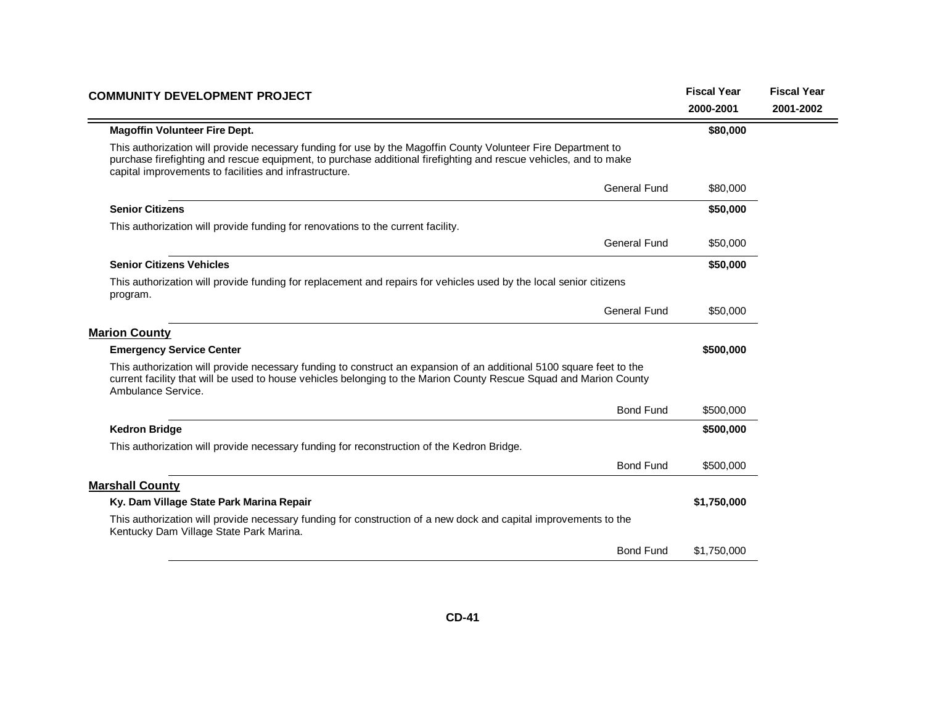| <b>COMMUNITY DEVELOPMENT PROJECT</b>                                                                                                                                                                                                                                                        | <b>Fiscal Year</b><br>2000-2001 | <b>Fiscal Year</b><br>2001-2002 |
|---------------------------------------------------------------------------------------------------------------------------------------------------------------------------------------------------------------------------------------------------------------------------------------------|---------------------------------|---------------------------------|
| <b>Magoffin Volunteer Fire Dept.</b>                                                                                                                                                                                                                                                        | \$80,000                        |                                 |
| This authorization will provide necessary funding for use by the Magoffin County Volunteer Fire Department to<br>purchase firefighting and rescue equipment, to purchase additional firefighting and rescue vehicles, and to make<br>capital improvements to facilities and infrastructure. |                                 |                                 |
| <b>General Fund</b>                                                                                                                                                                                                                                                                         | \$80,000                        |                                 |
| <b>Senior Citizens</b>                                                                                                                                                                                                                                                                      | \$50,000                        |                                 |
| This authorization will provide funding for renovations to the current facility.                                                                                                                                                                                                            |                                 |                                 |
| <b>General Fund</b>                                                                                                                                                                                                                                                                         | \$50,000                        |                                 |
| <b>Senior Citizens Vehicles</b>                                                                                                                                                                                                                                                             | \$50,000                        |                                 |
| This authorization will provide funding for replacement and repairs for vehicles used by the local senior citizens<br>program.                                                                                                                                                              |                                 |                                 |
| <b>General Fund</b>                                                                                                                                                                                                                                                                         | \$50,000                        |                                 |
| <b>Marion County</b>                                                                                                                                                                                                                                                                        |                                 |                                 |
| <b>Emergency Service Center</b>                                                                                                                                                                                                                                                             | \$500,000                       |                                 |
| This authorization will provide necessary funding to construct an expansion of an additional 5100 square feet to the<br>current facility that will be used to house vehicles belonging to the Marion County Rescue Squad and Marion County<br>Ambulance Service.                            |                                 |                                 |
| <b>Bond Fund</b>                                                                                                                                                                                                                                                                            | \$500,000                       |                                 |
| <b>Kedron Bridge</b>                                                                                                                                                                                                                                                                        | \$500,000                       |                                 |
| This authorization will provide necessary funding for reconstruction of the Kedron Bridge.                                                                                                                                                                                                  |                                 |                                 |
| <b>Bond Fund</b>                                                                                                                                                                                                                                                                            | \$500,000                       |                                 |
| <b>Marshall County</b>                                                                                                                                                                                                                                                                      |                                 |                                 |
| Ky. Dam Village State Park Marina Repair                                                                                                                                                                                                                                                    | \$1,750,000                     |                                 |
| This authorization will provide necessary funding for construction of a new dock and capital improvements to the<br>Kentucky Dam Village State Park Marina.                                                                                                                                 |                                 |                                 |
| <b>Bond Fund</b>                                                                                                                                                                                                                                                                            | \$1,750,000                     |                                 |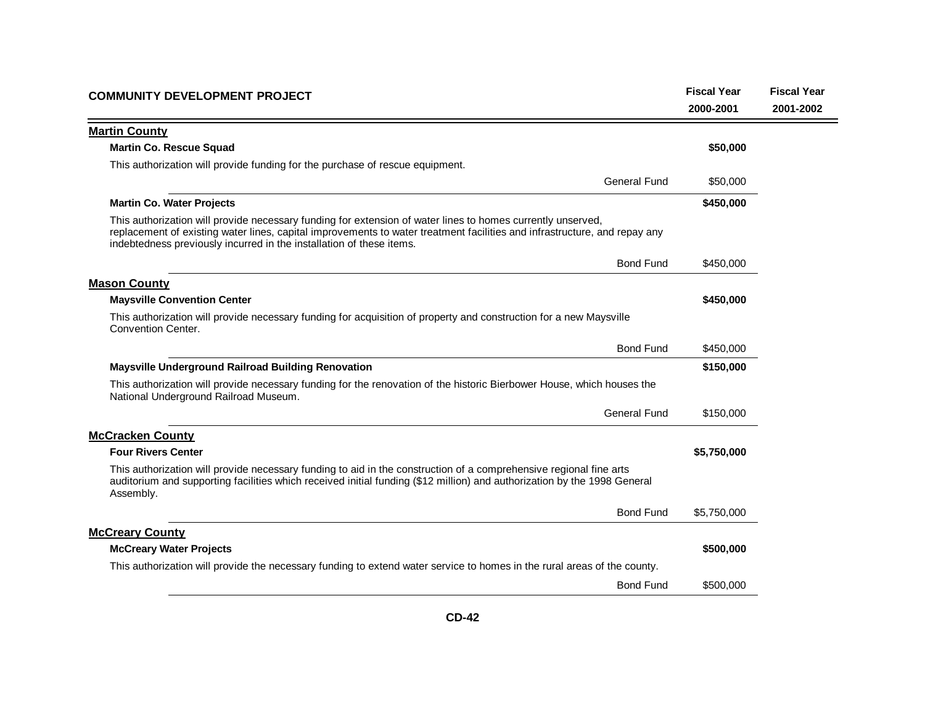| <b>COMMUNITY DEVELOPMENT PROJECT</b>                                                                                                                                                                                                                                                                             | <b>Fiscal Year</b> | <b>Fiscal Year</b> |
|------------------------------------------------------------------------------------------------------------------------------------------------------------------------------------------------------------------------------------------------------------------------------------------------------------------|--------------------|--------------------|
|                                                                                                                                                                                                                                                                                                                  | 2000-2001          | 2001-2002          |
| <b>Martin County</b>                                                                                                                                                                                                                                                                                             |                    |                    |
| <b>Martin Co. Rescue Squad</b>                                                                                                                                                                                                                                                                                   | \$50,000           |                    |
| This authorization will provide funding for the purchase of rescue equipment.                                                                                                                                                                                                                                    |                    |                    |
| <b>General Fund</b>                                                                                                                                                                                                                                                                                              | \$50,000           |                    |
| <b>Martin Co. Water Projects</b>                                                                                                                                                                                                                                                                                 | \$450,000          |                    |
| This authorization will provide necessary funding for extension of water lines to homes currently unserved,<br>replacement of existing water lines, capital improvements to water treatment facilities and infrastructure, and repay any<br>indebtedness previously incurred in the installation of these items. |                    |                    |
| <b>Bond Fund</b>                                                                                                                                                                                                                                                                                                 | \$450,000          |                    |
| <b>Mason County</b>                                                                                                                                                                                                                                                                                              |                    |                    |
| <b>Maysville Convention Center</b>                                                                                                                                                                                                                                                                               | \$450,000          |                    |
| This authorization will provide necessary funding for acquisition of property and construction for a new Maysville<br>Convention Center.                                                                                                                                                                         |                    |                    |
| <b>Bond Fund</b>                                                                                                                                                                                                                                                                                                 | \$450,000          |                    |
| Maysville Underground Railroad Building Renovation                                                                                                                                                                                                                                                               | \$150,000          |                    |
| This authorization will provide necessary funding for the renovation of the historic Bierbower House, which houses the<br>National Underground Railroad Museum.                                                                                                                                                  |                    |                    |
| <b>General Fund</b>                                                                                                                                                                                                                                                                                              | \$150,000          |                    |
| <b>McCracken County</b>                                                                                                                                                                                                                                                                                          |                    |                    |
| <b>Four Rivers Center</b>                                                                                                                                                                                                                                                                                        | \$5,750,000        |                    |
| This authorization will provide necessary funding to aid in the construction of a comprehensive regional fine arts<br>auditorium and supporting facilities which received initial funding (\$12 million) and authorization by the 1998 General<br>Assembly.                                                      |                    |                    |
| <b>Bond Fund</b>                                                                                                                                                                                                                                                                                                 | \$5,750,000        |                    |
| <b>McCreary County</b>                                                                                                                                                                                                                                                                                           |                    |                    |
| <b>McCreary Water Projects</b>                                                                                                                                                                                                                                                                                   | \$500,000          |                    |
| This authorization will provide the necessary funding to extend water service to homes in the rural areas of the county.                                                                                                                                                                                         |                    |                    |
| <b>Bond Fund</b>                                                                                                                                                                                                                                                                                                 | \$500,000          |                    |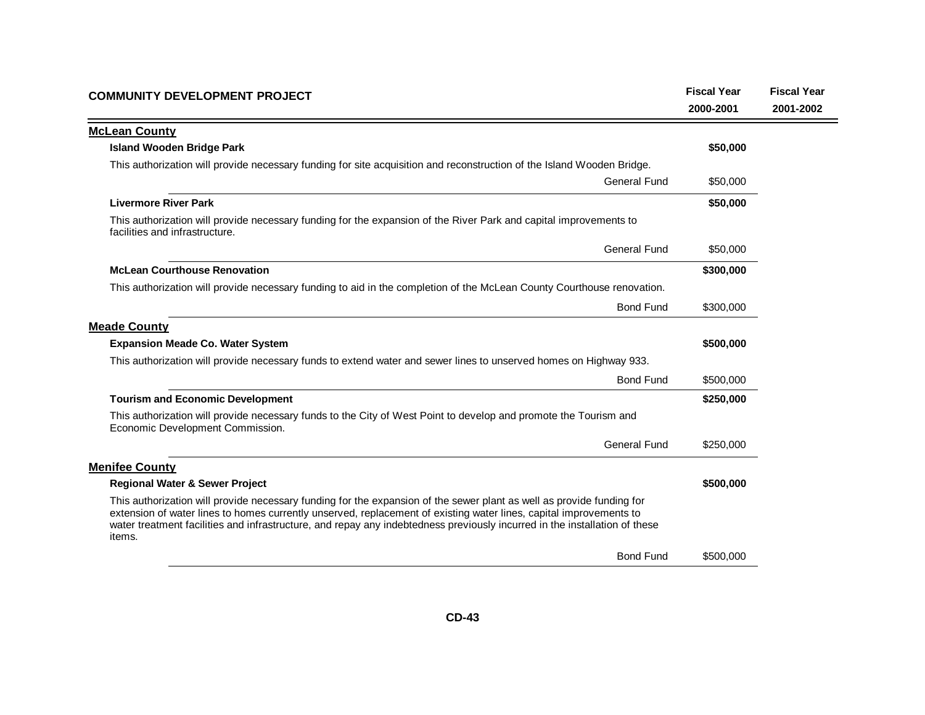| <b>COMMUNITY DEVELOPMENT PROJECT</b>                                                                                                                                                                                                                                                                                                                                                | <b>Fiscal Year</b> | <b>Fiscal Year</b> |
|-------------------------------------------------------------------------------------------------------------------------------------------------------------------------------------------------------------------------------------------------------------------------------------------------------------------------------------------------------------------------------------|--------------------|--------------------|
|                                                                                                                                                                                                                                                                                                                                                                                     | 2000-2001          | 2001-2002          |
| <b>McLean County</b>                                                                                                                                                                                                                                                                                                                                                                |                    |                    |
| <b>Island Wooden Bridge Park</b>                                                                                                                                                                                                                                                                                                                                                    | \$50,000           |                    |
| This authorization will provide necessary funding for site acquisition and reconstruction of the Island Wooden Bridge.                                                                                                                                                                                                                                                              |                    |                    |
| <b>General Fund</b>                                                                                                                                                                                                                                                                                                                                                                 | \$50,000           |                    |
| <b>Livermore River Park</b>                                                                                                                                                                                                                                                                                                                                                         | \$50,000           |                    |
| This authorization will provide necessary funding for the expansion of the River Park and capital improvements to<br>facilities and infrastructure.                                                                                                                                                                                                                                 |                    |                    |
| <b>General Fund</b>                                                                                                                                                                                                                                                                                                                                                                 | \$50,000           |                    |
| <b>McLean Courthouse Renovation</b>                                                                                                                                                                                                                                                                                                                                                 | \$300,000          |                    |
| This authorization will provide necessary funding to aid in the completion of the McLean County Courthouse renovation.                                                                                                                                                                                                                                                              |                    |                    |
| <b>Bond Fund</b>                                                                                                                                                                                                                                                                                                                                                                    | \$300,000          |                    |
| <b>Meade County</b>                                                                                                                                                                                                                                                                                                                                                                 |                    |                    |
| <b>Expansion Meade Co. Water System</b>                                                                                                                                                                                                                                                                                                                                             | \$500,000          |                    |
| This authorization will provide necessary funds to extend water and sewer lines to unserved homes on Highway 933.                                                                                                                                                                                                                                                                   |                    |                    |
| <b>Bond Fund</b>                                                                                                                                                                                                                                                                                                                                                                    | \$500,000          |                    |
| <b>Tourism and Economic Development</b>                                                                                                                                                                                                                                                                                                                                             | \$250,000          |                    |
| This authorization will provide necessary funds to the City of West Point to develop and promote the Tourism and<br>Economic Development Commission.                                                                                                                                                                                                                                |                    |                    |
| <b>General Fund</b>                                                                                                                                                                                                                                                                                                                                                                 | \$250,000          |                    |
| <b>Menifee County</b>                                                                                                                                                                                                                                                                                                                                                               |                    |                    |
| <b>Regional Water &amp; Sewer Project</b>                                                                                                                                                                                                                                                                                                                                           | \$500,000          |                    |
| This authorization will provide necessary funding for the expansion of the sewer plant as well as provide funding for<br>extension of water lines to homes currently unserved, replacement of existing water lines, capital improvements to<br>water treatment facilities and infrastructure, and repay any indebtedness previously incurred in the installation of these<br>items. |                    |                    |
| <b>Bond Fund</b>                                                                                                                                                                                                                                                                                                                                                                    | \$500,000          |                    |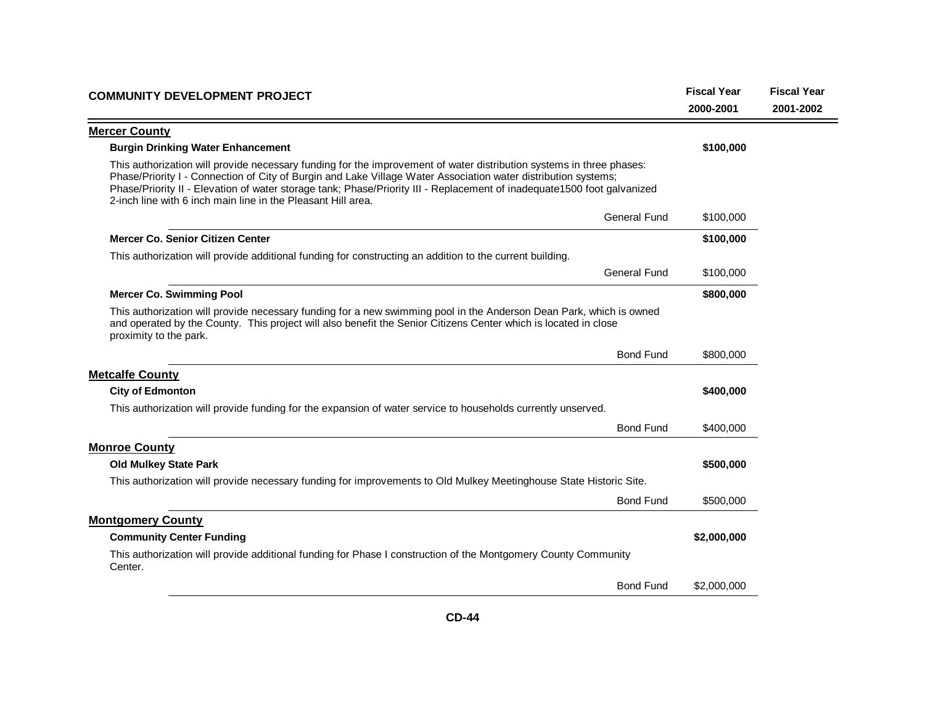| <b>COMMUNITY DEVELOPMENT PROJECT</b>                                                                                                                                                                                                                                                                                                                                                                                              | <b>Fiscal Year</b><br>2000-2001 | <b>Fiscal Year</b><br>2001-2002 |
|-----------------------------------------------------------------------------------------------------------------------------------------------------------------------------------------------------------------------------------------------------------------------------------------------------------------------------------------------------------------------------------------------------------------------------------|---------------------------------|---------------------------------|
| <b>Mercer County</b>                                                                                                                                                                                                                                                                                                                                                                                                              |                                 |                                 |
| <b>Burgin Drinking Water Enhancement</b>                                                                                                                                                                                                                                                                                                                                                                                          | \$100,000                       |                                 |
| This authorization will provide necessary funding for the improvement of water distribution systems in three phases:<br>Phase/Priority I - Connection of City of Burgin and Lake Village Water Association water distribution systems;<br>Phase/Priority II - Elevation of water storage tank; Phase/Priority III - Replacement of inadequate1500 foot galvanized<br>2-inch line with 6 inch main line in the Pleasant Hill area. |                                 |                                 |
| <b>General Fund</b>                                                                                                                                                                                                                                                                                                                                                                                                               | \$100,000                       |                                 |
| <b>Mercer Co. Senior Citizen Center</b>                                                                                                                                                                                                                                                                                                                                                                                           | \$100,000                       |                                 |
| This authorization will provide additional funding for constructing an addition to the current building.                                                                                                                                                                                                                                                                                                                          |                                 |                                 |
| <b>General Fund</b>                                                                                                                                                                                                                                                                                                                                                                                                               | \$100,000                       |                                 |
| <b>Mercer Co. Swimming Pool</b>                                                                                                                                                                                                                                                                                                                                                                                                   | \$800,000                       |                                 |
| This authorization will provide necessary funding for a new swimming pool in the Anderson Dean Park, which is owned<br>and operated by the County. This project will also benefit the Senior Citizens Center which is located in close<br>proximity to the park.                                                                                                                                                                  |                                 |                                 |
| <b>Bond Fund</b>                                                                                                                                                                                                                                                                                                                                                                                                                  | \$800,000                       |                                 |
| <b>Metcalfe County</b>                                                                                                                                                                                                                                                                                                                                                                                                            |                                 |                                 |
| <b>City of Edmonton</b>                                                                                                                                                                                                                                                                                                                                                                                                           | \$400,000                       |                                 |
| This authorization will provide funding for the expansion of water service to households currently unserved.                                                                                                                                                                                                                                                                                                                      |                                 |                                 |
| <b>Bond Fund</b>                                                                                                                                                                                                                                                                                                                                                                                                                  | \$400,000                       |                                 |
| <b>Monroe County</b>                                                                                                                                                                                                                                                                                                                                                                                                              |                                 |                                 |
| <b>Old Mulkey State Park</b>                                                                                                                                                                                                                                                                                                                                                                                                      | \$500,000                       |                                 |
| This authorization will provide necessary funding for improvements to Old Mulkey Meetinghouse State Historic Site.                                                                                                                                                                                                                                                                                                                |                                 |                                 |
| <b>Bond Fund</b>                                                                                                                                                                                                                                                                                                                                                                                                                  | \$500,000                       |                                 |
| <b>Montgomery County</b>                                                                                                                                                                                                                                                                                                                                                                                                          |                                 |                                 |
| <b>Community Center Funding</b>                                                                                                                                                                                                                                                                                                                                                                                                   | \$2,000,000                     |                                 |
| This authorization will provide additional funding for Phase I construction of the Montgomery County Community<br>Center.                                                                                                                                                                                                                                                                                                         |                                 |                                 |
| <b>Bond Fund</b>                                                                                                                                                                                                                                                                                                                                                                                                                  | \$2,000,000                     |                                 |
|                                                                                                                                                                                                                                                                                                                                                                                                                                   |                                 |                                 |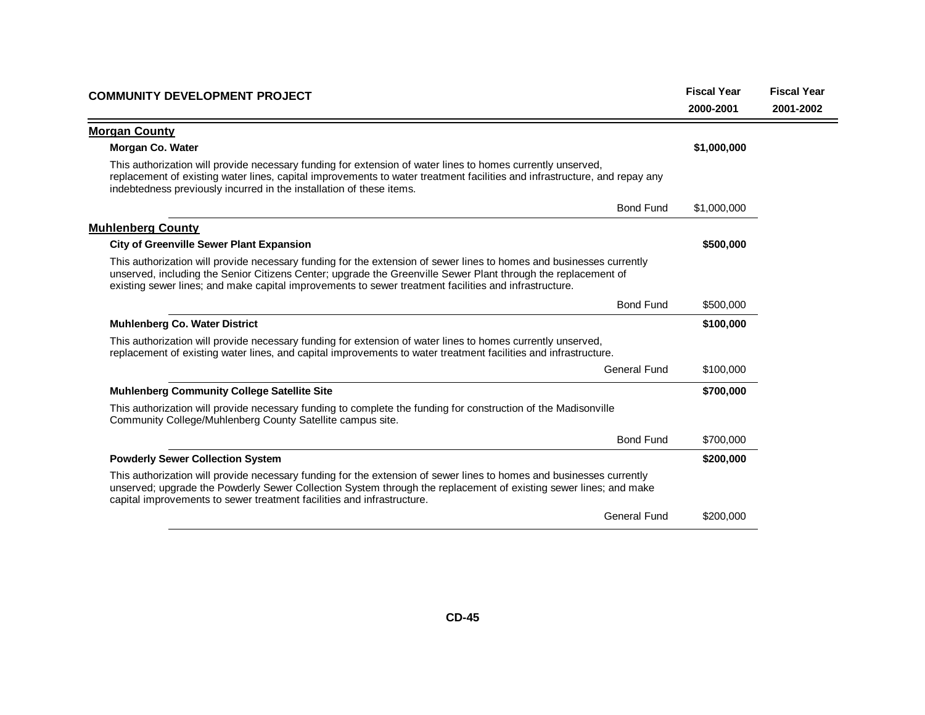| <b>COMMUNITY DEVELOPMENT PROJECT</b>                                                                                                                                                                                                                                                                                                           | <b>Fiscal Year</b> | <b>Fiscal Year</b> |
|------------------------------------------------------------------------------------------------------------------------------------------------------------------------------------------------------------------------------------------------------------------------------------------------------------------------------------------------|--------------------|--------------------|
|                                                                                                                                                                                                                                                                                                                                                | 2000-2001          | 2001-2002          |
| <b>Morgan County</b>                                                                                                                                                                                                                                                                                                                           |                    |                    |
| <b>Morgan Co. Water</b>                                                                                                                                                                                                                                                                                                                        | \$1,000,000        |                    |
| This authorization will provide necessary funding for extension of water lines to homes currently unserved,<br>replacement of existing water lines, capital improvements to water treatment facilities and infrastructure, and repay any<br>indebtedness previously incurred in the installation of these items.                               |                    |                    |
| <b>Bond Fund</b>                                                                                                                                                                                                                                                                                                                               | \$1,000,000        |                    |
| <b>Muhlenberg County</b>                                                                                                                                                                                                                                                                                                                       |                    |                    |
| <b>City of Greenville Sewer Plant Expansion</b>                                                                                                                                                                                                                                                                                                | \$500,000          |                    |
| This authorization will provide necessary funding for the extension of sewer lines to homes and businesses currently<br>unserved, including the Senior Citizens Center; upgrade the Greenville Sewer Plant through the replacement of<br>existing sewer lines; and make capital improvements to sewer treatment facilities and infrastructure. |                    |                    |
| <b>Bond Fund</b>                                                                                                                                                                                                                                                                                                                               | \$500,000          |                    |
| <b>Muhlenberg Co. Water District</b>                                                                                                                                                                                                                                                                                                           | \$100,000          |                    |
| This authorization will provide necessary funding for extension of water lines to homes currently unserved,<br>replacement of existing water lines, and capital improvements to water treatment facilities and infrastructure.                                                                                                                 |                    |                    |
| <b>General Fund</b>                                                                                                                                                                                                                                                                                                                            | \$100,000          |                    |
| <b>Muhlenberg Community College Satellite Site</b>                                                                                                                                                                                                                                                                                             | \$700,000          |                    |
| This authorization will provide necessary funding to complete the funding for construction of the Madisonville<br>Community College/Muhlenberg County Satellite campus site.                                                                                                                                                                   |                    |                    |
| <b>Bond Fund</b>                                                                                                                                                                                                                                                                                                                               | \$700,000          |                    |
| <b>Powderly Sewer Collection System</b>                                                                                                                                                                                                                                                                                                        | \$200,000          |                    |
| This authorization will provide necessary funding for the extension of sewer lines to homes and businesses currently<br>unserved; upgrade the Powderly Sewer Collection System through the replacement of existing sewer lines; and make<br>capital improvements to sewer treatment facilities and infrastructure.                             |                    |                    |
| <b>General Fund</b>                                                                                                                                                                                                                                                                                                                            | \$200,000          |                    |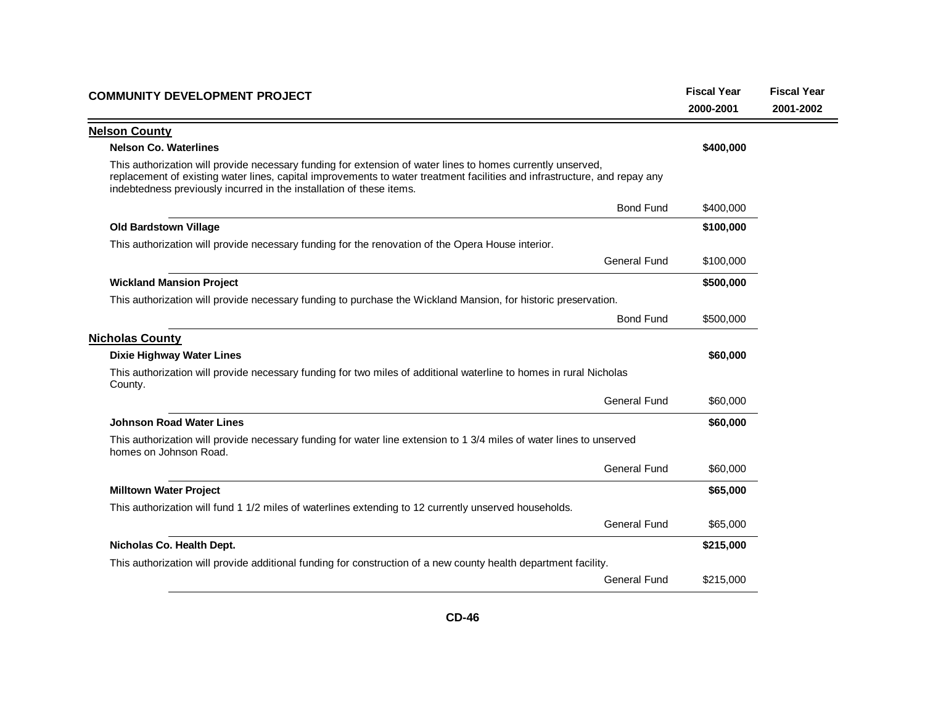| <b>COMMUNITY DEVELOPMENT PROJECT</b>                                                                                                                                                                                                                                                                             | <b>Fiscal Year</b><br>2000-2001 | <b>Fiscal Year</b><br>2001-2002 |
|------------------------------------------------------------------------------------------------------------------------------------------------------------------------------------------------------------------------------------------------------------------------------------------------------------------|---------------------------------|---------------------------------|
| <b>Nelson County</b>                                                                                                                                                                                                                                                                                             |                                 |                                 |
| <b>Nelson Co. Waterlines</b>                                                                                                                                                                                                                                                                                     | \$400,000                       |                                 |
| This authorization will provide necessary funding for extension of water lines to homes currently unserved,<br>replacement of existing water lines, capital improvements to water treatment facilities and infrastructure, and repay any<br>indebtedness previously incurred in the installation of these items. |                                 |                                 |
| <b>Bond Fund</b>                                                                                                                                                                                                                                                                                                 | \$400,000                       |                                 |
| <b>Old Bardstown Village</b>                                                                                                                                                                                                                                                                                     | \$100,000                       |                                 |
| This authorization will provide necessary funding for the renovation of the Opera House interior.                                                                                                                                                                                                                |                                 |                                 |
| <b>General Fund</b>                                                                                                                                                                                                                                                                                              | \$100,000                       |                                 |
| <b>Wickland Mansion Project</b>                                                                                                                                                                                                                                                                                  | \$500,000                       |                                 |
| This authorization will provide necessary funding to purchase the Wickland Mansion, for historic preservation.                                                                                                                                                                                                   |                                 |                                 |
| <b>Bond Fund</b>                                                                                                                                                                                                                                                                                                 | \$500,000                       |                                 |
| <b>Nicholas County</b>                                                                                                                                                                                                                                                                                           |                                 |                                 |
| <b>Dixie Highway Water Lines</b>                                                                                                                                                                                                                                                                                 | \$60,000                        |                                 |
| This authorization will provide necessary funding for two miles of additional waterline to homes in rural Nicholas<br>County.                                                                                                                                                                                    |                                 |                                 |
| <b>General Fund</b>                                                                                                                                                                                                                                                                                              | \$60,000                        |                                 |
| <b>Johnson Road Water Lines</b>                                                                                                                                                                                                                                                                                  | \$60,000                        |                                 |
| This authorization will provide necessary funding for water line extension to 1 3/4 miles of water lines to unserved<br>homes on Johnson Road.                                                                                                                                                                   |                                 |                                 |
| <b>General Fund</b>                                                                                                                                                                                                                                                                                              | \$60,000                        |                                 |
| <b>Milltown Water Project</b>                                                                                                                                                                                                                                                                                    | \$65,000                        |                                 |
| This authorization will fund 1 1/2 miles of waterlines extending to 12 currently unserved households.                                                                                                                                                                                                            |                                 |                                 |
| <b>General Fund</b>                                                                                                                                                                                                                                                                                              | \$65,000                        |                                 |
| Nicholas Co. Health Dept.                                                                                                                                                                                                                                                                                        | \$215,000                       |                                 |
| This authorization will provide additional funding for construction of a new county health department facility.                                                                                                                                                                                                  |                                 |                                 |
| <b>General Fund</b>                                                                                                                                                                                                                                                                                              | \$215,000                       |                                 |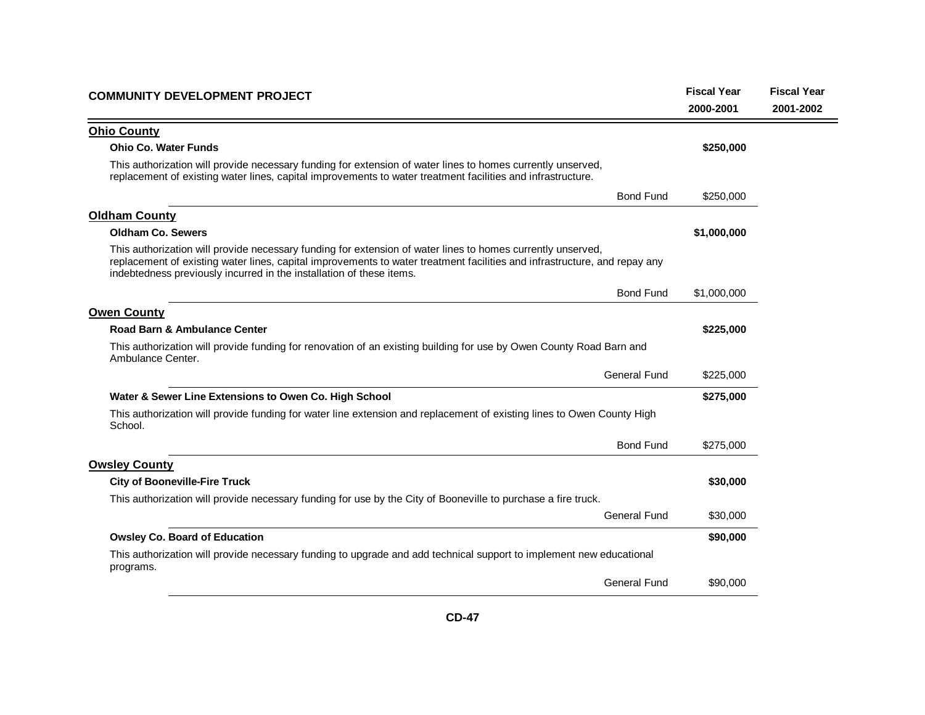| <b>COMMUNITY DEVELOPMENT PROJECT</b>                                                                                                                                                                                                                                                                             | <b>Fiscal Year</b><br>2000-2001 | <b>Fiscal Year</b><br>2001-2002 |
|------------------------------------------------------------------------------------------------------------------------------------------------------------------------------------------------------------------------------------------------------------------------------------------------------------------|---------------------------------|---------------------------------|
| <b>Ohio County</b>                                                                                                                                                                                                                                                                                               |                                 |                                 |
| <b>Ohio Co. Water Funds</b>                                                                                                                                                                                                                                                                                      | \$250,000                       |                                 |
| This authorization will provide necessary funding for extension of water lines to homes currently unserved,<br>replacement of existing water lines, capital improvements to water treatment facilities and infrastructure.                                                                                       |                                 |                                 |
| <b>Bond Fund</b>                                                                                                                                                                                                                                                                                                 | \$250,000                       |                                 |
| <b>Oldham County</b>                                                                                                                                                                                                                                                                                             |                                 |                                 |
| <b>Oldham Co. Sewers</b>                                                                                                                                                                                                                                                                                         | \$1,000,000                     |                                 |
| This authorization will provide necessary funding for extension of water lines to homes currently unserved,<br>replacement of existing water lines, capital improvements to water treatment facilities and infrastructure, and repay any<br>indebtedness previously incurred in the installation of these items. |                                 |                                 |
| <b>Bond Fund</b>                                                                                                                                                                                                                                                                                                 | \$1,000,000                     |                                 |
| <b>Owen County</b>                                                                                                                                                                                                                                                                                               |                                 |                                 |
| Road Barn & Ambulance Center                                                                                                                                                                                                                                                                                     | \$225,000                       |                                 |
| This authorization will provide funding for renovation of an existing building for use by Owen County Road Barn and<br>Ambulance Center.                                                                                                                                                                         |                                 |                                 |
| <b>General Fund</b>                                                                                                                                                                                                                                                                                              | \$225,000                       |                                 |
| Water & Sewer Line Extensions to Owen Co. High School                                                                                                                                                                                                                                                            | \$275,000                       |                                 |
| This authorization will provide funding for water line extension and replacement of existing lines to Owen County High<br>School.                                                                                                                                                                                |                                 |                                 |
| <b>Bond Fund</b>                                                                                                                                                                                                                                                                                                 | \$275,000                       |                                 |
| <b>Owsley County</b>                                                                                                                                                                                                                                                                                             |                                 |                                 |
| <b>City of Booneville-Fire Truck</b>                                                                                                                                                                                                                                                                             | \$30,000                        |                                 |
| This authorization will provide necessary funding for use by the City of Booneville to purchase a fire truck.                                                                                                                                                                                                    |                                 |                                 |
| <b>General Fund</b>                                                                                                                                                                                                                                                                                              | \$30,000                        |                                 |
| <b>Owsley Co. Board of Education</b>                                                                                                                                                                                                                                                                             | \$90,000                        |                                 |
| This authorization will provide necessary funding to upgrade and add technical support to implement new educational<br>programs.                                                                                                                                                                                 |                                 |                                 |
| <b>General Fund</b>                                                                                                                                                                                                                                                                                              | \$90,000                        |                                 |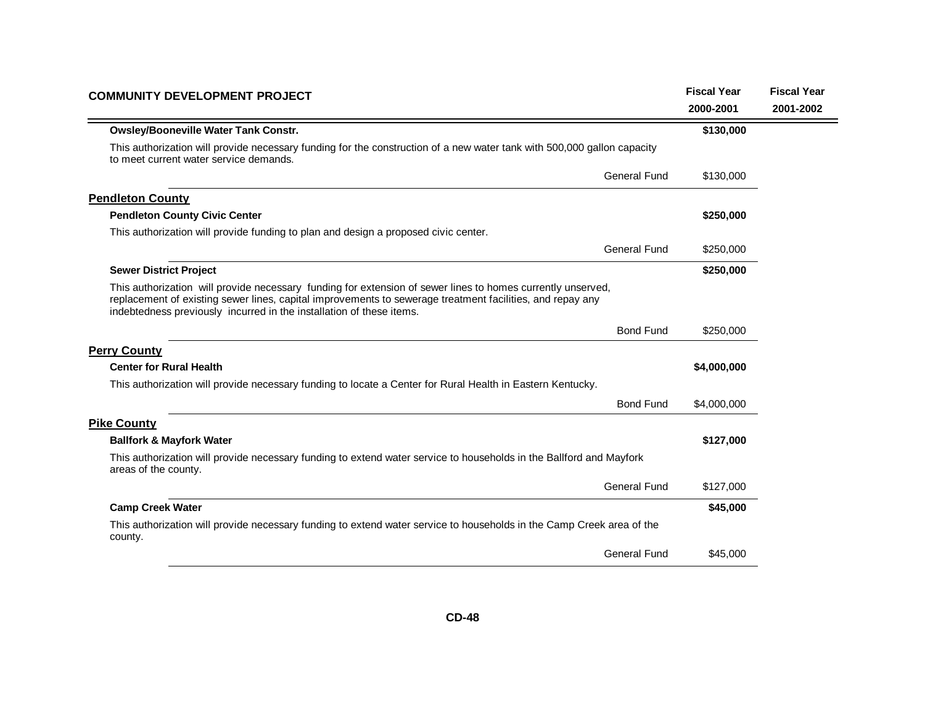| <b>COMMUNITY DEVELOPMENT PROJECT</b>                                                                                                                                                                                                                                                             |             | <b>Fiscal Year</b> |
|--------------------------------------------------------------------------------------------------------------------------------------------------------------------------------------------------------------------------------------------------------------------------------------------------|-------------|--------------------|
|                                                                                                                                                                                                                                                                                                  | 2000-2001   | 2001-2002          |
| <b>Owsley/Booneville Water Tank Constr.</b>                                                                                                                                                                                                                                                      | \$130,000   |                    |
| This authorization will provide necessary funding for the construction of a new water tank with 500,000 gallon capacity<br>to meet current water service demands.                                                                                                                                |             |                    |
| General Fund                                                                                                                                                                                                                                                                                     | \$130,000   |                    |
| <b>Pendleton County</b>                                                                                                                                                                                                                                                                          |             |                    |
| <b>Pendleton County Civic Center</b>                                                                                                                                                                                                                                                             | \$250,000   |                    |
| This authorization will provide funding to plan and design a proposed civic center.                                                                                                                                                                                                              |             |                    |
| <b>General Fund</b>                                                                                                                                                                                                                                                                              | \$250,000   |                    |
| <b>Sewer District Project</b>                                                                                                                                                                                                                                                                    | \$250,000   |                    |
| This authorization will provide necessary funding for extension of sewer lines to homes currently unserved,<br>replacement of existing sewer lines, capital improvements to sewerage treatment facilities, and repay any<br>indebtedness previously incurred in the installation of these items. |             |                    |
| <b>Bond Fund</b>                                                                                                                                                                                                                                                                                 | \$250,000   |                    |
| <b>Perry County</b>                                                                                                                                                                                                                                                                              |             |                    |
| <b>Center for Rural Health</b>                                                                                                                                                                                                                                                                   | \$4,000,000 |                    |
| This authorization will provide necessary funding to locate a Center for Rural Health in Eastern Kentucky.                                                                                                                                                                                       |             |                    |
| <b>Bond Fund</b>                                                                                                                                                                                                                                                                                 | \$4,000,000 |                    |
| <b>Pike County</b>                                                                                                                                                                                                                                                                               |             |                    |
| <b>Ballfork &amp; Mayfork Water</b>                                                                                                                                                                                                                                                              | \$127,000   |                    |
| This authorization will provide necessary funding to extend water service to households in the Ballford and Mayfork<br>areas of the county.                                                                                                                                                      |             |                    |
| General Fund                                                                                                                                                                                                                                                                                     | \$127,000   |                    |
| <b>Camp Creek Water</b>                                                                                                                                                                                                                                                                          | \$45,000    |                    |
| This authorization will provide necessary funding to extend water service to households in the Camp Creek area of the<br>county.                                                                                                                                                                 |             |                    |
| <b>General Fund</b>                                                                                                                                                                                                                                                                              | \$45,000    |                    |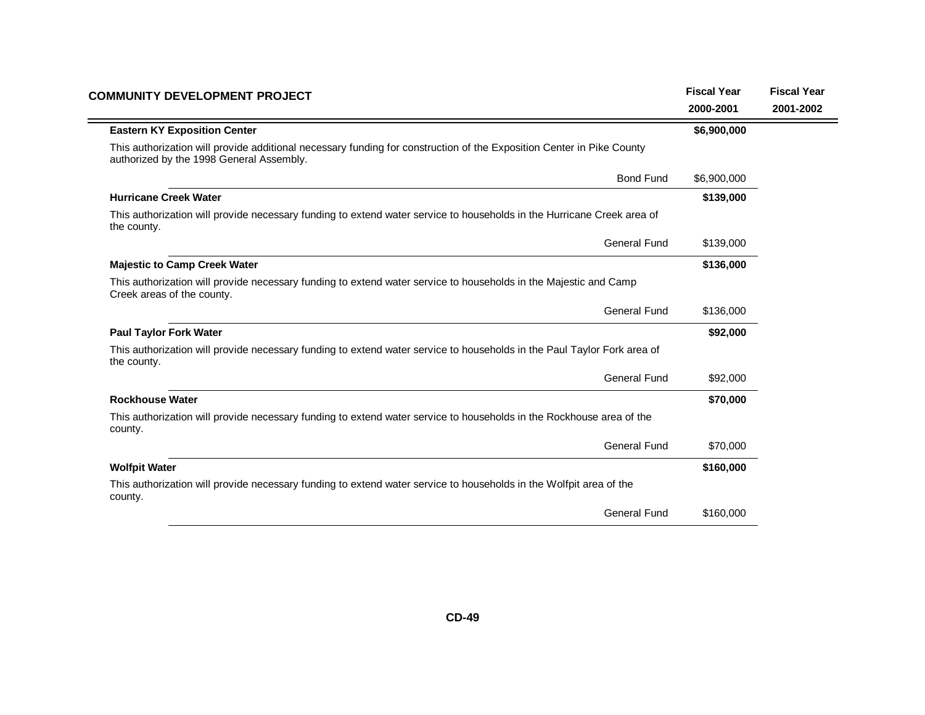| <b>COMMUNITY DEVELOPMENT PROJECT</b>                                                                                                                              | <b>Fiscal Year</b><br>2000-2001 | <b>Fiscal Year</b><br>2001-2002 |
|-------------------------------------------------------------------------------------------------------------------------------------------------------------------|---------------------------------|---------------------------------|
| <b>Eastern KY Exposition Center</b>                                                                                                                               | \$6,900,000                     |                                 |
| This authorization will provide additional necessary funding for construction of the Exposition Center in Pike County<br>authorized by the 1998 General Assembly. |                                 |                                 |
| <b>Bond Fund</b>                                                                                                                                                  | \$6,900,000                     |                                 |
| <b>Hurricane Creek Water</b>                                                                                                                                      | \$139,000                       |                                 |
| This authorization will provide necessary funding to extend water service to households in the Hurricane Creek area of<br>the county.                             |                                 |                                 |
| <b>General Fund</b>                                                                                                                                               | \$139,000                       |                                 |
| <b>Majestic to Camp Creek Water</b>                                                                                                                               | \$136,000                       |                                 |
| This authorization will provide necessary funding to extend water service to households in the Majestic and Camp<br>Creek areas of the county.                    |                                 |                                 |
| <b>General Fund</b>                                                                                                                                               | \$136,000                       |                                 |
| <b>Paul Taylor Fork Water</b>                                                                                                                                     | \$92,000                        |                                 |
| This authorization will provide necessary funding to extend water service to households in the Paul Taylor Fork area of<br>the county.                            |                                 |                                 |
| General Fund                                                                                                                                                      | \$92,000                        |                                 |
| <b>Rockhouse Water</b>                                                                                                                                            | \$70,000                        |                                 |
| This authorization will provide necessary funding to extend water service to households in the Rockhouse area of the<br>county.                                   |                                 |                                 |
| <b>General Fund</b>                                                                                                                                               | \$70,000                        |                                 |
| <b>Wolfpit Water</b>                                                                                                                                              | \$160,000                       |                                 |
| This authorization will provide necessary funding to extend water service to households in the Wolfpit area of the<br>county.                                     |                                 |                                 |
| <b>General Fund</b>                                                                                                                                               | \$160,000                       |                                 |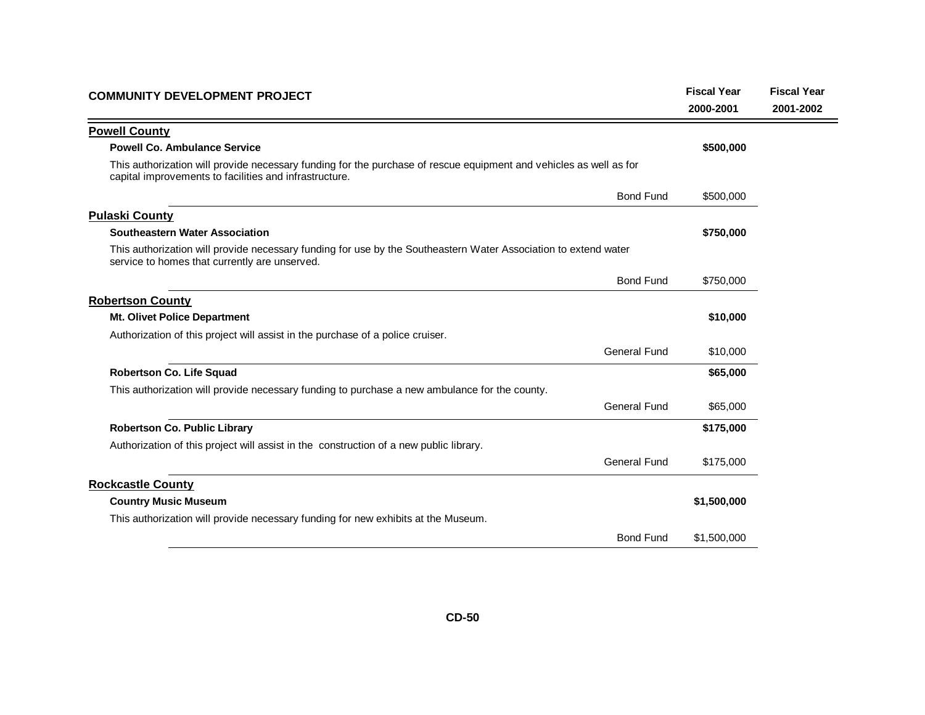| <b>COMMUNITY DEVELOPMENT PROJECT</b>                                                                                                                                         |                     | <b>Fiscal Year</b> | <b>Fiscal Year</b> |
|------------------------------------------------------------------------------------------------------------------------------------------------------------------------------|---------------------|--------------------|--------------------|
|                                                                                                                                                                              |                     | 2000-2001          | 2001-2002          |
| <b>Powell County</b>                                                                                                                                                         |                     |                    |                    |
| <b>Powell Co. Ambulance Service</b>                                                                                                                                          |                     | \$500,000          |                    |
| This authorization will provide necessary funding for the purchase of rescue equipment and vehicles as well as for<br>capital improvements to facilities and infrastructure. |                     |                    |                    |
|                                                                                                                                                                              | <b>Bond Fund</b>    | \$500,000          |                    |
| <b>Pulaski County</b>                                                                                                                                                        |                     |                    |                    |
| Southeastern Water Association                                                                                                                                               |                     | \$750,000          |                    |
| This authorization will provide necessary funding for use by the Southeastern Water Association to extend water<br>service to homes that currently are unserved.             |                     |                    |                    |
|                                                                                                                                                                              | <b>Bond Fund</b>    | \$750,000          |                    |
| <b>Robertson County</b>                                                                                                                                                      |                     |                    |                    |
| <b>Mt. Olivet Police Department</b>                                                                                                                                          |                     | \$10,000           |                    |
| Authorization of this project will assist in the purchase of a police cruiser.                                                                                               |                     |                    |                    |
|                                                                                                                                                                              | <b>General Fund</b> | \$10,000           |                    |
| <b>Robertson Co. Life Squad</b>                                                                                                                                              |                     | \$65,000           |                    |
| This authorization will provide necessary funding to purchase a new ambulance for the county.                                                                                |                     |                    |                    |
|                                                                                                                                                                              | General Fund        | \$65,000           |                    |
| <b>Robertson Co. Public Library</b>                                                                                                                                          |                     | \$175,000          |                    |
| Authorization of this project will assist in the construction of a new public library.                                                                                       |                     |                    |                    |
|                                                                                                                                                                              | <b>General Fund</b> | \$175,000          |                    |
| <b>Rockcastle County</b>                                                                                                                                                     |                     |                    |                    |
| <b>Country Music Museum</b>                                                                                                                                                  |                     | \$1,500,000        |                    |
| This authorization will provide necessary funding for new exhibits at the Museum.                                                                                            |                     |                    |                    |
|                                                                                                                                                                              | <b>Bond Fund</b>    | \$1,500,000        |                    |
|                                                                                                                                                                              |                     |                    |                    |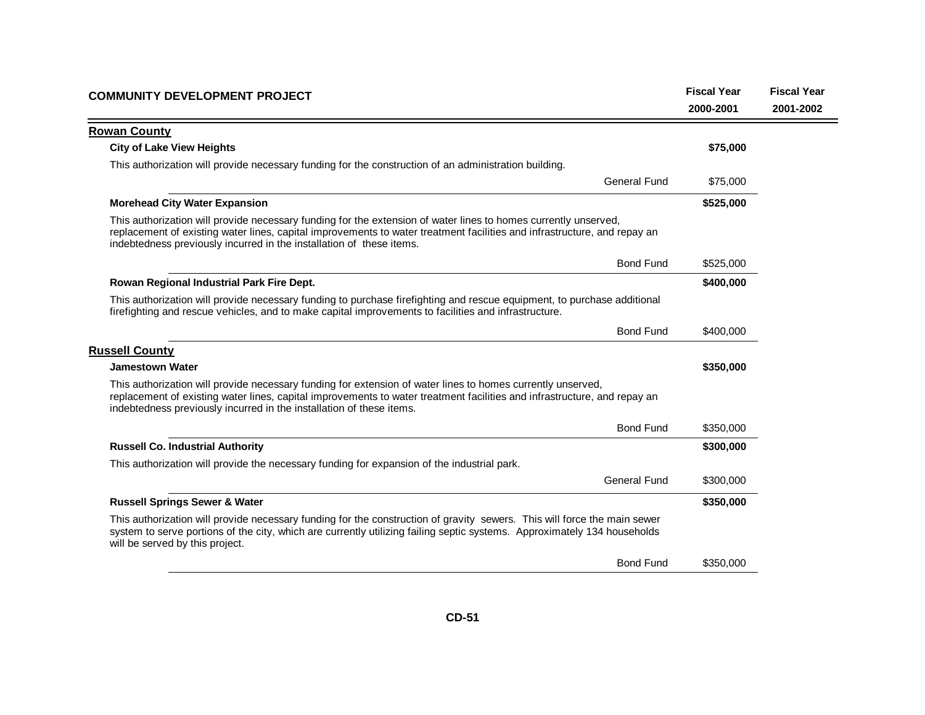| <b>COMMUNITY DEVELOPMENT PROJECT</b>                                                                                                                                                                                                                                                                                | <b>Fiscal Year</b> | <b>Fiscal Year</b> |
|---------------------------------------------------------------------------------------------------------------------------------------------------------------------------------------------------------------------------------------------------------------------------------------------------------------------|--------------------|--------------------|
|                                                                                                                                                                                                                                                                                                                     | 2000-2001          | 2001-2002          |
| <b>Rowan County</b>                                                                                                                                                                                                                                                                                                 |                    |                    |
| <b>City of Lake View Heights</b>                                                                                                                                                                                                                                                                                    | \$75,000           |                    |
| This authorization will provide necessary funding for the construction of an administration building.                                                                                                                                                                                                               |                    |                    |
| General Fund                                                                                                                                                                                                                                                                                                        | \$75,000           |                    |
| <b>Morehead City Water Expansion</b>                                                                                                                                                                                                                                                                                | \$525,000          |                    |
| This authorization will provide necessary funding for the extension of water lines to homes currently unserved,<br>replacement of existing water lines, capital improvements to water treatment facilities and infrastructure, and repay an<br>indebtedness previously incurred in the installation of these items. |                    |                    |
| <b>Bond Fund</b>                                                                                                                                                                                                                                                                                                    | \$525,000          |                    |
| Rowan Regional Industrial Park Fire Dept.                                                                                                                                                                                                                                                                           | \$400,000          |                    |
| This authorization will provide necessary funding to purchase firefighting and rescue equipment, to purchase additional<br>firefighting and rescue vehicles, and to make capital improvements to facilities and infrastructure.                                                                                     |                    |                    |
| <b>Bond Fund</b>                                                                                                                                                                                                                                                                                                    | \$400,000          |                    |
| <b>Russell County</b>                                                                                                                                                                                                                                                                                               |                    |                    |
| <b>Jamestown Water</b>                                                                                                                                                                                                                                                                                              | \$350,000          |                    |
| This authorization will provide necessary funding for extension of water lines to homes currently unserved,<br>replacement of existing water lines, capital improvements to water treatment facilities and infrastructure, and repay an<br>indebtedness previously incurred in the installation of these items.     |                    |                    |
| <b>Bond Fund</b>                                                                                                                                                                                                                                                                                                    | \$350,000          |                    |
| <b>Russell Co. Industrial Authority</b>                                                                                                                                                                                                                                                                             | \$300,000          |                    |
| This authorization will provide the necessary funding for expansion of the industrial park.                                                                                                                                                                                                                         |                    |                    |
| <b>General Fund</b>                                                                                                                                                                                                                                                                                                 | \$300,000          |                    |
| <b>Russell Springs Sewer &amp; Water</b>                                                                                                                                                                                                                                                                            | \$350,000          |                    |
| This authorization will provide necessary funding for the construction of gravity sewers. This will force the main sewer<br>system to serve portions of the city, which are currently utilizing failing septic systems. Approximately 134 households<br>will be served by this project.                             |                    |                    |
| <b>Bond Fund</b>                                                                                                                                                                                                                                                                                                    | \$350,000          |                    |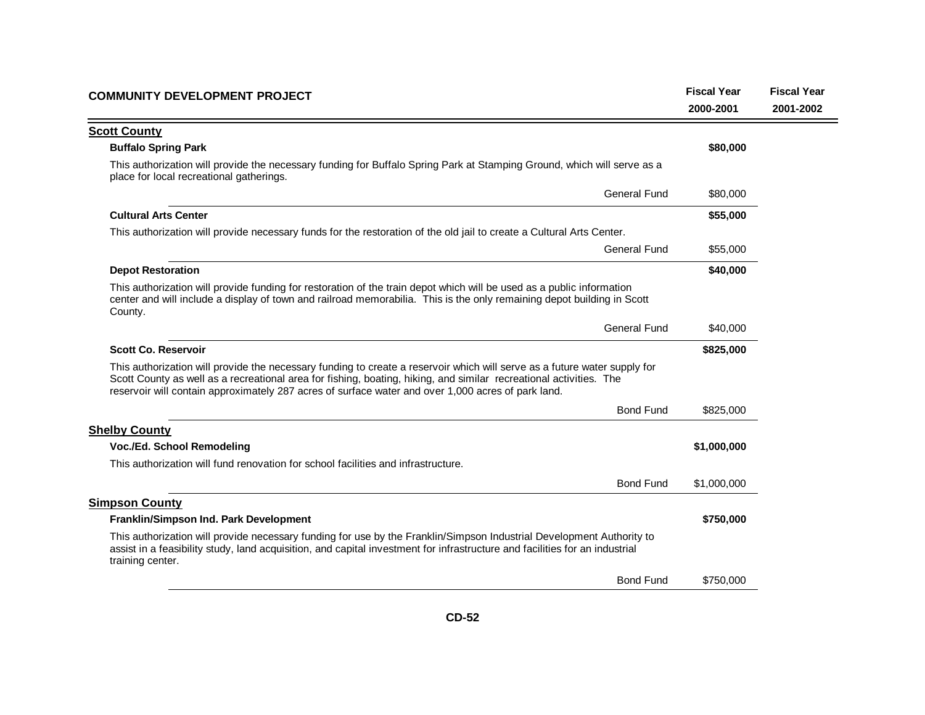| <b>COMMUNITY DEVELOPMENT PROJECT</b>                                                                                                                                                                                                                                                                                                                  | <b>Fiscal Year</b><br>2000-2001 | <b>Fiscal Year</b><br>2001-2002 |
|-------------------------------------------------------------------------------------------------------------------------------------------------------------------------------------------------------------------------------------------------------------------------------------------------------------------------------------------------------|---------------------------------|---------------------------------|
| <b>Scott County</b>                                                                                                                                                                                                                                                                                                                                   |                                 |                                 |
| <b>Buffalo Spring Park</b>                                                                                                                                                                                                                                                                                                                            | \$80,000                        |                                 |
| This authorization will provide the necessary funding for Buffalo Spring Park at Stamping Ground, which will serve as a<br>place for local recreational gatherings.                                                                                                                                                                                   |                                 |                                 |
| <b>General Fund</b>                                                                                                                                                                                                                                                                                                                                   | \$80,000                        |                                 |
| <b>Cultural Arts Center</b>                                                                                                                                                                                                                                                                                                                           | \$55,000                        |                                 |
| This authorization will provide necessary funds for the restoration of the old jail to create a Cultural Arts Center.                                                                                                                                                                                                                                 |                                 |                                 |
| <b>General Fund</b>                                                                                                                                                                                                                                                                                                                                   | \$55,000                        |                                 |
| <b>Depot Restoration</b>                                                                                                                                                                                                                                                                                                                              | \$40,000                        |                                 |
| This authorization will provide funding for restoration of the train depot which will be used as a public information<br>center and will include a display of town and railroad memorabilia. This is the only remaining depot building in Scott<br>County.                                                                                            |                                 |                                 |
| <b>General Fund</b>                                                                                                                                                                                                                                                                                                                                   | \$40,000                        |                                 |
| <b>Scott Co. Reservoir</b>                                                                                                                                                                                                                                                                                                                            | \$825,000                       |                                 |
| This authorization will provide the necessary funding to create a reservoir which will serve as a future water supply for<br>Scott County as well as a recreational area for fishing, boating, hiking, and similar recreational activities. The<br>reservoir will contain approximately 287 acres of surface water and over 1,000 acres of park land. |                                 |                                 |
| <b>Bond Fund</b>                                                                                                                                                                                                                                                                                                                                      | \$825,000                       |                                 |
| <b>Shelby County</b>                                                                                                                                                                                                                                                                                                                                  |                                 |                                 |
| Voc./Ed. School Remodeling                                                                                                                                                                                                                                                                                                                            | \$1,000,000                     |                                 |
| This authorization will fund renovation for school facilities and infrastructure.                                                                                                                                                                                                                                                                     |                                 |                                 |
| <b>Bond Fund</b>                                                                                                                                                                                                                                                                                                                                      | \$1,000,000                     |                                 |
| <b>Simpson County</b>                                                                                                                                                                                                                                                                                                                                 |                                 |                                 |
| Franklin/Simpson Ind. Park Development                                                                                                                                                                                                                                                                                                                | \$750,000                       |                                 |
| This authorization will provide necessary funding for use by the Franklin/Simpson Industrial Development Authority to<br>assist in a feasibility study, land acquisition, and capital investment for infrastructure and facilities for an industrial<br>training center.                                                                              |                                 |                                 |
| <b>Bond Fund</b>                                                                                                                                                                                                                                                                                                                                      | \$750,000                       |                                 |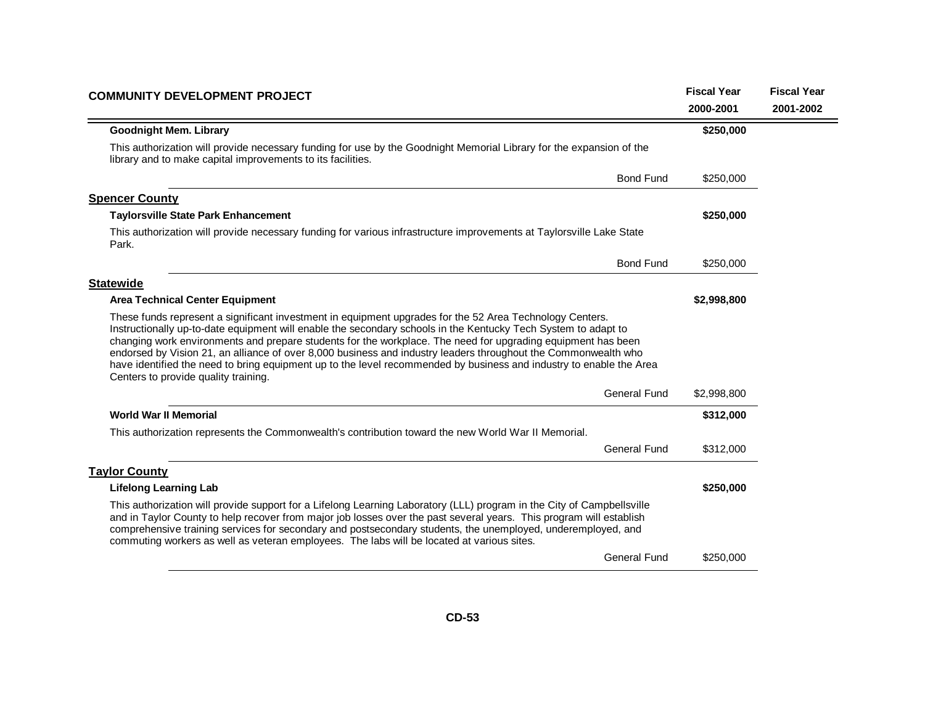| <b>COMMUNITY DEVELOPMENT PROJECT</b>                                                                                                                                                                                                                                                                                                                                                                                                                                                                                                                                                                                        | <b>Fiscal Year</b> | <b>Fiscal Year</b> |
|-----------------------------------------------------------------------------------------------------------------------------------------------------------------------------------------------------------------------------------------------------------------------------------------------------------------------------------------------------------------------------------------------------------------------------------------------------------------------------------------------------------------------------------------------------------------------------------------------------------------------------|--------------------|--------------------|
|                                                                                                                                                                                                                                                                                                                                                                                                                                                                                                                                                                                                                             | 2000-2001          | 2001-2002          |
| <b>Goodnight Mem. Library</b>                                                                                                                                                                                                                                                                                                                                                                                                                                                                                                                                                                                               | \$250,000          |                    |
| This authorization will provide necessary funding for use by the Goodnight Memorial Library for the expansion of the<br>library and to make capital improvements to its facilities.                                                                                                                                                                                                                                                                                                                                                                                                                                         |                    |                    |
| <b>Bond Fund</b>                                                                                                                                                                                                                                                                                                                                                                                                                                                                                                                                                                                                            | \$250,000          |                    |
| <b>Spencer County</b>                                                                                                                                                                                                                                                                                                                                                                                                                                                                                                                                                                                                       |                    |                    |
| <b>Taylorsville State Park Enhancement</b>                                                                                                                                                                                                                                                                                                                                                                                                                                                                                                                                                                                  | \$250,000          |                    |
| This authorization will provide necessary funding for various infrastructure improvements at Taylorsville Lake State<br>Park.                                                                                                                                                                                                                                                                                                                                                                                                                                                                                               |                    |                    |
| <b>Bond Fund</b>                                                                                                                                                                                                                                                                                                                                                                                                                                                                                                                                                                                                            | \$250,000          |                    |
| <b>Statewide</b>                                                                                                                                                                                                                                                                                                                                                                                                                                                                                                                                                                                                            |                    |                    |
| <b>Area Technical Center Equipment</b>                                                                                                                                                                                                                                                                                                                                                                                                                                                                                                                                                                                      | \$2,998,800        |                    |
| These funds represent a significant investment in equipment upgrades for the 52 Area Technology Centers.<br>Instructionally up-to-date equipment will enable the secondary schools in the Kentucky Tech System to adapt to<br>changing work environments and prepare students for the workplace. The need for upgrading equipment has been<br>endorsed by Vision 21, an alliance of over 8,000 business and industry leaders throughout the Commonwealth who<br>have identified the need to bring equipment up to the level recommended by business and industry to enable the Area<br>Centers to provide quality training. |                    |                    |
| <b>General Fund</b>                                                                                                                                                                                                                                                                                                                                                                                                                                                                                                                                                                                                         | \$2,998,800        |                    |
| <b>World War II Memorial</b>                                                                                                                                                                                                                                                                                                                                                                                                                                                                                                                                                                                                | \$312,000          |                    |
| This authorization represents the Commonwealth's contribution toward the new World War II Memorial.                                                                                                                                                                                                                                                                                                                                                                                                                                                                                                                         |                    |                    |
| <b>General Fund</b>                                                                                                                                                                                                                                                                                                                                                                                                                                                                                                                                                                                                         | \$312,000          |                    |
| <b>Taylor County</b>                                                                                                                                                                                                                                                                                                                                                                                                                                                                                                                                                                                                        |                    |                    |
| <b>Lifelong Learning Lab</b>                                                                                                                                                                                                                                                                                                                                                                                                                                                                                                                                                                                                | \$250,000          |                    |
| This authorization will provide support for a Lifelong Learning Laboratory (LLL) program in the City of Campbellsville<br>and in Taylor County to help recover from major job losses over the past several years. This program will establish<br>comprehensive training services for secondary and postsecondary students, the unemployed, underemployed, and<br>commuting workers as well as veteran employees. The labs will be located at various sites.                                                                                                                                                                 |                    |                    |
| <b>General Fund</b>                                                                                                                                                                                                                                                                                                                                                                                                                                                                                                                                                                                                         | \$250,000          |                    |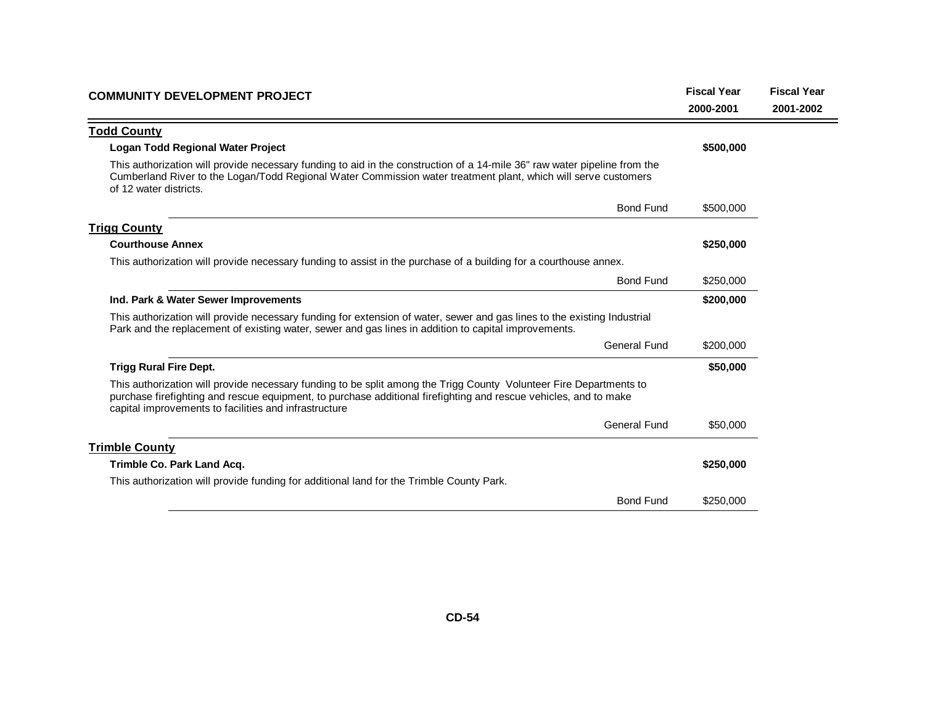| <b>COMMUNITY DEVELOPMENT PROJECT</b>                                                                                                                                                                                                                                                            | <b>Fiscal Year</b> | <b>Fiscal Year</b> |
|-------------------------------------------------------------------------------------------------------------------------------------------------------------------------------------------------------------------------------------------------------------------------------------------------|--------------------|--------------------|
|                                                                                                                                                                                                                                                                                                 | 2000-2001          | 2001-2002          |
| <b>Todd County</b>                                                                                                                                                                                                                                                                              |                    |                    |
| Logan Todd Regional Water Project                                                                                                                                                                                                                                                               | \$500,000          |                    |
| This authorization will provide necessary funding to aid in the construction of a 14-mile 36" raw water pipeline from the<br>Cumberland River to the Logan/Todd Regional Water Commission water treatment plant, which will serve customers<br>of 12 water districts.                           |                    |                    |
| <b>Bond Fund</b>                                                                                                                                                                                                                                                                                | \$500,000          |                    |
| <b>Trigg County</b>                                                                                                                                                                                                                                                                             |                    |                    |
| <b>Courthouse Annex</b>                                                                                                                                                                                                                                                                         | \$250,000          |                    |
| This authorization will provide necessary funding to assist in the purchase of a building for a courthouse annex.                                                                                                                                                                               |                    |                    |
| <b>Bond Fund</b>                                                                                                                                                                                                                                                                                | \$250,000          |                    |
| Ind. Park & Water Sewer Improvements                                                                                                                                                                                                                                                            | \$200,000          |                    |
| This authorization will provide necessary funding for extension of water, sewer and gas lines to the existing Industrial<br>Park and the replacement of existing water, sewer and gas lines in addition to capital improvements.                                                                |                    |                    |
| <b>General Fund</b>                                                                                                                                                                                                                                                                             | \$200,000          |                    |
| <b>Trigg Rural Fire Dept.</b>                                                                                                                                                                                                                                                                   | \$50,000           |                    |
| This authorization will provide necessary funding to be split among the Trigg County Volunteer Fire Departments to<br>purchase firefighting and rescue equipment, to purchase additional firefighting and rescue vehicles, and to make<br>capital improvements to facilities and infrastructure |                    |                    |
| General Fund                                                                                                                                                                                                                                                                                    | \$50,000           |                    |
| <b>Trimble County</b>                                                                                                                                                                                                                                                                           |                    |                    |
| Trimble Co. Park Land Acq.                                                                                                                                                                                                                                                                      | \$250,000          |                    |
| This authorization will provide funding for additional land for the Trimble County Park.                                                                                                                                                                                                        |                    |                    |
| <b>Bond Fund</b>                                                                                                                                                                                                                                                                                | \$250,000          |                    |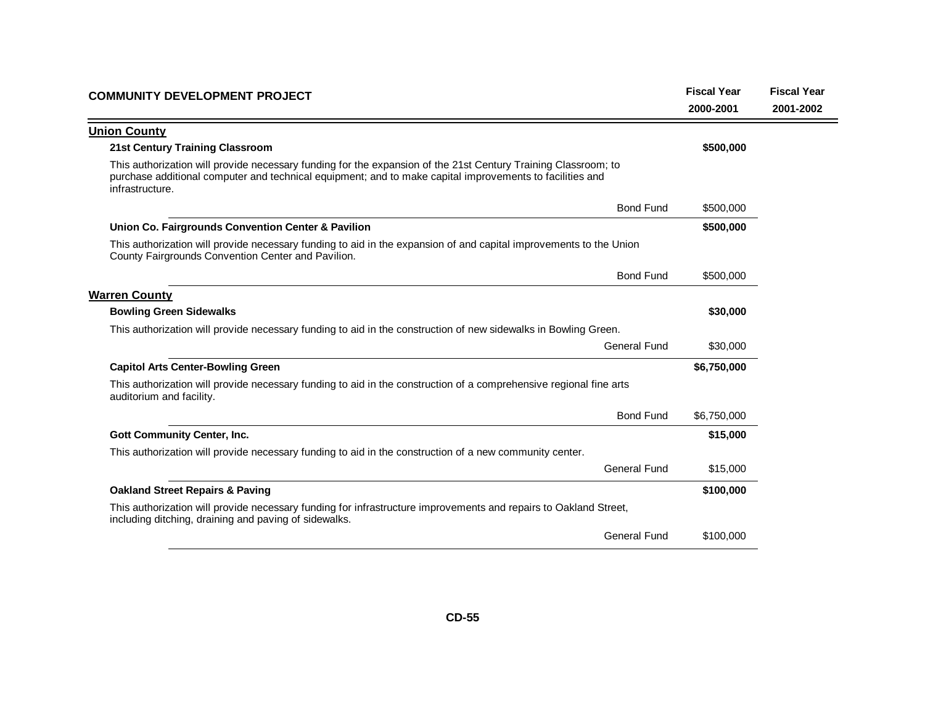| <b>COMMUNITY DEVELOPMENT PROJECT</b>                                                                                                                                                                                                          | <b>Fiscal Year</b><br>2000-2001 | <b>Fiscal Year</b><br>2001-2002 |
|-----------------------------------------------------------------------------------------------------------------------------------------------------------------------------------------------------------------------------------------------|---------------------------------|---------------------------------|
| <b>Union County</b>                                                                                                                                                                                                                           |                                 |                                 |
| <b>21st Century Training Classroom</b>                                                                                                                                                                                                        | \$500,000                       |                                 |
| This authorization will provide necessary funding for the expansion of the 21st Century Training Classroom; to<br>purchase additional computer and technical equipment; and to make capital improvements to facilities and<br>infrastructure. |                                 |                                 |
| <b>Bond Fund</b>                                                                                                                                                                                                                              | \$500,000                       |                                 |
| Union Co. Fairgrounds Convention Center & Pavilion                                                                                                                                                                                            | \$500,000                       |                                 |
| This authorization will provide necessary funding to aid in the expansion of and capital improvements to the Union<br>County Fairgrounds Convention Center and Pavilion.                                                                      |                                 |                                 |
| <b>Bond Fund</b>                                                                                                                                                                                                                              | \$500,000                       |                                 |
| <b>Warren County</b>                                                                                                                                                                                                                          |                                 |                                 |
| <b>Bowling Green Sidewalks</b>                                                                                                                                                                                                                | \$30,000                        |                                 |
| This authorization will provide necessary funding to aid in the construction of new sidewalks in Bowling Green.                                                                                                                               |                                 |                                 |
| <b>General Fund</b>                                                                                                                                                                                                                           | \$30,000                        |                                 |
| <b>Capitol Arts Center-Bowling Green</b>                                                                                                                                                                                                      | \$6,750,000                     |                                 |
| This authorization will provide necessary funding to aid in the construction of a comprehensive regional fine arts<br>auditorium and facility.                                                                                                |                                 |                                 |
| <b>Bond Fund</b>                                                                                                                                                                                                                              | \$6,750,000                     |                                 |
| <b>Gott Community Center, Inc.</b>                                                                                                                                                                                                            | \$15,000                        |                                 |
| This authorization will provide necessary funding to aid in the construction of a new community center.                                                                                                                                       |                                 |                                 |
| <b>General Fund</b>                                                                                                                                                                                                                           | \$15,000                        |                                 |
| <b>Oakland Street Repairs &amp; Paving</b>                                                                                                                                                                                                    | \$100,000                       |                                 |
| This authorization will provide necessary funding for infrastructure improvements and repairs to Oakland Street,<br>including ditching, draining and paving of sidewalks.                                                                     |                                 |                                 |
| <b>General Fund</b>                                                                                                                                                                                                                           | \$100,000                       |                                 |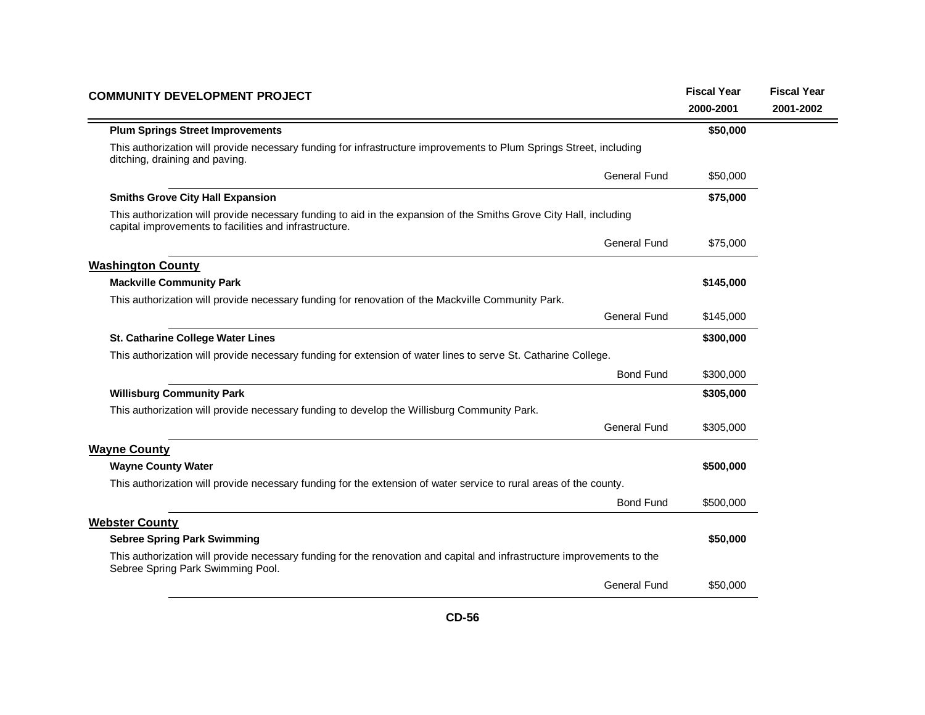| <b>COMMUNITY DEVELOPMENT PROJECT</b>                                                                                                                                         | <b>Fiscal Year</b> | <b>Fiscal Year</b> |
|------------------------------------------------------------------------------------------------------------------------------------------------------------------------------|--------------------|--------------------|
|                                                                                                                                                                              | 2000-2001          | 2001-2002          |
| <b>Plum Springs Street Improvements</b>                                                                                                                                      | \$50,000           |                    |
| This authorization will provide necessary funding for infrastructure improvements to Plum Springs Street, including<br>ditching, draining and paving.                        |                    |                    |
| <b>General Fund</b>                                                                                                                                                          | \$50,000           |                    |
| <b>Smiths Grove City Hall Expansion</b>                                                                                                                                      | \$75,000           |                    |
| This authorization will provide necessary funding to aid in the expansion of the Smiths Grove City Hall, including<br>capital improvements to facilities and infrastructure. |                    |                    |
| <b>General Fund</b>                                                                                                                                                          | \$75,000           |                    |
| <b>Washington County</b>                                                                                                                                                     |                    |                    |
| <b>Mackville Community Park</b>                                                                                                                                              | \$145,000          |                    |
| This authorization will provide necessary funding for renovation of the Mackville Community Park.                                                                            |                    |                    |
| <b>General Fund</b>                                                                                                                                                          | \$145,000          |                    |
| St. Catharine College Water Lines                                                                                                                                            | \$300,000          |                    |
| This authorization will provide necessary funding for extension of water lines to serve St. Catharine College.                                                               |                    |                    |
| <b>Bond Fund</b>                                                                                                                                                             | \$300,000          |                    |
| <b>Willisburg Community Park</b>                                                                                                                                             | \$305,000          |                    |
| This authorization will provide necessary funding to develop the Willisburg Community Park.                                                                                  |                    |                    |
| <b>General Fund</b>                                                                                                                                                          | \$305,000          |                    |
| <b>Wayne County</b>                                                                                                                                                          |                    |                    |
| <b>Wayne County Water</b>                                                                                                                                                    | \$500,000          |                    |
| This authorization will provide necessary funding for the extension of water service to rural areas of the county.                                                           |                    |                    |
| <b>Bond Fund</b>                                                                                                                                                             | \$500,000          |                    |
| <b>Webster County</b>                                                                                                                                                        |                    |                    |
| <b>Sebree Spring Park Swimming</b>                                                                                                                                           | \$50,000           |                    |
| This authorization will provide necessary funding for the renovation and capital and infrastructure improvements to the<br>Sebree Spring Park Swimming Pool.                 |                    |                    |
| <b>General Fund</b>                                                                                                                                                          | \$50,000           |                    |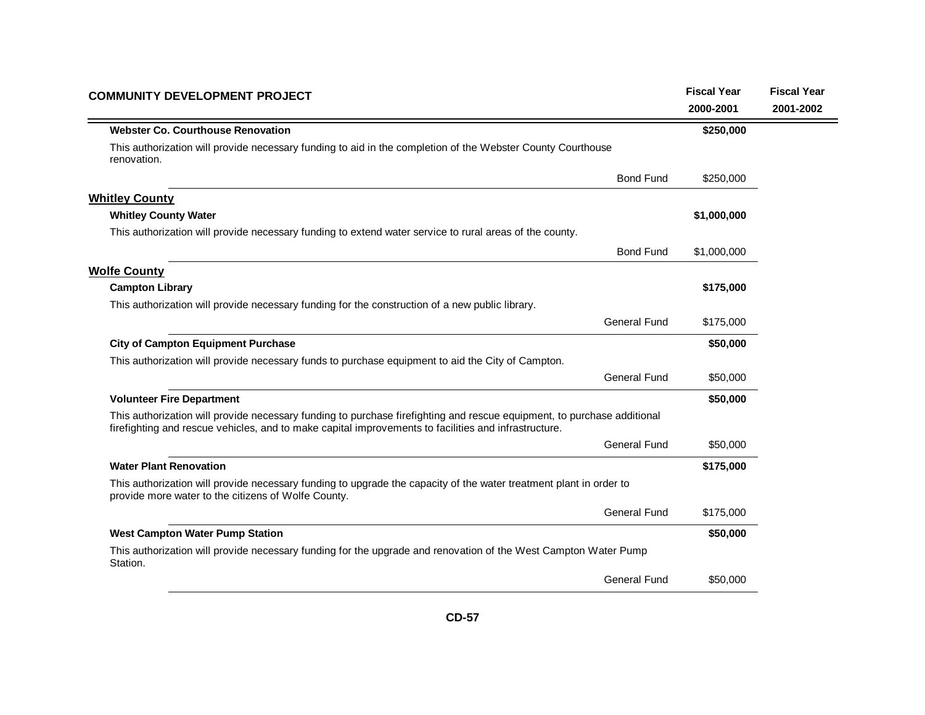| <b>COMMUNITY DEVELOPMENT PROJECT</b>                                                                                                                                                                                            |                     |             | <b>Fiscal Year</b> |
|---------------------------------------------------------------------------------------------------------------------------------------------------------------------------------------------------------------------------------|---------------------|-------------|--------------------|
|                                                                                                                                                                                                                                 |                     | 2000-2001   | 2001-2002          |
| <b>Webster Co. Courthouse Renovation</b>                                                                                                                                                                                        |                     | \$250,000   |                    |
| This authorization will provide necessary funding to aid in the completion of the Webster County Courthouse<br>renovation.                                                                                                      |                     |             |                    |
|                                                                                                                                                                                                                                 | <b>Bond Fund</b>    | \$250,000   |                    |
| <b>Whitley County</b>                                                                                                                                                                                                           |                     |             |                    |
| <b>Whitley County Water</b>                                                                                                                                                                                                     |                     | \$1,000,000 |                    |
| This authorization will provide necessary funding to extend water service to rural areas of the county.                                                                                                                         |                     |             |                    |
|                                                                                                                                                                                                                                 | <b>Bond Fund</b>    | \$1,000,000 |                    |
| <b>Wolfe County</b>                                                                                                                                                                                                             |                     |             |                    |
| <b>Campton Library</b>                                                                                                                                                                                                          |                     | \$175,000   |                    |
| This authorization will provide necessary funding for the construction of a new public library.                                                                                                                                 |                     |             |                    |
|                                                                                                                                                                                                                                 | General Fund        | \$175,000   |                    |
| <b>City of Campton Equipment Purchase</b>                                                                                                                                                                                       |                     | \$50,000    |                    |
| This authorization will provide necessary funds to purchase equipment to aid the City of Campton.                                                                                                                               |                     |             |                    |
|                                                                                                                                                                                                                                 | <b>General Fund</b> | \$50,000    |                    |
| <b>Volunteer Fire Department</b>                                                                                                                                                                                                |                     | \$50,000    |                    |
| This authorization will provide necessary funding to purchase firefighting and rescue equipment, to purchase additional<br>firefighting and rescue vehicles, and to make capital improvements to facilities and infrastructure. |                     |             |                    |
|                                                                                                                                                                                                                                 | <b>General Fund</b> | \$50,000    |                    |
| <b>Water Plant Renovation</b>                                                                                                                                                                                                   |                     | \$175,000   |                    |
| This authorization will provide necessary funding to upgrade the capacity of the water treatment plant in order to<br>provide more water to the citizens of Wolfe County.                                                       |                     |             |                    |
|                                                                                                                                                                                                                                 | <b>General Fund</b> | \$175,000   |                    |
| <b>West Campton Water Pump Station</b>                                                                                                                                                                                          |                     | \$50,000    |                    |
| This authorization will provide necessary funding for the upgrade and renovation of the West Campton Water Pump<br>Station.                                                                                                     |                     |             |                    |
|                                                                                                                                                                                                                                 | <b>General Fund</b> | \$50,000    |                    |
|                                                                                                                                                                                                                                 |                     |             |                    |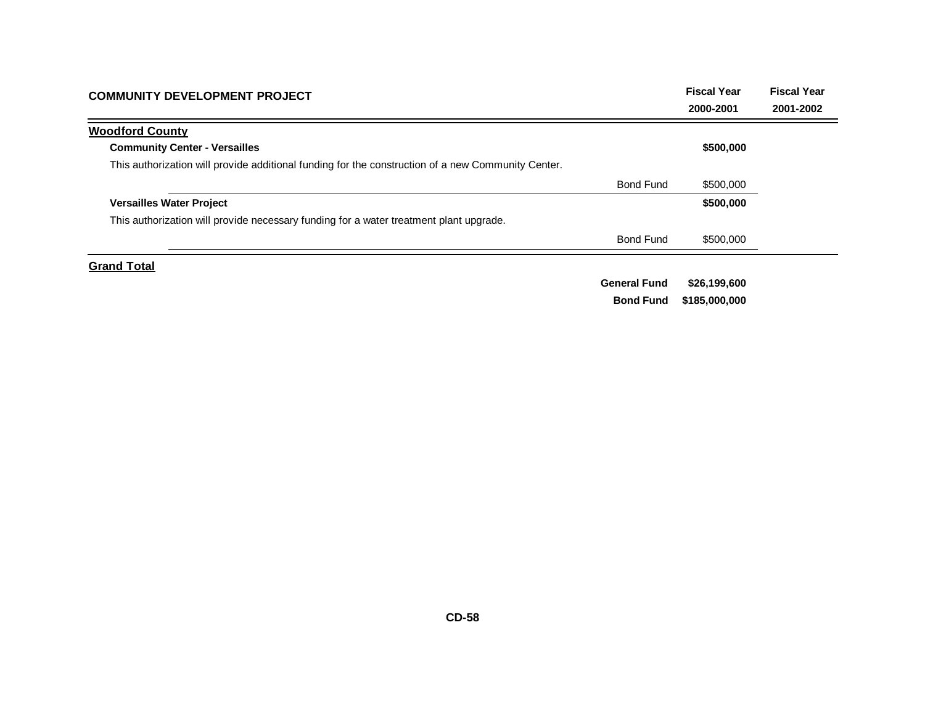| <b>COMMUNITY DEVELOPMENT PROJECT</b>                                                               | <b>Fiscal Year</b>  | <b>Fiscal Year</b> |           |
|----------------------------------------------------------------------------------------------------|---------------------|--------------------|-----------|
|                                                                                                    |                     | 2000-2001          | 2001-2002 |
| <b>Woodford County</b>                                                                             |                     |                    |           |
| <b>Community Center - Versailles</b>                                                               |                     | \$500,000          |           |
| This authorization will provide additional funding for the construction of a new Community Center. |                     |                    |           |
|                                                                                                    | <b>Bond Fund</b>    | \$500,000          |           |
| <b>Versailles Water Project</b>                                                                    |                     | \$500,000          |           |
| This authorization will provide necessary funding for a water treatment plant upgrade.             |                     |                    |           |
|                                                                                                    | <b>Bond Fund</b>    | \$500,000          |           |
| <b>Grand Total</b>                                                                                 |                     |                    |           |
|                                                                                                    | <b>General Fund</b> | \$26,199,600       |           |

**\$185,000,000 Bond Fund**